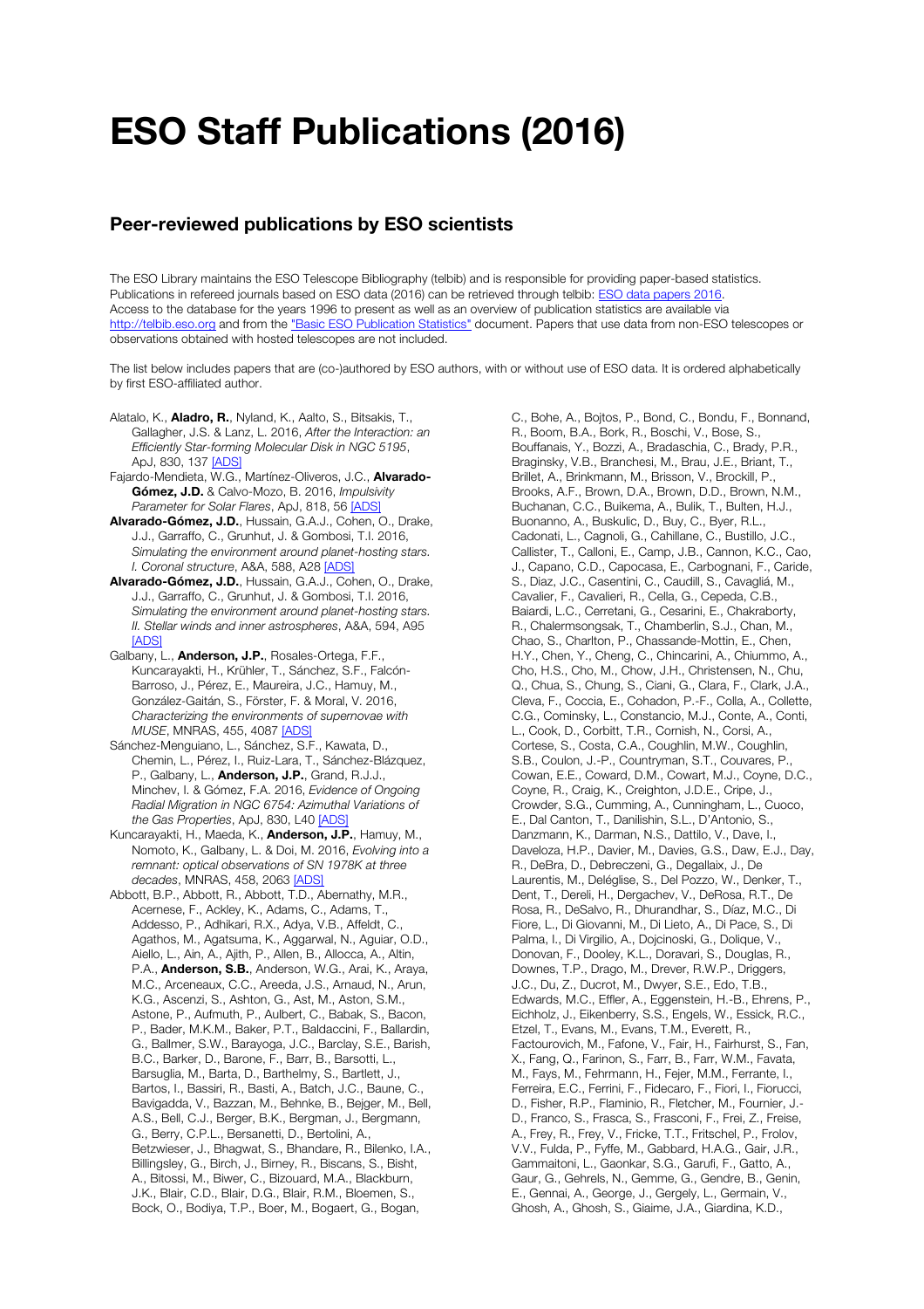## ESO Staff Publications (2016)

## Peer-reviewed publications by ESO scientists

The ESO Library maintains the ESO Telescope Bibliography (telbib) and is responsible for providing paper-based statistics. Publications in refereed journals based on ESO data (2016) can be retrieved through telbib: ESO data papers 2016. Access to the database for the years 1996 to present as well as an overview of publication statistics are available via http://telbib.eso.org and from the "Basic ESO Publication Statistics" document. Papers that use data from non-ESO telescopes or observations obtained with hosted telescopes are not included.

The list below includes papers that are (co-)authored by ESO authors, with or without use of ESO data. It is ordered alphabetically by first ESO-affiliated author.

- Alatalo, K., **Aladro, R.**, Nyland, K., Aalto, S., Bitsakis, T., Gallagher, J.S. & Lanz, L. 2016, *After the Interaction: an Efficiently Star-forming Molecular Disk in NGC 5195*, ApJ, 830, 137 [ADS]
- Fajardo-Mendieta, W.G., Martínez-Oliveros, J.C., Alvarado-Gómez, J.D. & Calvo-Mozo, B. 2016, *Impulsivity Parameter for Solar Flares*, ApJ, 818, 56 [ADS]
- Alvarado-Gómez, J.D., Hussain, G.A.J., Cohen, O., Drake, J.J., Garraffo, C., Grunhut, J. & Gombosi, T.I. 2016, *Simulating the environment around planet-hosting stars. I. Coronal structure*, A&A, 588, A28 [ADS]
- Alvarado-Gómez, J.D., Hussain, G.A.J., Cohen, O., Drake, J.J., Garraffo, C., Grunhut, J. & Gombosi, T.I. 2016, *Simulating the environment around planet-hosting stars. II. Stellar winds and inner astrospheres*, A&A, 594, A95 [ADS]
- Galbany, L., Anderson, J.P., Rosales-Ortega, F.F., Kuncarayakti, H., Krühler, T., Sánchez, S.F., Falcón-Barroso, J., Pérez, E., Maureira, J.C., Hamuy, M., González-Gaitán, S., Förster, F. & Moral, V. 2016, *Characterizing the environments of supernovae with MUSE*, MNRAS, 455, 4087 [ADS]
- Sánchez-Menguiano, L., Sánchez, S.F., Kawata, D., Chemin, L., Pérez, I., Ruiz-Lara, T., Sánchez-Blázquez, P., Galbany, L., Anderson, J.P., Grand, R.J.J., Minchev, I. & Gómez, F.A. 2016, *Evidence of Ongoing Radial Migration in NGC 6754: Azimuthal Variations of the Gas Properties*, ApJ, 830, L40 [ADS]
- Kuncarayakti, H., Maeda, K., Anderson, J.P., Hamuy, M., Nomoto, K., Galbany, L. & Doi, M. 2016, *Evolving into a remnant: optical observations of SN 1978K at three decades*, MNRAS, 458, 2063 [ADS]

Abbott, B.P., Abbott, R., Abbott, T.D., Abernathy, M.R., Acernese, F., Ackley, K., Adams, C., Adams, T., Addesso, P., Adhikari, R.X., Adya, V.B., Affeldt, C., Agathos, M., Agatsuma, K., Aggarwal, N., Aguiar, O.D., Aiello, L., Ain, A., Ajith, P., Allen, B., Allocca, A., Altin, P.A., **Anderson, S.B.**, Anderson, W.G., Arai, K., Araya, M.C., Arceneaux, C.C., Areeda, J.S., Arnaud, N., Arun, K.G., Ascenzi, S., Ashton, G., Ast, M., Aston, S.M., Astone, P., Aufmuth, P., Aulbert, C., Babak, S., Bacon, P., Bader, M.K.M., Baker, P.T., Baldaccini, F., Ballardin, G., Ballmer, S.W., Barayoga, J.C., Barclay, S.E., Barish, B.C., Barker, D., Barone, F., Barr, B., Barsotti, L., Barsuglia, M., Barta, D., Barthelmy, S., Bartlett, J., Bartos, I., Bassiri, R., Basti, A., Batch, J.C., Baune, C., Bavigadda, V., Bazzan, M., Behnke, B., Bejger, M., Bell, A.S., Bell, C.J., Berger, B.K., Bergman, J., Bergmann, G., Berry, C.P.L., Bersanetti, D., Bertolini, A., Betzwieser, J., Bhagwat, S., Bhandare, R., Bilenko, I.A., Billingsley, G., Birch, J., Birney, R., Biscans, S., Bisht, A., Bitossi, M., Biwer, C., Bizouard, M.A., Blackburn, J.K., Blair, C.D., Blair, D.G., Blair, R.M., Bloemen, S., Bock, O., Bodiya, T.P., Boer, M., Bogaert, G., Bogan,

C., Bohe, A., Bojtos, P., Bond, C., Bondu, F., Bonnand, R., Boom, B.A., Bork, R., Boschi, V., Bose, S., Bouffanais, Y., Bozzi, A., Bradaschia, C., Brady, P.R., Braginsky, V.B., Branchesi, M., Brau, J.E., Briant, T., Brillet, A., Brinkmann, M., Brisson, V., Brockill, P., Brooks, A.F., Brown, D.A., Brown, D.D., Brown, N.M., Buchanan, C.C., Buikema, A., Bulik, T., Bulten, H.J., Buonanno, A., Buskulic, D., Buy, C., Byer, R.L., Cadonati, L., Cagnoli, G., Cahillane, C., Bustillo, J.C., Callister, T., Calloni, E., Camp, J.B., Cannon, K.C., Cao, J., Capano, C.D., Capocasa, E., Carbognani, F., Caride, S., Diaz, J.C., Casentini, C., Caudill, S., Cavagliá, M., Cavalier, F., Cavalieri, R., Cella, G., Cepeda, C.B., Baiardi, L.C., Cerretani, G., Cesarini, E., Chakraborty, R., Chalermsongsak, T., Chamberlin, S.J., Chan, M., Chao, S., Charlton, P., Chassande-Mottin, E., Chen, H.Y., Chen, Y., Cheng, C., Chincarini, A., Chiummo, A., Cho, H.S., Cho, M., Chow, J.H., Christensen, N., Chu, Q., Chua, S., Chung, S., Ciani, G., Clara, F., Clark, J.A., Cleva, F., Coccia, E., Cohadon, P.-F., Colla, A., Collette, C.G., Cominsky, L., Constancio, M.J., Conte, A., Conti, L., Cook, D., Corbitt, T.R., Cornish, N., Corsi, A., Cortese, S., Costa, C.A., Coughlin, M.W., Coughlin, S.B., Coulon, J.-P., Countryman, S.T., Couvares, P., Cowan, E.E., Coward, D.M., Cowart, M.J., Coyne, D.C., Coyne, R., Craig, K., Creighton, J.D.E., Cripe, J., Crowder, S.G., Cumming, A., Cunningham, L., Cuoco, E., Dal Canton, T., Danilishin, S.L., D'Antonio, S., Danzmann, K., Darman, N.S., Dattilo, V., Dave, I., Daveloza, H.P., Davier, M., Davies, G.S., Daw, E.J., Day, R., DeBra, D., Debreczeni, G., Degallaix, J., De Laurentis, M., Deléglise, S., Del Pozzo, W., Denker, T., Dent, T., Dereli, H., Dergachev, V., DeRosa, R.T., De Rosa, R., DeSalvo, R., Dhurandhar, S., Díaz, M.C., Di Fiore, L., Di Giovanni, M., Di Lieto, A., Di Pace, S., Di Palma, I., Di Virgilio, A., Dojcinoski, G., Dolique, V., Donovan, F., Dooley, K.L., Doravari, S., Douglas, R., Downes, T.P., Drago, M., Drever, R.W.P., Driggers, J.C., Du, Z., Ducrot, M., Dwyer, S.E., Edo, T.B., Edwards, M.C., Effler, A., Eggenstein, H.-B., Ehrens, P., Eichholz, J., Eikenberry, S.S., Engels, W., Essick, R.C., Etzel, T., Evans, M., Evans, T.M., Everett, R., Factourovich, M., Fafone, V., Fair, H., Fairhurst, S., Fan, X., Fang, Q., Farinon, S., Farr, B., Farr, W.M., Favata, M., Fays, M., Fehrmann, H., Fejer, M.M., Ferrante, I., Ferreira, E.C., Ferrini, F., Fidecaro, F., Fiori, I., Fiorucci, D., Fisher, R.P., Flaminio, R., Fletcher, M., Fournier, J.- D., Franco, S., Frasca, S., Frasconi, F., Frei, Z., Freise, A., Frey, R., Frey, V., Fricke, T.T., Fritschel, P., Frolov, V.V., Fulda, P., Fyffe, M., Gabbard, H.A.G., Gair, J.R., Gammaitoni, L., Gaonkar, S.G., Garufi, F., Gatto, A., Gaur, G., Gehrels, N., Gemme, G., Gendre, B., Genin, E., Gennai, A., George, J., Gergely, L., Germain, V., Ghosh, A., Ghosh, S., Giaime, J.A., Giardina, K.D.,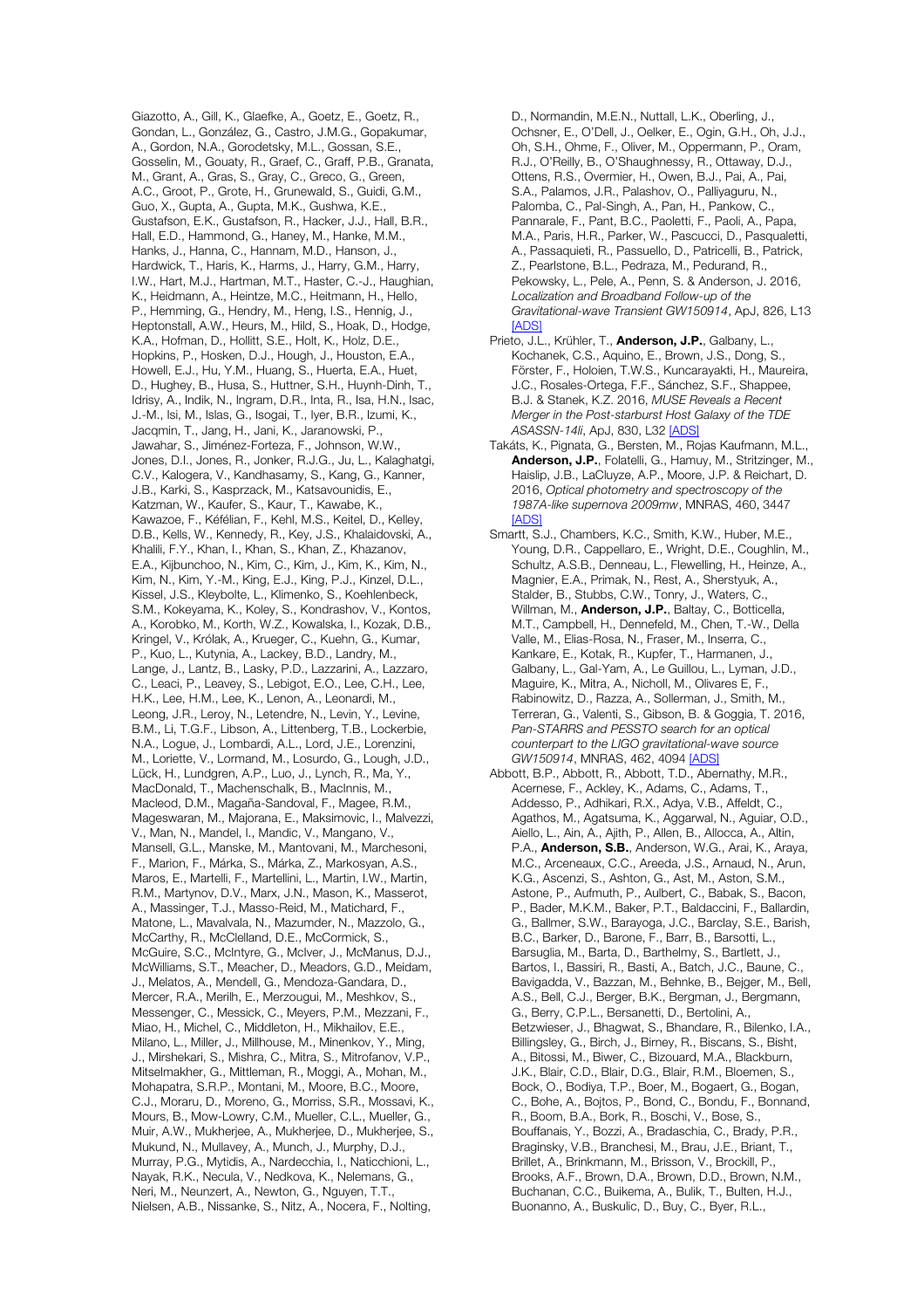Giazotto, A., Gill, K., Glaefke, A., Goetz, E., Goetz, R., Gondan, L., González, G., Castro, J.M.G., Gopakumar, A., Gordon, N.A., Gorodetsky, M.L., Gossan, S.E., Gosselin, M., Gouaty, R., Graef, C., Graff, P.B., Granata, M., Grant, A., Gras, S., Gray, C., Greco, G., Green, A.C., Groot, P., Grote, H., Grunewald, S., Guidi, G.M., Guo, X., Gupta, A., Gupta, M.K., Gushwa, K.E., Gustafson, E.K., Gustafson, R., Hacker, J.J., Hall, B.R., Hall, E.D., Hammond, G., Haney, M., Hanke, M.M., Hanks, J., Hanna, C., Hannam, M.D., Hanson, J., Hardwick, T., Haris, K., Harms, J., Harry, G.M., Harry, I.W., Hart, M.J., Hartman, M.T., Haster, C.-J., Haughian, K., Heidmann, A., Heintze, M.C., Heitmann, H., Hello, P., Hemming, G., Hendry, M., Heng, I.S., Hennig, J., Heptonstall, A.W., Heurs, M., Hild, S., Hoak, D., Hodge, K.A., Hofman, D., Hollitt, S.E., Holt, K., Holz, D.E., Hopkins, P., Hosken, D.J., Hough, J., Houston, E.A., Howell, E.J., Hu, Y.M., Huang, S., Huerta, E.A., Huet, D., Hughey, B., Husa, S., Huttner, S.H., Huynh-Dinh, T., Idrisy, A., Indik, N., Ingram, D.R., Inta, R., Isa, H.N., Isac, J.-M., Isi, M., Islas, G., Isogai, T., Iyer, B.R., Izumi, K., Jacqmin, T., Jang, H., Jani, K., Jaranowski, P., Jawahar, S., Jiménez-Forteza, F., Johnson, W.W., Jones, D.I., Jones, R., Jonker, R.J.G., Ju, L., Kalaghatgi, C.V., Kalogera, V., Kandhasamy, S., Kang, G., Kanner, J.B., Karki, S., Kasprzack, M., Katsavounidis, E., Katzman, W., Kaufer, S., Kaur, T., Kawabe, K., Kawazoe, F., Kéfélian, F., Kehl, M.S., Keitel, D., Kelley, D.B., Kells, W., Kennedy, R., Key, J.S., Khalaidovski, A., Khalili, F.Y., Khan, I., Khan, S., Khan, Z., Khazanov, E.A., Kijbunchoo, N., Kim, C., Kim, J., Kim, K., Kim, N., Kim, N., Kim, Y.-M., King, E.J., King, P.J., Kinzel, D.L., Kissel, J.S., Kleybolte, L., Klimenko, S., Koehlenbeck, S.M., Kokeyama, K., Koley, S., Kondrashov, V., Kontos, A., Korobko, M., Korth, W.Z., Kowalska, I., Kozak, D.B., Kringel, V., Królak, A., Krueger, C., Kuehn, G., Kumar, P., Kuo, L., Kutynia, A., Lackey, B.D., Landry, M., Lange, J., Lantz, B., Lasky, P.D., Lazzarini, A., Lazzaro, C., Leaci, P., Leavey, S., Lebigot, E.O., Lee, C.H., Lee, H.K., Lee, H.M., Lee, K., Lenon, A., Leonardi, M., Leong, J.R., Leroy, N., Letendre, N., Levin, Y., Levine, B.M., Li, T.G.F., Libson, A., Littenberg, T.B., Lockerbie, N.A., Logue, J., Lombardi, A.L., Lord, J.E., Lorenzini, M., Loriette, V., Lormand, M., Losurdo, G., Lough, J.D., Lück, H., Lundgren, A.P., Luo, J., Lynch, R., Ma, Y., MacDonald, T., Machenschalk, B., MacInnis, M., Macleod, D.M., Magaña-Sandoval, F., Magee, R.M., Mageswaran, M., Majorana, E., Maksimovic, I., Malvezzi, V., Man, N., Mandel, I., Mandic, V., Mangano, V., Mansell, G.L., Manske, M., Mantovani, M., Marchesoni, F., Marion, F., Márka, S., Márka, Z., Markosyan, A.S., Maros, E., Martelli, F., Martellini, L., Martin, I.W., Martin, R.M., Martynov, D.V., Marx, J.N., Mason, K., Masserot, A., Massinger, T.J., Masso-Reid, M., Matichard, F., Matone, L., Mavalvala, N., Mazumder, N., Mazzolo, G., McCarthy, R., McClelland, D.E., McCormick, S., McGuire, S.C., McIntyre, G., McIver, J., McManus, D.J., McWilliams, S.T., Meacher, D., Meadors, G.D., Meidam, J., Melatos, A., Mendell, G., Mendoza-Gandara, D., Mercer, R.A., Merilh, E., Merzougui, M., Meshkov, S., Messenger, C., Messick, C., Meyers, P.M., Mezzani, F., Miao, H., Michel, C., Middleton, H., Mikhailov, E.E., Milano, L., Miller, J., Millhouse, M., Minenkov, Y., Ming, J., Mirshekari, S., Mishra, C., Mitra, S., Mitrofanov, V.P., Mitselmakher, G., Mittleman, R., Moggi, A., Mohan, M., Mohapatra, S.R.P., Montani, M., Moore, B.C., Moore, C.J., Moraru, D., Moreno, G., Morriss, S.R., Mossavi, K., Mours, B., Mow-Lowry, C.M., Mueller, C.L., Mueller, G., Muir, A.W., Mukherjee, A., Mukherjee, D., Mukherjee, S., Mukund, N., Mullavey, A., Munch, J., Murphy, D.J., Murray, P.G., Mytidis, A., Nardecchia, I., Naticchioni, L., Nayak, R.K., Necula, V., Nedkova, K., Nelemans, G., Neri, M., Neunzert, A., Newton, G., Nguyen, T.T., Nielsen, A.B., Nissanke, S., Nitz, A., Nocera, F., Nolting,

D., Normandin, M.E.N., Nuttall, L.K., Oberling, J., Ochsner, E., O'Dell, J., Oelker, E., Ogin, G.H., Oh, J.J., Oh, S.H., Ohme, F., Oliver, M., Oppermann, P., Oram, R.J., O'Reilly, B., O'Shaughnessy, R., Ottaway, D.J., Ottens, R.S., Overmier, H., Owen, B.J., Pai, A., Pai, S.A., Palamos, J.R., Palashov, O., Palliyaguru, N., Palomba, C., Pal-Singh, A., Pan, H., Pankow, C., Pannarale, F., Pant, B.C., Paoletti, F., Paoli, A., Papa, M.A., Paris, H.R., Parker, W., Pascucci, D., Pasqualetti, A., Passaquieti, R., Passuello, D., Patricelli, B., Patrick, Z., Pearlstone, B.L., Pedraza, M., Pedurand, R., Pekowsky, L., Pele, A., Penn, S. & Anderson, J. 2016, *Localization and Broadband Follow-up of the Gravitational-wave Transient GW150914*, ApJ, 826, L13 **[ADS]** 

- Prieto, J.L., Krühler, T., Anderson, J.P., Galbany, L., Kochanek, C.S., Aquino, E., Brown, J.S., Dong, S., Förster, F., Holoien, T.W.S., Kuncarayakti, H., Maureira, J.C., Rosales-Ortega, F.F., Sánchez, S.F., Shappee, B.J. & Stanek, K.Z. 2016, *MUSE Reveals a Recent Merger in the Post-starburst Host Galaxy of the TDE ASASSN-14li*, ApJ, 830, L32 [ADS]
- Takáts, K., Pignata, G., Bersten, M., Rojas Kaufmann, M.L., Anderson, J.P., Folatelli, G., Hamuy, M., Stritzinger, M., Haislip, J.B., LaCluyze, A.P., Moore, J.P. & Reichart, D. 2016, *Optical photometry and spectroscopy of the 1987A-like supernova 2009mw*, MNRAS, 460, 3447 [ADS]
- Smartt, S.J., Chambers, K.C., Smith, K.W., Huber, M.E., Young, D.R., Cappellaro, E., Wright, D.E., Coughlin, M., Schultz, A.S.B., Denneau, L., Flewelling, H., Heinze, A., Magnier, E.A., Primak, N., Rest, A., Sherstyuk, A., Stalder, B., Stubbs, C.W., Tonry, J., Waters, C., Willman, M., Anderson, J.P., Baltay, C., Botticella, M.T., Campbell, H., Dennefeld, M., Chen, T.-W., Della Valle, M., Elias-Rosa, N., Fraser, M., Inserra, C., Kankare, E., Kotak, R., Kupfer, T., Harmanen, J., Galbany, L., Gal-Yam, A., Le Guillou, L., Lyman, J.D., Maguire, K., Mitra, A., Nicholl, M., Olivares E, F., Rabinowitz, D., Razza, A., Sollerman, J., Smith, M., Terreran, G., Valenti, S., Gibson, B. & Goggia, T. 2016, *Pan-STARRS and PESSTO search for an optical counterpart to the LIGO gravitational-wave source GW150914*, MNRAS, 462, 4094 [ADS]
- Abbott, B.P., Abbott, R., Abbott, T.D., Abernathy, M.R., Acernese, F., Ackley, K., Adams, C., Adams, T., Addesso, P., Adhikari, R.X., Adya, V.B., Affeldt, C., Agathos, M., Agatsuma, K., Aggarwal, N., Aguiar, O.D., Aiello, L., Ain, A., Ajith, P., Allen, B., Allocca, A., Altin, P.A., **Anderson, S.B.**, Anderson, W.G., Arai, K., Araya, M.C., Arceneaux, C.C., Areeda, J.S., Arnaud, N., Arun, K.G., Ascenzi, S., Ashton, G., Ast, M., Aston, S.M., Astone, P., Aufmuth, P., Aulbert, C., Babak, S., Bacon, P., Bader, M.K.M., Baker, P.T., Baldaccini, F., Ballardin, G., Ballmer, S.W., Barayoga, J.C., Barclay, S.E., Barish, B.C., Barker, D., Barone, F., Barr, B., Barsotti, L., Barsuglia, M., Barta, D., Barthelmy, S., Bartlett, J., Bartos, I., Bassiri, R., Basti, A., Batch, J.C., Baune, C., Bavigadda, V., Bazzan, M., Behnke, B., Bejger, M., Bell, A.S., Bell, C.J., Berger, B.K., Bergman, J., Bergmann, G., Berry, C.P.L., Bersanetti, D., Bertolini, A., Betzwieser, J., Bhagwat, S., Bhandare, R., Bilenko, I.A., Billingsley, G., Birch, J., Birney, R., Biscans, S., Bisht, A., Bitossi, M., Biwer, C., Bizouard, M.A., Blackburn, J.K., Blair, C.D., Blair, D.G., Blair, R.M., Bloemen, S., Bock, O., Bodiya, T.P., Boer, M., Bogaert, G., Bogan, C., Bohe, A., Bojtos, P., Bond, C., Bondu, F., Bonnand, R., Boom, B.A., Bork, R., Boschi, V., Bose, S., Bouffanais, Y., Bozzi, A., Bradaschia, C., Brady, P.R., Braginsky, V.B., Branchesi, M., Brau, J.E., Briant, T., Brillet, A., Brinkmann, M., Brisson, V., Brockill, P., Brooks, A.F., Brown, D.A., Brown, D.D., Brown, N.M., Buchanan, C.C., Buikema, A., Bulik, T., Bulten, H.J., Buonanno, A., Buskulic, D., Buy, C., Byer, R.L.,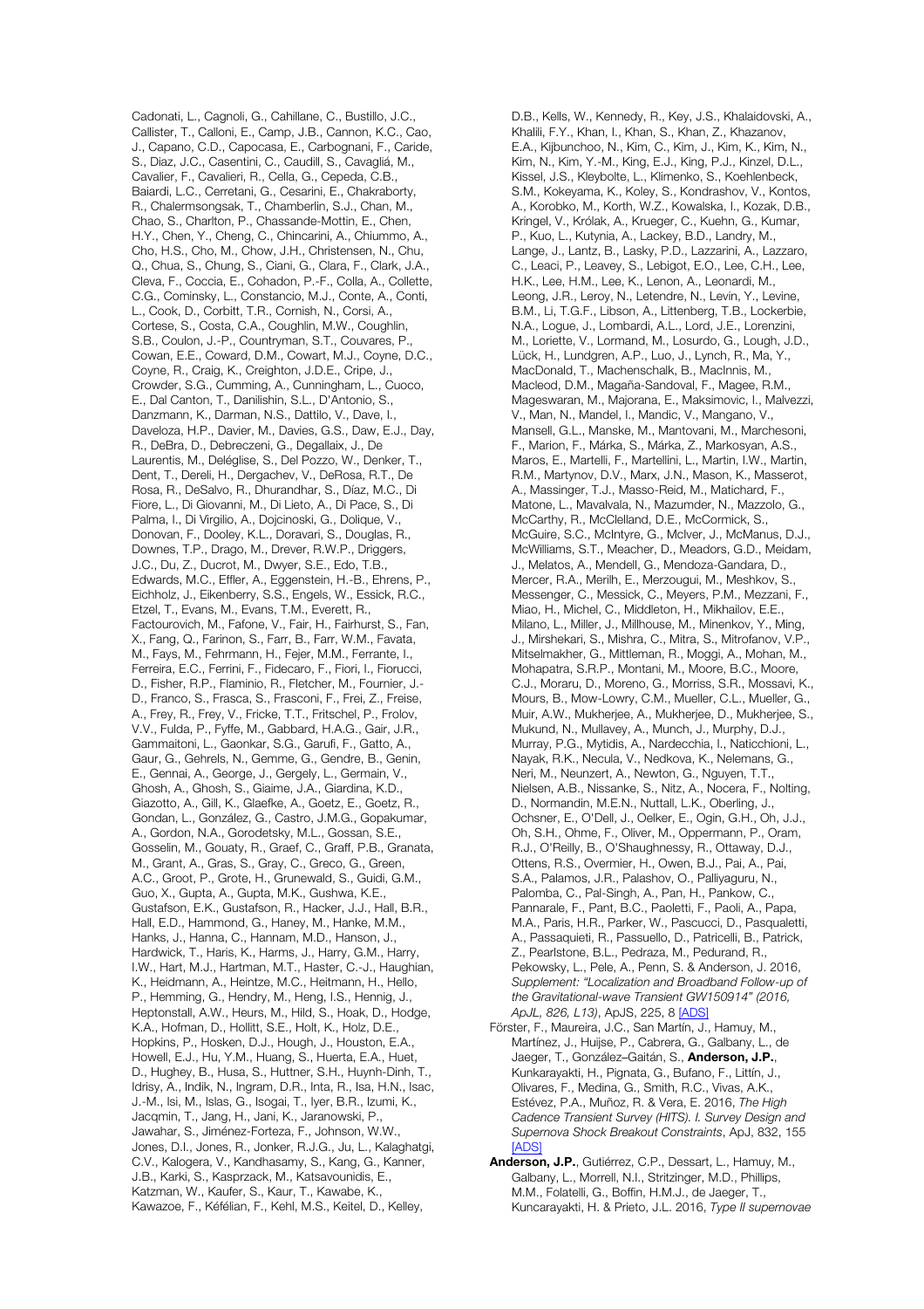Cadonati, L., Cagnoli, G., Cahillane, C., Bustillo, J.C., Callister, T., Calloni, E., Camp, J.B., Cannon, K.C., Cao, J., Capano, C.D., Capocasa, E., Carbognani, F., Caride, S., Diaz, J.C., Casentini, C., Caudill, S., Cavagliá, M., Cavalier, F., Cavalieri, R., Cella, G., Cepeda, C.B., Baiardi, L.C., Cerretani, G., Cesarini, E., Chakraborty, R., Chalermsongsak, T., Chamberlin, S.J., Chan, M., Chao, S., Charlton, P., Chassande-Mottin, E., Chen, H.Y., Chen, Y., Cheng, C., Chincarini, A., Chiummo, A., Cho, H.S., Cho, M., Chow, J.H., Christensen, N., Chu, Q., Chua, S., Chung, S., Ciani, G., Clara, F., Clark, J.A., Cleva, F., Coccia, E., Cohadon, P.-F., Colla, A., Collette, C.G., Cominsky, L., Constancio, M.J., Conte, A., Conti, L., Cook, D., Corbitt, T.R., Cornish, N., Corsi, A., Cortese, S., Costa, C.A., Coughlin, M.W., Coughlin, S.B., Coulon, J.-P., Countryman, S.T., Couvares, P., Cowan, E.E., Coward, D.M., Cowart, M.J., Coyne, D.C., Coyne, R., Craig, K., Creighton, J.D.E., Cripe, J., Crowder, S.G., Cumming, A., Cunningham, L., Cuoco, E., Dal Canton, T., Danilishin, S.L., D'Antonio, S., Danzmann, K., Darman, N.S., Dattilo, V., Dave, I., Daveloza, H.P., Davier, M., Davies, G.S., Daw, E.J., Day, R., DeBra, D., Debreczeni, G., Degallaix, J., De Laurentis, M., Deléglise, S., Del Pozzo, W., Denker, T., Dent, T., Dereli, H., Dergachev, V., DeRosa, R.T., De Rosa, R., DeSalvo, R., Dhurandhar, S., Díaz, M.C., Di Fiore, L., Di Giovanni, M., Di Lieto, A., Di Pace, S., Di Palma, I., Di Virgilio, A., Dojcinoski, G., Dolique, V., Donovan, F., Dooley, K.L., Doravari, S., Douglas, R., Downes, T.P., Drago, M., Drever, R.W.P., Driggers, J.C., Du, Z., Ducrot, M., Dwyer, S.E., Edo, T.B., Edwards, M.C., Effler, A., Eggenstein, H.-B., Ehrens, P., Eichholz, J., Eikenberry, S.S., Engels, W., Essick, R.C., Etzel, T., Evans, M., Evans, T.M., Everett, R., Factourovich, M., Fafone, V., Fair, H., Fairhurst, S., Fan, X., Fang, Q., Farinon, S., Farr, B., Farr, W.M., Favata, M., Fays, M., Fehrmann, H., Fejer, M.M., Ferrante, I., Ferreira, E.C., Ferrini, F., Fidecaro, F., Fiori, I., Fiorucci, D., Fisher, R.P., Flaminio, R., Fletcher, M., Fournier, J.- D., Franco, S., Frasca, S., Frasconi, F., Frei, Z., Freise, A., Frey, R., Frey, V., Fricke, T.T., Fritschel, P., Frolov, V.V., Fulda, P., Fyffe, M., Gabbard, H.A.G., Gair, J.R., Gammaitoni, L., Gaonkar, S.G., Garufi, F., Gatto, A., Gaur, G., Gehrels, N., Gemme, G., Gendre, B., Genin, E., Gennai, A., George, J., Gergely, L., Germain, V., Ghosh, A., Ghosh, S., Giaime, J.A., Giardina, K.D., Giazotto, A., Gill, K., Glaefke, A., Goetz, E., Goetz, R., Gondan, L., González, G., Castro, J.M.G., Gopakumar, A., Gordon, N.A., Gorodetsky, M.L., Gossan, S.E., Gosselin, M., Gouaty, R., Graef, C., Graff, P.B., Granata, M., Grant, A., Gras, S., Gray, C., Greco, G., Green, A.C., Groot, P., Grote, H., Grunewald, S., Guidi, G.M., Guo, X., Gupta, A., Gupta, M.K., Gushwa, K.E., Gustafson, E.K., Gustafson, R., Hacker, J.J., Hall, B.R., Hall, E.D., Hammond, G., Haney, M., Hanke, M.M., Hanks, J., Hanna, C., Hannam, M.D., Hanson, J., Hardwick, T., Haris, K., Harms, J., Harry, G.M., Harry, I.W., Hart, M.J., Hartman, M.T., Haster, C.-J., Haughian, K., Heidmann, A., Heintze, M.C., Heitmann, H., Hello, P., Hemming, G., Hendry, M., Heng, I.S., Hennig, J., Heptonstall, A.W., Heurs, M., Hild, S., Hoak, D., Hodge, K.A., Hofman, D., Hollitt, S.E., Holt, K., Holz, D.E., Hopkins, P., Hosken, D.J., Hough, J., Houston, E.A., Howell, E.J., Hu, Y.M., Huang, S., Huerta, E.A., Huet, D., Hughey, B., Husa, S., Huttner, S.H., Huynh-Dinh, T., Idrisy, A., Indik, N., Ingram, D.R., Inta, R., Isa, H.N., Isac, J.-M., Isi, M., Islas, G., Isogai, T., Iyer, B.R., Izumi, K., Jacqmin, T., Jang, H., Jani, K., Jaranowski, P., Jawahar, S., Jiménez-Forteza, F., Johnson, W.W., Jones, D.I., Jones, R., Jonker, R.J.G., Ju, L., Kalaghatgi, C.V., Kalogera, V., Kandhasamy, S., Kang, G., Kanner, J.B., Karki, S., Kasprzack, M., Katsavounidis, E., Katzman, W., Kaufer, S., Kaur, T., Kawabe, K., Kawazoe, F., Kéfélian, F., Kehl, M.S., Keitel, D., Kelley,

D.B., Kells, W., Kennedy, R., Key, J.S., Khalaidovski, A., Khalili, F.Y., Khan, I., Khan, S., Khan, Z., Khazanov, E.A., Kijbunchoo, N., Kim, C., Kim, J., Kim, K., Kim, N., Kim, N., Kim, Y.-M., King, E.J., King, P.J., Kinzel, D.L., Kissel, J.S., Kleybolte, L., Klimenko, S., Koehlenbeck, S.M., Kokeyama, K., Koley, S., Kondrashov, V., Kontos, A., Korobko, M., Korth, W.Z., Kowalska, I., Kozak, D.B., Kringel, V., Królak, A., Krueger, C., Kuehn, G., Kumar, P., Kuo, L., Kutynia, A., Lackey, B.D., Landry, M., Lange, J., Lantz, B., Lasky, P.D., Lazzarini, A., Lazzaro, C., Leaci, P., Leavey, S., Lebigot, E.O., Lee, C.H., Lee, H.K., Lee, H.M., Lee, K., Lenon, A., Leonardi, M., Leong, J.R., Leroy, N., Letendre, N., Levin, Y., Levine, B.M., Li, T.G.F., Libson, A., Littenberg, T.B., Lockerbie, N.A., Logue, J., Lombardi, A.L., Lord, J.E., Lorenzini, M., Loriette, V., Lormand, M., Losurdo, G., Lough, J.D., Lück, H., Lundgren, A.P., Luo, J., Lynch, R., Ma, Y., MacDonald, T., Machenschalk, B., MacInnis, M., Macleod, D.M., Magaña-Sandoval, F., Magee, R.M., Mageswaran, M., Majorana, E., Maksimovic, I., Malvezzi, V., Man, N., Mandel, I., Mandic, V., Mangano, V., Mansell, G.L., Manske, M., Mantovani, M., Marchesoni, F., Marion, F., Márka, S., Márka, Z., Markosyan, A.S., Maros, E., Martelli, F., Martellini, L., Martin, I.W., Martin, R.M., Martynov, D.V., Marx, J.N., Mason, K., Masserot, A., Massinger, T.J., Masso-Reid, M., Matichard, F., Matone, L., Mavalvala, N., Mazumder, N., Mazzolo, G., McCarthy, R., McClelland, D.E., McCormick, S., McGuire, S.C., McIntyre, G., McIver, J., McManus, D.J., McWilliams, S.T., Meacher, D., Meadors, G.D., Meidam, J., Melatos, A., Mendell, G., Mendoza-Gandara, D., Mercer, R.A., Merilh, E., Merzougui, M., Meshkov, S., Messenger, C., Messick, C., Meyers, P.M., Mezzani, F., Miao, H., Michel, C., Middleton, H., Mikhailov, E.E., Milano, L., Miller, J., Millhouse, M., Minenkov, Y., Ming, J., Mirshekari, S., Mishra, C., Mitra, S., Mitrofanov, V.P., Mitselmakher, G., Mittleman, R., Moggi, A., Mohan, M., Mohapatra, S.R.P., Montani, M., Moore, B.C., Moore, C.J., Moraru, D., Moreno, G., Morriss, S.R., Mossavi, K., Mours, B., Mow-Lowry, C.M., Mueller, C.L., Mueller, G., Muir, A.W., Mukherjee, A., Mukherjee, D., Mukherjee, S., Mukund, N., Mullavey, A., Munch, J., Murphy, D.J., Murray, P.G., Mytidis, A., Nardecchia, I., Naticchioni, L., Nayak, R.K., Necula, V., Nedkova, K., Nelemans, G., Neri, M., Neunzert, A., Newton, G., Nguyen, T.T., Nielsen, A.B., Nissanke, S., Nitz, A., Nocera, F., Nolting, D., Normandin, M.E.N., Nuttall, L.K., Oberling, J., Ochsner, E., O'Dell, J., Oelker, E., Ogin, G.H., Oh, J.J., Oh, S.H., Ohme, F., Oliver, M., Oppermann, P., Oram, R.J., O'Reilly, B., O'Shaughnessy, R., Ottaway, D.J., Ottens, R.S., Overmier, H., Owen, B.J., Pai, A., Pai, S.A., Palamos, J.R., Palashov, O., Palliyaguru, N., Palomba, C., Pal-Singh, A., Pan, H., Pankow, C., Pannarale, F., Pant, B.C., Paoletti, F., Paoli, A., Papa, M.A., Paris, H.R., Parker, W., Pascucci, D., Pasqualetti, A., Passaquieti, R., Passuello, D., Patricelli, B., Patrick, Z., Pearlstone, B.L., Pedraza, M., Pedurand, R., Pekowsky, L., Pele, A., Penn, S. & Anderson, J. 2016, *Supplement: "Localization and Broadband Follow-up of the Gravitational-wave Transient GW150914" (2016, ApJL, 826, L13)*, ApJS, 225, 8 [ADS]

Förster, F., Maureira, J.C., San Martín, J., Hamuy, M., Martínez, J., Huijse, P., Cabrera, G., Galbany, L., de Jaeger, T., González-Gaitán, S., Anderson, J.P., Kunkarayakti, H., Pignata, G., Bufano, F., Littín, J., Olivares, F., Medina, G., Smith, R.C., Vivas, A.K., Estévez, P.A., Muñoz, R. & Vera, E. 2016, *The High Cadence Transient Survey (HITS). I. Survey Design and Supernova Shock Breakout Constraints*, ApJ, 832, 155 [ADS]

Anderson, J.P., Gutiérrez, C.P., Dessart, L., Hamuy, M., Galbany, L., Morrell, N.I., Stritzinger, M.D., Phillips, M.M., Folatelli, G., Boffin, H.M.J., de Jaeger, T., Kuncarayakti, H. & Prieto, J.L. 2016, *Type II supernovae*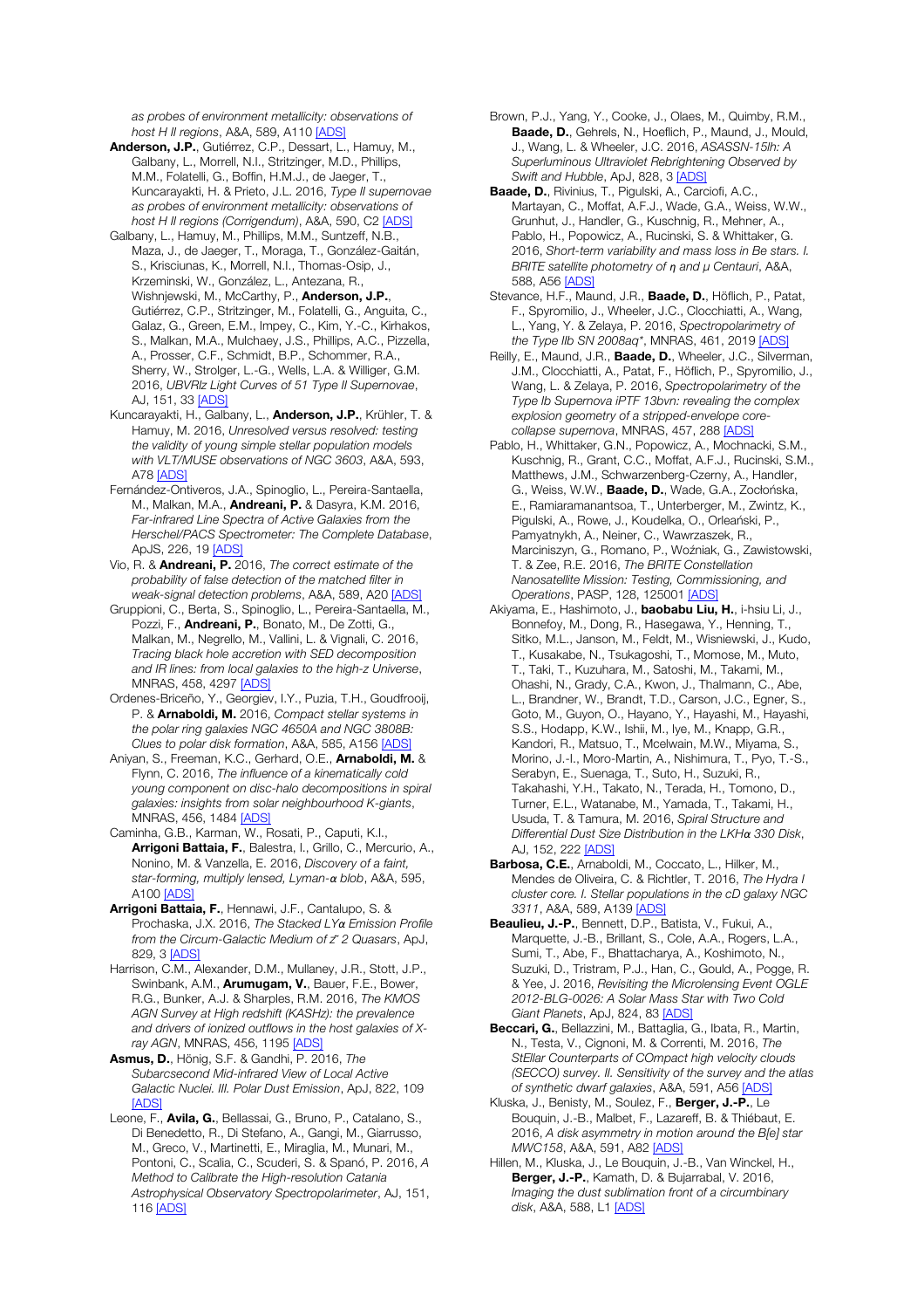*as probes of environment metallicity: observations of host H II regions*, A&A, 589, A110 [ADS]

- Anderson, J.P., Gutiérrez, C.P., Dessart, L., Hamuy, M., Galbany, L., Morrell, N.I., Stritzinger, M.D., Phillips, M.M., Folatelli, G., Boffin, H.M.J., de Jaeger, T., Kuncarayakti, H. & Prieto, J.L. 2016, *Type II supernovae as probes of environment metallicity: observations of host H II regions (Corrigendum)*, A&A, 590, C2 [ADS]
- Galbany, L., Hamuy, M., Phillips, M.M., Suntzeff, N.B., Maza, J., de Jaeger, T., Moraga, T., González-Gaitán, S., Krisciunas, K., Morrell, N.I., Thomas-Osip, J., Krzeminski, W., González, L., Antezana, R., Wishnjewski, M., McCarthy, P., Anderson, J.P., Gutiérrez, C.P., Stritzinger, M., Folatelli, G., Anguita, C., Galaz, G., Green, E.M., Impey, C., Kim, Y.-C., Kirhakos, S., Malkan, M.A., Mulchaey, J.S., Phillips, A.C., Pizzella, A., Prosser, C.F., Schmidt, B.P., Schommer, R.A., Sherry, W., Strolger, L.-G., Wells, L.A. & Williger, G.M. 2016, *UBVRIz Light Curves of 51 Type II Supernovae*, AJ, 151, 33 [ADS]
- Kuncarayakti, H., Galbany, L., Anderson, J.P., Krühler, T. & Hamuy, M. 2016, *Unresolved versus resolved: testing the validity of young simple stellar population models with VLT/MUSE observations of NGC 3603*, A&A, 593, A78 [ADS]
- Fernández-Ontiveros, J.A., Spinoglio, L., Pereira-Santaella, M., Malkan, M.A., **Andreani, P.** & Dasyra, K.M. 2016, *Far-infrared Line Spectra of Active Galaxies from the Herschel/PACS Spectrometer: The Complete Database*, ApJS, 226, 19 [ADS]
- Vio, R. & Andreani, P. 2016, *The correct estimate of the probability of false detection of the matched filter in weak-signal detection problems*, A&A, 589, A20 [ADS]
- Gruppioni, C., Berta, S., Spinoglio, L., Pereira-Santaella, M., Pozzi, F., **Andreani, P.**, Bonato, M., De Zotti, G., Malkan, M., Negrello, M., Vallini, L. & Vignali, C. 2016, *Tracing black hole accretion with SED decomposition and IR lines: from local galaxies to the high-z Universe*, MNRAS, 458, 4297 [ADS]
- Ordenes-Briceño, Y., Georgiev, I.Y., Puzia, T.H., Goudfrooij, P. & Arnaboldi, M. 2016, *Compact stellar systems in the polar ring galaxies NGC 4650A and NGC 3808B: Clues to polar disk formation*, A&A, 585, A156 [ADS]
- Aniyan, S., Freeman, K.C., Gerhard, O.E., Arnaboldi, M. & Flynn, C. 2016, *The influence of a kinematically cold young component on disc-halo decompositions in spiral galaxies: insights from solar neighbourhood K-giants*, MNRAS, 456, 1484 [ADS]
- Caminha, G.B., Karman, W., Rosati, P., Caputi, K.I., Arrigoni Battaia, F., Balestra, I., Grillo, C., Mercurio, A., Nonino, M. & Vanzella, E. 2016, *Discovery of a faint, star-forming, multiply lensed, Lyman-α blob*, A&A, 595, A100 [ADS]
- Arrigoni Battaia, F., Hennawi, J.F., Cantalupo, S. & Prochaska, J.X. 2016, *The Stacked LYα Emission Profile from the Circum-Galactic Medium of z ̃2 Quasars*, ApJ, 829, 3 [ADS]
- Harrison, C.M., Alexander, D.M., Mullaney, J.R., Stott, J.P., Swinbank, A.M., **Arumugam, V.**, Bauer, F.E., Bower, R.G., Bunker, A.J. & Sharples, R.M. 2016, *The KMOS AGN Survey at High redshift (KASHz): the prevalence and drivers of ionized outflows in the host galaxies of Xray AGN*, MNRAS, 456, 1195 [ADS]
- Asmus, D., Hönig, S.F. & Gandhi, P. 2016, *The Subarcsecond Mid-infrared View of Local Active Galactic Nuclei. III. Polar Dust Emission*, ApJ, 822, 109 [ADS]
- Leone, F., Avila, G., Bellassai, G., Bruno, P., Catalano, S., Di Benedetto, R., Di Stefano, A., Gangi, M., Giarrusso, M., Greco, V., Martinetti, E., Miraglia, M., Munari, M., Pontoni, C., Scalia, C., Scuderi, S. & Spanó, P. 2016, *A Method to Calibrate the High-resolution Catania Astrophysical Observatory Spectropolarimeter*, AJ, 151, 116 [ADS]
- Brown, P.J., Yang, Y., Cooke, J., Olaes, M., Quimby, R.M., Baade, D., Gehrels, N., Hoeflich, P., Maund, J., Mould, J., Wang, L. & Wheeler, J.C. 2016, *ASASSN-15lh: A Superluminous Ultraviolet Rebrightening Observed by Swift and Hubble*, ApJ, 828, 3 [ADS]
- Baade, D., Rivinius, T., Pigulski, A., Carciofi, A.C., Martayan, C., Moffat, A.F.J., Wade, G.A., Weiss, W.W., Grunhut, J., Handler, G., Kuschnig, R., Mehner, A., Pablo, H., Popowicz, A., Rucinski, S. & Whittaker, G. 2016, *Short-term variability and mass loss in Be stars. I. BRITE satellite photometry of η and* μ *Centauri*, A&A, 588, A56 [ADS]
- Stevance, H.F., Maund, J.R., Baade, D., Höflich, P., Patat, F., Spyromilio, J., Wheeler, J.C., Clocchiatti, A., Wang, L., Yang, Y. & Zelaya, P. 2016, *Spectropolarimetry of the Type IIb SN 2008aq\**, MNRAS, 461, 2019 [ADS]
- Reilly, E., Maund, J.R., Baade, D., Wheeler, J.C., Silverman, J.M., Clocchiatti, A., Patat, F., Höflich, P., Spyromilio, J., Wang, L. & Zelaya, P. 2016, *Spectropolarimetry of the Type Ib Supernova iPTF 13bvn: revealing the complex explosion geometry of a stripped-envelope corecollapse supernova*, MNRAS, 457, 288 [ADS]
- Pablo, H., Whittaker, G.N., Popowicz, A., Mochnacki, S.M., Kuschnig, R., Grant, C.C., Moffat, A.F.J., Rucinski, S.M., Matthews, J.M., Schwarzenberg-Czerny, A., Handler, G., Weiss, W.W., Baade, D., Wade, G.A., Zocłońska, E., Ramiaramanantsoa, T., Unterberger, M., Zwintz, K., Pigulski, A., Rowe, J., Koudelka, O., Orleański, P., Pamyatnykh, A., Neiner, C., Wawrzaszek, R., Marciniszyn, G., Romano, P., Woźniak, G., Zawistowski, T. & Zee, R.E. 2016, *The BRITE Constellation Nanosatellite Mission: Testing, Commissioning, and Operations*, PASP, 128, 125001 [ADS]
- Akiyama, E., Hashimoto, J., **baobabu Liu, H.**, i-hsiu Li, J., Bonnefoy, M., Dong, R., Hasegawa, Y., Henning, T., Sitko, M.L., Janson, M., Feldt, M., Wisniewski, J., Kudo, T., Kusakabe, N., Tsukagoshi, T., Momose, M., Muto, T., Taki, T., Kuzuhara, M., Satoshi, M., Takami, M., Ohashi, N., Grady, C.A., Kwon, J., Thalmann, C., Abe, L., Brandner, W., Brandt, T.D., Carson, J.C., Egner, S., Goto, M., Guyon, O., Hayano, Y., Hayashi, M., Hayashi, S.S., Hodapp, K.W., Ishii, M., Iye, M., Knapp, G.R., Kandori, R., Matsuo, T., Mcelwain, M.W., Miyama, S., Morino, J.-I., Moro-Martin, A., Nishimura, T., Pyo, T.-S., Serabyn, E., Suenaga, T., Suto, H., Suzuki, R., Takahashi, Y.H., Takato, N., Terada, H., Tomono, D., Turner, E.L., Watanabe, M., Yamada, T., Takami, H., Usuda, T. & Tamura, M. 2016, *Spiral Structure and Differential Dust Size Distribution in the LKHα 330 Disk*, AJ, 152, 222 [ADS]
- Barbosa, C.E., Arnaboldi, M., Coccato, L., Hilker, M., Mendes de Oliveira, C. & Richtler, T. 2016, *The Hydra I cluster core. I. Stellar populations in the cD galaxy NGC 3311*, A&A, 589, A139 [ADS]
- Beaulieu, J.-P., Bennett, D.P., Batista, V., Fukui, A., Marquette, J.-B., Brillant, S., Cole, A.A., Rogers, L.A., Sumi, T., Abe, F., Bhattacharya, A., Koshimoto, N., Suzuki, D., Tristram, P.J., Han, C., Gould, A., Pogge, R. & Yee, J. 2016, *Revisiting the Microlensing Event OGLE 2012-BLG-0026: A Solar Mass Star with Two Cold Giant Planets*, ApJ, 824, 83 [ADS]
- Beccari, G., Bellazzini, M., Battaglia, G., Ibata, R., Martin, N., Testa, V., Cignoni, M. & Correnti, M. 2016, *The StEllar Counterparts of COmpact high velocity clouds (SECCO) survey. II. Sensitivity of the survey and the atlas of synthetic dwarf galaxies*, A&A, 591, A56 [ADS]
- Kluska, J., Benisty, M., Soulez, F., Berger, J.-P., Le Bouquin, J.-B., Malbet, F., Lazareff, B. & Thiébaut, E. 2016, *A disk asymmetry in motion around the B[e] star MWC158*, A&A, 591, A82 [ADS]
- Hillen, M., Kluska, J., Le Bouquin, J.-B., Van Winckel, H., Berger, J.-P., Kamath, D. & Bujarrabal, V. 2016, *Imaging the dust sublimation front of a circumbinary disk*, A&A, 588, L1 [ADS]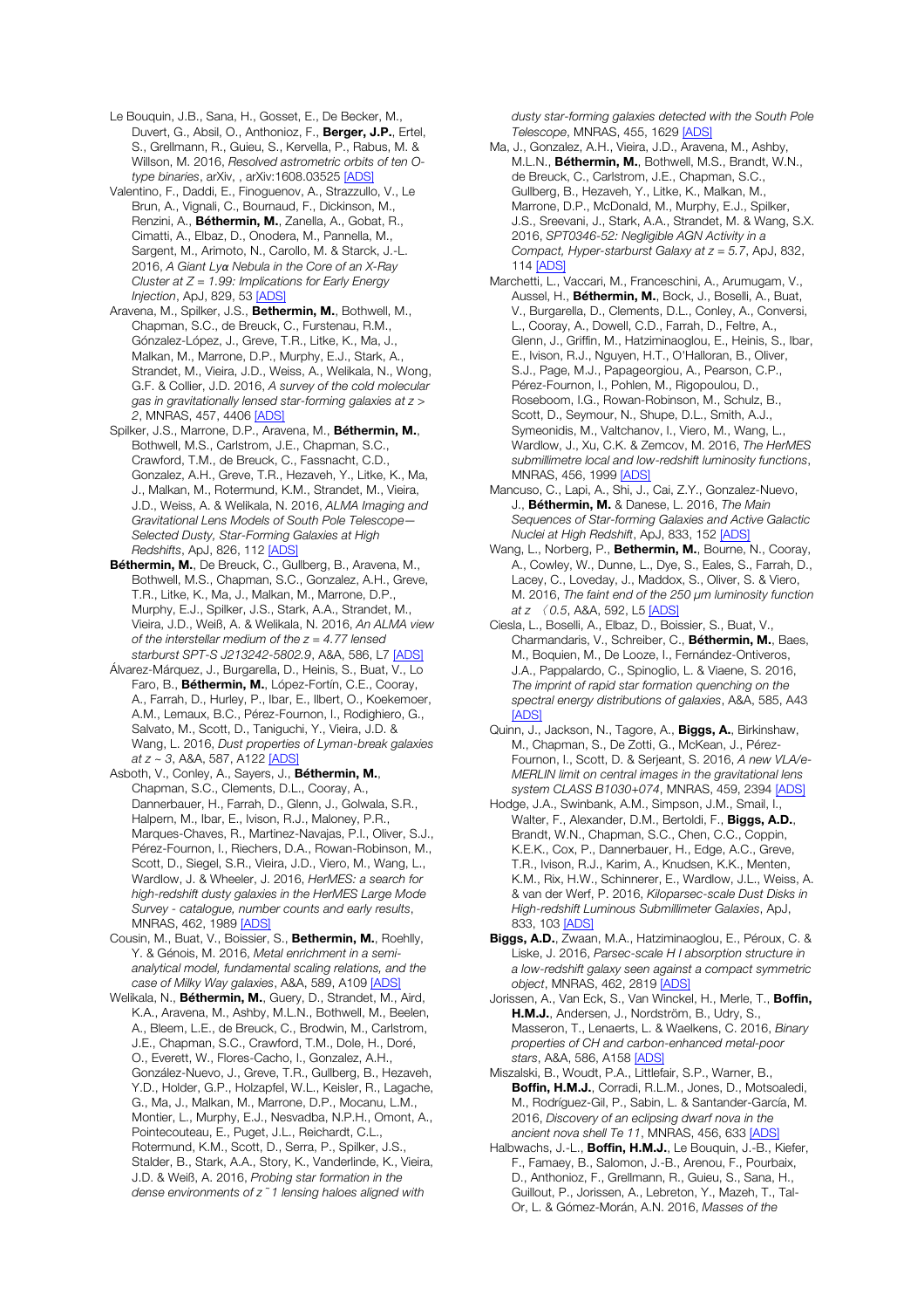Le Bouquin, J.B., Sana, H., Gosset, E., De Becker, M., Duvert, G., Absil, O., Anthonioz, F., Berger, J.P., Ertel, S., Grellmann, R., Guieu, S., Kervella, P., Rabus, M. & Willson, M. 2016, *Resolved astrometric orbits of ten Otype binaries*, arXiv, , arXiv:1608.03525 [ADS]

Valentino, F., Daddi, E., Finoguenov, A., Strazzullo, V., Le Brun, A., Vignali, C., Bournaud, F., Dickinson, M., Renzini, A., Béthermin, M., Zanella, A., Gobat, R., Cimatti, A., Elbaz, D., Onodera, M., Pannella, M., Sargent, M., Arimoto, N., Carollo, M. & Starck, J.-L. 2016, *A Giant Lyα Nebula in the Core of an X-Ray Cluster at Z = 1.99: Implications for Early Energy Injection*, ApJ, 829, 53 [ADS]

Aravena, M., Spilker, J.S., Bethermin, M., Bothwell, M., Chapman, S.C., de Breuck, C., Furstenau, R.M., Gónzalez-López, J., Greve, T.R., Litke, K., Ma, J., Malkan, M., Marrone, D.P., Murphy, E.J., Stark, A., Strandet, M., Vieira, J.D., Weiss, A., Welikala, N., Wong, G.F. & Collier, J.D. 2016, *A survey of the cold molecular gas in gravitationally lensed star-forming galaxies at z > 2*, MNRAS, 457, 4406 [ADS]

Spilker, J.S., Marrone, D.P., Aravena, M., Béthermin, M., Bothwell, M.S., Carlstrom, J.E., Chapman, S.C., Crawford, T.M., de Breuck, C., Fassnacht, C.D., Gonzalez, A.H., Greve, T.R., Hezaveh, Y., Litke, K., Ma, J., Malkan, M., Rotermund, K.M., Strandet, M., Vieira, J.D., Weiss, A. & Welikala, N. 2016, *ALMA Imaging and Gravitational Lens Models of South Pole Telescope— Selected Dusty, Star-Forming Galaxies at High Redshifts*, ApJ, 826, 112 [ADS]

Béthermin, M., De Breuck, C., Gullberg, B., Aravena, M., Bothwell, M.S., Chapman, S.C., Gonzalez, A.H., Greve, T.R., Litke, K., Ma, J., Malkan, M., Marrone, D.P., Murphy, E.J., Spilker, J.S., Stark, A.A., Strandet, M., Vieira, J.D., Weiß, A. & Welikala, N. 2016, *An ALMA view of the interstellar medium of the z = 4.77 lensed starburst SPT-S J213242-5802.9*, A&A, 586, L7 [ADS]

Álvarez-Márquez, J., Burgarella, D., Heinis, S., Buat, V., Lo Faro, B., Béthermin, M., López-Fortín, C.E., Cooray, A., Farrah, D., Hurley, P., Ibar, E., Ilbert, O., Koekemoer, A.M., Lemaux, B.C., Pérez-Fournon, I., Rodighiero, G., Salvato, M., Scott, D., Taniguchi, Y., Vieira, J.D. & Wang, L. 2016, *Dust properties of Lyman-break galaxies at z ~ 3*, A&A, 587, A122 [ADS]

Asboth, V., Conley, A., Sayers, J., Béthermin, M., Chapman, S.C., Clements, D.L., Cooray, A., Dannerbauer, H., Farrah, D., Glenn, J., Golwala, S.R., Halpern, M., Ibar, E., Ivison, R.J., Maloney, P.R., Marques-Chaves, R., Martinez-Navajas, P.I., Oliver, S.J., Pérez-Fournon, I., Riechers, D.A., Rowan-Robinson, M., Scott, D., Siegel, S.R., Vieira, J.D., Viero, M., Wang, L., Wardlow, J. & Wheeler, J. 2016, *HerMES: a search for high-redshift dusty galaxies in the HerMES Large Mode Survey - catalogue, number counts and early results*, MNRAS, 462, 1989 [ADS]

Cousin, M., Buat, V., Boissier, S., Bethermin, M., Roehlly, Y. & Génois, M. 2016, *Metal enrichment in a semianalytical model, fundamental scaling relations, and the case of Milky Way galaxies*, A&A, 589, A109 [ADS]

Welikala, N., Béthermin, M., Guery, D., Strandet, M., Aird, K.A., Aravena, M., Ashby, M.L.N., Bothwell, M., Beelen, A., Bleem, L.E., de Breuck, C., Brodwin, M., Carlstrom, J.E., Chapman, S.C., Crawford, T.M., Dole, H., Doré, O., Everett, W., Flores-Cacho, I., Gonzalez, A.H., González-Nuevo, J., Greve, T.R., Gullberg, B., Hezaveh, Y.D., Holder, G.P., Holzapfel, W.L., Keisler, R., Lagache, G., Ma, J., Malkan, M., Marrone, D.P., Mocanu, L.M., Montier, L., Murphy, E.J., Nesvadba, N.P.H., Omont, A., Pointecouteau, E., Puget, J.L., Reichardt, C.L., Rotermund, K.M., Scott, D., Serra, P., Spilker, J.S., Stalder, B., Stark, A.A., Story, K., Vanderlinde, K., Vieira, J.D. & Weiß, A. 2016, *Probing star formation in the dense environments of z ˜ 1 lensing haloes aligned with* 

*dusty star-forming galaxies detected with the South Pole Telescope*, MNRAS, 455, 1629 [ADS]

Ma, J., Gonzalez, A.H., Vieira, J.D., Aravena, M., Ashby, M.L.N., Béthermin, M., Bothwell, M.S., Brandt, W.N., de Breuck, C., Carlstrom, J.E., Chapman, S.C., Gullberg, B., Hezaveh, Y., Litke, K., Malkan, M., Marrone, D.P., McDonald, M., Murphy, E.J., Spilker, J.S., Sreevani, J., Stark, A.A., Strandet, M. & Wang, S.X. 2016, *SPT0346-52: Negligible AGN Activity in a Compact, Hyper-starburst Galaxy at z = 5.7*, ApJ, 832, 114 [ADS]

Marchetti, L., Vaccari, M., Franceschini, A., Arumugam, V., Aussel, H., Béthermin, M., Bock, J., Boselli, A., Buat, V., Burgarella, D., Clements, D.L., Conley, A., Conversi, L., Cooray, A., Dowell, C.D., Farrah, D., Feltre, A., Glenn, J., Griffin, M., Hatziminaoglou, E., Heinis, S., Ibar, E., Ivison, R.J., Nguyen, H.T., O'Halloran, B., Oliver, S.J., Page, M.J., Papageorgiou, A., Pearson, C.P., Pérez-Fournon, I., Pohlen, M., Rigopoulou, D., Roseboom, I.G., Rowan-Robinson, M., Schulz, B., Scott, D., Seymour, N., Shupe, D.L., Smith, A.J., Symeonidis, M., Valtchanov, I., Viero, M., Wang, L., Wardlow, J., Xu, C.K. & Zemcov, M. 2016, *The HerMES submillimetre local and low-redshift luminosity functions*, MNRAS, 456, 1999 [ADS]

Mancuso, C., Lapi, A., Shi, J., Cai, Z.Y., Gonzalez-Nuevo, J., Béthermin, M. & Danese, L. 2016, *The Main Sequences of Star-forming Galaxies and Active Galactic Nuclei at High Redshift*, ApJ, 833, 152 [ADS]

Wang, L., Norberg, P., Bethermin, M., Bourne, N., Cooray, A., Cowley, W., Dunne, L., Dye, S., Eales, S., Farrah, D., Lacey, C., Loveday, J., Maddox, S., Oliver, S. & Viero, M. 2016, *The faint end of the 250* μ*m luminosity function at z* 〈 *0.5*, A&A, 592, L5 [ADS]

Ciesla, L., Boselli, A., Elbaz, D., Boissier, S., Buat, V., Charmandaris, V., Schreiber, C., Béthermin, M., Baes, M., Boquien, M., De Looze, I., Fernández-Ontiveros, J.A., Pappalardo, C., Spinoglio, L. & Viaene, S. 2016, *The imprint of rapid star formation quenching on the spectral energy distributions of galaxies*, A&A, 585, A43 [ADS]

Quinn, J., Jackson, N., Tagore, A., Biggs, A., Birkinshaw, M., Chapman, S., De Zotti, G., McKean, J., Pérez-Fournon, I., Scott, D. & Serjeant, S. 2016, *A new VLA/e-MERLIN limit on central images in the gravitational lens system CLASS B1030+074*, MNRAS, 459, 2394 [ADS]

- Hodge, J.A., Swinbank, A.M., Simpson, J.M., Smail, I., Walter, F., Alexander, D.M., Bertoldi, F., Biggs, A.D., Brandt, W.N., Chapman, S.C., Chen, C.C., Coppin, K.E.K., Cox, P., Dannerbauer, H., Edge, A.C., Greve, T.R., Ivison, R.J., Karim, A., Knudsen, K.K., Menten, K.M., Rix, H.W., Schinnerer, E., Wardlow, J.L., Weiss, A. & van der Werf, P. 2016, *Kiloparsec-scale Dust Disks in High-redshift Luminous Submillimeter Galaxies*, ApJ, 833, 103 [ADS]
- Biggs, A.D., Zwaan, M.A., Hatziminaoglou, E., Péroux, C. & Liske, J. 2016, *Parsec-scale H I absorption structure in a low-redshift galaxy seen against a compact symmetric object*, MNRAS, 462, 2819 [ADS]

Jorissen, A., Van Eck, S., Van Winckel, H., Merle, T., Boffin, H.M.J., Andersen, J., Nordström, B., Udry, S., Masseron, T., Lenaerts, L. & Waelkens, C. 2016, *Binary properties of CH and carbon-enhanced metal-poor stars*, A&A, 586, A158 [ADS]

Miszalski, B., Woudt, P.A., Littlefair, S.P., Warner, B., Boffin, H.M.J., Corradi, R.L.M., Jones, D., Motsoaledi, M., Rodríguez-Gil, P., Sabin, L. & Santander-García, M. 2016, *Discovery of an eclipsing dwarf nova in the ancient nova shell Te 11*, MNRAS, 456, 633 [ADS]

Halbwachs, J.-L., **Boffin, H.M.J.**, Le Bouquin, J.-B., Kiefer, F., Famaey, B., Salomon, J.-B., Arenou, F., Pourbaix, D., Anthonioz, F., Grellmann, R., Guieu, S., Sana, H., Guillout, P., Jorissen, A., Lebreton, Y., Mazeh, T., Tal-Or, L. & Gómez-Morán, A.N. 2016, *Masses of the*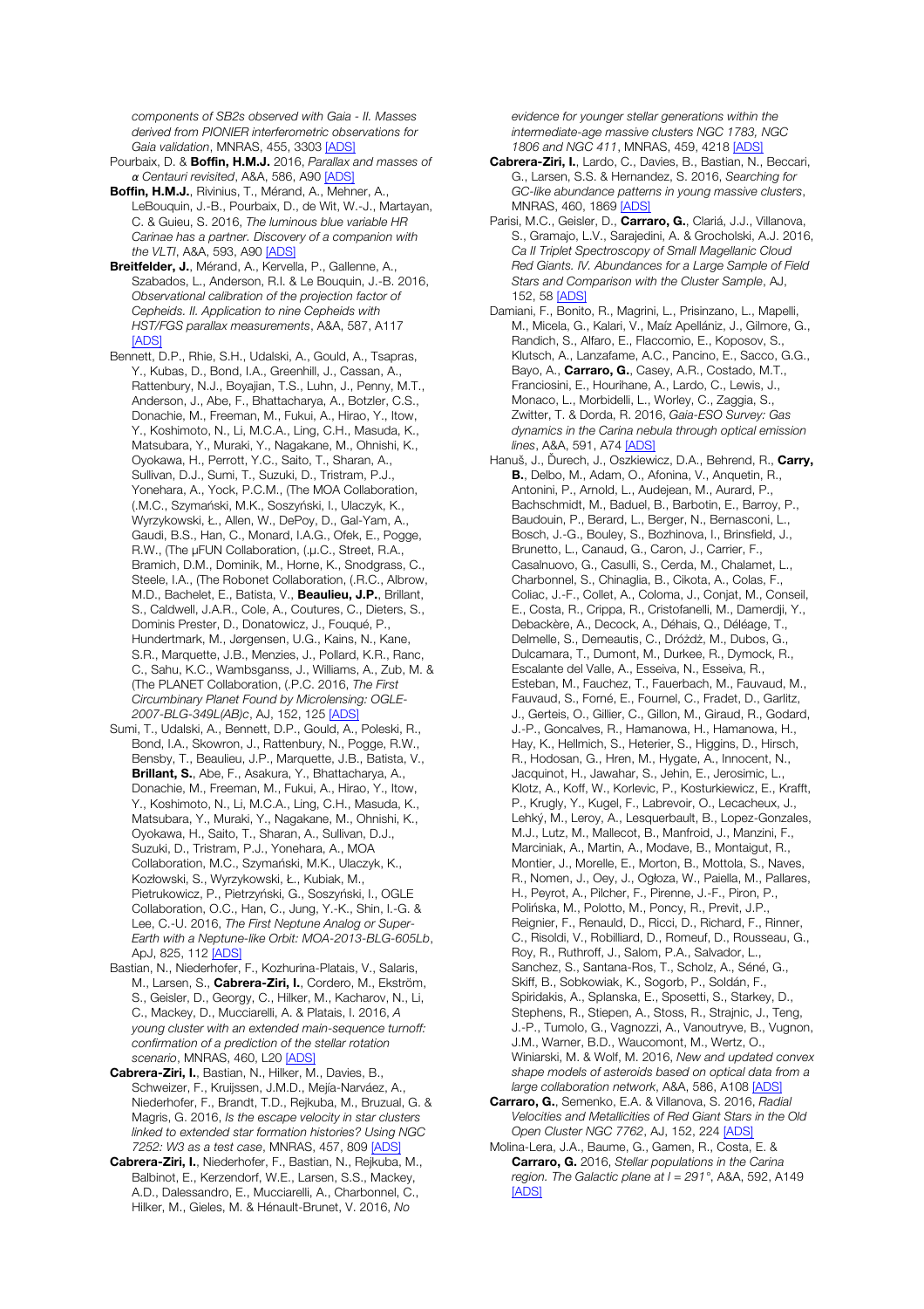*components of SB2s observed with Gaia - II. Masses derived from PIONIER interferometric observations for Gaia validation*, MNRAS, 455, 3303 [ADS]

Pourbaix, D. & Boffin, H.M.J. 2016, *Parallax and masses of α Centauri revisited*, A&A, 586, A90 [ADS]

- Boffin, H.M.J., Rivinius, T., Mérand, A., Mehner, A., LeBouquin, J.-B., Pourbaix, D., de Wit, W.-J., Martayan, C. & Guieu, S. 2016, *The luminous blue variable HR Carinae has a partner. Discovery of a companion with the VLTI*, A&A, 593, A90 [ADS]
- Breitfelder, J., Mérand, A., Kervella, P., Gallenne, A., Szabados, L., Anderson, R.I. & Le Bouquin, J.-B. 2016, *Observational calibration of the projection factor of Cepheids. II. Application to nine Cepheids with HST/FGS parallax measurements*, A&A, 587, A117 [ADS]
- Bennett, D.P., Rhie, S.H., Udalski, A., Gould, A., Tsapras, Y., Kubas, D., Bond, I.A., Greenhill, J., Cassan, A., Rattenbury, N.J., Boyajian, T.S., Luhn, J., Penny, M.T., Anderson, J., Abe, F., Bhattacharya, A., Botzler, C.S., Donachie, M., Freeman, M., Fukui, A., Hirao, Y., Itow, Y., Koshimoto, N., Li, M.C.A., Ling, C.H., Masuda, K., Matsubara, Y., Muraki, Y., Nagakane, M., Ohnishi, K., Oyokawa, H., Perrott, Y.C., Saito, T., Sharan, A., Sullivan, D.J., Sumi, T., Suzuki, D., Tristram, P.J., Yonehara, A., Yock, P.C.M., (The MOA Collaboration, (.M.C., Szymański, M.K., Soszyński, I., Ulaczyk, K., Wyrzykowski, Ł., Allen, W., DePoy, D., Gal-Yam, A., Gaudi, B.S., Han, C., Monard, I.A.G., Ofek, E., Pogge, R.W., (The μFUN Collaboration, (.μ.C., Street, R.A., Bramich, D.M., Dominik, M., Horne, K., Snodgrass, C., Steele, I.A., (The Robonet Collaboration, (.R.C., Albrow, M.D., Bachelet, E., Batista, V., Beaulieu, J.P., Brillant, S., Caldwell, J.A.R., Cole, A., Coutures, C., Dieters, S., Dominis Prester, D., Donatowicz, J., Fouqué, P., Hundertmark, M., Jørgensen, U.G., Kains, N., Kane, S.R., Marquette, J.B., Menzies, J., Pollard, K.R., Ranc, C., Sahu, K.C., Wambsganss, J., Williams, A., Zub, M. & (The PLANET Collaboration, (.P.C. 2016, *The First Circumbinary Planet Found by Microlensing: OGLE-2007-BLG-349L(AB)c*, AJ, 152, 125 [ADS]
- Sumi, T., Udalski, A., Bennett, D.P., Gould, A., Poleski, R., Bond, I.A., Skowron, J., Rattenbury, N., Pogge, R.W., Bensby, T., Beaulieu, J.P., Marquette, J.B., Batista, V., Brillant, S., Abe, F., Asakura, Y., Bhattacharya, A., Donachie, M., Freeman, M., Fukui, A., Hirao, Y., Itow, Y., Koshimoto, N., Li, M.C.A., Ling, C.H., Masuda, K., Matsubara, Y., Muraki, Y., Nagakane, M., Ohnishi, K., Oyokawa, H., Saito, T., Sharan, A., Sullivan, D.J., Suzuki, D., Tristram, P.J., Yonehara, A., MOA Collaboration, M.C., Szymański, M.K., Ulaczyk, K., Kozłowski, S., Wyrzykowski, Ł., Kubiak, M., Pietrukowicz, P., Pietrzyński, G., Soszyński, I., OGLE Collaboration, O.C., Han, C., Jung, Y.-K., Shin, I.-G. & Lee, C.-U. 2016, *The First Neptune Analog or Super-Earth with a Neptune-like Orbit: MOA-2013-BLG-605Lb*, ApJ, 825, 112 [ADS]
- Bastian, N., Niederhofer, F., Kozhurina-Platais, V., Salaris, M., Larsen, S., Cabrera-Ziri, I., Cordero, M., Ekström, S., Geisler, D., Georgy, C., Hilker, M., Kacharov, N., Li, C., Mackey, D., Mucciarelli, A. & Platais, I. 2016, *A young cluster with an extended main-sequence turnoff: confirmation of a prediction of the stellar rotation scenario*, MNRAS, 460, L20 [ADS]
- Cabrera-Ziri, I., Bastian, N., Hilker, M., Davies, B., Schweizer, F., Kruijssen, J.M.D., Mejía-Narváez, A., Niederhofer, F., Brandt, T.D., Rejkuba, M., Bruzual, G. & Magris, G. 2016, *Is the escape velocity in star clusters linked to extended star formation histories? Using NGC 7252: W3 as a test case*, MNRAS, 457, 809 [ADS]
- Cabrera-Ziri, I., Niederhofer, F., Bastian, N., Rejkuba, M., Balbinot, E., Kerzendorf, W.E., Larsen, S.S., Mackey, A.D., Dalessandro, E., Mucciarelli, A., Charbonnel, C., Hilker, M., Gieles, M. & Hénault-Brunet, V. 2016, *No*

*evidence for younger stellar generations within the intermediate-age massive clusters NGC 1783, NGC 1806 and NGC 411*, MNRAS, 459, 4218 [ADS]

- Cabrera-Ziri, I., Lardo, C., Davies, B., Bastian, N., Beccari, G., Larsen, S.S. & Hernandez, S. 2016, *Searching for GC-like abundance patterns in young massive clusters*, MNRAS, 460, 1869 [ADS]
- Parisi, M.C., Geisler, D., Carraro, G., Clariá, J.J., Villanova, S., Gramajo, L.V., Sarajedini, A. & Grocholski, A.J. 2016, *Ca II Triplet Spectroscopy of Small Magellanic Cloud Red Giants. IV. Abundances for a Large Sample of Field Stars and Comparison with the Cluster Sample*, AJ, 152, 58 [ADS]
- Damiani, F., Bonito, R., Magrini, L., Prisinzano, L., Mapelli, M., Micela, G., Kalari, V., Maíz Apellániz, J., Gilmore, G., Randich, S., Alfaro, E., Flaccomio, E., Koposov, S., Klutsch, A., Lanzafame, A.C., Pancino, E., Sacco, G.G., Bayo, A., Carraro, G., Casey, A.R., Costado, M.T., Franciosini, E., Hourihane, A., Lardo, C., Lewis, J., Monaco, L., Morbidelli, L., Worley, C., Zaggia, S., Zwitter, T. & Dorda, R. 2016, *Gaia-ESO Survey: Gas dynamics in the Carina nebula through optical emission lines*, A&A, 591, A74 [ADS]

Hanuš, J., Durech, J., Oszkiewicz, D.A., Behrend, R., Carry, B., Delbo, M., Adam, O., Afonina, V., Anquetin, R., Antonini, P., Arnold, L., Audejean, M., Aurard, P., Bachschmidt, M., Baduel, B., Barbotin, E., Barroy, P., Baudouin, P., Berard, L., Berger, N., Bernasconi, L., Bosch, J.-G., Bouley, S., Bozhinova, I., Brinsfield, J., Brunetto, L., Canaud, G., Caron, J., Carrier, F., Casalnuovo, G., Casulli, S., Cerda, M., Chalamet, L., Charbonnel, S., Chinaglia, B., Cikota, A., Colas, F., Coliac, J.-F., Collet, A., Coloma, J., Conjat, M., Conseil, E., Costa, R., Crippa, R., Cristofanelli, M., Damerdji, Y., Debackère, A., Decock, A., Déhais, Q., Déléage, T., Delmelle, S., Demeautis, C., Dróżdż, M., Dubos, G., Dulcamara, T., Dumont, M., Durkee, R., Dymock, R., Escalante del Valle, A., Esseiva, N., Esseiva, R., Esteban, M., Fauchez, T., Fauerbach, M., Fauvaud, M., Fauvaud, S., Forné, E., Fournel, C., Fradet, D., Garlitz, J., Gerteis, O., Gillier, C., Gillon, M., Giraud, R., Godard, J.-P., Goncalves, R., Hamanowa, H., Hamanowa, H., Hay, K., Hellmich, S., Heterier, S., Higgins, D., Hirsch, R., Hodosan, G., Hren, M., Hygate, A., Innocent, N., Jacquinot, H., Jawahar, S., Jehin, E., Jerosimic, L., Klotz, A., Koff, W., Korlevic, P., Kosturkiewicz, E., Krafft, P., Krugly, Y., Kugel, F., Labrevoir, O., Lecacheux, J., Lehký, M., Leroy, A., Lesquerbault, B., Lopez-Gonzales, M.J., Lutz, M., Mallecot, B., Manfroid, J., Manzini, F., Marciniak, A., Martin, A., Modave, B., Montaigut, R., Montier, J., Morelle, E., Morton, B., Mottola, S., Naves, R., Nomen, J., Oey, J., Ogłoza, W., Paiella, M., Pallares, H., Peyrot, A., Pilcher, F., Pirenne, J.-F., Piron, P., Polińska, M., Polotto, M., Poncy, R., Previt, J.P., Reignier, F., Renauld, D., Ricci, D., Richard, F., Rinner, C., Risoldi, V., Robilliard, D., Romeuf, D., Rousseau, G., Roy, R., Ruthroff, J., Salom, P.A., Salvador, L., Sanchez, S., Santana-Ros, T., Scholz, A., Séné, G., Skiff, B., Sobkowiak, K., Sogorb, P., Soldán, F., Spiridakis, A., Splanska, E., Sposetti, S., Starkey, D., Stephens, R., Stiepen, A., Stoss, R., Strajnic, J., Teng, J.-P., Tumolo, G., Vagnozzi, A., Vanoutryve, B., Vugnon, J.M., Warner, B.D., Waucomont, M., Wertz, O., Winiarski, M. & Wolf, M. 2016, *New and updated convex shape models of asteroids based on optical data from a large collaboration network*, A&A, 586, A108 [ADS]

- Carraro, G., Semenko, E.A. & Villanova, S. 2016, *Radial Velocities and Metallicities of Red Giant Stars in the Old Open Cluster NGC 7762*, AJ, 152, 224 [ADS]
- Molina-Lera, J.A., Baume, G., Gamen, R., Costa, E. & Carraro, G. 2016, *Stellar populations in the Carina region. The Galactic plane at l = 291°*, A&A, 592, A149 [ADS]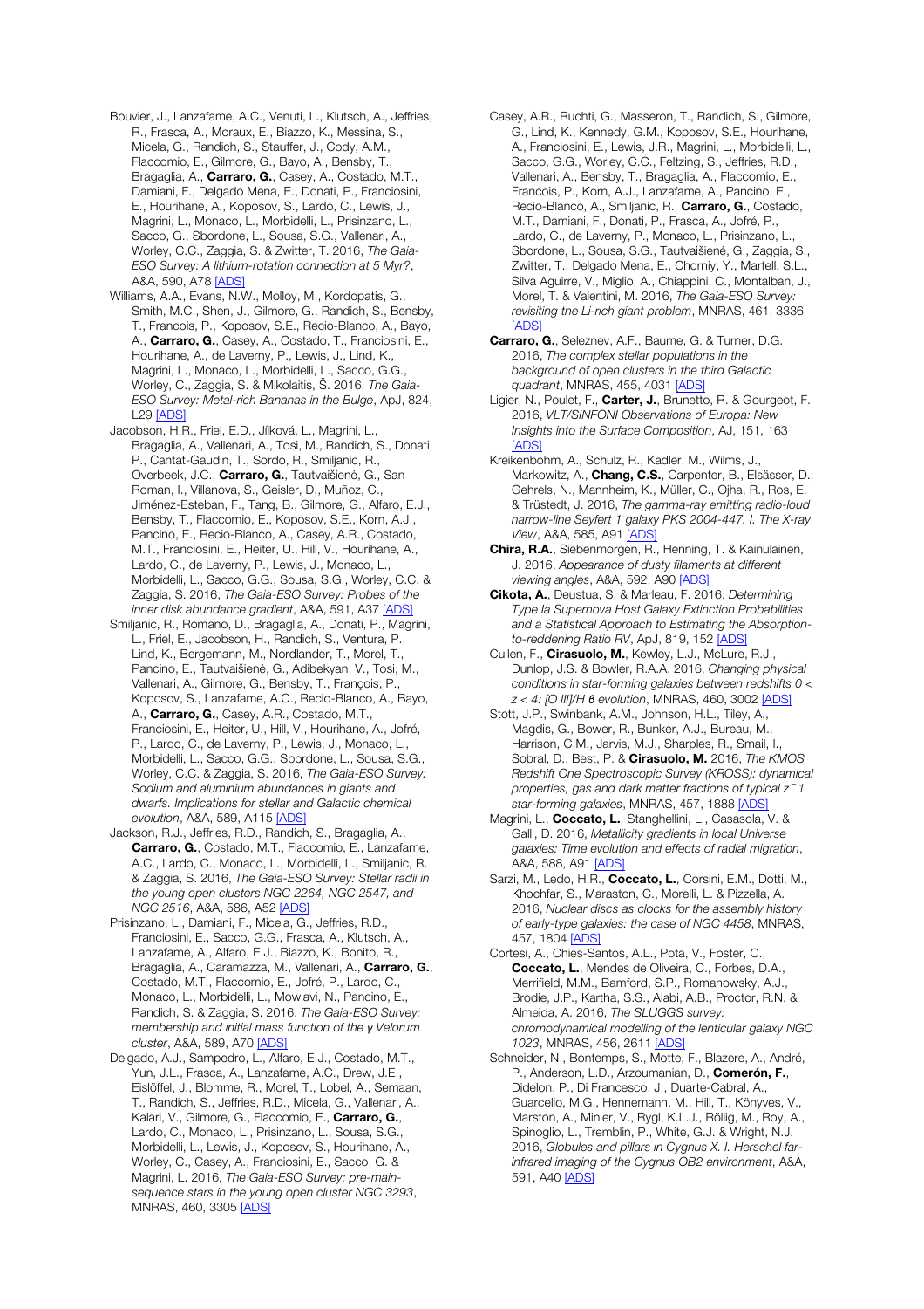- Bouvier, J., Lanzafame, A.C., Venuti, L., Klutsch, A., Jeffries, R., Frasca, A., Moraux, E., Biazzo, K., Messina, S., Micela, G., Randich, S., Stauffer, J., Cody, A.M., Flaccomio, E., Gilmore, G., Bayo, A., Bensby, T., Bragaglia, A., Carraro, G., Casey, A., Costado, M.T., Damiani, F., Delgado Mena, E., Donati, P., Franciosini, E., Hourihane, A., Koposov, S., Lardo, C., Lewis, J., Magrini, L., Monaco, L., Morbidelli, L., Prisinzano, L., Sacco, G., Sbordone, L., Sousa, S.G., Vallenari, A., Worley, C.C., Zaggia, S. & Zwitter, T. 2016, *The Gaia-ESO Survey: A lithium-rotation connection at 5 Myr?*, A&A, 590, A78 [ADS]
- Williams, A.A., Evans, N.W., Molloy, M., Kordopatis, G., Smith, M.C., Shen, J., Gilmore, G., Randich, S., Bensby, T., Francois, P., Koposov, S.E., Recio-Blanco, A., Bayo, A., Carraro, G., Casey, A., Costado, T., Franciosini, E., Hourihane, A., de Laverny, P., Lewis, J., Lind, K., Magrini, L., Monaco, L., Morbidelli, L., Sacco, G.G., Worley, C., Zaggia, S. & Mikolaitis, Š. 2016, *The Gaia-ESO Survey: Metal-rich Bananas in the Bulge*, ApJ, 824, L<sub>29</sub> [ADS]
- Jacobson, H.R., Friel, E.D., Jílková, L., Magrini, L., Bragaglia, A., Vallenari, A., Tosi, M., Randich, S., Donati, P., Cantat-Gaudin, T., Sordo, R., Smiljanic, R., Overbeek, J.C., Carraro, G., Tautvaišienė, G., San Roman, I., Villanova, S., Geisler, D., Muñoz, C., Jiménez-Esteban, F., Tang, B., Gilmore, G., Alfaro, E.J., Bensby, T., Flaccomio, E., Koposov, S.E., Korn, A.J., Pancino, E., Recio-Blanco, A., Casey, A.R., Costado, M.T., Franciosini, E., Heiter, U., Hill, V., Hourihane, A., Lardo, C., de Laverny, P., Lewis, J., Monaco, L., Morbidelli, L., Sacco, G.G., Sousa, S.G., Worley, C.C. & Zaggia, S. 2016, *The Gaia-ESO Survey: Probes of the inner disk abundance gradient*, A&A, 591, A37 [ADS]
- Smiljanic, R., Romano, D., Bragaglia, A., Donati, P., Magrini, L., Friel, E., Jacobson, H., Randich, S., Ventura, P., Lind, K., Bergemann, M., Nordlander, T., Morel, T., Pancino, E., Tautvaišienė, G., Adibekyan, V., Tosi, M., Vallenari, A., Gilmore, G., Bensby, T., François, P., Koposov, S., Lanzafame, A.C., Recio-Blanco, A., Bayo, A., Carraro, G., Casey, A.R., Costado, M.T., Franciosini, E., Heiter, U., Hill, V., Hourihane, A., Jofré, P., Lardo, C., de Laverny, P., Lewis, J., Monaco, L., Morbidelli, L., Sacco, G.G., Sbordone, L., Sousa, S.G., Worley, C.C. & Zaggia, S. 2016, *The Gaia-ESO Survey: Sodium and aluminium abundances in giants and dwarfs. Implications for stellar and Galactic chemical evolution*, A&A, 589, A115 [ADS]
- Jackson, R.J., Jeffries, R.D., Randich, S., Bragaglia, A., Carraro, G., Costado, M.T., Flaccomio, E., Lanzafame, A.C., Lardo, C., Monaco, L., Morbidelli, L., Smiljanic, R. & Zaggia, S. 2016, *The Gaia-ESO Survey: Stellar radii in the young open clusters NGC 2264, NGC 2547, and NGC 2516*, A&A, 586, A52 [ADS]
- Prisinzano, L., Damiani, F., Micela, G., Jeffries, R.D., Franciosini, E., Sacco, G.G., Frasca, A., Klutsch, A., Lanzafame, A., Alfaro, E.J., Biazzo, K., Bonito, R., Bragaglia, A., Caramazza, M., Vallenari, A., Carraro, G., Costado, M.T., Flaccomio, E., Jofré, P., Lardo, C., Monaco, L., Morbidelli, L., Mowlavi, N., Pancino, E., Randich, S. & Zaggia, S. 2016, *The Gaia-ESO Survey: membership and initial mass function of the γ Velorum cluster*, A&A, 589, A70 [ADS]
- Delgado, A.J., Sampedro, L., Alfaro, E.J., Costado, M.T., Yun, J.L., Frasca, A., Lanzafame, A.C., Drew, J.E., Eislöffel, J., Blomme, R., Morel, T., Lobel, A., Semaan, T., Randich, S., Jeffries, R.D., Micela, G., Vallenari, A., Kalari, V., Gilmore, G., Flaccomio, E., Carraro, G., Lardo, C., Monaco, L., Prisinzano, L., Sousa, S.G., Morbidelli, L., Lewis, J., Koposov, S., Hourihane, A., Worley, C., Casey, A., Franciosini, E., Sacco, G. & Magrini, L. 2016, *The Gaia-ESO Survey: pre-mainsequence stars in the young open cluster NGC 3293*, MNRAS, 460, 3305 [ADS]
- Casey, A.R., Ruchti, G., Masseron, T., Randich, S., Gilmore, G., Lind, K., Kennedy, G.M., Koposov, S.E., Hourihane, A., Franciosini, E., Lewis, J.R., Magrini, L., Morbidelli, L., Sacco, G.G., Worley, C.C., Feltzing, S., Jeffries, R.D., Vallenari, A., Bensby, T., Bragaglia, A., Flaccomio, E., Francois, P., Korn, A.J., Lanzafame, A., Pancino, E., Recio-Blanco, A., Smiljanic, R., Carraro, G., Costado, M.T., Damiani, F., Donati, P., Frasca, A., Jofré, P., Lardo, C., de Laverny, P., Monaco, L., Prisinzano, L., Sbordone, L., Sousa, S.G., Tautvaišienė, G., Zaggia, S., Zwitter, T., Delgado Mena, E., Chorniy, Y., Martell, S.L., Silva Aguirre, V., Miglio, A., Chiappini, C., Montalban, J., Morel, T. & Valentini, M. 2016, *The Gaia-ESO Survey: revisiting the Li-rich giant problem*, MNRAS, 461, 3336 [ADS]
- Carraro, G., Seleznev, A.F., Baume, G. & Turner, D.G. 2016, *The complex stellar populations in the background of open clusters in the third Galactic quadrant*, MNRAS, 455, 4031 [ADS]
- Ligier, N., Poulet, F., Carter, J., Brunetto, R. & Gourgeot, F. 2016, *VLT/SINFONI Observations of Europa: New Insights into the Surface Composition*, AJ, 151, 163 **[ADS]**
- Kreikenbohm, A., Schulz, R., Kadler, M., Wilms, J., Markowitz, A., Chang, C.S., Carpenter, B., Elsässer, D., Gehrels, N., Mannheim, K., Müller, C., Ojha, R., Ros, E. & Trüstedt, J. 2016, *The gamma-ray emitting radio-loud narrow-line Seyfert 1 galaxy PKS 2004-447. I. The X-ray View*, A&A, 585, A91 [ADS]
- Chira, R.A., Siebenmorgen, R., Henning, T. & Kainulainen, J. 2016, *Appearance of dusty filaments at different viewing angles*, A&A, 592, A90 [ADS]
- Cikota, A., Deustua, S. & Marleau, F. 2016, *Determining Type Ia Supernova Host Galaxy Extinction Probabilities and a Statistical Approach to Estimating the Absorptionto-reddening Ratio RV*, ApJ, 819, 152 [ADS]
- Cullen, F., Cirasuolo, M., Kewley, L.J., McLure, R.J., Dunlop, J.S. & Bowler, R.A.A. 2016, *Changing physical conditions in star-forming galaxies between redshifts 0 < z < 4: [O III]/H β evolution*, MNRAS, 460, 3002 [ADS]
- Stott, J.P., Swinbank, A.M., Johnson, H.L., Tiley, A., Magdis, G., Bower, R., Bunker, A.J., Bureau, M., Harrison, C.M., Jarvis, M.J., Sharples, R., Smail, I., Sobral, D., Best, P. & Cirasuolo, M. 2016, *The KMOS Redshift One Spectroscopic Survey (KROSS): dynamical properties, gas and dark matter fractions of typical z ˜ 1 star-forming galaxies*, MNRAS, 457, 1888 [ADS]
- Magrini, L., Coccato, L., Stanghellini, L., Casasola, V. & Galli, D. 2016, *Metallicity gradients in local Universe galaxies: Time evolution and effects of radial migration*, A&A, 588, A91 [ADS]
- Sarzi, M., Ledo, H.R., Coccato, L., Corsini, E.M., Dotti, M., Khochfar, S., Maraston, C., Morelli, L. & Pizzella, A. 2016, *Nuclear discs as clocks for the assembly history of early-type galaxies: the case of NGC 4458*, MNRAS, 457, 1804 [ADS]
- Cortesi, A., Chies-Santos, A.L., Pota, V., Foster, C., Coccato, L., Mendes de Oliveira, C., Forbes, D.A., Merrifield, M.M., Bamford, S.P., Romanowsky, A.J., Brodie, J.P., Kartha, S.S., Alabi, A.B., Proctor, R.N. & Almeida, A. 2016, *The SLUGGS survey: chromodynamical modelling of the lenticular galaxy NGC 1023*, MNRAS, 456, 2611 [ADS]
- Schneider, N., Bontemps, S., Motte, F., Blazere, A., André, P., Anderson, L.D., Arzoumanian, D., Comerón, F., Didelon, P., Di Francesco, J., Duarte-Cabral, A., Guarcello, M.G., Hennemann, M., Hill, T., Könyves, V., Marston, A., Minier, V., Rygl, K.L.J., Röllig, M., Roy, A., Spinoglio, L., Tremblin, P., White, G.J. & Wright, N.J. 2016, *Globules and pillars in Cygnus X. I. Herschel farinfrared imaging of the Cygnus OB2 environment*, A&A, 591, A40 [ADS]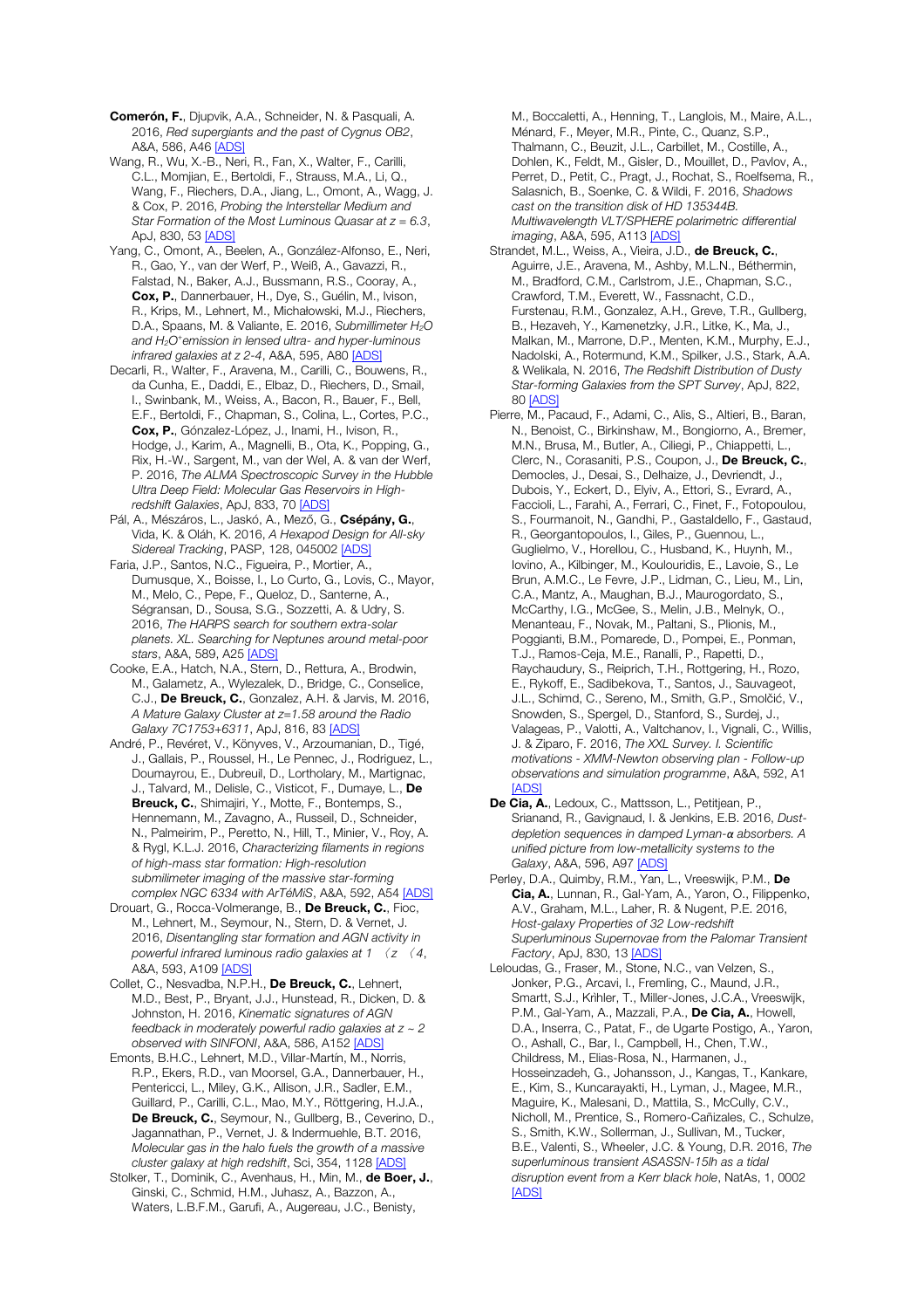Comerón, F., Djupvik, A.A., Schneider, N. & Pasquali, A. 2016, *Red supergiants and the past of Cygnus OB2*, A&A, 586, A46 [ADS]

Wang, R., Wu, X.-B., Neri, R., Fan, X., Walter, F., Carilli, C.L., Momjian, E., Bertoldi, F., Strauss, M.A., Li, Q., Wang, F., Riechers, D.A., Jiang, L., Omont, A., Wagg, J. & Cox, P. 2016, *Probing the Interstellar Medium and Star Formation of the Most Luminous Quasar at z = 6.3*, ApJ, 830, 53 [ADS]

Yang, C., Omont, A., Beelen, A., González-Alfonso, E., Neri, R., Gao, Y., van der Werf, P., Weiß, A., Gavazzi, R., Falstad, N., Baker, A.J., Bussmann, R.S., Cooray, A., Cox, P., Dannerbauer, H., Dye, S., Guélin, M., Ivison, R., Krips, M., Lehnert, M., Michałowski, M.J., Riechers, D.A., Spaans, M. & Valiante, E. 2016, *Submillimeter H2O and H2O<sup>+</sup> emission in lensed ultra- and hyper-luminous infrared galaxies at z 2-4*, A&A, 595, A80 [ADS]

Decarli, R., Walter, F., Aravena, M., Carilli, C., Bouwens, R., da Cunha, E., Daddi, E., Elbaz, D., Riechers, D., Smail, I., Swinbank, M., Weiss, A., Bacon, R., Bauer, F., Bell, E.F., Bertoldi, F., Chapman, S., Colina, L., Cortes, P.C., Cox, P., Gónzalez-López, J., Inami, H., Ivison, R., Hodge, J., Karim, A., Magnelli, B., Ota, K., Popping, G., Rix, H.-W., Sargent, M., van der Wel, A. & van der Werf, P. 2016, *The ALMA Spectroscopic Survey in the Hubble Ultra Deep Field: Molecular Gas Reservoirs in Highredshift Galaxies*, ApJ, 833, 70 [ADS]

Pál, A., Mészáros, L., Jaskó, A., Mező, G., Csépány, G., Vida, K. & Oláh, K. 2016, *A Hexapod Design for All-sky Sidereal Tracking*, PASP, 128, 045002 [ADS]

Faria, J.P., Santos, N.C., Figueira, P., Mortier, A., Dumusque, X., Boisse, I., Lo Curto, G., Lovis, C., Mayor, M., Melo, C., Pepe, F., Queloz, D., Santerne, A., Ségransan, D., Sousa, S.G., Sozzetti, A. & Udry, S. 2016, *The HARPS search for southern extra-solar planets. XL. Searching for Neptunes around metal-poor stars*, A&A, 589, A25 [ADS]

Cooke, E.A., Hatch, N.A., Stern, D., Rettura, A., Brodwin, M., Galametz, A., Wylezalek, D., Bridge, C., Conselice, C.J., De Breuck, C., Gonzalez, A.H. & Jarvis, M. 2016. *A Mature Galaxy Cluster at z=1.58 around the Radio Galaxy 7C1753+6311*, ApJ, 816, 83 [ADS]

André, P., Revéret, V., Könyves, V., Arzoumanian, D., Tigé, J., Gallais, P., Roussel, H., Le Pennec, J., Rodriguez, L., Doumayrou, E., Dubreuil, D., Lortholary, M., Martignac, J., Talvard, M., Delisle, C., Visticot, F., Dumaye, L., De Breuck, C., Shimajiri, Y., Motte, F., Bontemps, S., Hennemann, M., Zavagno, A., Russeil, D., Schneider, N., Palmeirim, P., Peretto, N., Hill, T., Minier, V., Roy, A. & Rygl, K.L.J. 2016, *Characterizing filaments in regions of high-mass star formation: High-resolution submilimeter imaging of the massive star-forming complex NGC 6334 with ArTéMiS*, A&A, 592, A54 [ADS]

Drouart, G., Rocca-Volmerange, B., De Breuck, C., Fioc, M., Lehnert, M., Seymour, N., Stern, D. & Vernet, J. 2016, *Disentangling star formation and AGN activity in powerful infrared luminous radio galaxies at 1* 〈 *z* 〈 *4*, A&A, 593, A109 [ADS]

Collet, C., Nesvadba, N.P.H., De Breuck, C., Lehnert, M.D., Best, P., Bryant, J.J., Hunstead, R., Dicken, D. & Johnston, H. 2016, *Kinematic signatures of AGN feedback in moderately powerful radio galaxies at z ~ 2 observed with SINFONI*, A&A, 586, A152 [ADS]

Emonts, B.H.C., Lehnert, M.D., Villar-Martín, M., Norris, R.P., Ekers, R.D., van Moorsel, G.A., Dannerbauer, H., Pentericci, L., Miley, G.K., Allison, J.R., Sadler, E.M., Guillard, P., Carilli, C.L., Mao, M.Y., Röttgering, H.J.A., De Breuck, C., Seymour, N., Gullberg, B., Ceverino, D., Jagannathan, P., Vernet, J. & Indermuehle, B.T. 2016, *Molecular gas in the halo fuels the growth of a massive cluster galaxy at high redshift*, Sci, 354, 1128 [ADS]

Stolker, T., Dominik, C., Avenhaus, H., Min, M., de Boer, J., Ginski, C., Schmid, H.M., Juhasz, A., Bazzon, A., Waters, L.B.F.M., Garufi, A., Augereau, J.C., Benisty,

M., Boccaletti, A., Henning, T., Langlois, M., Maire, A.L., Ménard, F., Meyer, M.R., Pinte, C., Quanz, S.P., Thalmann, C., Beuzit, J.L., Carbillet, M., Costille, A., Dohlen, K., Feldt, M., Gisler, D., Mouillet, D., Pavlov, A., Perret, D., Petit, C., Pragt, J., Rochat, S., Roelfsema, R., Salasnich, B., Soenke, C. & Wildi, F. 2016, *Shadows cast on the transition disk of HD 135344B. Multiwavelength VLT/SPHERE polarimetric differential imaging*, A&A, 595, A113 [ADS]

Strandet, M.L., Weiss, A., Vieira, J.D., de Breuck, C., Aguirre, J.E., Aravena, M., Ashby, M.L.N., Béthermin, M., Bradford, C.M., Carlstrom, J.E., Chapman, S.C., Crawford, T.M., Everett, W., Fassnacht, C.D., Furstenau, R.M., Gonzalez, A.H., Greve, T.R., Gullberg, B., Hezaveh, Y., Kamenetzky, J.R., Litke, K., Ma, J., Malkan, M., Marrone, D.P., Menten, K.M., Murphy, E.J., Nadolski, A., Rotermund, K.M., Spilker, J.S., Stark, A.A. & Welikala, N. 2016, *The Redshift Distribution of Dusty Star-forming Galaxies from the SPT Survey*, ApJ, 822, 80 [ADS]

Pierre, M., Pacaud, F., Adami, C., Alis, S., Altieri, B., Baran, N., Benoist, C., Birkinshaw, M., Bongiorno, A., Bremer, M.N., Brusa, M., Butler, A., Ciliegi, P., Chiappetti, L., Clerc, N., Corasaniti, P.S., Coupon, J., De Breuck, C., Democles, J., Desai, S., Delhaize, J., Devriendt, J., Dubois, Y., Eckert, D., Elyiv, A., Ettori, S., Evrard, A., Faccioli, L., Farahi, A., Ferrari, C., Finet, F., Fotopoulou, S., Fourmanoit, N., Gandhi, P., Gastaldello, F., Gastaud, R., Georgantopoulos, I., Giles, P., Guennou, L., Guglielmo, V., Horellou, C., Husband, K., Huynh, M., Iovino, A., Kilbinger, M., Koulouridis, E., Lavoie, S., Le Brun, A.M.C., Le Fevre, J.P., Lidman, C., Lieu, M., Lin, C.A., Mantz, A., Maughan, B.J., Maurogordato, S., McCarthy, I.G., McGee, S., Melin, J.B., Melnyk, O., Menanteau, F., Novak, M., Paltani, S., Plionis, M., Poggianti, B.M., Pomarede, D., Pompei, E., Ponman, T.J., Ramos-Ceja, M.E., Ranalli, P., Rapetti, D., Raychaudury, S., Reiprich, T.H., Rottgering, H., Rozo, E., Rykoff, E., Sadibekova, T., Santos, J., Sauvageot, J.L., Schimd, C., Sereno, M., Smith, G.P., Smolčić, V., Snowden, S., Spergel, D., Stanford, S., Surdej, J., Valageas, P., Valotti, A., Valtchanov, I., Vignali, C., Willis, J. & Ziparo, F. 2016, *The XXL Survey. I. Scientific motivations - XMM-Newton observing plan - Follow-up observations and simulation programme*, A&A, 592, A1 [ADS]

De Cia, A., Ledoux, C., Mattsson, L., Petitiean, P., Srianand, R., Gavignaud, I. & Jenkins, E.B. 2016, *Dustdepletion sequences in damped Lyman-α absorbers. A unified picture from low-metallicity systems to the Galaxy*, A&A, 596, A97 [ADS]

Perley, D.A., Quimby, R.M., Yan, L., Vreeswijk, P.M., De Cia, A., Lunnan, R., Gal-Yam, A., Yaron, O., Filippenko, A.V., Graham, M.L., Laher, R. & Nugent, P.E. 2016, *Host-galaxy Properties of 32 Low-redshift Superluminous Supernovae from the Palomar Transient Factory*, ApJ, 830, 13 [ADS]

Leloudas, G., Fraser, M., Stone, N.C., van Velzen, S., Jonker, P.G., Arcavi, I., Fremling, C., Maund, J.R., Smartt, S.J., Krìhler, T., Miller-Jones, J.C.A., Vreeswijk, P.M., Gal-Yam, A., Mazzali, P.A., De Cia, A., Howell, D.A., Inserra, C., Patat, F., de Ugarte Postigo, A., Yaron, O., Ashall, C., Bar, I., Campbell, H., Chen, T.W., Childress, M., Elias-Rosa, N., Harmanen, J., Hosseinzadeh, G., Johansson, J., Kangas, T., Kankare, E., Kim, S., Kuncarayakti, H., Lyman, J., Magee, M.R., Maguire, K., Malesani, D., Mattila, S., McCully, C.V., Nicholl, M., Prentice, S., Romero-Cañizales, C., Schulze, S., Smith, K.W., Sollerman, J., Sullivan, M., Tucker, B.E., Valenti, S., Wheeler, J.C. & Young, D.R. 2016, *The superluminous transient ASASSN-15lh as a tidal disruption event from a Kerr black hole*, NatAs, 1, 0002 [ADS]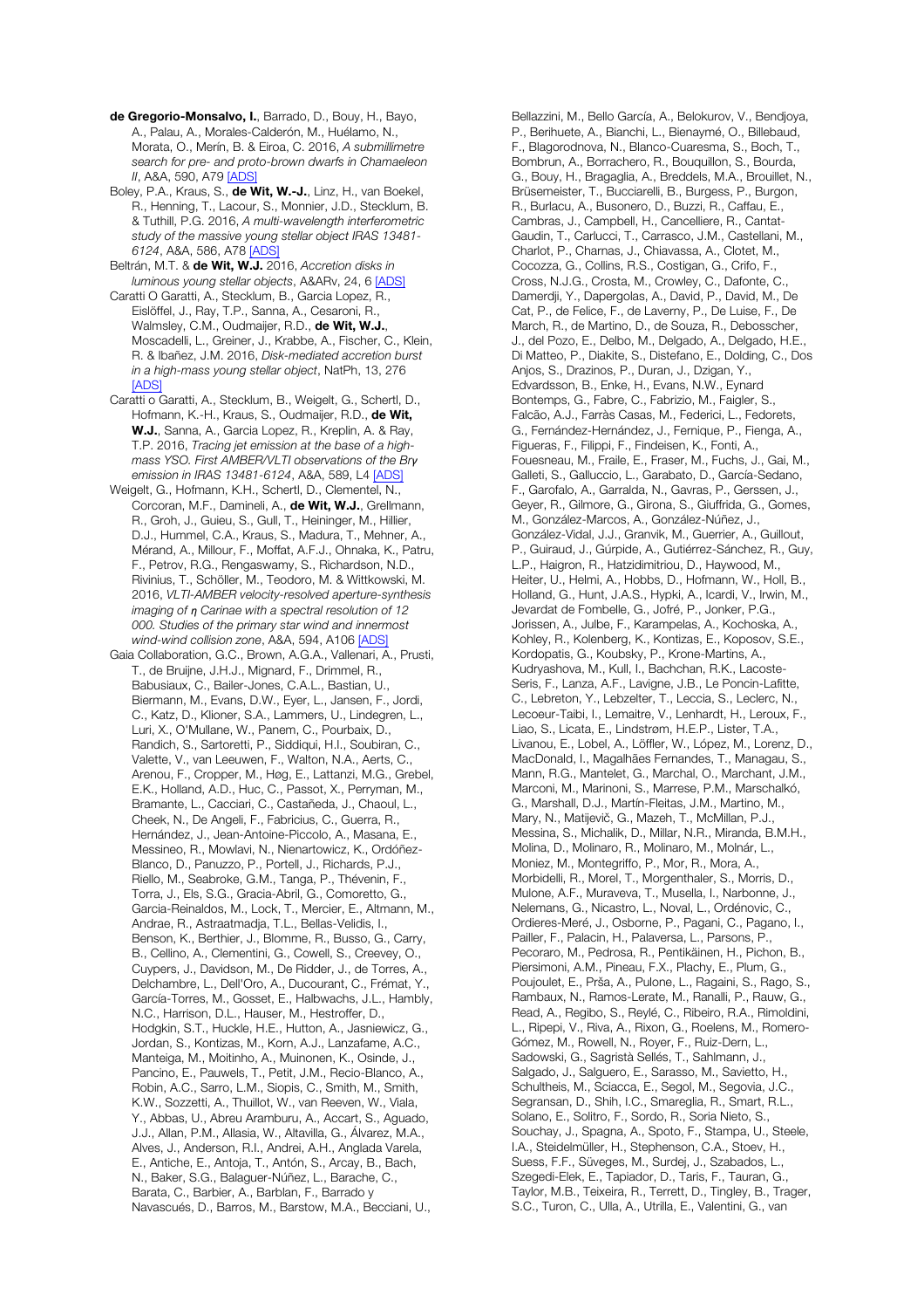de Gregorio-Monsalvo, I., Barrado, D., Bouy, H., Bayo, A., Palau, A., Morales-Calderón, M., Huélamo, N., Morata, O., Merín, B. & Eiroa, C. 2016, *A submillimetre search for pre- and proto-brown dwarfs in Chamaeleon II*, A&A, 590, A79 [ADS]

Boley, P.A., Kraus, S., de Wit, W.-J., Linz, H., van Boekel, R., Henning, T., Lacour, S., Monnier, J.D., Stecklum, B. & Tuthill, P.G. 2016, *A multi-wavelength interferometric study of the massive young stellar object IRAS 13481- 6124*, A&A, 586, A78 [ADS]

Beltrán, M.T. & de Wit, W.J. 2016, *Accretion disks in luminous young stellar objects*, A&ARv, 24, 6 [ADS]

Caratti O Garatti, A., Stecklum, B., Garcia Lopez, R., Eislöffel, J., Ray, T.P., Sanna, A., Cesaroni, R., Walmsley, C.M., Oudmaijer, R.D., de Wit, W.J., Moscadelli, L., Greiner, J., Krabbe, A., Fischer, C., Klein, R. & Ibañez, J.M. 2016, *Disk-mediated accretion burst in a high-mass young stellar object*, NatPh, 13, 276 [ADS]

Caratti o Garatti, A., Stecklum, B., Weigelt, G., Schertl, D., Hofmann, K.-H., Kraus, S., Oudmaijer, R.D., de Wit, W.J., Sanna, A., Garcia Lopez, R., Kreplin, A. & Ray, T.P. 2016, *Tracing jet emission at the base of a highmass YSO. First AMBER/VLTI observations of the Brγ emission in IRAS 13481-6124*, A&A, 589, L4 [ADS]

Weigelt, G., Hofmann, K.H., Schertl, D., Clementel, N., Corcoran, M.F., Damineli, A., de Wit, W.J., Grellmann, R., Groh, J., Guieu, S., Gull, T., Heininger, M., Hillier, D.J., Hummel, C.A., Kraus, S., Madura, T., Mehner, A., Mérand, A., Millour, F., Moffat, A.F.J., Ohnaka, K., Patru, F., Petrov, R.G., Rengaswamy, S., Richardson, N.D., Rivinius, T., Schöller, M., Teodoro, M. & Wittkowski, M. 2016, *VLTI-AMBER velocity-resolved aperture-synthesis imaging of η Carinae with a spectral resolution of 12 000. Studies of the primary star wind and innermost wind-wind collision zone*, A&A, 594, A106 [ADS]

Gaia Collaboration, G.C., Brown, A.G.A., Vallenari, A., Prusti, T., de Bruijne, J.H.J., Mignard, F., Drimmel, R., Babusiaux, C., Bailer-Jones, C.A.L., Bastian, U., Biermann, M., Evans, D.W., Eyer, L., Jansen, F., Jordi, C., Katz, D., Klioner, S.A., Lammers, U., Lindegren, L., Luri, X., O'Mullane, W., Panem, C., Pourbaix, D., Randich, S., Sartoretti, P., Siddiqui, H.I., Soubiran, C., Valette, V., van Leeuwen, F., Walton, N.A., Aerts, C., Arenou, F., Cropper, M., Høg, E., Lattanzi, M.G., Grebel, E.K., Holland, A.D., Huc, C., Passot, X., Perryman, M., Bramante, L., Cacciari, C., Castañeda, J., Chaoul, L., Cheek, N., De Angeli, F., Fabricius, C., Guerra, R., Hernández, J., Jean-Antoine-Piccolo, A., Masana, E., Messineo, R., Mowlavi, N., Nienartowicz, K., Ordóñez-Blanco, D., Panuzzo, P., Portell, J., Richards, P.J., Riello, M., Seabroke, G.M., Tanga, P., Thévenin, F., Torra, J., Els, S.G., Gracia-Abril, G., Comoretto, G., Garcia-Reinaldos, M., Lock, T., Mercier, E., Altmann, M., Andrae, R., Astraatmadja, T.L., Bellas-Velidis, I., Benson, K., Berthier, J., Blomme, R., Busso, G., Carry, B., Cellino, A., Clementini, G., Cowell, S., Creevey, O., Cuypers, J., Davidson, M., De Ridder, J., de Torres, A., Delchambre, L., Dell'Oro, A., Ducourant, C., Frémat, Y., García-Torres, M., Gosset, E., Halbwachs, J.L., Hambly, N.C., Harrison, D.L., Hauser, M., Hestroffer, D., Hodgkin, S.T., Huckle, H.E., Hutton, A., Jasniewicz, G., Jordan, S., Kontizas, M., Korn, A.J., Lanzafame, A.C., Manteiga, M., Moitinho, A., Muinonen, K., Osinde, J., Pancino, E., Pauwels, T., Petit, J.M., Recio-Blanco, A., Robin, A.C., Sarro, L.M., Siopis, C., Smith, M., Smith, K.W., Sozzetti, A., Thuillot, W., van Reeven, W., Viala, Y., Abbas, U., Abreu Aramburu, A., Accart, S., Aguado, J.J., Allan, P.M., Allasia, W., Altavilla, G., Álvarez, M.A., Alves, J., Anderson, R.I., Andrei, A.H., Anglada Varela, E., Antiche, E., Antoja, T., Antón, S., Arcay, B., Bach, N., Baker, S.G., Balaguer-Núñez, L., Barache, C., Barata, C., Barbier, A., Barblan, F., Barrado y Navascués, D., Barros, M., Barstow, M.A., Becciani, U.,

Bellazzini, M., Bello García, A., Belokurov, V., Bendjoya, P., Berihuete, A., Bianchi, L., Bienaymé, O., Billebaud, F., Blagorodnova, N., Blanco-Cuaresma, S., Boch, T., Bombrun, A., Borrachero, R., Bouquillon, S., Bourda, G., Bouy, H., Bragaglia, A., Breddels, M.A., Brouillet, N., Brüsemeister, T., Bucciarelli, B., Burgess, P., Burgon, R., Burlacu, A., Busonero, D., Buzzi, R., Caffau, E., Cambras, J., Campbell, H., Cancelliere, R., Cantat-Gaudin, T., Carlucci, T., Carrasco, J.M., Castellani, M., Charlot, P., Charnas, J., Chiavassa, A., Clotet, M., Cocozza, G., Collins, R.S., Costigan, G., Crifo, F., Cross, N.J.G., Crosta, M., Crowley, C., Dafonte, C., Damerdji, Y., Dapergolas, A., David, P., David, M., De Cat, P., de Felice, F., de Laverny, P., De Luise, F., De March, R., de Martino, D., de Souza, R., Debosscher, J., del Pozo, E., Delbo, M., Delgado, A., Delgado, H.E., Di Matteo, P., Diakite, S., Distefano, E., Dolding, C., Dos Anjos, S., Drazinos, P., Duran, J., Dzigan, Y., Edvardsson, B., Enke, H., Evans, N.W., Eynard Bontemps, G., Fabre, C., Fabrizio, M., Faigler, S., Falcão, A.J., Farràs Casas, M., Federici, L., Fedorets, G., Fernández-Hernández, J., Fernique, P., Fienga, A., Figueras, F., Filippi, F., Findeisen, K., Fonti, A., Fouesneau, M., Fraile, E., Fraser, M., Fuchs, J., Gai, M., Galleti, S., Galluccio, L., Garabato, D., García-Sedano, F., Garofalo, A., Garralda, N., Gavras, P., Gerssen, J., Geyer, R., Gilmore, G., Girona, S., Giuffrida, G., Gomes, M., González-Marcos, A., González-Núñez, J., González-Vidal, J.J., Granvik, M., Guerrier, A., Guillout, P., Guiraud, J., Gúrpide, A., Gutiérrez-Sánchez, R., Guy, L.P., Haigron, R., Hatzidimitriou, D., Haywood, M., Heiter, U., Helmi, A., Hobbs, D., Hofmann, W., Holl, B., Holland, G., Hunt, J.A.S., Hypki, A., Icardi, V., Irwin, M., Jevardat de Fombelle, G., Jofré, P., Jonker, P.G., Jorissen, A., Julbe, F., Karampelas, A., Kochoska, A., Kohley, R., Kolenberg, K., Kontizas, E., Koposov, S.E., Kordopatis, G., Koubsky, P., Krone-Martins, A., Kudryashova, M., Kull, I., Bachchan, R.K., Lacoste-Seris, F., Lanza, A.F., Lavigne, J.B., Le Poncin-Lafitte, C., Lebreton, Y., Lebzelter, T., Leccia, S., Leclerc, N., Lecoeur-Taibi, I., Lemaitre, V., Lenhardt, H., Leroux, F., Liao, S., Licata, E., Lindstrøm, H.E.P., Lister, T.A., Livanou, E., Lobel, A., Löffler, W., López, M., Lorenz, D., MacDonald, I., Magalhães Fernandes, T., Managau, S., Mann, R.G., Mantelet, G., Marchal, O., Marchant, J.M., Marconi, M., Marinoni, S., Marrese, P.M., Marschalkó, G., Marshall, D.J., Martín-Fleitas, J.M., Martino, M., Mary, N., Matijevič, G., Mazeh, T., McMillan, P.J., Messina, S., Michalik, D., Millar, N.R., Miranda, B.M.H., Molina, D., Molinaro, R., Molinaro, M., Molnár, L., Moniez, M., Montegriffo, P., Mor, R., Mora, A., Morbidelli, R., Morel, T., Morgenthaler, S., Morris, D., Mulone, A.F., Muraveva, T., Musella, I., Narbonne, J., Nelemans, G., Nicastro, L., Noval, L., Ordénovic, C., Ordieres-Meré, J., Osborne, P., Pagani, C., Pagano, I., Pailler, F., Palacin, H., Palaversa, L., Parsons, P., Pecoraro, M., Pedrosa, R., Pentikäinen, H., Pichon, B., Piersimoni, A.M., Pineau, F.X., Plachy, E., Plum, G., Poujoulet, E., Prša, A., Pulone, L., Ragaini, S., Rago, S., Rambaux, N., Ramos-Lerate, M., Ranalli, P., Rauw, G., Read, A., Regibo, S., Reylé, C., Ribeiro, R.A., Rimoldini, L., Ripepi, V., Riva, A., Rixon, G., Roelens, M., Romero-Gómez, M., Rowell, N., Royer, F., Ruiz-Dern, L., Sadowski, G., Sagristà Sellés, T., Sahlmann, J., Salgado, J., Salguero, E., Sarasso, M., Savietto, H., Schultheis, M., Sciacca, E., Segol, M., Segovia, J.C., Segransan, D., Shih, I.C., Smareglia, R., Smart, R.L., Solano, E., Solitro, F., Sordo, R., Soria Nieto, S., Souchay, J., Spagna, A., Spoto, F., Stampa, U., Steele, I.A., Steidelmüller, H., Stephenson, C.A., Stoev, H., Suess, F.F., Süveges, M., Surdej, J., Szabados, L., Szegedi-Elek, E., Tapiador, D., Taris, F., Tauran, G., Taylor, M.B., Teixeira, R., Terrett, D., Tingley, B., Trager, S.C., Turon, C., Ulla, A., Utrilla, E., Valentini, G., van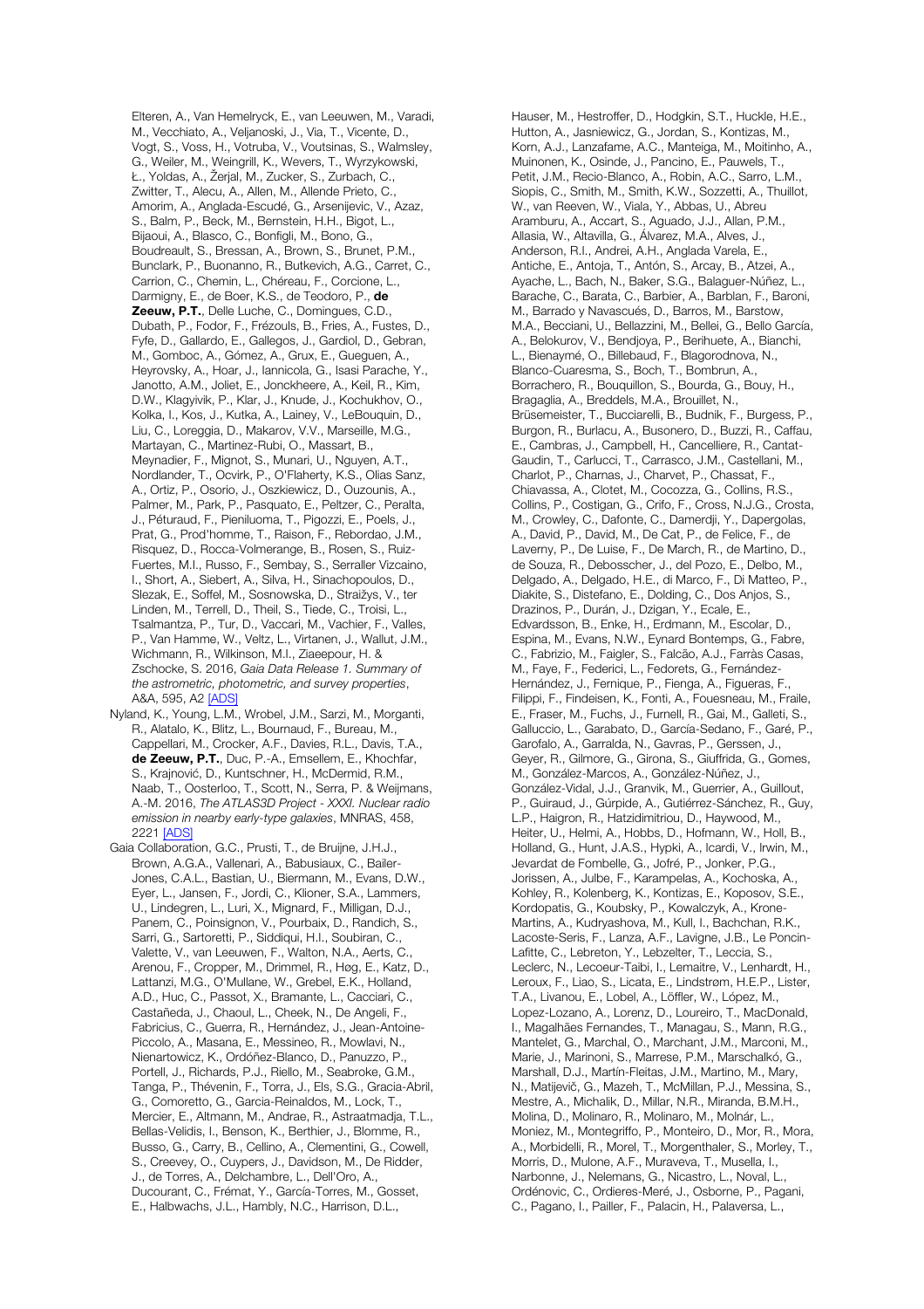Elteren, A., Van Hemelryck, E., van Leeuwen, M., Varadi, M., Vecchiato, A., Veljanoski, J., Via, T., Vicente, D., Vogt, S., Voss, H., Votruba, V., Voutsinas, S., Walmsley, G., Weiler, M., Weingrill, K., Wevers, T., Wyrzykowski, Ł., Yoldas, A., Žerjal, M., Zucker, S., Zurbach, C., Zwitter, T., Alecu, A., Allen, M., Allende Prieto, C., Amorim, A., Anglada-Escudé, G., Arsenijevic, V., Azaz, S., Balm, P., Beck, M., Bernstein, H.H., Bigot, L., Bijaoui, A., Blasco, C., Bonfigli, M., Bono, G., Boudreault, S., Bressan, A., Brown, S., Brunet, P.M., Bunclark, P., Buonanno, R., Butkevich, A.G., Carret, C., Carrion, C., Chemin, L., Chéreau, F., Corcione, L., Darmigny, E., de Boer, K.S., de Teodoro, P., de Zeeuw, P.T., Delle Luche, C., Domingues, C.D., Dubath, P., Fodor, F., Frézouls, B., Fries, A., Fustes, D., Fyfe, D., Gallardo, E., Gallegos, J., Gardiol, D., Gebran, M., Gomboc, A., Gómez, A., Grux, E., Gueguen, A., Heyrovsky, A., Hoar, J., Iannicola, G., Isasi Parache, Y., Janotto, A.M., Joliet, E., Jonckheere, A., Keil, R., Kim, D.W., Klagyivik, P., Klar, J., Knude, J., Kochukhov, O., Kolka, I., Kos, J., Kutka, A., Lainey, V., LeBouquin, D., Liu, C., Loreggia, D., Makarov, V.V., Marseille, M.G., Martayan, C., Martinez-Rubi, O., Massart, B., Meynadier, F., Mignot, S., Munari, U., Nguyen, A.T., Nordlander, T., Ocvirk, P., O'Flaherty, K.S., Olias Sanz, A., Ortiz, P., Osorio, J., Oszkiewicz, D., Ouzounis, A., Palmer, M., Park, P., Pasquato, E., Peltzer, C., Peralta, J., Péturaud, F., Pieniluoma, T., Pigozzi, E., Poels, J., Prat, G., Prod'homme, T., Raison, F., Rebordao, J.M., Risquez, D., Rocca-Volmerange, B., Rosen, S., Ruiz-Fuertes, M.I., Russo, F., Sembay, S., Serraller Vizcaino, I., Short, A., Siebert, A., Silva, H., Sinachopoulos, D., Slezak, E., Soffel, M., Sosnowska, D., Straižys, V., ter Linden, M., Terrell, D., Theil, S., Tiede, C., Troisi, L., Tsalmantza, P., Tur, D., Vaccari, M., Vachier, F., Valles, P., Van Hamme, W., Veltz, L., Virtanen, J., Wallut, J.M., Wichmann, R., Wilkinson, M.I., Ziaeepour, H. & Zschocke, S. 2016, *Gaia Data Release 1. Summary of the astrometric, photometric, and survey properties*, A&A, 595, A2 [ADS]

Nyland, K., Young, L.M., Wrobel, J.M., Sarzi, M., Morganti, R., Alatalo, K., Blitz, L., Bournaud, F., Bureau, M., Cappellari, M., Crocker, A.F., Davies, R.L., Davis, T.A., de Zeeuw, P.T., Duc, P.-A., Emsellem, E., Khochfar, S., Krajnović, D., Kuntschner, H., McDermid, R.M., Naab, T., Oosterloo, T., Scott, N., Serra, P. & Weijmans, A.-M. 2016, *The ATLAS3D Project - XXXI. Nuclear radio emission in nearby early-type galaxies*, MNRAS, 458, 2221 [ADS]

Gaia Collaboration, G.C., Prusti, T., de Bruijne, J.H.J., Brown, A.G.A., Vallenari, A., Babusiaux, C., Bailer-Jones, C.A.L., Bastian, U., Biermann, M., Evans, D.W., Eyer, L., Jansen, F., Jordi, C., Klioner, S.A., Lammers, U., Lindegren, L., Luri, X., Mignard, F., Milligan, D.J., Panem, C., Poinsignon, V., Pourbaix, D., Randich, S., Sarri, G., Sartoretti, P., Siddiqui, H.I., Soubiran, C., Valette, V., van Leeuwen, F., Walton, N.A., Aerts, C., Arenou, F., Cropper, M., Drimmel, R., Høg, E., Katz, D., Lattanzi, M.G., O'Mullane, W., Grebel, E.K., Holland, A.D., Huc, C., Passot, X., Bramante, L., Cacciari, C., Castañeda, J., Chaoul, L., Cheek, N., De Angeli, F., Fabricius, C., Guerra, R., Hernández, J., Jean-Antoine-Piccolo, A., Masana, E., Messineo, R., Mowlavi, N., Nienartowicz, K., Ordóñez-Blanco, D., Panuzzo, P., Portell, J., Richards, P.J., Riello, M., Seabroke, G.M., Tanga, P., Thévenin, F., Torra, J., Els, S.G., Gracia-Abril, G., Comoretto, G., Garcia-Reinaldos, M., Lock, T., Mercier, E., Altmann, M., Andrae, R., Astraatmadja, T.L., Bellas-Velidis, I., Benson, K., Berthier, J., Blomme, R., Busso, G., Carry, B., Cellino, A., Clementini, G., Cowell, S., Creevey, O., Cuypers, J., Davidson, M., De Ridder, J., de Torres, A., Delchambre, L., Dell'Oro, A., Ducourant, C., Frémat, Y., García-Torres, M., Gosset, E., Halbwachs, J.L., Hambly, N.C., Harrison, D.L.,

Hauser, M., Hestroffer, D., Hodgkin, S.T., Huckle, H.E., Hutton, A., Jasniewicz, G., Jordan, S., Kontizas, M., Korn, A.J., Lanzafame, A.C., Manteiga, M., Moitinho, A., Muinonen, K., Osinde, J., Pancino, E., Pauwels, T., Petit, J.M., Recio-Blanco, A., Robin, A.C., Sarro, L.M., Siopis, C., Smith, M., Smith, K.W., Sozzetti, A., Thuillot, W., van Reeven, W., Viala, Y., Abbas, U., Abreu Aramburu, A., Accart, S., Aguado, J.J., Allan, P.M., Allasia, W., Altavilla, G., Álvarez, M.A., Alves, J., Anderson, R.I., Andrei, A.H., Anglada Varela, E., Antiche, E., Antoja, T., Antón, S., Arcay, B., Atzei, A., Ayache, L., Bach, N., Baker, S.G., Balaguer-Núñez, L., Barache, C., Barata, C., Barbier, A., Barblan, F., Baroni, M., Barrado y Navascués, D., Barros, M., Barstow, M.A., Becciani, U., Bellazzini, M., Bellei, G., Bello García, A., Belokurov, V., Bendjoya, P., Berihuete, A., Bianchi, L., Bienaymé, O., Billebaud, F., Blagorodnova, N., Blanco-Cuaresma, S., Boch, T., Bombrun, A., Borrachero, R., Bouquillon, S., Bourda, G., Bouy, H., Bragaglia, A., Breddels, M.A., Brouillet, N., Brüsemeister, T., Bucciarelli, B., Budnik, F., Burgess, P., Burgon, R., Burlacu, A., Busonero, D., Buzzi, R., Caffau, E., Cambras, J., Campbell, H., Cancelliere, R., Cantat-Gaudin, T., Carlucci, T., Carrasco, J.M., Castellani, M., Charlot, P., Charnas, J., Charvet, P., Chassat, F., Chiavassa, A., Clotet, M., Cocozza, G., Collins, R.S., Collins, P., Costigan, G., Crifo, F., Cross, N.J.G., Crosta, M., Crowley, C., Dafonte, C., Damerdji, Y., Dapergolas, A., David, P., David, M., De Cat, P., de Felice, F., de Laverny, P., De Luise, F., De March, R., de Martino, D., de Souza, R., Debosscher, J., del Pozo, E., Delbo, M., Delgado, A., Delgado, H.E., di Marco, F., Di Matteo, P., Diakite, S., Distefano, E., Dolding, C., Dos Anjos, S., Drazinos, P., Durán, J., Dzigan, Y., Ecale, E., Edvardsson, B., Enke, H., Erdmann, M., Escolar, D., Espina, M., Evans, N.W., Eynard Bontemps, G., Fabre, C., Fabrizio, M., Faigler, S., Falcão, A.J., Farràs Casas, M., Faye, F., Federici, L., Fedorets, G., Fernández-Hernández, J., Fernique, P., Fienga, A., Figueras, F., Filippi, F., Findeisen, K., Fonti, A., Fouesneau, M., Fraile, E., Fraser, M., Fuchs, J., Furnell, R., Gai, M., Galleti, S., Galluccio, L., Garabato, D., García-Sedano, F., Garé, P., Garofalo, A., Garralda, N., Gavras, P., Gerssen, J., Geyer, R., Gilmore, G., Girona, S., Giuffrida, G., Gomes, M., González-Marcos, A., González-Núñez, J., González-Vidal, J.J., Granvik, M., Guerrier, A., Guillout, P., Guiraud, J., Gúrpide, A., Gutiérrez-Sánchez, R., Guy, L.P., Haigron, R., Hatzidimitriou, D., Haywood, M., Heiter, U., Helmi, A., Hobbs, D., Hofmann, W., Holl, B., Holland, G., Hunt, J.A.S., Hypki, A., Icardi, V., Irwin, M., Jevardat de Fombelle, G., Jofré, P., Jonker, P.G., Jorissen, A., Julbe, F., Karampelas, A., Kochoska, A., Kohley, R., Kolenberg, K., Kontizas, E., Koposov, S.E., Kordopatis, G., Koubsky, P., Kowalczyk, A., Krone-Martins, A., Kudryashova, M., Kull, I., Bachchan, R.K., Lacoste-Seris, F., Lanza, A.F., Lavigne, J.B., Le Poncin-Lafitte, C., Lebreton, Y., Lebzelter, T., Leccia, S., Leclerc, N., Lecoeur-Taibi, I., Lemaitre, V., Lenhardt, H., Leroux, F., Liao, S., Licata, E., Lindstrøm, H.E.P., Lister, T.A., Livanou, E., Lobel, A., Löffler, W., López, M., Lopez-Lozano, A., Lorenz, D., Loureiro, T., MacDonald, I., Magalhães Fernandes, T., Managau, S., Mann, R.G., Mantelet, G., Marchal, O., Marchant, J.M., Marconi, M., Marie, J., Marinoni, S., Marrese, P.M., Marschalkó, G., Marshall, D.J., Martín-Fleitas, J.M., Martino, M., Mary, N., Matijevič, G., Mazeh, T., McMillan, P.J., Messina, S., Mestre, A., Michalik, D., Millar, N.R., Miranda, B.M.H., Molina, D., Molinaro, R., Molinaro, M., Molnár, L., Moniez, M., Montegriffo, P., Monteiro, D., Mor, R., Mora, A., Morbidelli, R., Morel, T., Morgenthaler, S., Morley, T., Morris, D., Mulone, A.F., Muraveva, T., Musella, I., Narbonne, J., Nelemans, G., Nicastro, L., Noval, L., Ordénovic, C., Ordieres-Meré, J., Osborne, P., Pagani, C., Pagano, I., Pailler, F., Palacin, H., Palaversa, L.,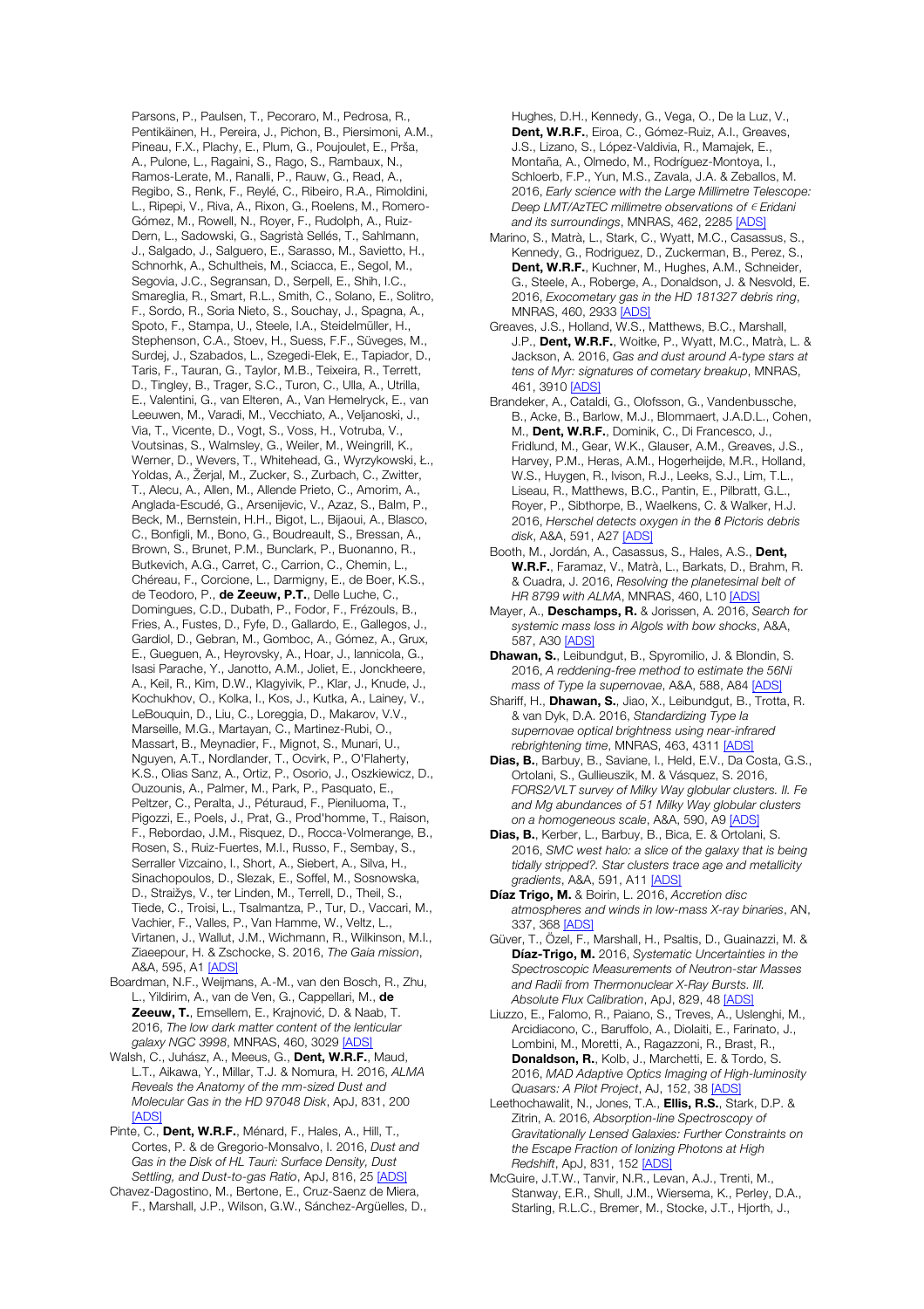Parsons, P., Paulsen, T., Pecoraro, M., Pedrosa, R., Pentikäinen, H., Pereira, J., Pichon, B., Piersimoni, A.M., Pineau, F.X., Plachy, E., Plum, G., Poujoulet, E., Prša, A., Pulone, L., Ragaini, S., Rago, S., Rambaux, N., Ramos-Lerate, M., Ranalli, P., Rauw, G., Read, A., Regibo, S., Renk, F., Reylé, C., Ribeiro, R.A., Rimoldini, L., Ripepi, V., Riva, A., Rixon, G., Roelens, M., Romero-Gómez, M., Rowell, N., Royer, F., Rudolph, A., Ruiz-Dern, L., Sadowski, G., Sagristà Sellés, T., Sahlmann, J., Salgado, J., Salguero, E., Sarasso, M., Savietto, H., Schnorhk, A., Schultheis, M., Sciacca, E., Segol, M., Segovia, J.C., Segransan, D., Serpell, E., Shih, I.C., Smareglia, R., Smart, R.L., Smith, C., Solano, E., Solitro, F., Sordo, R., Soria Nieto, S., Souchay, J., Spagna, A., Spoto, F., Stampa, U., Steele, I.A., Steidelmüller, H., Stephenson, C.A., Stoev, H., Suess, F.F., Süveges, M., Surdej, J., Szabados, L., Szegedi-Elek, E., Tapiador, D., Taris, F., Tauran, G., Taylor, M.B., Teixeira, R., Terrett, D., Tingley, B., Trager, S.C., Turon, C., Ulla, A., Utrilla, E., Valentini, G., van Elteren, A., Van Hemelryck, E., van Leeuwen, M., Varadi, M., Vecchiato, A., Veljanoski, J., Via, T., Vicente, D., Vogt, S., Voss, H., Votruba, V., Voutsinas, S., Walmsley, G., Weiler, M., Weingrill, K., Werner, D., Wevers, T., Whitehead, G., Wyrzykowski, Ł., Yoldas, A., Žerjal, M., Zucker, S., Zurbach, C., Zwitter, T., Alecu, A., Allen, M., Allende Prieto, C., Amorim, A., Anglada-Escudé, G., Arsenijevic, V., Azaz, S., Balm, P., Beck, M., Bernstein, H.H., Bigot, L., Bijaoui, A., Blasco, C., Bonfigli, M., Bono, G., Boudreault, S., Bressan, A., Brown, S., Brunet, P.M., Bunclark, P., Buonanno, R., Butkevich, A.G., Carret, C., Carrion, C., Chemin, L., Chéreau, F., Corcione, L., Darmigny, E., de Boer, K.S., de Teodoro, P., de Zeeuw, P.T., Delle Luche, C., Domingues, C.D., Dubath, P., Fodor, F., Frézouls, B., Fries, A., Fustes, D., Fyfe, D., Gallardo, E., Gallegos, J., Gardiol, D., Gebran, M., Gomboc, A., Gómez, A., Grux, E., Gueguen, A., Heyrovsky, A., Hoar, J., Iannicola, G., Isasi Parache, Y., Janotto, A.M., Joliet, E., Jonckheere, A., Keil, R., Kim, D.W., Klagyivik, P., Klar, J., Knude, J., Kochukhov, O., Kolka, I., Kos, J., Kutka, A., Lainey, V., LeBouquin, D., Liu, C., Loreggia, D., Makarov, V.V., Marseille, M.G., Martayan, C., Martinez-Rubi, O., Massart, B., Meynadier, F., Mignot, S., Munari, U., Nguyen, A.T., Nordlander, T., Ocvirk, P., O'Flaherty, K.S., Olias Sanz, A., Ortiz, P., Osorio, J., Oszkiewicz, D., Ouzounis, A., Palmer, M., Park, P., Pasquato, E., Peltzer, C., Peralta, J., Péturaud, F., Pieniluoma, T., Pigozzi, E., Poels, J., Prat, G., Prod'homme, T., Raison, F., Rebordao, J.M., Risquez, D., Rocca-Volmerange, B., Rosen, S., Ruiz-Fuertes, M.I., Russo, F., Sembay, S., Serraller Vizcaino, I., Short, A., Siebert, A., Silva, H., Sinachopoulos, D., Slezak, E., Soffel, M., Sosnowska, D., Straižys, V., ter Linden, M., Terrell, D., Theil, S., Tiede, C., Troisi, L., Tsalmantza, P., Tur, D., Vaccari, M., Vachier, F., Valles, P., Van Hamme, W., Veltz, L., Virtanen, J., Wallut, J.M., Wichmann, R., Wilkinson, M.I., Ziaeepour, H. & Zschocke, S. 2016, *The Gaia mission*, A&A, 595, A1 [ADS]

- Boardman, N.F., Weijmans, A.-M., van den Bosch, R., Zhu, L., Yildirim, A., van de Ven, G., Cappellari, M., de Zeeuw, T., Emsellem, E., Krajnović, D. & Naab, T. 2016, *The low dark matter content of the lenticular galaxy NGC 3998*, MNRAS, 460, 3029 [ADS]
- Walsh, C., Juhász, A., Meeus, G., Dent, W.R.F., Maud, L.T., Aikawa, Y., Millar, T.J. & Nomura, H. 2016, *ALMA Reveals the Anatomy of the mm-sized Dust and Molecular Gas in the HD 97048 Disk*, ApJ, 831, 200 [ADS]
- Pinte, C., Dent, W.R.F., Ménard, F., Hales, A., Hill, T., Cortes, P. & de Gregorio-Monsalvo, I. 2016, *Dust and Gas in the Disk of HL Tauri: Surface Density, Dust Settling, and Dust-to-gas Ratio*, ApJ, 816, 25 [ADS]
- Chavez-Dagostino, M., Bertone, E., Cruz-Saenz de Miera, F., Marshall, J.P., Wilson, G.W., Sánchez-Argüelles, D.,

Hughes, D.H., Kennedy, G., Vega, O., De la Luz, V., Dent, W.R.F., Eiroa, C., Gómez-Ruiz, A.I., Greaves, J.S., Lizano, S., López-Valdivia, R., Mamajek, E., Montaña, A., Olmedo, M., Rodríguez-Montoya, I., Schloerb, F.P., Yun, M.S., Zavala, J.A. & Zeballos, M. 2016, *Early science with the Large Millimetre Telescope: Deep LMT/AzTEC millimetre observations of* <sup>∊</sup> *Eridani and its surroundings*, MNRAS, 462, 2285 [ADS]

- Marino, S., Matrà, L., Stark, C., Wyatt, M.C., Casassus, S., Kennedy, G., Rodriguez, D., Zuckerman, B., Perez, S., Dent, W.R.F., Kuchner, M., Hughes, A.M., Schneider, G., Steele, A., Roberge, A., Donaldson, J. & Nesvold, E. 2016, *Exocometary gas in the HD 181327 debris ring*, MNRAS, 460, 2933 [ADS]
- Greaves, J.S., Holland, W.S., Matthews, B.C., Marshall, J.P., Dent, W.R.F., Woitke, P., Wyatt, M.C., Matrà, L. & Jackson, A. 2016, *Gas and dust around A-type stars at tens of Myr: signatures of cometary breakup*, MNRAS, 461, 3910 [ADS]
- Brandeker, A., Cataldi, G., Olofsson, G., Vandenbussche, B., Acke, B., Barlow, M.J., Blommaert, J.A.D.L., Cohen, M., Dent, W.R.F., Dominik, C., Di Francesco, J., Fridlund, M., Gear, W.K., Glauser, A.M., Greaves, J.S., Harvey, P.M., Heras, A.M., Hogerheijde, M.R., Holland, W.S., Huygen, R., Ivison, R.J., Leeks, S.J., Lim, T.L., Liseau, R., Matthews, B.C., Pantin, E., Pilbratt, G.L., Royer, P., Sibthorpe, B., Waelkens, C. & Walker, H.J. 2016, *Herschel detects oxygen in the β Pictoris debris disk*, A&A, 591, A27 [ADS]
- Booth, M., Jordán, A., Casassus, S., Hales, A.S., Dent, W.R.F., Faramaz, V., Matrà, L., Barkats, D., Brahm, R. & Cuadra, J. 2016, *Resolving the planetesimal belt of HR 8799 with ALMA*, MNRAS, 460, L10 [ADS]
- Mayer, A., Deschamps, R. & Jorissen, A. 2016, *Search for systemic mass loss in Algols with bow shocks*, A&A, 587, A30 [ADS]
- Dhawan, S., Leibundgut, B., Spyromilio, J. & Blondin, S. 2016, *A reddening-free method to estimate the 56Ni mass of Type Ia supernovae*, A&A, 588, A84 [ADS]
- Shariff, H., **Dhawan, S.**, Jiao, X., Leibundgut, B., Trotta, R. & van Dyk, D.A. 2016, *Standardizing Type Ia supernovae optical brightness using near-infrared*  rebrightening time, MNRAS, 463, 4311 [ADS]
- Dias, B., Barbuy, B., Saviane, I., Held, E.V., Da Costa, G.S., Ortolani, S., Gullieuszik, M. & Vásquez, S. 2016, *FORS2/VLT survey of Milky Way globular clusters. II. Fe and Mg abundances of 51 Milky Way globular clusters on a homogeneous scale*, A&A, 590, A9 [ADS]
- Dias, B., Kerber, L., Barbuy, B., Bica, E. & Ortolani, S. 2016, *SMC west halo: a slice of the galaxy that is being tidally stripped?. Star clusters trace age and metallicity gradients*, A&A, 591, A11 [ADS]
- Díaz Trigo, M. & Boirin, L. 2016, *Accretion disc atmospheres and winds in low-mass X-ray binaries*, AN, 337, 368 [ADS]
- Güver, T., Özel, F., Marshall, H., Psaltis, D., Guainazzi, M. & Díaz-Trigo, M. 2016, *Systematic Uncertainties in the Spectroscopic Measurements of Neutron-star Masses and Radii from Thermonuclear X-Ray Bursts. III. Absolute Flux Calibration*, ApJ, 829, 48 [ADS]
- Liuzzo, E., Falomo, R., Paiano, S., Treves, A., Uslenghi, M., Arcidiacono, C., Baruffolo, A., Diolaiti, E., Farinato, J., Lombini, M., Moretti, A., Ragazzoni, R., Brast, R., Donaldson, R., Kolb, J., Marchetti, E. & Tordo, S. 2016, *MAD Adaptive Optics Imaging of High-luminosity Quasars: A Pilot Project*, AJ, 152, 38 [ADS]
- Leethochawalit, N., Jones, T.A., Ellis, R.S., Stark, D.P. & Zitrin, A. 2016, *Absorption-line Spectroscopy of Gravitationally Lensed Galaxies: Further Constraints on the Escape Fraction of Ionizing Photons at High Redshift*, ApJ, 831, 152 [ADS]
- McGuire, J.T.W., Tanvir, N.R., Levan, A.J., Trenti, M., Stanway, E.R., Shull, J.M., Wiersema, K., Perley, D.A., Starling, R.L.C., Bremer, M., Stocke, J.T., Hjorth, J.,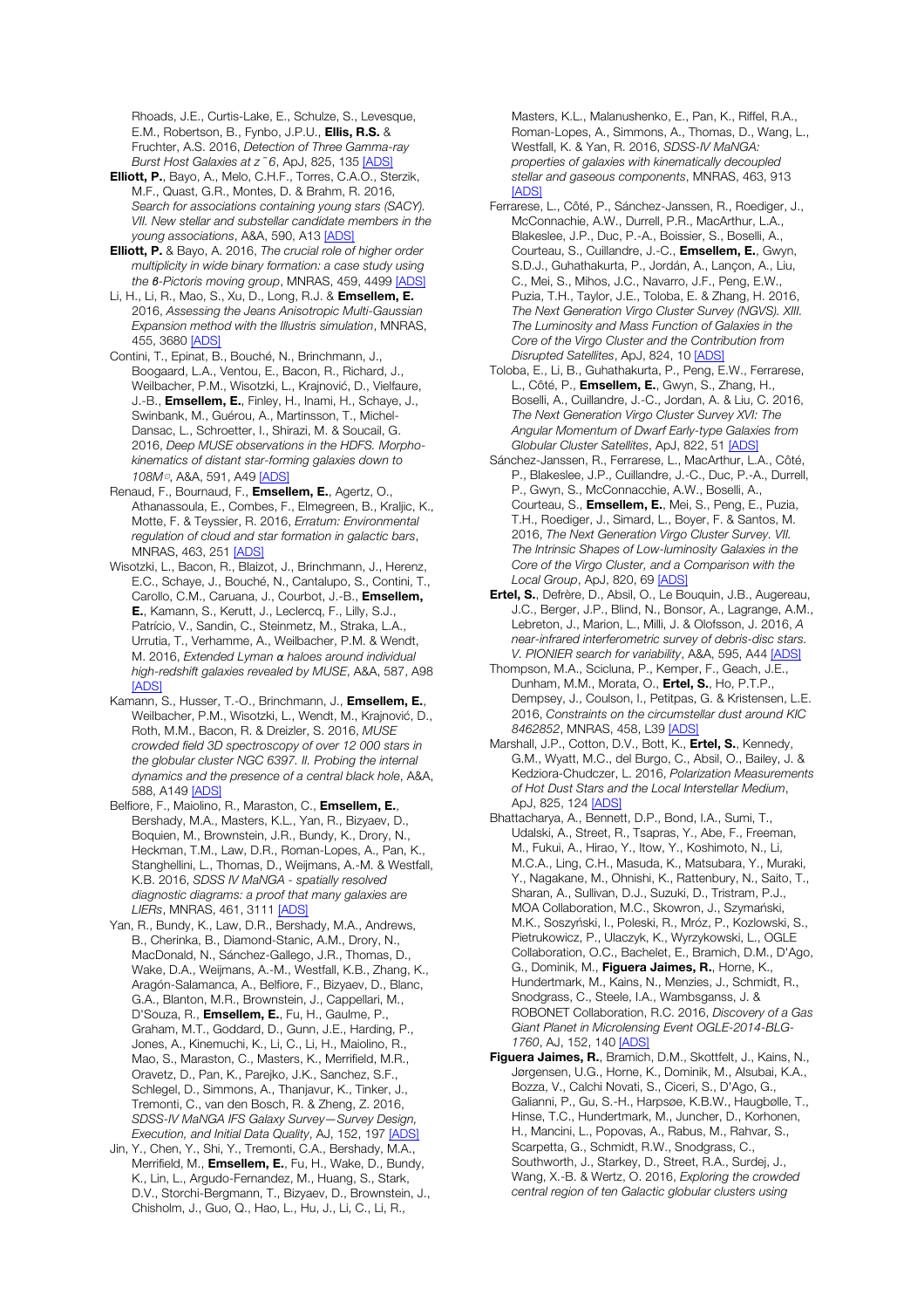Rhoads, J.E., Curtis-Lake, E., Schulze, S., Levesque, E.M., Robertson, B., Fynbo, J.P.U., Ellis, R.S. & Fruchter, A.S. 2016, *Detection of Three Gamma-ray Burst Host Galaxies at z ˜ 6*, ApJ, 825, 135 [ADS]

- Elliott, P., Bayo, A., Melo, C.H.F., Torres, C.A.O., Sterzik, M.F., Quast, G.R., Montes, D. & Brahm, R. 2016, *Search for associations containing young stars (SACY). VII. New stellar and substellar candidate members in the young associations*, A&A, 590, A13 [ADS]
- Elliott, P. & Bayo, A. 2016, *The crucial role of higher order multiplicity in wide binary formation: a case study using the β-Pictoris moving group*, MNRAS, 459, 4499 [ADS]
- Li, H., Li, R., Mao, S., Xu, D., Long, R.J. & Emsellem, E. 2016, *Assessing the Jeans Anisotropic Multi-Gaussian Expansion method with the Illustris simulation*, MNRAS, 455, 3680 [ADS]
- Contini, T., Epinat, B., Bouché, N., Brinchmann, J., Boogaard, L.A., Ventou, E., Bacon, R., Richard, J., Weilbacher, P.M., Wisotzki, L., Krajnović, D., Vielfaure, J.-B., **Emsellem, E.**, Finley, H., Inami, H., Schaye, J., Swinbank, M., Guérou, A., Martinsson, T., Michel-Dansac, L., Schroetter, I., Shirazi, M. & Soucail, G. 2016, *Deep MUSE observations in the HDFS. Morphokinematics of distant star-forming galaxies down to 108M*⊙, A&A, 591, A49 [ADS]
- Renaud, F., Bournaud, F., Emsellem, E., Agertz, O., Athanassoula, E., Combes, F., Elmegreen, B., Kraljic, K., Motte, F. & Teyssier, R. 2016, *Erratum: Environmental regulation of cloud and star formation in galactic bars*, MNRAS, 463, 251 [ADS]
- Wisotzki, L., Bacon, R., Blaizot, J., Brinchmann, J., Herenz, E.C., Schaye, J., Bouché, N., Cantalupo, S., Contini, T., Carollo, C.M., Caruana, J., Courbot, J.-B., Emsellem, E., Kamann, S., Kerutt, J., Leclercq, F., Lilly, S.J., Patrício, V., Sandin, C., Steinmetz, M., Straka, L.A., Urrutia, T., Verhamme, A., Weilbacher, P.M. & Wendt, M. 2016, *Extended Lyman α haloes around individual high-redshift galaxies revealed by MUSE*, A&A, 587, A98 **[ADS]**
- Kamann, S., Husser, T.-O., Brinchmann, J., Emsellem, E., Weilbacher, P.M., Wisotzki, L., Wendt, M., Krajnović, D., Roth, M.M., Bacon, R. & Dreizler, S. 2016, *MUSE crowded field 3D spectroscopy of over 12 000 stars in the globular cluster NGC 6397. II. Probing the internal dynamics and the presence of a central black hole*, A&A, 588, A149 [ADS]
- Belfiore, F., Maiolino, R., Maraston, C., Emsellem, E., Bershady, M.A., Masters, K.L., Yan, R., Bizyaev, D., Boquien, M., Brownstein, J.R., Bundy, K., Drory, N., Heckman, T.M., Law, D.R., Roman-Lopes, A., Pan, K., Stanghellini, L., Thomas, D., Weijmans, A.-M. & Westfall, K.B. 2016, *SDSS IV MaNGA - spatially resolved diagnostic diagrams: a proof that many galaxies are LIERs*, MNRAS, 461, 3111 [ADS]
- Yan, R., Bundy, K., Law, D.R., Bershady, M.A., Andrews, B., Cherinka, B., Diamond-Stanic, A.M., Drory, N., MacDonald, N., Sánchez-Gallego, J.R., Thomas, D., Wake, D.A., Weijmans, A.-M., Westfall, K.B., Zhang, K., Aragón-Salamanca, A., Belfiore, F., Bizyaev, D., Blanc, G.A., Blanton, M.R., Brownstein, J., Cappellari, M., D'Souza, R., Emsellem, E., Fu, H., Gaulme, P., Graham, M.T., Goddard, D., Gunn, J.E., Harding, P., Jones, A., Kinemuchi, K., Li, C., Li, H., Maiolino, R., Mao, S., Maraston, C., Masters, K., Merrifield, M.R., Oravetz, D., Pan, K., Parejko, J.K., Sanchez, S.F., Schlegel, D., Simmons, A., Thanjavur, K., Tinker, J., Tremonti, C., van den Bosch, R. & Zheng, Z. 2016, *SDSS-IV MaNGA IFS Galaxy Survey—Survey Design, Execution, and Initial Data Quality*, AJ, 152, 197 [ADS]
- Jin, Y., Chen, Y., Shi, Y., Tremonti, C.A., Bershady, M.A., Merrifield, M., Emsellem, E., Fu, H., Wake, D., Bundy, K., Lin, L., Argudo-Fernandez, M., Huang, S., Stark, D.V., Storchi-Bergmann, T., Bizyaev, D., Brownstein, J., Chisholm, J., Guo, Q., Hao, L., Hu, J., Li, C., Li, R.,

Masters, K.L., Malanushenko, E., Pan, K., Riffel, R.A., Roman-Lopes, A., Simmons, A., Thomas, D., Wang, L., Westfall, K. & Yan, R. 2016, *SDSS-IV MaNGA: properties of galaxies with kinematically decoupled stellar and gaseous components*, MNRAS, 463, 913 [ADS]

- Ferrarese, L., Côté, P., Sánchez-Janssen, R., Roediger, J., McConnachie, A.W., Durrell, P.R., MacArthur, L.A., Blakeslee, J.P., Duc, P.-A., Boissier, S., Boselli, A., Courteau, S., Cuillandre, J.-C., Emsellem, E., Gwyn, S.D.J., Guhathakurta, P., Jordán, A., Lançon, A., Liu, C., Mei, S., Mihos, J.C., Navarro, J.F., Peng, E.W., Puzia, T.H., Taylor, J.E., Toloba, E. & Zhang, H. 2016, *The Next Generation Virgo Cluster Survey (NGVS). XIII. The Luminosity and Mass Function of Galaxies in the Core of the Virgo Cluster and the Contribution from Disrupted Satellites*, ApJ, 824, 10 [ADS]
- Toloba, E., Li, B., Guhathakurta, P., Peng, E.W., Ferrarese, L., Côté, P., Emsellem, E., Gwyn, S., Zhang, H., Boselli, A., Cuillandre, J.-C., Jordan, A. & Liu, C. 2016, *The Next Generation Virgo Cluster Survey XVI: The Angular Momentum of Dwarf Early-type Galaxies from Globular Cluster Satellites*, ApJ, 822, 51 [ADS]
- Sánchez-Janssen, R., Ferrarese, L., MacArthur, L.A., Côté, P., Blakeslee, J.P., Cuillandre, J.-C., Duc, P.-A., Durrell, P., Gwyn, S., McConnacchie, A.W., Boselli, A., Courteau, S., Emsellem, E., Mei, S., Peng, E., Puzia, T.H., Roediger, J., Simard, L., Boyer, F. & Santos, M. 2016, *The Next Generation Virgo Cluster Survey. VII. The Intrinsic Shapes of Low-luminosity Galaxies in the Core of the Virgo Cluster, and a Comparison with the Local Group*, ApJ, 820, 69 [ADS]
- Ertel, S., Defrère, D., Absil, O., Le Bouquin, J.B., Augereau, J.C., Berger, J.P., Blind, N., Bonsor, A., Lagrange, A.M., Lebreton, J., Marion, L., Milli, J. & Olofsson, J. 2016, *A near-infrared interferometric survey of debris-disc stars. V. PIONIER search for variability*, A&A, 595, A44 [ADS]
- Thompson, M.A., Scicluna, P., Kemper, F., Geach, J.E., Dunham, M.M., Morata, O., Ertel, S., Ho, P.T.P., Dempsey, J., Coulson, I., Petitpas, G. & Kristensen, L.E. 2016, *Constraints on the circumstellar dust around KIC 8462852*, MNRAS, 458, L39 [ADS]
- Marshall, J.P., Cotton, D.V., Bott, K., Ertel, S., Kennedy, G.M., Wyatt, M.C., del Burgo, C., Absil, O., Bailey, J. & Kedziora-Chudczer, L. 2016, *Polarization Measurements of Hot Dust Stars and the Local Interstellar Medium*, ApJ, 825, 124 [ADS]
- Bhattacharya, A., Bennett, D.P., Bond, I.A., Sumi, T., Udalski, A., Street, R., Tsapras, Y., Abe, F., Freeman, M., Fukui, A., Hirao, Y., Itow, Y., Koshimoto, N., Li, M.C.A., Ling, C.H., Masuda, K., Matsubara, Y., Muraki, Y., Nagakane, M., Ohnishi, K., Rattenbury, N., Saito, T., Sharan, A., Sullivan, D.J., Suzuki, D., Tristram, P.J., MOA Collaboration, M.C., Skowron, J., Szymański, M.K., Soszyński, I., Poleski, R., Mróz, P., Kozlowski, S., Pietrukowicz, P., Ulaczyk, K., Wyrzykowski, L., OGLE Collaboration, O.C., Bachelet, E., Bramich, D.M., D'Ago, G., Dominik, M., Figuera Jaimes, R., Horne, K., Hundertmark, M., Kains, N., Menzies, J., Schmidt, R., Snodgrass, C., Steele, I.A., Wambsganss, J. & ROBONET Collaboration, R.C. 2016, *Discovery of a Gas Giant Planet in Microlensing Event OGLE-2014-BLG-1760*, AJ, 152, 140 [ADS]
- Figuera Jaimes, R., Bramich, D.M., Skottfelt, J., Kains, N., Jørgensen, U.G., Horne, K., Dominik, M., Alsubai, K.A., Bozza, V., Calchi Novati, S., Ciceri, S., D'Ago, G., Galianni, P., Gu, S.-H., Harpsøe, K.B.W., Haugbølle, T., Hinse, T.C., Hundertmark, M., Juncher, D., Korhonen, H., Mancini, L., Popovas, A., Rabus, M., Rahvar, S., Scarpetta, G., Schmidt, R.W., Snodgrass, C., Southworth, J., Starkey, D., Street, R.A., Surdej, J., Wang, X.-B. & Wertz, O. 2016, *Exploring the crowded central region of ten Galactic globular clusters using*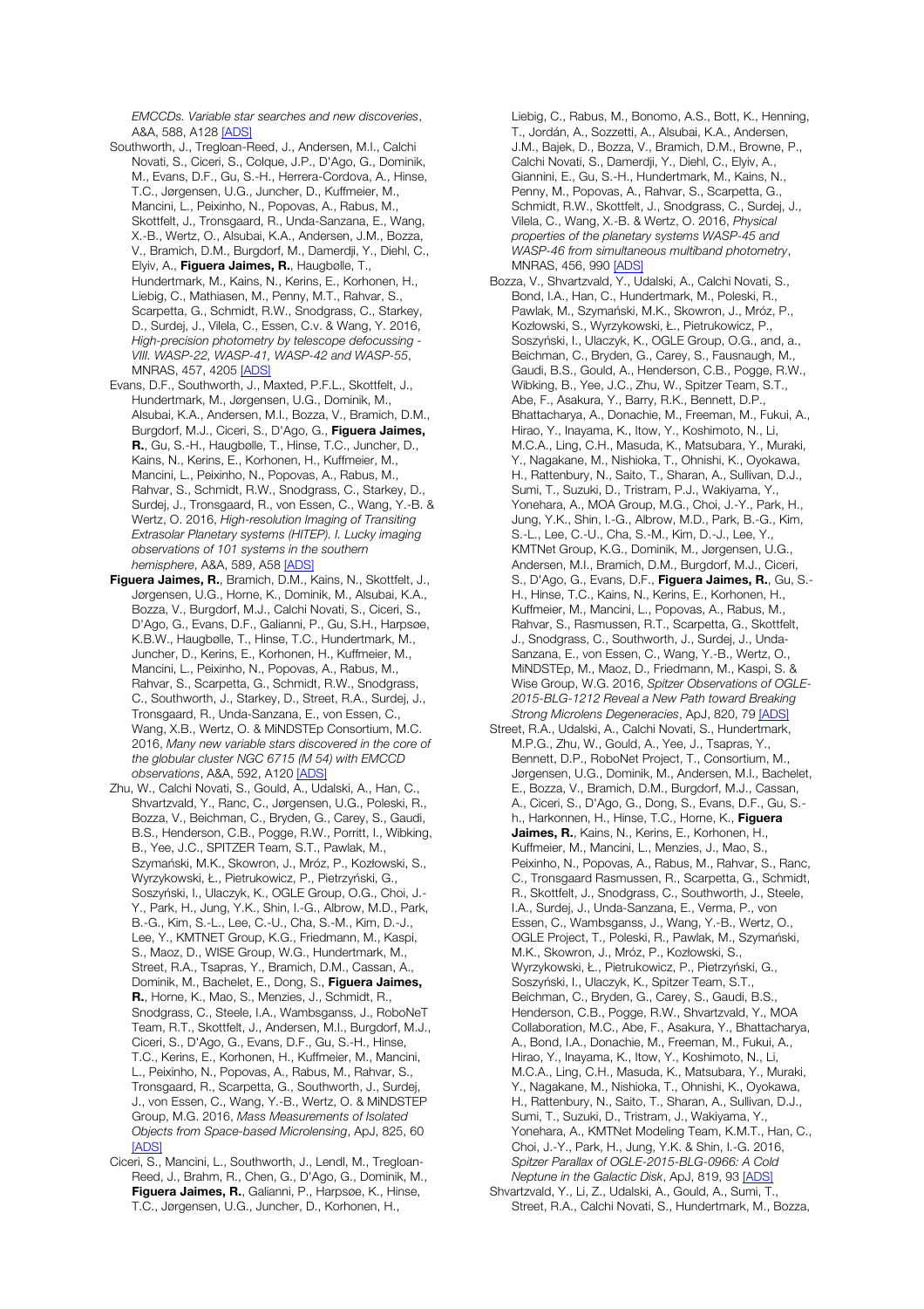*EMCCDs. Variable star searches and new discoveries*, A&A, 588, A128 [ADS]

- Southworth, J., Tregloan-Reed, J., Andersen, M.I., Calchi Novati, S., Ciceri, S., Colque, J.P., D'Ago, G., Dominik, M., Evans, D.F., Gu, S.-H., Herrera-Cordova, A., Hinse, T.C., Jørgensen, U.G., Juncher, D., Kuffmeier, M., Mancini, L., Peixinho, N., Popovas, A., Rabus, M., Skottfelt, J., Tronsgaard, R., Unda-Sanzana, E., Wang, X.-B., Wertz, O., Alsubai, K.A., Andersen, J.M., Bozza, V., Bramich, D.M., Burgdorf, M., Damerdji, Y., Diehl, C., Elyiv, A., Figuera Jaimes, R., Haugbølle, T., Hundertmark, M., Kains, N., Kerins, E., Korhonen, H., Liebig, C., Mathiasen, M., Penny, M.T., Rahvar, S., Scarpetta, G., Schmidt, R.W., Snodgrass, C., Starkey, D., Surdej, J., Vilela, C., Essen, C.v. & Wang, Y. 2016, *High-precision photometry by telescope defocussing - VIII. WASP-22, WASP-41, WASP-42 and WASP-55*, MNRAS, 457, 4205 [ADS]
- Evans, D.F., Southworth, J., Maxted, P.F.L., Skottfelt, J., Hundertmark, M., Jørgensen, U.G., Dominik, M., Alsubai, K.A., Andersen, M.I., Bozza, V., Bramich, D.M., Burgdorf, M.J., Ciceri, S., D'Ago, G., Figuera Jaimes, R., Gu, S.-H., Haugbølle, T., Hinse, T.C., Juncher, D., Kains, N., Kerins, E., Korhonen, H., Kuffmeier, M., Mancini, L., Peixinho, N., Popovas, A., Rabus, M., Rahvar, S., Schmidt, R.W., Snodgrass, C., Starkey, D., Surdej, J., Tronsgaard, R., von Essen, C., Wang, Y.-B. & Wertz, O. 2016, *High-resolution Imaging of Transiting Extrasolar Planetary systems (HITEP). I. Lucky imaging observations of 101 systems in the southern hemisphere*, A&A, 589, A58 [ADS]
- Figuera Jaimes, R., Bramich, D.M., Kains, N., Skottfelt, J., Jørgensen, U.G., Horne, K., Dominik, M., Alsubai, K.A., Bozza, V., Burgdorf, M.J., Calchi Novati, S., Ciceri, S., D'Ago, G., Evans, D.F., Galianni, P., Gu, S.H., Harpsøe, K.B.W., Haugbølle, T., Hinse, T.C., Hundertmark, M., Juncher, D., Kerins, E., Korhonen, H., Kuffmeier, M., Mancini, L., Peixinho, N., Popovas, A., Rabus, M., Rahvar, S., Scarpetta, G., Schmidt, R.W., Snodgrass, C., Southworth, J., Starkey, D., Street, R.A., Surdej, J., Tronsgaard, R., Unda-Sanzana, E., von Essen, C., Wang, X.B., Wertz, O. & MiNDSTEp Consortium, M.C. 2016, *Many new variable stars discovered in the core of the globular cluster NGC 6715 (M 54) with EMCCD observations*, A&A, 592, A120 [ADS]
- Zhu, W., Calchi Novati, S., Gould, A., Udalski, A., Han, C., Shvartzvald, Y., Ranc, C., Jørgensen, U.G., Poleski, R., Bozza, V., Beichman, C., Bryden, G., Carey, S., Gaudi, B.S., Henderson, C.B., Pogge, R.W., Porritt, I., Wibking, B., Yee, J.C., SPITZER Team, S.T., Pawlak, M., Szymański, M.K., Skowron, J., Mróz, P., Kozłowski, S., Wyrzykowski, Ł., Pietrukowicz, P., Pietrzyński, G., Soszyński, I., Ulaczyk, K., OGLE Group, O.G., Choi, J.- Y., Park, H., Jung, Y.K., Shin, I.-G., Albrow, M.D., Park, B.-G., Kim, S.-L., Lee, C.-U., Cha, S.-M., Kim, D.-J., Lee, Y., KMTNET Group, K.G., Friedmann, M., Kaspi, S., Maoz, D., WISE Group, W.G., Hundertmark, M., Street, R.A., Tsapras, Y., Bramich, D.M., Cassan, A., Dominik, M., Bachelet, E., Dong, S., Figuera Jaimes, R., Horne, K., Mao, S., Menzies, J., Schmidt, R., Snodgrass, C., Steele, I.A., Wambsganss, J., RoboNeT Team, R.T., Skottfelt, J., Andersen, M.I., Burgdorf, M.J., Ciceri, S., D'Ago, G., Evans, D.F., Gu, S.-H., Hinse, T.C., Kerins, E., Korhonen, H., Kuffmeier, M., Mancini, L., Peixinho, N., Popovas, A., Rabus, M., Rahvar, S., Tronsgaard, R., Scarpetta, G., Southworth, J., Surdej, J., von Essen, C., Wang, Y.-B., Wertz, O. & MiNDSTEP Group, M.G. 2016, *Mass Measurements of Isolated Objects from Space-based Microlensing*, ApJ, 825, 60 [ADS]
- Ciceri, S., Mancini, L., Southworth, J., Lendl, M., Tregloan-Reed, J., Brahm, R., Chen, G., D'Ago, G., Dominik, M., Figuera Jaimes, R., Galianni, P., Harpsøe, K., Hinse, T.C., Jørgensen, U.G., Juncher, D., Korhonen, H.,

Liebig, C., Rabus, M., Bonomo, A.S., Bott, K., Henning, T., Jordán, A., Sozzetti, A., Alsubai, K.A., Andersen, J.M., Bajek, D., Bozza, V., Bramich, D.M., Browne, P., Calchi Novati, S., Damerdji, Y., Diehl, C., Elyiv, A., Giannini, E., Gu, S.-H., Hundertmark, M., Kains, N., Penny, M., Popovas, A., Rahvar, S., Scarpetta, G., Schmidt, R.W., Skottfelt, J., Snodgrass, C., Surdej, J., Vilela, C., Wang, X.-B. & Wertz, O. 2016, *Physical properties of the planetary systems WASP-45 and WASP-46 from simultaneous multiband photometry*, MNRAS, 456, 990 [ADS]

Bozza, V., Shvartzvald, Y., Udalski, A., Calchi Novati, S., Bond, I.A., Han, C., Hundertmark, M., Poleski, R., Pawlak, M., Szymański, M.K., Skowron, J., Mróz, P., Kozłowski, S., Wyrzykowski, Ł., Pietrukowicz, P., Soszyński, I., Ulaczyk, K., OGLE Group, O.G., and, a., Beichman, C., Bryden, G., Carey, S., Fausnaugh, M., Gaudi, B.S., Gould, A., Henderson, C.B., Pogge, R.W., Wibking, B., Yee, J.C., Zhu, W., Spitzer Team, S.T., Abe, F., Asakura, Y., Barry, R.K., Bennett, D.P., Bhattacharya, A., Donachie, M., Freeman, M., Fukui, A., Hirao, Y., Inayama, K., Itow, Y., Koshimoto, N., Li, M.C.A., Ling, C.H., Masuda, K., Matsubara, Y., Muraki, Y., Nagakane, M., Nishioka, T., Ohnishi, K., Oyokawa, H., Rattenbury, N., Saito, T., Sharan, A., Sullivan, D.J., Sumi, T., Suzuki, D., Tristram, P.J., Wakiyama, Y., Yonehara, A., MOA Group, M.G., Choi, J.-Y., Park, H., Jung, Y.K., Shin, I.-G., Albrow, M.D., Park, B.-G., Kim, S.-L., Lee, C.-U., Cha, S.-M., Kim, D.-J., Lee, Y., KMTNet Group, K.G., Dominik, M., Jørgensen, U.G., Andersen, M.I., Bramich, D.M., Burgdorf, M.J., Ciceri, S., D'Ago, G., Evans, D.F., Figuera Jaimes, R., Gu, S.- H., Hinse, T.C., Kains, N., Kerins, E., Korhonen, H., Kuffmeier, M., Mancini, L., Popovas, A., Rabus, M., Rahvar, S., Rasmussen, R.T., Scarpetta, G., Skottfelt, J., Snodgrass, C., Southworth, J., Surdej, J., Unda-Sanzana, E., von Essen, C., Wang, Y.-B., Wertz, O., MiNDSTEp, M., Maoz, D., Friedmann, M., Kaspi, S. & Wise Group, W.G. 2016, *Spitzer Observations of OGLE-2015-BLG-1212 Reveal a New Path toward Breaking Strong Microlens Degeneracies*, ApJ, 820, 79 [ADS]

Street, R.A., Udalski, A., Calchi Novati, S., Hundertmark, M.P.G., Zhu, W., Gould, A., Yee, J., Tsapras, Y., Bennett, D.P., RoboNet Project, T., Consortium, M., Jørgensen, U.G., Dominik, M., Andersen, M.I., Bachelet, E., Bozza, V., Bramich, D.M., Burgdorf, M.J., Cassan, A., Ciceri, S., D'Ago, G., Dong, S., Evans, D.F., Gu, S. h., Harkonnen, H., Hinse, T.C., Horne, K., Figuera Jaimes, R., Kains, N., Kerins, E., Korhonen, H., Kuffmeier, M., Mancini, L., Menzies, J., Mao, S., Peixinho, N., Popovas, A., Rabus, M., Rahvar, S., Ranc, C., Tronsgaard Rasmussen, R., Scarpetta, G., Schmidt, R., Skottfelt, J., Snodgrass, C., Southworth, J., Steele, I.A., Surdej, J., Unda-Sanzana, E., Verma, P., von Essen, C., Wambsganss, J., Wang, Y.-B., Wertz, O., OGLE Project, T., Poleski, R., Pawlak, M., Szymański, M.K., Skowron, J., Mróz, P., Kozłowski, S., Wyrzykowski, Ł., Pietrukowicz, P., Pietrzyński, G., Soszyński, I., Ulaczyk, K., Spitzer Team, S.T., Beichman, C., Bryden, G., Carey, S., Gaudi, B.S., Henderson, C.B., Pogge, R.W., Shvartzvald, Y., MOA Collaboration, M.C., Abe, F., Asakura, Y., Bhattacharya, A., Bond, I.A., Donachie, M., Freeman, M., Fukui, A., Hirao, Y., Inayama, K., Itow, Y., Koshimoto, N., Li, M.C.A., Ling, C.H., Masuda, K., Matsubara, Y., Muraki, Y., Nagakane, M., Nishioka, T., Ohnishi, K., Oyokawa, H., Rattenbury, N., Saito, T., Sharan, A., Sullivan, D.J., Sumi, T., Suzuki, D., Tristram, J., Wakiyama, Y., Yonehara, A., KMTNet Modeling Team, K.M.T., Han, C., Choi, J.-Y., Park, H., Jung, Y.K. & Shin, I.-G. 2016, *Spitzer Parallax of OGLE-2015-BLG-0966: A Cold Neptune in the Galactic Disk*, ApJ, 819, 93 [ADS]

Shvartzvald, Y., Li, Z., Udalski, A., Gould, A., Sumi, T., Street, R.A., Calchi Novati, S., Hundertmark, M., Bozza,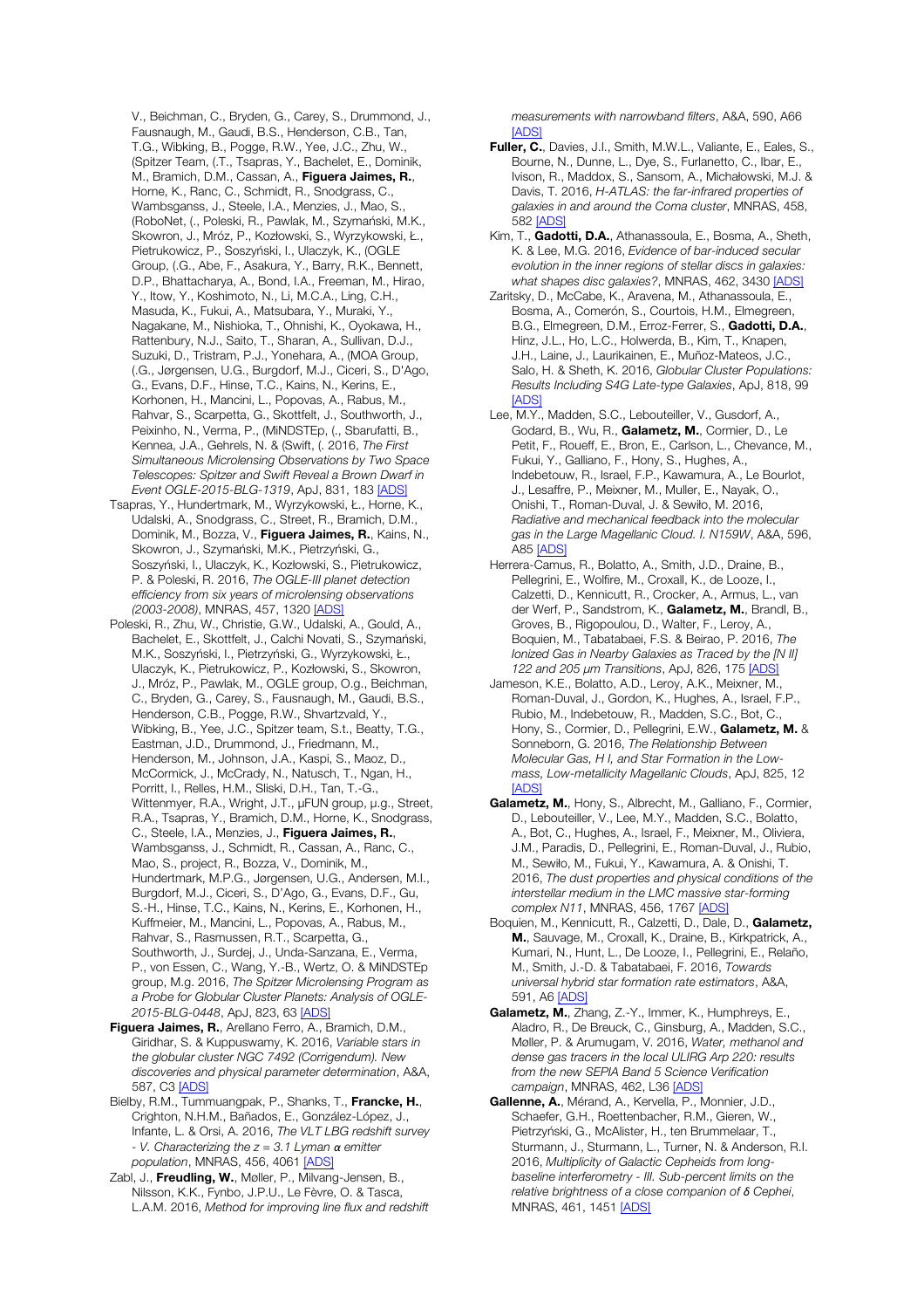V., Beichman, C., Bryden, G., Carey, S., Drummond, J., Fausnaugh, M., Gaudi, B.S., Henderson, C.B., Tan, T.G., Wibking, B., Pogge, R.W., Yee, J.C., Zhu, W., (Spitzer Team, (.T., Tsapras, Y., Bachelet, E., Dominik, M., Bramich, D.M., Cassan, A., Figuera Jaimes, R., Horne, K., Ranc, C., Schmidt, R., Snodgrass, C., Wambsganss, J., Steele, I.A., Menzies, J., Mao, S., (RoboNet, (., Poleski, R., Pawlak, M., Szymański, M.K., Skowron, J., Mróz, P., Kozłowski, S., Wyrzykowski, Ł., Pietrukowicz, P., Soszyński, I., Ulaczyk, K., (OGLE Group, (.G., Abe, F., Asakura, Y., Barry, R.K., Bennett, D.P., Bhattacharya, A., Bond, I.A., Freeman, M., Hirao, Y., Itow, Y., Koshimoto, N., Li, M.C.A., Ling, C.H., Masuda, K., Fukui, A., Matsubara, Y., Muraki, Y., Nagakane, M., Nishioka, T., Ohnishi, K., Oyokawa, H., Rattenbury, N.J., Saito, T., Sharan, A., Sullivan, D.J., Suzuki, D., Tristram, P.J., Yonehara, A., (MOA Group, (.G., Jørgensen, U.G., Burgdorf, M.J., Ciceri, S., D'Ago, G., Evans, D.F., Hinse, T.C., Kains, N., Kerins, E., Korhonen, H., Mancini, L., Popovas, A., Rabus, M., Rahvar, S., Scarpetta, G., Skottfelt, J., Southworth, J., Peixinho, N., Verma, P., (MiNDSTEp, (., Sbarufatti, B., Kennea, J.A., Gehrels, N. & (Swift, (. 2016, *The First Simultaneous Microlensing Observations by Two Space Telescopes: Spitzer and Swift Reveal a Brown Dwarf in Event OGLE-2015-BLG-1319*, ApJ, 831, 183 [ADS]

- Tsapras, Y., Hundertmark, M., Wyrzykowski, Ł., Horne, K., Udalski, A., Snodgrass, C., Street, R., Bramich, D.M., Dominik, M., Bozza, V., Figuera Jaimes, R., Kains, N., Skowron, J., Szymański, M.K., Pietrzyński, G., Soszyński, I., Ulaczyk, K., Kozłowski, S., Pietrukowicz, P. & Poleski, R. 2016, *The OGLE-III planet detection efficiency from six years of microlensing observations (2003-2008)*, MNRAS, 457, 1320 [ADS]
- Poleski, R., Zhu, W., Christie, G.W., Udalski, A., Gould, A., Bachelet, E., Skottfelt, J., Calchi Novati, S., Szymański, M.K., Soszyński, I., Pietrzyński, G., Wyrzykowski, Ł., Ulaczyk, K., Pietrukowicz, P., Kozłowski, S., Skowron, J., Mróz, P., Pawlak, M., OGLE group, O.g., Beichman, C., Bryden, G., Carey, S., Fausnaugh, M., Gaudi, B.S., Henderson, C.B., Pogge, R.W., Shvartzvald, Y., Wibking, B., Yee, J.C., Spitzer team, S.t., Beatty, T.G., Eastman, J.D., Drummond, J., Friedmann, M., Henderson, M., Johnson, J.A., Kaspi, S., Maoz, D., McCormick, J., McCrady, N., Natusch, T., Ngan, H., Porritt, I., Relles, H.M., Sliski, D.H., Tan, T.-G., Wittenmyer, R.A., Wright, J.T., μFUN group, μ.g., Street, R.A., Tsapras, Y., Bramich, D.M., Horne, K., Snodgrass, C., Steele, I.A., Menzies, J., Figuera Jaimes, R., Wambsganss, J., Schmidt, R., Cassan, A., Ranc, C., Mao, S., project, R., Bozza, V., Dominik, M., Hundertmark, M.P.G., Jørgensen, U.G., Andersen, M.I., Burgdorf, M.J., Ciceri, S., D'Ago, G., Evans, D.F., Gu, S.-H., Hinse, T.C., Kains, N., Kerins, E., Korhonen, H., Kuffmeier, M., Mancini, L., Popovas, A., Rabus, M., Rahvar, S., Rasmussen, R.T., Scarpetta, G., Southworth, J., Surdej, J., Unda-Sanzana, E., Verma, P., von Essen, C., Wang, Y.-B., Wertz, O. & MiNDSTEp group, M.g. 2016, *The Spitzer Microlensing Program as a Probe for Globular Cluster Planets: Analysis of OGLE-2015-BLG-0448*, ApJ, 823, 63 [ADS]
- Figuera Jaimes, R., Arellano Ferro, A., Bramich, D.M., Giridhar, S. & Kuppuswamy, K. 2016, *Variable stars in the globular cluster NGC 7492 (Corrigendum). New discoveries and physical parameter determination*, A&A, 587, C3 [ADS]
- Bielby, R.M., Tummuangpak, P., Shanks, T., Francke, H., Crighton, N.H.M., Bañados, E., González-López, J., Infante, L. & Orsi, A. 2016, *The VLT LBG redshift survey - V. Characterizing the z = 3.1 Lyman α emitter population*, MNRAS, 456, 4061 [ADS]
- Zabl, J., Freudling, W., Møller, P., Milvang-Jensen, B., Nilsson, K.K., Fynbo, J.P.U., Le Fèvre, O. & Tasca, L.A.M. 2016, *Method for improving line flux and redshift*

*measurements with narrowband filters*, A&A, 590, A66 [ADS]

- Fuller, C., Davies, J.I., Smith, M.W.L., Valiante, E., Eales, S., Bourne, N., Dunne, L., Dye, S., Furlanetto, C., Ibar, E., Ivison, R., Maddox, S., Sansom, A., Michałowski, M.J. & Davis, T. 2016, *H-ATLAS: the far-infrared properties of galaxies in and around the Coma cluster*, MNRAS, 458, 582 [ADS]
- Kim, T., Gadotti, D.A., Athanassoula, E., Bosma, A., Sheth, K. & Lee, M.G. 2016, *Evidence of bar-induced secular evolution in the inner regions of stellar discs in galaxies: what shapes disc galaxies?*, MNRAS, 462, 3430 [ADS]
- Zaritsky, D., McCabe, K., Aravena, M., Athanassoula, E., Bosma, A., Comerón, S., Courtois, H.M., Elmegreen, B.G., Elmegreen, D.M., Erroz-Ferrer, S., Gadotti, D.A., Hinz, J.L., Ho, L.C., Holwerda, B., Kim, T., Knapen, J.H., Laine, J., Laurikainen, E., Muñoz-Mateos, J.C., Salo, H. & Sheth, K. 2016, *Globular Cluster Populations: Results Including S4G Late-type Galaxies*, ApJ, 818, 99 [ADS]
- Lee, M.Y., Madden, S.C., Lebouteiller, V., Gusdorf, A., Godard, B., Wu, R., Galametz, M., Cormier, D., Le Petit, F., Roueff, E., Bron, E., Carlson, L., Chevance, M., Fukui, Y., Galliano, F., Hony, S., Hughes, A., Indebetouw, R., Israel, F.P., Kawamura, A., Le Bourlot, J., Lesaffre, P., Meixner, M., Muller, E., Nayak, O., Onishi, T., Roman-Duval, J. & Sewiło, M. 2016, *Radiative and mechanical feedback into the molecular gas in the Large Magellanic Cloud. I. N159W*, A&A, 596, A85 [ADS]
- Herrera-Camus, R., Bolatto, A., Smith, J.D., Draine, B., Pellegrini, E., Wolfire, M., Croxall, K., de Looze, I., Calzetti, D., Kennicutt, R., Crocker, A., Armus, L., van der Werf, P., Sandstrom, K., Galametz, M., Brandl, B., Groves, B., Rigopoulou, D., Walter, F., Leroy, A., Boquien, M., Tabatabaei, F.S. & Beirao, P. 2016, *The Ionized Gas in Nearby Galaxies as Traced by the [N II] 122 and 205* μ*m Transitions*, ApJ, 826, 175 [ADS]
- Jameson, K.E., Bolatto, A.D., Leroy, A.K., Meixner, M., Roman-Duval, J., Gordon, K., Hughes, A., Israel, F.P., Rubio, M., Indebetouw, R., Madden, S.C., Bot, C., Hony, S., Cormier, D., Pellegrini, E.W., Galametz, M. & Sonneborn, G. 2016, *The Relationship Between Molecular Gas, H I, and Star Formation in the Lowmass, Low-metallicity Magellanic Clouds*, ApJ, 825, 12 **[ADS]**
- Galametz, M., Hony, S., Albrecht, M., Galliano, F., Cormier, D., Lebouteiller, V., Lee, M.Y., Madden, S.C., Bolatto, A., Bot, C., Hughes, A., Israel, F., Meixner, M., Oliviera, J.M., Paradis, D., Pellegrini, E., Roman-Duval, J., Rubio, M., Sewiło, M., Fukui, Y., Kawamura, A. & Onishi, T. 2016, *The dust properties and physical conditions of the interstellar medium in the LMC massive star-forming complex N11*, MNRAS, 456, 1767 [ADS]
- Boquien, M., Kennicutt, R., Calzetti, D., Dale, D., Galametz, M., Sauvage, M., Croxall, K., Draine, B., Kirkpatrick, A., Kumari, N., Hunt, L., De Looze, I., Pellegrini, E., Relaño, M., Smith, J.-D. & Tabatabaei, F. 2016, *Towards universal hybrid star formation rate estimators*, A&A, 591, A6 [ADS]
- Galametz, M., Zhang, Z.-Y., Immer, K., Humphreys, E., Aladro, R., De Breuck, C., Ginsburg, A., Madden, S.C., Møller, P. & Arumugam, V. 2016, *Water, methanol and dense gas tracers in the local ULIRG Arp 220: results from the new SEPIA Band 5 Science Verification campaign*, MNRAS, 462, L36 [ADS]
- Gallenne, A., Mérand, A., Kervella, P., Monnier, J.D., Schaefer, G.H., Roettenbacher, R.M., Gieren, W., Pietrzyński, G., McAlister, H., ten Brummelaar, T., Sturmann, J., Sturmann, L., Turner, N. & Anderson, R.I. 2016, *Multiplicity of Galactic Cepheids from longbaseline interferometry - III. Sub-percent limits on the relative brightness of a close companion of δ Cephei*, MNRAS, 461, 1451 [ADS]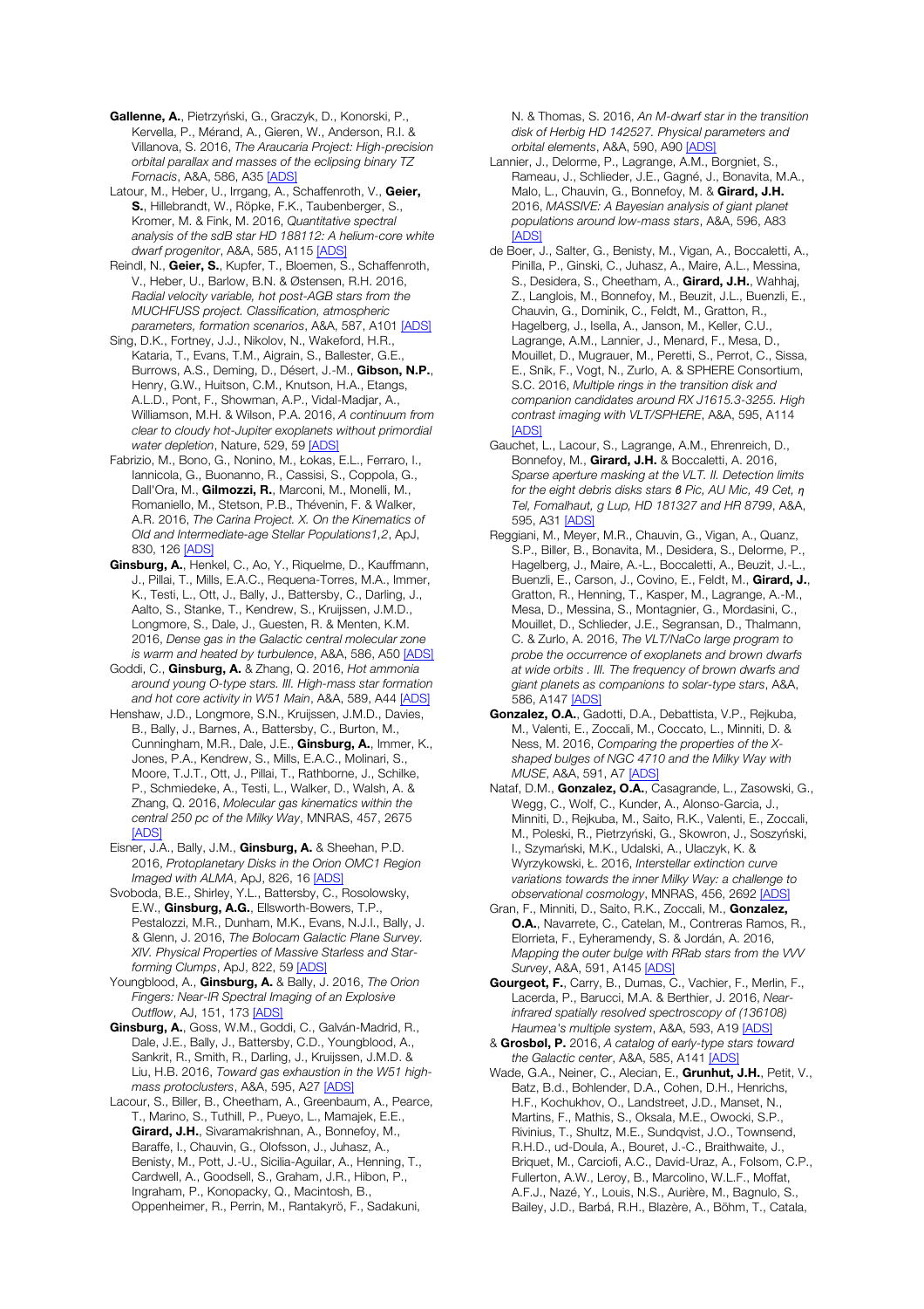Gallenne, A., Pietrzyński, G., Graczyk, D., Konorski, P., Kervella, P., Mérand, A., Gieren, W., Anderson, R.I. & Villanova, S. 2016, *The Araucaria Project: High-precision orbital parallax and masses of the eclipsing binary TZ Fornacis*, A&A, 586, A35 [ADS]

Latour, M., Heber, U., Irrgang, A., Schaffenroth, V., Geier, S., Hillebrandt, W., Röpke, F.K., Taubenberger, S., Kromer, M. & Fink, M. 2016, *Quantitative spectral analysis of the sdB star HD 188112: A helium-core white dwarf progenitor*, A&A, 585, A115 [ADS]

Reindl, N., Geier, S., Kupfer, T., Bloemen, S., Schaffenroth, V., Heber, U., Barlow, B.N. & Østensen, R.H. 2016, *Radial velocity variable, hot post-AGB stars from the MUCHFUSS project. Classification, atmospheric parameters, formation scenarios*, A&A, 587, A101 [ADS]

Sing, D.K., Fortney, J.J., Nikolov, N., Wakeford, H.R., Kataria, T., Evans, T.M., Aigrain, S., Ballester, G.E., Burrows, A.S., Deming, D., Désert, J.-M., Gibson, N.P., Henry, G.W., Huitson, C.M., Knutson, H.A., Etangs, A.L.D., Pont, F., Showman, A.P., Vidal-Madjar, A., Williamson, M.H. & Wilson, P.A. 2016, *A continuum from clear to cloudy hot-Jupiter exoplanets without primordial water depletion*, Nature, 529, 59 [ADS]

- Fabrizio, M., Bono, G., Nonino, M., Łokas, E.L., Ferraro, I., Iannicola, G., Buonanno, R., Cassisi, S., Coppola, G., Dall'Ora, M., Gilmozzi, R., Marconi, M., Monelli, M., Romaniello, M., Stetson, P.B., Thévenin, F. & Walker, A.R. 2016, *The Carina Project. X. On the Kinematics of Old and Intermediate-age Stellar Populations1,2*, ApJ, 830, 126 [ADS]
- Ginsburg, A., Henkel, C., Ao, Y., Riquelme, D., Kauffmann, J., Pillai, T., Mills, E.A.C., Requena-Torres, M.A., Immer, K., Testi, L., Ott, J., Bally, J., Battersby, C., Darling, J., Aalto, S., Stanke, T., Kendrew, S., Kruijssen, J.M.D., Longmore, S., Dale, J., Guesten, R. & Menten, K.M. 2016, *Dense gas in the Galactic central molecular zone is warm and heated by turbulence*, A&A, 586, A50 [ADS]

Goddi, C., Ginsburg, A. & Zhang, Q. 2016, *Hot ammonia around young O-type stars. III. High-mass star formation and hot core activity in W51 Main*, A&A, 589, A44 [ADS]

Henshaw, J.D., Longmore, S.N., Kruijssen, J.M.D., Davies, B., Bally, J., Barnes, A., Battersby, C., Burton, M., Cunningham, M.R., Dale, J.E., Ginsburg, A., Immer, K., Jones, P.A., Kendrew, S., Mills, E.A.C., Molinari, S., Moore, T.J.T., Ott, J., Pillai, T., Rathborne, J., Schilke, P., Schmiedeke, A., Testi, L., Walker, D., Walsh, A. & Zhang, Q. 2016, *Molecular gas kinematics within the central 250 pc of the Milky Way*, MNRAS, 457, 2675 [ADS]

Eisner, J.A., Bally, J.M., Ginsburg, A. & Sheehan, P.D. 2016, *Protoplanetary Disks in the Orion OMC1 Region Imaged with ALMA*, ApJ, 826, 16 [ADS]

Svoboda, B.E., Shirley, Y.L., Battersby, C., Rosolowsky, E.W., Ginsburg, A.G., Ellsworth-Bowers, T.P., Pestalozzi, M.R., Dunham, M.K., Evans, N.J.I., Bally, J. & Glenn, J. 2016, *The Bolocam Galactic Plane Survey. XIV. Physical Properties of Massive Starless and Starforming Clumps*, ApJ, 822, 59 [ADS]

Youngblood, A., Ginsburg, A. & Bally, J. 2016, *The Orion Fingers: Near-IR Spectral Imaging of an Explosive Outflow*, AJ, 151, 173 [ADS]

Ginsburg, A., Goss, W.M., Goddi, C., Galván-Madrid, R., Dale, J.E., Bally, J., Battersby, C.D., Youngblood, A., Sankrit, R., Smith, R., Darling, J., Kruijssen, J.M.D. & Liu, H.B. 2016, *Toward gas exhaustion in the W51 highmass protoclusters*, A&A, 595, A27 [ADS]

Lacour, S., Biller, B., Cheetham, A., Greenbaum, A., Pearce, T., Marino, S., Tuthill, P., Pueyo, L., Mamajek, E.E., Girard, J.H., Sivaramakrishnan, A., Bonnefoy, M., Baraffe, I., Chauvin, G., Olofsson, J., Juhasz, A., Benisty, M., Pott, J.-U., Sicilia-Aguilar, A., Henning, T., Cardwell, A., Goodsell, S., Graham, J.R., Hibon, P., Ingraham, P., Konopacky, Q., Macintosh, B., Oppenheimer, R., Perrin, M., Rantakyrö, F., Sadakuni,

N. & Thomas, S. 2016, *An M-dwarf star in the transition disk of Herbig HD 142527. Physical parameters and orbital elements*, A&A, 590, A90 [ADS]

Lannier, J., Delorme, P., Lagrange, A.M., Borgniet, S., Rameau, J., Schlieder, J.E., Gagné, J., Bonavita, M.A., Malo, L., Chauvin, G., Bonnefoy, M. & Girard, J.H. 2016, *MASSIVE: A Bayesian analysis of giant planet populations around low-mass stars*, A&A, 596, A83 [ADS]

de Boer, J., Salter, G., Benisty, M., Vigan, A., Boccaletti, A., Pinilla, P., Ginski, C., Juhasz, A., Maire, A.L., Messina, S., Desidera, S., Cheetham, A., Girard, J.H., Wahhaj, Z., Langlois, M., Bonnefoy, M., Beuzit, J.L., Buenzli, E., Chauvin, G., Dominik, C., Feldt, M., Gratton, R., Hagelberg, J., Isella, A., Janson, M., Keller, C.U., Lagrange, A.M., Lannier, J., Menard, F., Mesa, D., Mouillet, D., Mugrauer, M., Peretti, S., Perrot, C., Sissa, E., Snik, F., Vogt, N., Zurlo, A. & SPHERE Consortium, S.C. 2016, *Multiple rings in the transition disk and companion candidates around RX J1615.3-3255. High contrast imaging with VLT/SPHERE*, A&A, 595, A114 **[ADS]** 

- Gauchet, L., Lacour, S., Lagrange, A.M., Ehrenreich, D., Bonnefoy, M., **Girard, J.H.** & Boccaletti, A. 2016, *Sparse aperture masking at the VLT. II. Detection limits for the eight debris disks stars β Pic, AU Mic, 49 Cet, η Tel, Fomalhaut, g Lup, HD 181327 and HR 8799*, A&A, 595, A31 [ADS]
- Reggiani, M., Meyer, M.R., Chauvin, G., Vigan, A., Quanz, S.P., Biller, B., Bonavita, M., Desidera, S., Delorme, P., Hagelberg, J., Maire, A.-L., Boccaletti, A., Beuzit, J.-L., Buenzli, E., Carson, J., Covino, E., Feldt, M., Girard, J., Gratton, R., Henning, T., Kasper, M., Lagrange, A.-M., Mesa, D., Messina, S., Montagnier, G., Mordasini, C., Mouillet, D., Schlieder, J.E., Segransan, D., Thalmann, C. & Zurlo, A. 2016, *The VLT/NaCo large program to probe the occurrence of exoplanets and brown dwarfs at wide orbits . III. The frequency of brown dwarfs and giant planets as companions to solar-type stars*, A&A, 586, A147 [ADS]
- Gonzalez, O.A., Gadotti, D.A., Debattista, V.P., Rejkuba, M., Valenti, E., Zoccali, M., Coccato, L., Minniti, D. & Ness, M. 2016, *Comparing the properties of the Xshaped bulges of NGC 4710 and the Milky Way with MUSE*, A&A, 591, A7 [ADS]

Nataf, D.M., Gonzalez, O.A., Casagrande, L., Zasowski, G., Wegg, C., Wolf, C., Kunder, A., Alonso-Garcia, J., Minniti, D., Rejkuba, M., Saito, R.K., Valenti, E., Zoccali, M., Poleski, R., Pietrzyński, G., Skowron, J., Soszyński, I., Szymański, M.K., Udalski, A., Ulaczyk, K. & Wyrzykowski, Ł. 2016, *Interstellar extinction curve variations towards the inner Milky Way: a challenge to observational cosmology*, MNRAS, 456, 2692 [ADS]

Gran, F., Minniti, D., Saito, R.K., Zoccali, M., Gonzalez, O.A., Navarrete, C., Catelan, M., Contreras Ramos, R., Elorrieta, F., Eyheramendy, S. & Jordán, A. 2016, *Mapping the outer bulge with RRab stars from the VVV Survey*, A&A, 591, A145 [ADS]

Gourgeot, F., Carry, B., Dumas, C., Vachier, F., Merlin, F., Lacerda, P., Barucci, M.A. & Berthier, J. 2016, *Nearinfrared spatially resolved spectroscopy of (136108) Haumea's multiple system*, A&A, 593, A19 [ADS]

& Grosbøl, P. 2016, *A catalog of early-type stars toward the Galactic center*, A&A, 585, A141 [ADS]

Wade, G.A., Neiner, C., Alecian, E., Grunhut, J.H., Petit, V., Batz, B.d., Bohlender, D.A., Cohen, D.H., Henrichs, H.F., Kochukhov, O., Landstreet, J.D., Manset, N., Martins, F., Mathis, S., Oksala, M.E., Owocki, S.P., Rivinius, T., Shultz, M.E., Sundqvist, J.O., Townsend, R.H.D., ud-Doula, A., Bouret, J.-C., Braithwaite, J., Briquet, M., Carciofi, A.C., David-Uraz, A., Folsom, C.P., Fullerton, A.W., Leroy, B., Marcolino, W.L.F., Moffat, A.F.J., Nazé, Y., Louis, N.S., Aurière, M., Bagnulo, S., Bailey, J.D., Barbá, R.H., Blazère, A., Böhm, T., Catala,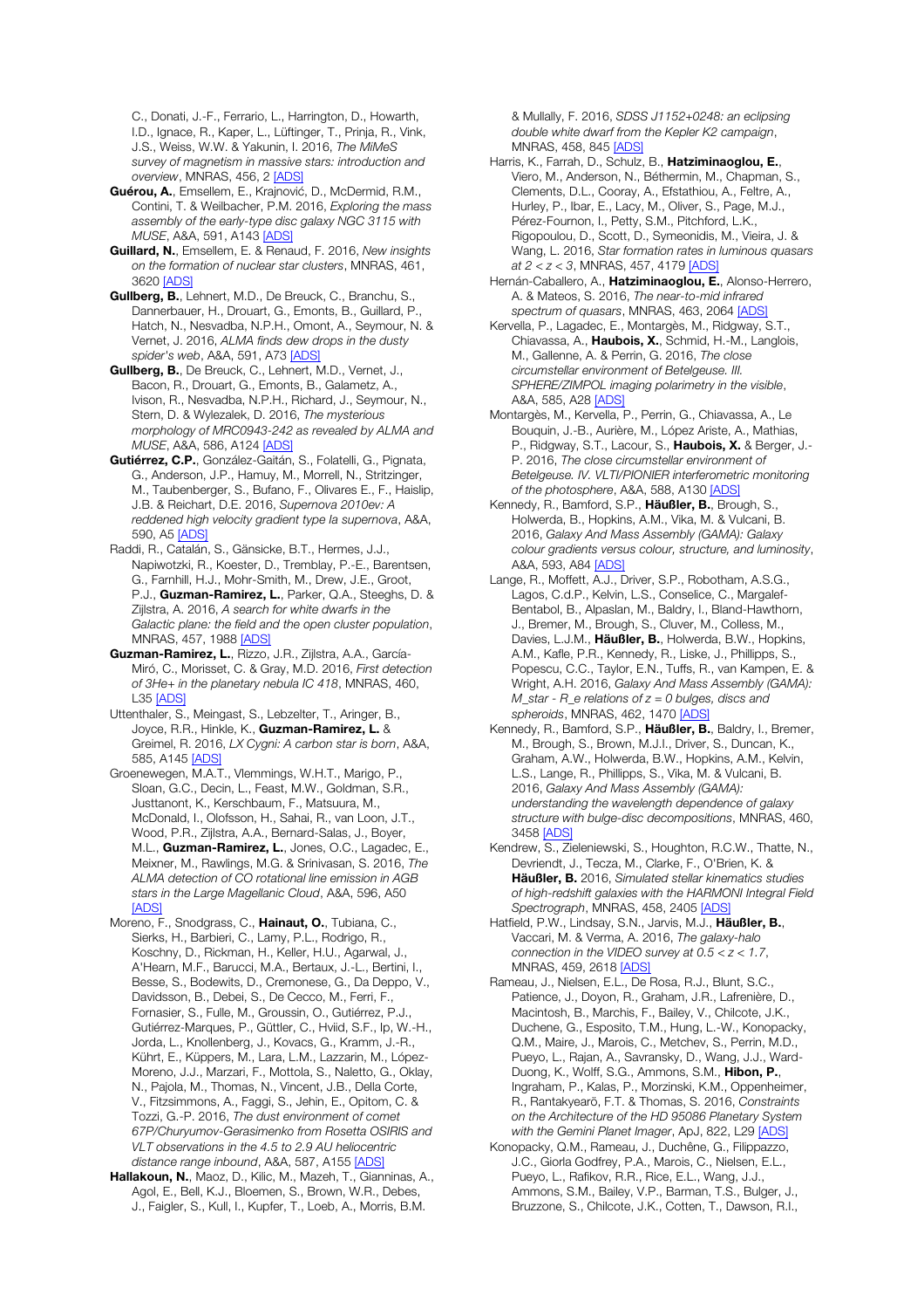C., Donati, J.-F., Ferrario, L., Harrington, D., Howarth, I.D., Ignace, R., Kaper, L., Lüftinger, T., Prinja, R., Vink, J.S., Weiss, W.W. & Yakunin, I. 2016, *The MiMeS survey of magnetism in massive stars: introduction and overview*, MNRAS, 456, 2 [ADS]

- Guérou, A., Emsellem, E., Krajnović, D., McDermid, R.M., Contini, T. & Weilbacher, P.M. 2016, *Exploring the mass assembly of the early-type disc galaxy NGC 3115 with MUSE*, A&A, 591, A143 [ADS]
- Guillard, N., Emsellem, E. & Renaud, F. 2016, *New insights on the formation of nuclear star clusters*, MNRAS, 461, 3620 [ADS]
- Gullberg, B., Lehnert, M.D., De Breuck, C., Branchu, S. Dannerbauer, H., Drouart, G., Emonts, B., Guillard, P., Hatch, N., Nesvadba, N.P.H., Omont, A., Seymour, N. & Vernet, J. 2016, *ALMA finds dew drops in the dusty spider's web*, A&A, 591, A73 [ADS]
- Gullberg, B., De Breuck, C., Lehnert, M.D., Vernet, J., Bacon, R., Drouart, G., Emonts, B., Galametz, A., Ivison, R., Nesvadba, N.P.H., Richard, J., Seymour, N., Stern, D. & Wylezalek, D. 2016, *The mysterious morphology of MRC0943-242 as revealed by ALMA and MUSE*, A&A, 586, A124 [ADS]
- Gutiérrez, C.P., González-Gaitán, S., Folatelli, G., Pignata, G., Anderson, J.P., Hamuy, M., Morrell, N., Stritzinger, M., Taubenberger, S., Bufano, F., Olivares E., F., Haislip, J.B. & Reichart, D.E. 2016, *Supernova 2010ev: A reddened high velocity gradient type Ia supernova*, A&A, 590, A5 [ADS]
- Raddi, R., Catalán, S., Gänsicke, B.T., Hermes, J.J., Napiwotzki, R., Koester, D., Tremblay, P.-E., Barentsen, G., Farnhill, H.J., Mohr-Smith, M., Drew, J.E., Groot, P.J., Guzman-Ramirez, L., Parker, Q.A., Steeghs, D. & Zijlstra, A. 2016, *A search for white dwarfs in the Galactic plane: the field and the open cluster population*, MNRAS, 457, 1988 [ADS]
- Guzman-Ramirez, L., Rizzo, J.R., Zijlstra, A.A., García-Miró, C., Morisset, C. & Gray, M.D. 2016, *First detection of 3He+ in the planetary nebula IC 418*, MNRAS, 460, L35 [ADS]
- Uttenthaler, S., Meingast, S., Lebzelter, T., Aringer, B., Joyce, R.R., Hinkle, K., Guzman-Ramirez, L. & Greimel, R. 2016, *LX Cygni: A carbon star is born*, A&A, 585, A145 [ADS]
- Groenewegen, M.A.T., Vlemmings, W.H.T., Marigo, P., Sloan, G.C., Decin, L., Feast, M.W., Goldman, S.R., Justtanont, K., Kerschbaum, F., Matsuura, M., McDonald, I., Olofsson, H., Sahai, R., van Loon, J.T., Wood, P.R., Zijlstra, A.A., Bernard-Salas, J., Boyer, M.L., Guzman-Ramirez, L., Jones, O.C., Lagadec, E., Meixner, M., Rawlings, M.G. & Srinivasan, S. 2016, *The ALMA detection of CO rotational line emission in AGB stars in the Large Magellanic Cloud*, A&A, 596, A50 [ADS]
- Moreno, F., Snodgrass, C., Hainaut, O., Tubiana, C., Sierks, H., Barbieri, C., Lamy, P.L., Rodrigo, R., Koschny, D., Rickman, H., Keller, H.U., Agarwal, J., A'Hearn, M.F., Barucci, M.A., Bertaux, J.-L., Bertini, I., Besse, S., Bodewits, D., Cremonese, G., Da Deppo, V., Davidsson, B., Debei, S., De Cecco, M., Ferri, F., Fornasier, S., Fulle, M., Groussin, O., Gutiérrez, P.J., Gutiérrez-Marques, P., Güttler, C., Hviid, S.F., Ip, W.-H., Jorda, L., Knollenberg, J., Kovacs, G., Kramm, J.-R., Kührt, E., Küppers, M., Lara, L.M., Lazzarin, M., López-Moreno, J.J., Marzari, F., Mottola, S., Naletto, G., Oklay, N., Pajola, M., Thomas, N., Vincent, J.B., Della Corte, V., Fitzsimmons, A., Faggi, S., Jehin, E., Opitom, C. & Tozzi, G.-P. 2016, *The dust environment of comet 67P/Churyumov-Gerasimenko from Rosetta OSIRIS and VLT observations in the 4.5 to 2.9 AU heliocentric distance range inbound*, A&A, 587, A155 [ADS]
- Hallakoun, N., Maoz, D., Kilic, M., Mazeh, T., Gianninas, A., Agol, E., Bell, K.J., Bloemen, S., Brown, W.R., Debes, J., Faigler, S., Kull, I., Kupfer, T., Loeb, A., Morris, B.M.

& Mullally, F. 2016, *SDSS J1152+0248: an eclipsing double white dwarf from the Kepler K2 campaign*, MNRAS, 458, 845 [ADS]

- Harris, K., Farrah, D., Schulz, B., Hatziminaoglou, E., Viero, M., Anderson, N., Béthermin, M., Chapman, S., Clements, D.L., Cooray, A., Efstathiou, A., Feltre, A., Hurley, P., Ibar, E., Lacy, M., Oliver, S., Page, M.J., Pérez-Fournon, I., Petty, S.M., Pitchford, L.K., Rigopoulou, D., Scott, D., Symeonidis, M., Vieira, J. & Wang, L. 2016, *Star formation rates in luminous quasars at 2 < z < 3*, MNRAS, 457, 4179 [ADS]
- Hernán-Caballero, A., Hatziminaoglou, E., Alonso-Herrero, A. & Mateos, S. 2016, *The near-to-mid infrared spectrum of quasars*, MNRAS, 463, 2064 [ADS]
- Kervella, P., Lagadec, E., Montargès, M., Ridgway, S.T., Chiavassa, A., Haubois, X., Schmid, H.-M., Langlois, M., Gallenne, A. & Perrin, G. 2016, *The close circumstellar environment of Betelgeuse. III. SPHERE/ZIMPOL imaging polarimetry in the visible*, A&A, 585, A28 [ADS]
- Montargès, M., Kervella, P., Perrin, G., Chiavassa, A., Le Bouquin, J.-B., Aurière, M., López Ariste, A., Mathias, P., Ridgway, S.T., Lacour, S., Haubois, X. & Berger, J.-P. 2016, *The close circumstellar environment of Betelgeuse. IV. VLTI/PIONIER interferometric monitoring of the photosphere*, A&A, 588, A130 [ADS]
- Kennedy, R., Bamford, S.P., Häußler, B., Brough, S., Holwerda, B., Hopkins, A.M., Vika, M. & Vulcani, B. 2016, *Galaxy And Mass Assembly (GAMA): Galaxy colour gradients versus colour, structure, and luminosity*, A&A, 593, A84 [ADS]
- Lange, R., Moffett, A.J., Driver, S.P., Robotham, A.S.G., Lagos, C.d.P., Kelvin, L.S., Conselice, C., Margalef-Bentabol, B., Alpaslan, M., Baldry, I., Bland-Hawthorn, J., Bremer, M., Brough, S., Cluver, M., Colless, M., Davies, L.J.M., Häußler, B., Holwerda, B.W., Hopkins, A.M., Kafle, P.R., Kennedy, R., Liske, J., Phillipps, S., Popescu, C.C., Taylor, E.N., Tuffs, R., van Kampen, E. & Wright, A.H. 2016, *Galaxy And Mass Assembly (GAMA): M\_star - R\_e relations of z = 0 bulges, discs and spheroids*, MNRAS, 462, 1470 [ADS]
- Kennedy, R., Bamford, S.P., Häußler, B., Baldry, I., Bremer, M., Brough, S., Brown, M.J.I., Driver, S., Duncan, K., Graham, A.W., Holwerda, B.W., Hopkins, A.M., Kelvin, L.S., Lange, R., Phillipps, S., Vika, M. & Vulcani, B. 2016, *Galaxy And Mass Assembly (GAMA): understanding the wavelength dependence of galaxy structure with bulge-disc decompositions*, MNRAS, 460, 3458 [ADS]
- Kendrew, S., Zieleniewski, S., Houghton, R.C.W., Thatte, N., Devriendt, J., Tecza, M., Clarke, F., O'Brien, K. & Häußler, B. 2016, *Simulated stellar kinematics studies of high-redshift galaxies with the HARMONI Integral Field Spectrograph*, MNRAS, 458, 2405 [ADS]
- Hatfield, P.W., Lindsay, S.N., Jarvis, M.J., Häußler, B., Vaccari, M. & Verma, A. 2016, *The galaxy-halo connection in the VIDEO survey at 0.5 < z < 1.7*, MNRAS, 459, 2618 [ADS]
- Rameau, J., Nielsen, E.L., De Rosa, R.J., Blunt, S.C., Patience, J., Doyon, R., Graham, J.R., Lafrenière, D., Macintosh, B., Marchis, F., Bailey, V., Chilcote, J.K., Duchene, G., Esposito, T.M., Hung, L.-W., Konopacky, Q.M., Maire, J., Marois, C., Metchev, S., Perrin, M.D., Pueyo, L., Rajan, A., Savransky, D., Wang, J.J., Ward-Duong, K., Wolff, S.G., Ammons, S.M., Hibon, P., Ingraham, P., Kalas, P., Morzinski, K.M., Oppenheimer, R., Rantakyearö, F.T. & Thomas, S. 2016, *Constraints on the Architecture of the HD 95086 Planetary System with the Gemini Planet Imager*, ApJ, 822, L29 [ADS]
- Konopacky, Q.M., Rameau, J., Duchêne, G., Filippazzo, J.C., Giorla Godfrey, P.A., Marois, C., Nielsen, E.L., Pueyo, L., Rafikov, R.R., Rice, E.L., Wang, J.J., Ammons, S.M., Bailey, V.P., Barman, T.S., Bulger, J., Bruzzone, S., Chilcote, J.K., Cotten, T., Dawson, R.I.,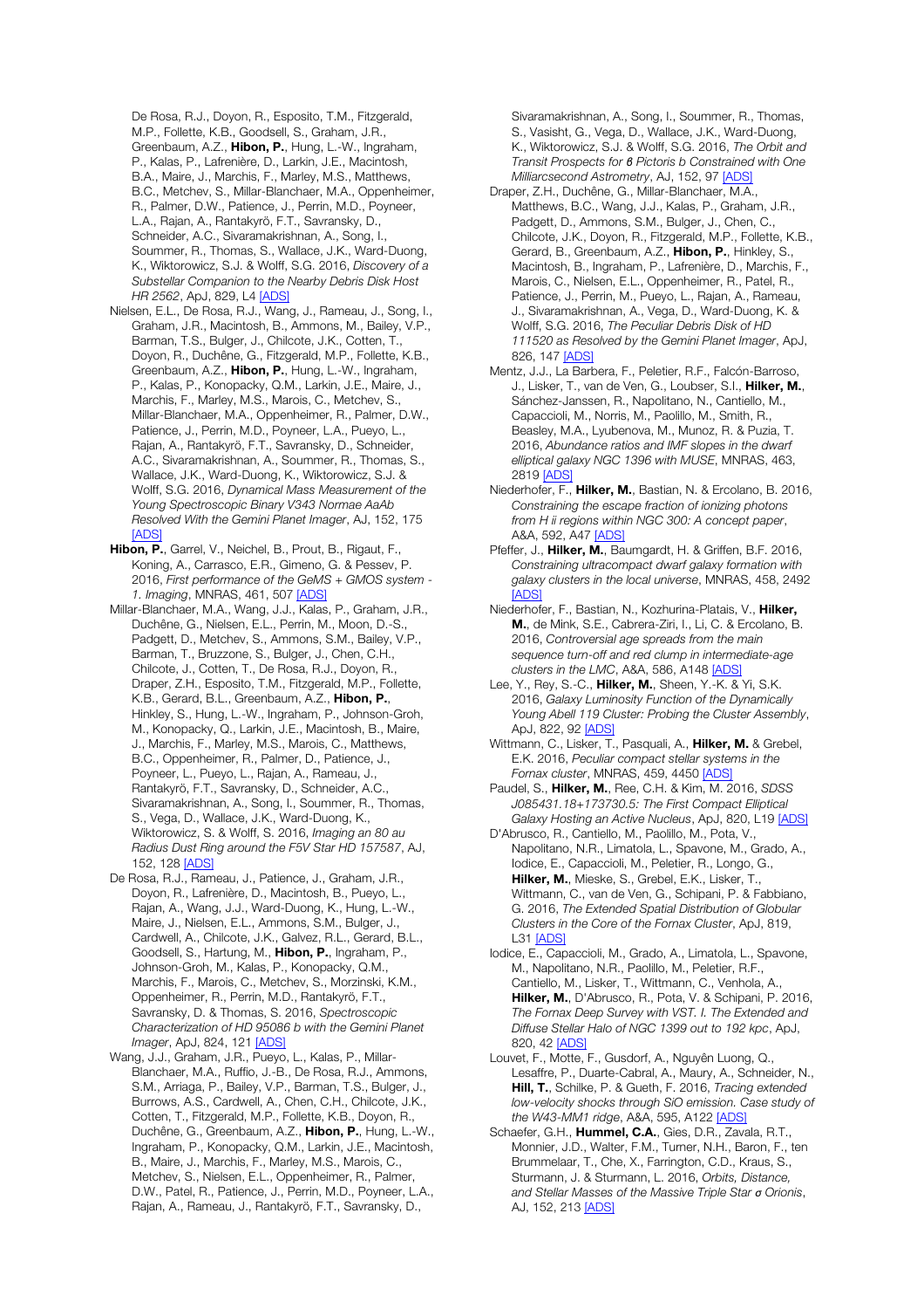De Rosa, R.J., Doyon, R., Esposito, T.M., Fitzgerald, M.P., Follette, K.B., Goodsell, S., Graham, J.R., Greenbaum, A.Z., Hibon, P., Hung, L.-W., Ingraham, P., Kalas, P., Lafrenière, D., Larkin, J.E., Macintosh, B.A., Maire, J., Marchis, F., Marley, M.S., Matthews, B.C., Metchev, S., Millar-Blanchaer, M.A., Oppenheimer, R., Palmer, D.W., Patience, J., Perrin, M.D., Poyneer, L.A., Rajan, A., Rantakyrö, F.T., Savransky, D., Schneider, A.C., Sivaramakrishnan, A., Song, I., Soummer, R., Thomas, S., Wallace, J.K., Ward-Duong, K., Wiktorowicz, S.J. & Wolff, S.G. 2016, *Discovery of a Substellar Companion to the Nearby Debris Disk Host HR 2562*, ApJ, 829, L4 [ADS]

Nielsen, E.L., De Rosa, R.J., Wang, J., Rameau, J., Song, I., Graham, J.R., Macintosh, B., Ammons, M., Bailey, V.P., Barman, T.S., Bulger, J., Chilcote, J.K., Cotten, T., Doyon, R., Duchêne, G., Fitzgerald, M.P., Follette, K.B., Greenbaum, A.Z., Hibon, P., Hung, L.-W., Ingraham, P., Kalas, P., Konopacky, Q.M., Larkin, J.E., Maire, J., Marchis, F., Marley, M.S., Marois, C., Metchev, S., Millar-Blanchaer, M.A., Oppenheimer, R., Palmer, D.W., Patience, J., Perrin, M.D., Poyneer, L.A., Pueyo, L., Rajan, A., Rantakyrö, F.T., Savransky, D., Schneider, A.C., Sivaramakrishnan, A., Soummer, R., Thomas, S., Wallace, J.K., Ward-Duong, K., Wiktorowicz, S.J. & Wolff, S.G. 2016, *Dynamical Mass Measurement of the Young Spectroscopic Binary V343 Normae AaAb Resolved With the Gemini Planet Imager*, AJ, 152, 175 **[ADS]** 

Hibon, P., Garrel, V., Neichel, B., Prout, B., Rigaut, F., Koning, A., Carrasco, E.R., Gimeno, G. & Pessev, P. 2016, *First performance of the GeMS + GMOS system - 1. Imaging*, MNRAS, 461, 507 [ADS]

Millar-Blanchaer, M.A., Wang, J.J., Kalas, P., Graham, J.R., Duchêne, G., Nielsen, E.L., Perrin, M., Moon, D.-S., Padgett, D., Metchev, S., Ammons, S.M., Bailey, V.P., Barman, T., Bruzzone, S., Bulger, J., Chen, C.H., Chilcote, J., Cotten, T., De Rosa, R.J., Doyon, R., Draper, Z.H., Esposito, T.M., Fitzgerald, M.P., Follette, K.B., Gerard, B.L., Greenbaum, A.Z., Hibon, P., Hinkley, S., Hung, L.-W., Ingraham, P., Johnson-Groh, M., Konopacky, Q., Larkin, J.E., Macintosh, B., Maire, J., Marchis, F., Marley, M.S., Marois, C., Matthews, B.C., Oppenheimer, R., Palmer, D., Patience, J., Poyneer, L., Pueyo, L., Rajan, A., Rameau, J., Rantakyrö, F.T., Savransky, D., Schneider, A.C., Sivaramakrishnan, A., Song, I., Soummer, R., Thomas, S., Vega, D., Wallace, J.K., Ward-Duong, K., Wiktorowicz, S. & Wolff, S. 2016, *Imaging an 80 au Radius Dust Ring around the F5V Star HD 157587*, AJ, 152, 128 [ADS]

De Rosa, R.J., Rameau, J., Patience, J., Graham, J.R., Doyon, R., Lafrenière, D., Macintosh, B., Pueyo, L., Rajan, A., Wang, J.J., Ward-Duong, K., Hung, L.-W., Maire, J., Nielsen, E.L., Ammons, S.M., Bulger, J., Cardwell, A., Chilcote, J.K., Galvez, R.L., Gerard, B.L., Goodsell, S., Hartung, M., Hibon, P., Ingraham, P., Johnson-Groh, M., Kalas, P., Konopacky, Q.M., Marchis, F., Marois, C., Metchev, S., Morzinski, K.M., Oppenheimer, R., Perrin, M.D., Rantakyrö, F.T., Savransky, D. & Thomas, S. 2016, *Spectroscopic Characterization of HD 95086 b with the Gemini Planet Imager*, ApJ, 824, 121 [ADS]

Wang, J.J., Graham, J.R., Pueyo, L., Kalas, P., Millar-Blanchaer, M.A., Ruffio, J.-B., De Rosa, R.J., Ammons, S.M., Arriaga, P., Bailey, V.P., Barman, T.S., Bulger, J., Burrows, A.S., Cardwell, A., Chen, C.H., Chilcote, J.K., Cotten, T., Fitzgerald, M.P., Follette, K.B., Doyon, R., Duchêne, G., Greenbaum, A.Z., Hibon, P., Hung, L.-W., Ingraham, P., Konopacky, Q.M., Larkin, J.E., Macintosh, B., Maire, J., Marchis, F., Marley, M.S., Marois, C., Metchev, S., Nielsen, E.L., Oppenheimer, R., Palmer, D.W., Patel, R., Patience, J., Perrin, M.D., Poyneer, L.A., Rajan, A., Rameau, J., Rantakyrö, F.T., Savransky, D.,

Sivaramakrishnan, A., Song, I., Soummer, R., Thomas, S., Vasisht, G., Vega, D., Wallace, J.K., Ward-Duong, K., Wiktorowicz, S.J. & Wolff, S.G. 2016, *The Orbit and Transit Prospects for β Pictoris b Constrained with One Milliarcsecond Astrometry*, AJ, 152, 97 [ADS]

- Draper, Z.H., Duchêne, G., Millar-Blanchaer, M.A., Matthews, B.C., Wang, J.J., Kalas, P., Graham, J.R., Padgett, D., Ammons, S.M., Bulger, J., Chen, C., Chilcote, J.K., Doyon, R., Fitzgerald, M.P., Follette, K.B., Gerard, B., Greenbaum, A.Z., Hibon, P., Hinkley, S., Macintosh, B., Ingraham, P., Lafrenière, D., Marchis, F., Marois, C., Nielsen, E.L., Oppenheimer, R., Patel, R., Patience, J., Perrin, M., Pueyo, L., Rajan, A., Rameau, J., Sivaramakrishnan, A., Vega, D., Ward-Duong, K. & Wolff, S.G. 2016, *The Peculiar Debris Disk of HD 111520 as Resolved by the Gemini Planet Imager*, ApJ, 826, 147 [ADS]
- Mentz, J.J., La Barbera, F., Peletier, R.F., Falcón-Barroso, J., Lisker, T., van de Ven, G., Loubser, S.I., Hilker, M., Sánchez-Janssen, R., Napolitano, N., Cantiello, M., Capaccioli, M., Norris, M., Paolillo, M., Smith, R., Beasley, M.A., Lyubenova, M., Munoz, R. & Puzia, T. 2016, *Abundance ratios and IMF slopes in the dwarf elliptical galaxy NGC 1396 with MUSE*, MNRAS, 463, 2819 [ADS]
- Niederhofer, F., Hilker, M., Bastian, N. & Ercolano. B. 2016. *Constraining the escape fraction of ionizing photons from H ii regions within NGC 300: A concept paper*, A&A, 592, A47 [ADS]
- Pfeffer, J., Hilker, M., Baumgardt, H. & Griffen, B.F. 2016, *Constraining ultracompact dwarf galaxy formation with galaxy clusters in the local universe*, MNRAS, 458, 2492 *<u>IADS</u>*
- Niederhofer, F., Bastian, N., Kozhurina-Platais, V., Hilker, M., de Mink, S.E., Cabrera-Ziri, I., Li, C. & Ercolano, B. 2016, *Controversial age spreads from the main sequence turn-off and red clump in intermediate-age clusters in the LMC*, A&A, 586, A148 [ADS]
- Lee, Y., Rey, S.-C., Hilker, M., Sheen, Y.-K. & Yi, S.K. 2016, *Galaxy Luminosity Function of the Dynamically Young Abell 119 Cluster: Probing the Cluster Assembly*, ApJ, 822, 92 [ADS]
- Wittmann, C., Lisker, T., Pasquali, A., Hilker, M. & Grebel, E.K. 2016, *Peculiar compact stellar systems in the Fornax cluster*, MNRAS, 459, 4450 [ADS]

Paudel, S., Hilker, M., Ree, C.H. & Kim, M. 2016, *SDSS J085431.18+173730.5: The First Compact Elliptical Galaxy Hosting an Active Nucleus*, ApJ, 820, L19 [ADS]

- D'Abrusco, R., Cantiello, M., Paolillo, M., Pota, V., Napolitano, N.R., Limatola, L., Spavone, M., Grado, A., Iodice, E., Capaccioli, M., Peletier, R., Longo, G., Hilker, M., Mieske, S., Grebel, E.K., Lisker, T., Wittmann, C., van de Ven, G., Schipani, P. & Fabbiano, G. 2016, *The Extended Spatial Distribution of Globular Clusters in the Core of the Fornax Cluster*, ApJ, 819, L31 [ADS]
- Iodice, E., Capaccioli, M., Grado, A., Limatola, L., Spavone, M., Napolitano, N.R., Paolillo, M., Peletier, R.F., Cantiello, M., Lisker, T., Wittmann, C., Venhola, A., Hilker, M., D'Abrusco, R., Pota, V. & Schipani, P. 2016, *The Fornax Deep Survey with VST. I. The Extended and Diffuse Stellar Halo of NGC 1399 out to 192 kpc*, ApJ, 820, 42 [ADS]
- Louvet, F., Motte, F., Gusdorf, A., Nguyên Luong, Q., Lesaffre, P., Duarte-Cabral, A., Maury, A., Schneider, N., Hill, T., Schilke, P. & Gueth, F. 2016, *Tracing extended low-velocity shocks through SiO emission. Case study of the W43-MM1 ridge*, A&A, 595, A122 [ADS]
- Schaefer, G.H., Hummel, C.A., Gies, D.R., Zavala, R.T., Monnier, J.D., Walter, F.M., Turner, N.H., Baron, F., ten Brummelaar, T., Che, X., Farrington, C.D., Kraus, S., Sturmann, J. & Sturmann, L. 2016, *Orbits, Distance, and Stellar Masses of the Massive Triple Star σ Orionis*, AJ, 152, 213 [ADS]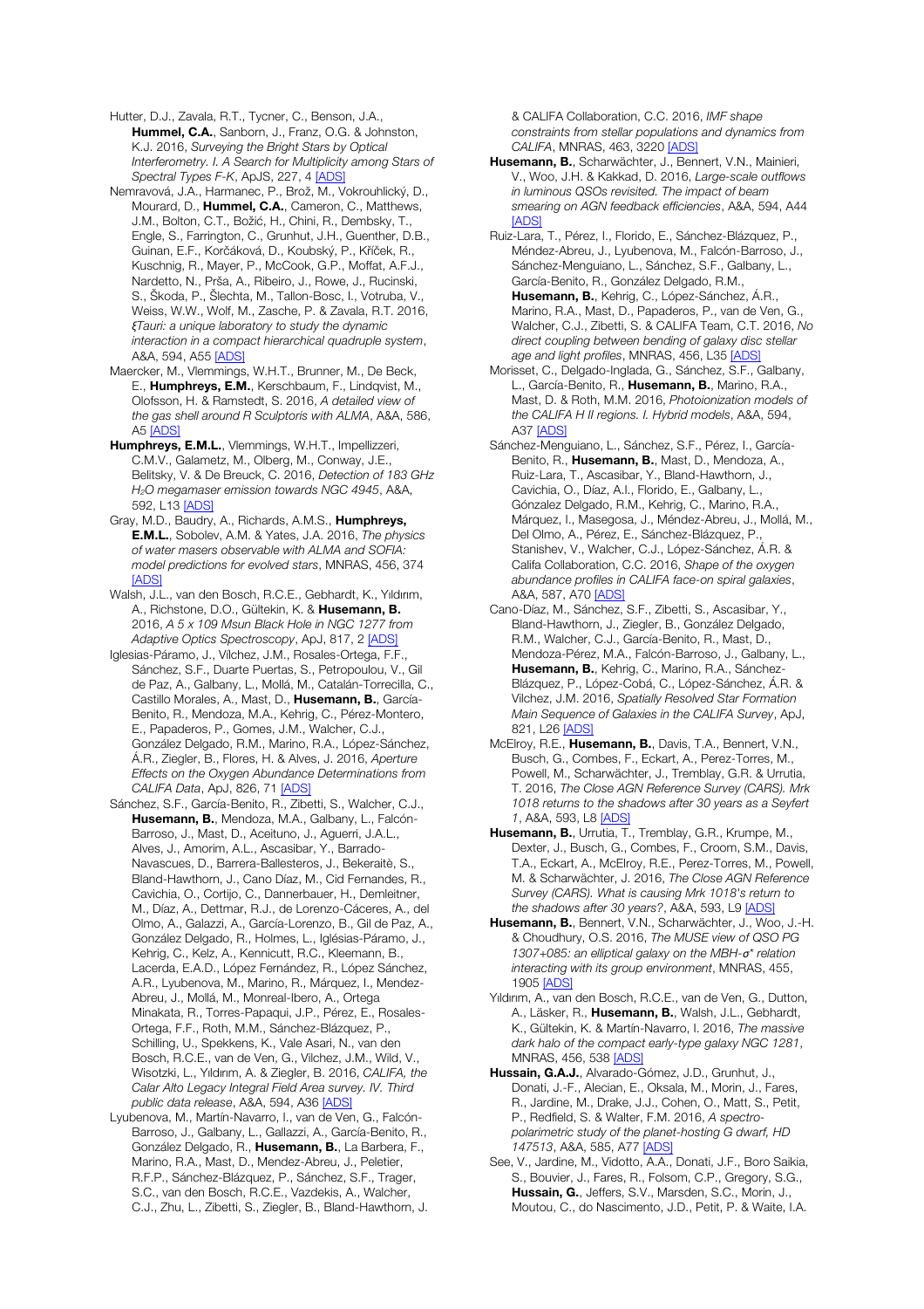Hutter, D.J., Zavala, R.T., Tycner, C., Benson, J.A., Hummel, C.A., Sanborn, J., Franz, O.G. & Johnston, K.J. 2016, *Surveying the Bright Stars by Optical Interferometry. I. A Search for Multiplicity among Stars of Spectral Types F-K*, ApJS, 227, 4 [ADS]

Nemravová, J.A., Harmanec, P., Brož, M., Vokrouhlický, D., Mourard, D., Hummel, C.A., Cameron, C., Matthews, J.M., Bolton, C.T., Božić, H., Chini, R., Dembsky, T., Engle, S., Farrington, C., Grunhut, J.H., Guenther, D.B., Guinan, E.F., Korčáková, D., Koubský, P., Kříček, R., Kuschnig, R., Mayer, P., McCook, G.P., Moffat, A.F.J., Nardetto, N., Prša, A., Ribeiro, J., Rowe, J., Rucinski, S., Škoda, P., Šlechta, M., Tallon-Bosc, I., Votruba, V., Weiss, W.W., Wolf, M., Zasche, P. & Zavala, R.T. 2016, *ξTauri: a unique laboratory to study the dynamic interaction in a compact hierarchical quadruple system*, A&A, 594, A55 [ADS]

Maercker, M., Vlemmings, W.H.T., Brunner, M., De Beck, E., Humphreys, E.M., Kerschbaum, F., Lindqvist, M., Olofsson, H. & Ramstedt, S. 2016, *A detailed view of the gas shell around R Sculptoris with ALMA*, A&A, 586, A5 [ADS]

Humphreys, E.M.L., Vlemmings, W.H.T., Impellizzeri, C.M.V., Galametz, M., Olberg, M., Conway, J.E., Belitsky, V. & De Breuck, C. 2016, *Detection of 183 GHz H2O megamaser emission towards NGC 4945*, A&A, 592, L13 [ADS]

Gray, M.D., Baudry, A., Richards, A.M.S., Humphreys, E.M.L., Sobolev, A.M. & Yates, J.A. 2016, *The physics of water masers observable with ALMA and SOFIA: model predictions for evolved stars*, MNRAS, 456, 374 [ADS]

Walsh, J.L., van den Bosch, R.C.E., Gebhardt, K., Yıldırım, A., Richstone, D.O., Gültekin, K. & Husemann, B. 2016, *A 5 x 109 Msun Black Hole in NGC 1277 from Adaptive Optics Spectroscopy*, ApJ, 817, 2 [ADS]

Iglesias-Páramo, J., Vílchez, J.M., Rosales-Ortega, F.F., Sánchez, S.F., Duarte Puertas, S., Petropoulou, V., Gil de Paz, A., Galbany, L., Mollá, M., Catalán-Torrecilla, C., Castillo Morales, A., Mast, D., Husemann, B., García-Benito, R., Mendoza, M.A., Kehrig, C., Pérez-Montero, E., Papaderos, P., Gomes, J.M., Walcher, C.J., González Delgado, R.M., Marino, R.A., López-Sánchez, Á.R., Ziegler, B., Flores, H. & Alves, J. 2016, *Aperture Effects on the Oxygen Abundance Determinations from CALIFA Data*, ApJ, 826, 71 [ADS]

Sánchez, S.F., García-Benito, R., Zibetti, S., Walcher, C.J., Husemann, B., Mendoza, M.A., Galbany, L., Falcón-Barroso, J., Mast, D., Aceituno, J., Aguerri, J.A.L., Alves, J., Amorim, A.L., Ascasibar, Y., Barrado-Navascues, D., Barrera-Ballesteros, J., Bekeraitè, S., Bland-Hawthorn, J., Cano Díaz, M., Cid Fernandes, R., Cavichia, O., Cortijo, C., Dannerbauer, H., Demleitner, M., Díaz, A., Dettmar, R.J., de Lorenzo-Cáceres, A., del Olmo, A., Galazzi, A., García-Lorenzo, B., Gil de Paz, A., González Delgado, R., Holmes, L., Iglésias-Páramo, J., Kehrig, C., Kelz, A., Kennicutt, R.C., Kleemann, B., Lacerda, E.A.D., López Fernández, R., López Sánchez, A.R., Lyubenova, M., Marino, R., Márquez, I., Mendez-Abreu, J., Mollá, M., Monreal-Ibero, A., Ortega Minakata, R., Torres-Papaqui, J.P., Pérez, E., Rosales-Ortega, F.F., Roth, M.M., Sánchez-Blázquez, P., Schilling, U., Spekkens, K., Vale Asari, N., van den Bosch, R.C.E., van de Ven, G., Vilchez, J.M., Wild, V., Wisotzki, L., Yıldırım, A. & Ziegler, B. 2016, *CALIFA, the Calar Alto Legacy Integral Field Area survey. IV. Third public data release*, A&A, 594, A36 [ADS]

Lyubenova, M., Martín-Navarro, I., van de Ven, G., Falcón-Barroso, J., Galbany, L., Gallazzi, A., García-Benito, R., González Delgado, R., Husemann, B., La Barbera, F., Marino, R.A., Mast, D., Mendez-Abreu, J., Peletier, R.F.P., Sánchez-Blázquez, P., Sánchez, S.F., Trager, S.C., van den Bosch, R.C.E., Vazdekis, A., Walcher, C.J., Zhu, L., Zibetti, S., Ziegler, B., Bland-Hawthorn, J. & CALIFA Collaboration, C.C. 2016, *IMF shape constraints from stellar populations and dynamics from CALIFA*, MNRAS, 463, 3220 [ADS]

Husemann, B., Scharwächter, J., Bennert, V.N., Mainieri, V., Woo, J.H. & Kakkad, D. 2016, *Large-scale outflows in luminous QSOs revisited. The impact of beam smearing on AGN feedback efficiencies*, A&A, 594, A44 [ADS]

Ruiz-Lara, T., Pérez, I., Florido, E., Sánchez-Blázquez, P., Méndez-Abreu, J., Lyubenova, M., Falcón-Barroso, J., Sánchez-Menguiano, L., Sánchez, S.F., Galbany, L., García-Benito, R., González Delgado, R.M., Husemann, B., Kehrig, C., López-Sánchez, Á.R., Marino, R.A., Mast, D., Papaderos, P., van de Ven, G., Walcher, C.J., Zibetti, S. & CALIFA Team, C.T. 2016, *No direct coupling between bending of galaxy disc stellar age and light profiles*, MNRAS, 456, L35 [ADS]

Morisset, C., Delgado-Inglada, G., Sánchez, S.F., Galbany, L., García-Benito, R., Husemann, B., Marino, R.A., Mast, D. & Roth, M.M. 2016, *Photoionization models of the CALIFA H II regions. I. Hybrid models*, A&A, 594, A37 [ADS]

- Sánchez-Menguiano, L., Sánchez, S.F., Pérez, I., García-Benito, R., Husemann, B., Mast, D., Mendoza, A., Ruiz-Lara, T., Ascasibar, Y., Bland-Hawthorn, J., Cavichia, O., Díaz, A.I., Florido, E., Galbany, L., Gónzalez Delgado, R.M., Kehrig, C., Marino, R.A., Márquez, I., Masegosa, J., Méndez-Abreu, J., Mollá, M., Del Olmo, A., Pérez, E., Sánchez-Blázquez, P., Stanishev, V., Walcher, C.J., López-Sánchez, Á.R. & Califa Collaboration, C.C. 2016, *Shape of the oxygen abundance profiles in CALIFA face-on spiral galaxies*, A&A, 587, A70 [ADS]
- Cano-Díaz, M., Sánchez, S.F., Zibetti, S., Ascasibar, Y., Bland-Hawthorn, J., Ziegler, B., González Delgado, R.M., Walcher, C.J., García-Benito, R., Mast, D., Mendoza-Pérez, M.A., Falcón-Barroso, J., Galbany, L., Husemann, B., Kehrig, C., Marino, R.A., Sánchez-Blázquez, P., López-Cobá, C., López-Sánchez, Á.R. & Vilchez, J.M. 2016, *Spatially Resolved Star Formation Main Sequence of Galaxies in the CALIFA Survey*, ApJ, 821, L26 [ADS]
- McElroy, R.E., Husemann, B., Davis, T.A., Bennert, V.N., Busch, G., Combes, F., Eckart, A., Perez-Torres, M., Powell, M., Scharwächter, J., Tremblay, G.R. & Urrutia, T. 2016, *The Close AGN Reference Survey (CARS). Mrk 1018 returns to the shadows after 30 years as a Seyfert 1*, A&A, 593, L8 [ADS]
- Husemann, B., Urrutia, T., Tremblay, G.R., Krumpe, M., Dexter, J., Busch, G., Combes, F., Croom, S.M., Davis, T.A., Eckart, A., McElroy, R.E., Perez-Torres, M., Powell, M. & Scharwächter, J. 2016, *The Close AGN Reference Survey (CARS). What is causing Mrk 1018's return to the shadows after 30 years?*, A&A, 593, L9 [ADS]
- Husemann, B., Bennert, V.N., Scharwächter, J., Woo, J.-H. & Choudhury, O.S. 2016, *The MUSE view of QSO PG 1307+085: an elliptical galaxy on the MBH-σ\* relation interacting with its group environment*, MNRAS, 455, 1905 [ADS]

Yıldırım, A., van den Bosch, R.C.E., van de Ven, G., Dutton, A., Läsker, R., Husemann, B., Walsh, J.L., Gebhardt, K., Gültekin, K. & Martín-Navarro, I. 2016, *The massive dark halo of the compact early-type galaxy NGC 1281*, MNRAS, 456, 538 [ADS]

Hussain, G.A.J., Alvarado-Gómez, J.D., Grunhut, J., Donati, J.-F., Alecian, E., Oksala, M., Morin, J., Fares, R., Jardine, M., Drake, J.J., Cohen, O., Matt, S., Petit, P., Redfield, S. & Walter, F.M. 2016, *A spectropolarimetric study of the planet-hosting G dwarf, HD 147513*, A&A, 585, A77 [ADS]

See, V., Jardine, M., Vidotto, A.A., Donati, J.F., Boro Saikia, S., Bouvier, J., Fares, R., Folsom, C.P., Gregory, S.G., Hussain, G., Jeffers, S.V., Marsden, S.C., Morin, J., Moutou, C., do Nascimento, J.D., Petit, P. & Waite, I.A.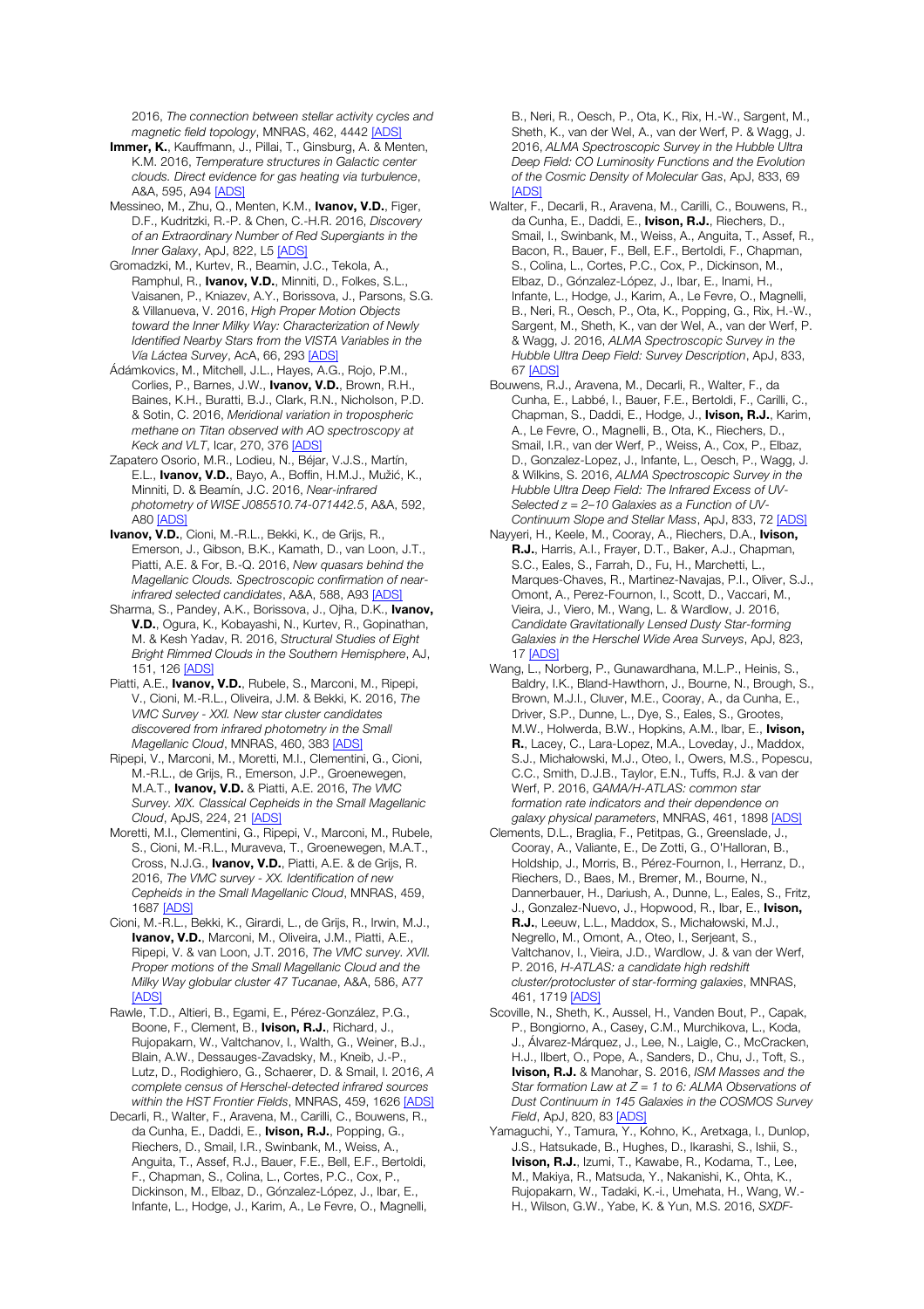2016, *The connection between stellar activity cycles and magnetic field topology*, MNRAS, 462, 4442 [ADS]

- Immer, K., Kauffmann, J., Pillai, T., Ginsburg, A. & Menten, K.M. 2016, *Temperature structures in Galactic center clouds. Direct evidence for gas heating via turbulence*, A&A, 595, A94 [ADS]
- Messineo, M., Zhu, Q., Menten, K.M., Ivanov, V.D., Figer, D.F., Kudritzki, R.-P. & Chen, C.-H.R. 2016, *Discovery of an Extraordinary Number of Red Supergiants in the Inner Galaxy*, ApJ, 822, L5 [ADS]
- Gromadzki, M., Kurtev, R., Beamin, J.C., Tekola, A., Ramphul, R., **Ivanov, V.D.**, Minniti, D., Folkes, S.L., Vaisanen, P., Kniazev, A.Y., Borissova, J., Parsons, S.G. & Villanueva, V. 2016, *High Proper Motion Objects toward the Inner Milky Way: Characterization of Newly Identified Nearby Stars from the VISTA Variables in the Vía Láctea Survey*, AcA, 66, 293 [ADS]
- Ádámkovics, M., Mitchell, J.L., Hayes, A.G., Rojo, P.M., Corlies, P., Barnes, J.W., Ivanov, V.D., Brown, R.H., Baines, K.H., Buratti, B.J., Clark, R.N., Nicholson, P.D. & Sotin, C. 2016, *Meridional variation in tropospheric methane on Titan observed with AO spectroscopy at Keck and VLT*, Icar, 270, 376 [ADS]
- Zapatero Osorio, M.R., Lodieu, N., Béjar, V.J.S., Martín, E.L., Ivanov, V.D., Bayo, A., Boffin, H.M.J., Mužić, K., Minniti, D. & Beamín, J.C. 2016, *Near-infrared photometry of WISE J085510.74-071442.5*, A&A, 592, A80 [ADS]
- Ivanov, V.D., Cioni, M.-R.L., Bekki, K., de Grijs, R., Emerson, J., Gibson, B.K., Kamath, D., van Loon, J.T., Piatti, A.E. & For, B.-Q. 2016, *New quasars behind the Magellanic Clouds. Spectroscopic confirmation of nearinfrared selected candidates*, A&A, 588, A93 [ADS]
- Sharma, S., Pandey, A.K., Borissova, J., Ojha, D.K., Ivanov, V.D., Ogura, K., Kobayashi, N., Kurtev, R., Gopinathan, M. & Kesh Yadav, R. 2016, *Structural Studies of Eight Bright Rimmed Clouds in the Southern Hemisphere*, AJ, 151, 126 [ADS]
- Piatti, A.E., Ivanov, V.D., Rubele, S., Marconi, M., Ripepi, V., Cioni, M.-R.L., Oliveira, J.M. & Bekki, K. 2016, *The VMC Survey - XXI. New star cluster candidates discovered from infrared photometry in the Small Magellanic Cloud*, MNRAS, 460, 383 [ADS]
- Ripepi, V., Marconi, M., Moretti, M.I., Clementini, G., Cioni, M.-R.L., de Grijs, R., Emerson, J.P., Groenewegen, M.A.T., Ivanov, V.D. & Piatti, A.E. 2016, *The VMC Survey. XIX. Classical Cepheids in the Small Magellanic Cloud*, ApJS, 224, 21 [ADS]
- Moretti, M.I., Clementini, G., Ripepi, V., Marconi, M., Rubele, S., Cioni, M.-R.L., Muraveva, T., Groenewegen, M.A.T., Cross, N.J.G., Ivanov, V.D., Piatti, A.E. & de Grijs, R. 2016, *The VMC survey - XX. Identification of new Cepheids in the Small Magellanic Cloud*, MNRAS, 459, 1687 [ADS]
- Cioni, M.-R.L., Bekki, K., Girardi, L., de Grijs, R., Irwin, M.J., Ivanov, V.D., Marconi, M., Oliveira, J.M., Piatti, A.E., Ripepi, V. & van Loon, J.T. 2016, *The VMC survey. XVII. Proper motions of the Small Magellanic Cloud and the Milky Way globular cluster 47 Tucanae*, A&A, 586, A77 **IADS**
- Rawle, T.D., Altieri, B., Egami, E., Pérez-González, P.G., Boone, F., Clement, B., Ivison, R.J., Richard, J., Rujopakarn, W., Valtchanov, I., Walth, G., Weiner, B.J., Blain, A.W., Dessauges-Zavadsky, M., Kneib, J.-P., Lutz, D., Rodighiero, G., Schaerer, D. & Smail, I. 2016, *A complete census of Herschel-detected infrared sources within the HST Frontier Fields*, MNRAS, 459, 1626 [ADS]
- Decarli, R., Walter, F., Aravena, M., Carilli, C., Bouwens, R., da Cunha, E., Daddi, E., Ivison, R.J., Popping, G., Riechers, D., Smail, I.R., Swinbank, M., Weiss, A., Anguita, T., Assef, R.J., Bauer, F.E., Bell, E.F., Bertoldi, F., Chapman, S., Colina, L., Cortes, P.C., Cox, P., Dickinson, M., Elbaz, D., Gónzalez-López, J., Ibar, E., Infante, L., Hodge, J., Karim, A., Le Fevre, O., Magnelli,

B., Neri, R., Oesch, P., Ota, K., Rix, H.-W., Sargent, M., Sheth, K., van der Wel, A., van der Werf, P. & Wagg, J. 2016, *ALMA Spectroscopic Survey in the Hubble Ultra Deep Field: CO Luminosity Functions and the Evolution of the Cosmic Density of Molecular Gas*, ApJ, 833, 69 [ADS]

- Walter, F., Decarli, R., Aravena, M., Carilli, C., Bouwens, R., da Cunha, E., Daddi, E., Ivison, R.J., Riechers, D., Smail, I., Swinbank, M., Weiss, A., Anguita, T., Assef, R., Bacon, R., Bauer, F., Bell, E.F., Bertoldi, F., Chapman, S., Colina, L., Cortes, P.C., Cox, P., Dickinson, M., Elbaz, D., Gónzalez-López, J., Ibar, E., Inami, H., Infante, L., Hodge, J., Karim, A., Le Fevre, O., Magnelli, B., Neri, R., Oesch, P., Ota, K., Popping, G., Rix, H.-W., Sargent, M., Sheth, K., van der Wel, A., van der Werf, P. & Wagg, J. 2016, *ALMA Spectroscopic Survey in the Hubble Ultra Deep Field: Survey Description*, ApJ, 833, 67 [ADS]
- Bouwens, R.J., Aravena, M., Decarli, R., Walter, F., da Cunha, E., Labbé, I., Bauer, F.E., Bertoldi, F., Carilli, C., Chapman, S., Daddi, E., Hodge, J., Ivison, R.J., Karim, A., Le Fevre, O., Magnelli, B., Ota, K., Riechers, D., Smail, I.R., van der Werf, P., Weiss, A., Cox, P., Elbaz, D., Gonzalez-Lopez, J., Infante, L., Oesch, P., Wagg, J. & Wilkins, S. 2016, *ALMA Spectroscopic Survey in the Hubble Ultra Deep Field: The Infrared Excess of UV-Selected z = 2–10 Galaxies as a Function of UV-Continuum Slope and Stellar Mass*, ApJ, 833, 72 [ADS]
- Nayyeri, H., Keele, M., Cooray, A., Riechers, D.A., Ivison, R.J., Harris, A.I., Frayer, D.T., Baker, A.J., Chapman, S.C., Eales, S., Farrah, D., Fu, H., Marchetti, L., Marques-Chaves, R., Martinez-Navajas, P.I., Oliver, S.J., Omont, A., Perez-Fournon, I., Scott, D., Vaccari, M., Vieira, J., Viero, M., Wang, L. & Wardlow, J. 2016, *Candidate Gravitationally Lensed Dusty Star-forming Galaxies in the Herschel Wide Area Surveys*, ApJ, 823, 17 [ADS]
- Wang, L., Norberg, P., Gunawardhana, M.L.P., Heinis, S., Baldry, I.K., Bland-Hawthorn, J., Bourne, N., Brough, S., Brown, M.J.I., Cluver, M.E., Cooray, A., da Cunha, E., Driver, S.P., Dunne, L., Dye, S., Eales, S., Grootes, M.W., Holwerda, B.W., Hopkins, A.M., Ibar, E., Ivison, R., Lacey, C., Lara-Lopez, M.A., Loveday, J., Maddox, S.J., Michałowski, M.J., Oteo, I., Owers, M.S., Popescu, C.C., Smith, D.J.B., Taylor, E.N., Tuffs, R.J. & van der Werf, P. 2016, *GAMA/H-ATLAS: common star formation rate indicators and their dependence on galaxy physical parameters*, MNRAS, 461, 1898 [ADS]
- Clements, D.L., Braglia, F., Petitpas, G., Greenslade, J., Cooray, A., Valiante, E., De Zotti, G., O'Halloran, B., Holdship, J., Morris, B., Pérez-Fournon, I., Herranz, D., Riechers, D., Baes, M., Bremer, M., Bourne, N., Dannerbauer, H., Dariush, A., Dunne, L., Eales, S., Fritz, J., Gonzalez-Nuevo, J., Hopwood, R., Ibar, E., Ivison, R.J., Leeuw, L.L., Maddox, S., Michałowski, M.J., Negrello, M., Omont, A., Oteo, I., Serjeant, S., Valtchanov, I., Vieira, J.D., Wardlow, J. & van der Werf, P. 2016, *H-ATLAS: a candidate high redshift cluster/protocluster of star-forming galaxies*, MNRAS, 461, 1719 [ADS]
- Scoville, N., Sheth, K., Aussel, H., Vanden Bout, P., Capak, P., Bongiorno, A., Casey, C.M., Murchikova, L., Koda, J., Álvarez-Márquez, J., Lee, N., Laigle, C., McCracken, H.J., Ilbert, O., Pope, A., Sanders, D., Chu, J., Toft, S., Ivison, R.J. & Manohar, S. 2016, *ISM Masses and the Star formation Law at Z = 1 to 6: ALMA Observations of Dust Continuum in 145 Galaxies in the COSMOS Survey Field*, ApJ, 820, 83 [ADS]
- Yamaguchi, Y., Tamura, Y., Kohno, K., Aretxaga, I., Dunlop, J.S., Hatsukade, B., Hughes, D., Ikarashi, S., Ishii, S., Ivison, R.J., Izumi, T., Kawabe, R., Kodama, T., Lee, M., Makiya, R., Matsuda, Y., Nakanishi, K., Ohta, K., Rujopakarn, W., Tadaki, K.-i., Umehata, H., Wang, W.- H., Wilson, G.W., Yabe, K. & Yun, M.S. 2016, *SXDF-*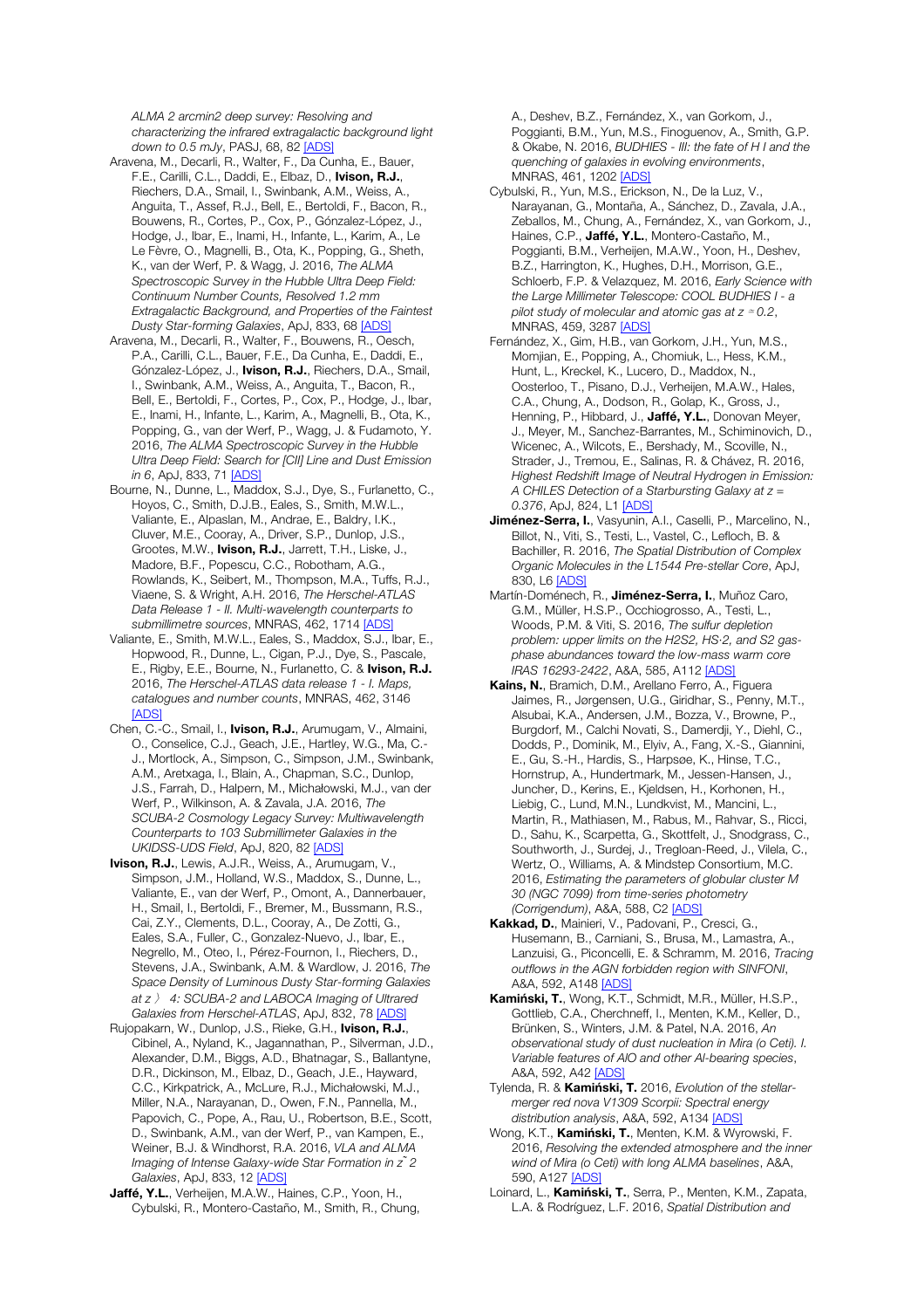*ALMA 2 arcmin2 deep survey: Resolving and characterizing the infrared extragalactic background light down to 0.5 mJy*, PASJ, 68, 82 [ADS]

- Aravena, M., Decarli, R., Walter, F., Da Cunha, E., Bauer, F.E., Carilli, C.L., Daddi, E., Elbaz, D., Ivison, R.J., Riechers, D.A., Smail, I., Swinbank, A.M., Weiss, A., Anguita, T., Assef, R.J., Bell, E., Bertoldi, F., Bacon, R., Bouwens, R., Cortes, P., Cox, P., Gónzalez-López, J., Hodge, J., Ibar, E., Inami, H., Infante, L., Karim, A., Le Le Fèvre, O., Magnelli, B., Ota, K., Popping, G., Sheth, K., van der Werf, P. & Wagg, J. 2016, *The ALMA Spectroscopic Survey in the Hubble Ultra Deep Field: Continuum Number Counts, Resolved 1.2 mm Extragalactic Background, and Properties of the Faintest Dusty Star-forming Galaxies*, ApJ, 833, 68 [ADS]
- Aravena, M., Decarli, R., Walter, F., Bouwens, R., Oesch, P.A., Carilli, C.L., Bauer, F.E., Da Cunha, E., Daddi, E., Gónzalez-López, J., Ivison, R.J., Riechers, D.A., Smail, I., Swinbank, A.M., Weiss, A., Anguita, T., Bacon, R., Bell, E., Bertoldi, F., Cortes, P., Cox, P., Hodge, J., Ibar, E., Inami, H., Infante, L., Karim, A., Magnelli, B., Ota, K., Popping, G., van der Werf, P., Wagg, J. & Fudamoto, Y. 2016, *The ALMA Spectroscopic Survey in the Hubble Ultra Deep Field: Search for [CII] Line and Dust Emission in 6*, ApJ, 833, 71 [ADS]
- Bourne, N., Dunne, L., Maddox, S.J., Dye, S., Furlanetto, C., Hoyos, C., Smith, D.J.B., Eales, S., Smith, M.W.L., Valiante, E., Alpaslan, M., Andrae, E., Baldry, I.K., Cluver, M.E., Cooray, A., Driver, S.P., Dunlop, J.S., Grootes, M.W., **Ivison, R.J.**, Jarrett, T.H., Liske, J., Madore, B.F., Popescu, C.C., Robotham, A.G., Rowlands, K., Seibert, M., Thompson, M.A., Tuffs, R.J., Viaene, S. & Wright, A.H. 2016, *The Herschel-ATLAS Data Release 1 - II. Multi-wavelength counterparts to submillimetre sources*, MNRAS, 462, 1714 [ADS]
- Valiante, E., Smith, M.W.L., Eales, S., Maddox, S.J., Ibar, E., Hopwood, R., Dunne, L., Cigan, P.J., Dye, S., Pascale, E., Rigby, E.E., Bourne, N., Furlanetto, C. & Ivison, R.J. 2016, *The Herschel-ATLAS data release 1 - I. Maps, catalogues and number counts*, MNRAS, 462, 3146 [ADS]
- Chen, C.-C., Smail, I., Ivison, R.J., Arumugam, V., Almaini, O., Conselice, C.J., Geach, J.E., Hartley, W.G., Ma, C.- J., Mortlock, A., Simpson, C., Simpson, J.M., Swinbank, A.M., Aretxaga, I., Blain, A., Chapman, S.C., Dunlop, J.S., Farrah, D., Halpern, M., Michałowski, M.J., van der Werf, P., Wilkinson, A. & Zavala, J.A. 2016, *The SCUBA-2 Cosmology Legacy Survey: Multiwavelength Counterparts to 103 Submillimeter Galaxies in the UKIDSS-UDS Field*, ApJ, 820, 82 [ADS]
- Ivison, R.J., Lewis, A.J.R., Weiss, A., Arumugam, V., Simpson, J.M., Holland, W.S., Maddox, S., Dunne, L., Valiante, E., van der Werf, P., Omont, A., Dannerbauer, H., Smail, I., Bertoldi, F., Bremer, M., Bussmann, R.S., Cai, Z.Y., Clements, D.L., Cooray, A., De Zotti, G., Eales, S.A., Fuller, C., Gonzalez-Nuevo, J., Ibar, E., Negrello, M., Oteo, I., Pérez-Fournon, I., Riechers, D., Stevens, J.A., Swinbank, A.M. & Wardlow, J. 2016, *The Space Density of Luminous Dusty Star-forming Galaxies at z* 〉 *4: SCUBA-2 and LABOCA Imaging of Ultrared Galaxies from Herschel-ATLAS*, ApJ, 832, 78 [ADS]
- Rujopakarn, W., Dunlop, J.S., Rieke, G.H., Ivison, R.J., Cibinel, A., Nyland, K., Jagannathan, P., Silverman, J.D., Alexander, D.M., Biggs, A.D., Bhatnagar, S., Ballantyne, D.R., Dickinson, M., Elbaz, D., Geach, J.E., Hayward, C.C., Kirkpatrick, A., McLure, R.J., Michałowski, M.J., Miller, N.A., Narayanan, D., Owen, F.N., Pannella, M., Papovich, C., Pope, A., Rau, U., Robertson, B.E., Scott, D., Swinbank, A.M., van der Werf, P., van Kampen, E., Weiner, B.J. & Windhorst, R.A. 2016, *VLA and ALMA Imaging of Intense Galaxy-wide Star Formation in z ̃2 Galaxies*, ApJ, 833, 12 [ADS]
- Jaffé, Y.L., Verheijen, M.A.W., Haines, C.P., Yoon, H., Cybulski, R., Montero-Castaño, M., Smith, R., Chung,

A., Deshev, B.Z., Fernández, X., van Gorkom, J., Poggianti, B.M., Yun, M.S., Finoguenov, A., Smith, G.P. & Okabe, N. 2016, *BUDHIES - III: the fate of H I and the quenching of galaxies in evolving environments*, MNRAS, 461, 1202 [ADS]

- Cybulski, R., Yun, M.S., Erickson, N., De la Luz, V., Narayanan, G., Montaña, A., Sánchez, D., Zavala, J.A., Zeballos, M., Chung, A., Fernández, X., van Gorkom, J., Haines, C.P., Jaffé, Y.L., Montero-Castaño, M., Poggianti, B.M., Verheijen, M.A.W., Yoon, H., Deshev, B.Z., Harrington, K., Hughes, D.H., Morrison, G.E., Schloerb, F.P. & Velazquez, M. 2016, *Early Science with the Large Millimeter Telescope: COOL BUDHIES I - a pilot study of molecular and atomic gas at z* <sup>≃</sup> *0.2*, MNRAS, 459, 3287 [ADS]
- Fernández, X., Gim, H.B., van Gorkom, J.H., Yun, M.S., Momjian, E., Popping, A., Chomiuk, L., Hess, K.M., Hunt, L., Kreckel, K., Lucero, D., Maddox, N., Oosterloo, T., Pisano, D.J., Verheijen, M.A.W., Hales, C.A., Chung, A., Dodson, R., Golap, K., Gross, J., Henning, P., Hibbard, J., Jaffé, Y.L., Donovan Meyer, J., Meyer, M., Sanchez-Barrantes, M., Schiminovich, D., Wicenec, A., Wilcots, E., Bershady, M., Scoville, N., Strader, J., Tremou, E., Salinas, R. & Chávez, R. 2016, *Highest Redshift Image of Neutral Hydrogen in Emission: A CHILES Detection of a Starbursting Galaxy at z = 0.376*, ApJ, 824, L1 [ADS]
- Jiménez-Serra, I., Vasyunin, A.I., Caselli, P., Marcelino, N., Billot, N., Viti, S., Testi, L., Vastel, C., Lefloch, B. & Bachiller, R. 2016, *The Spatial Distribution of Complex Organic Molecules in the L1544 Pre-stellar Core*, ApJ, 830, L6 [ADS]
- Martín-Doménech, R., Jiménez-Serra, I., Muñoz Caro, G.M., Müller, H.S.P., Occhiogrosso, A., Testi, L., Woods, P.M. & Viti, S. 2016, *The sulfur depletion problem: upper limits on the H2S2, HS·2, and S2 gasphase abundances toward the low-mass warm core IRAS 16293-2422*, A&A, 585, A112 [ADS]
- Kains, N., Bramich, D.M., Arellano Ferro, A., Figuera Jaimes, R., Jørgensen, U.G., Giridhar, S., Penny, M.T., Alsubai, K.A., Andersen, J.M., Bozza, V., Browne, P., Burgdorf, M., Calchi Novati, S., Damerdji, Y., Diehl, C., Dodds, P., Dominik, M., Elyiv, A., Fang, X.-S., Giannini, E., Gu, S.-H., Hardis, S., Harpsøe, K., Hinse, T.C., Hornstrup, A., Hundertmark, M., Jessen-Hansen, J., Juncher, D., Kerins, E., Kjeldsen, H., Korhonen, H., Liebig, C., Lund, M.N., Lundkvist, M., Mancini, L., Martin, R., Mathiasen, M., Rabus, M., Rahvar, S., Ricci, D., Sahu, K., Scarpetta, G., Skottfelt, J., Snodgrass, C., Southworth, J., Surdej, J., Tregloan-Reed, J., Vilela, C., Wertz, O., Williams, A. & Mindstep Consortium, M.C. 2016, *Estimating the parameters of globular cluster M 30 (NGC 7099) from time-series photometry (Corrigendum)*, A&A, 588, C2 [ADS]
- Kakkad, D., Mainieri, V., Padovani, P., Cresci, G., Husemann, B., Carniani, S., Brusa, M., Lamastra, A., Lanzuisi, G., Piconcelli, E. & Schramm, M. 2016, *Tracing outflows in the AGN forbidden region with SINFONI*, A&A, 592, A148 [ADS]
- Kamiński, T., Wong, K.T., Schmidt, M.R., Müller, H.S.P., Gottlieb, C.A., Cherchneff, I., Menten, K.M., Keller, D., Brünken, S., Winters, J.M. & Patel, N.A. 2016, *An observational study of dust nucleation in Mira (o Ceti). I. Variable features of AlO and other Al-bearing species*, A&A, 592, A42 [ADS]
- Tylenda, R. & Kamiński, T. 2016, *Evolution of the stellarmerger red nova V1309 Scorpii: Spectral energy distribution analysis*, A&A, 592, A134 [ADS]
- Wong, K.T., **Kamiński, T.**, Menten, K.M. & Wyrowski, F. 2016, *Resolving the extended atmosphere and the inner wind of Mira (o Ceti) with long ALMA baselines*, A&A, 590, A127 [ADS]
- Loinard, L., Kamiński, T., Serra, P., Menten, K.M., Zapata, L.A. & Rodríguez, L.F. 2016, *Spatial Distribution and*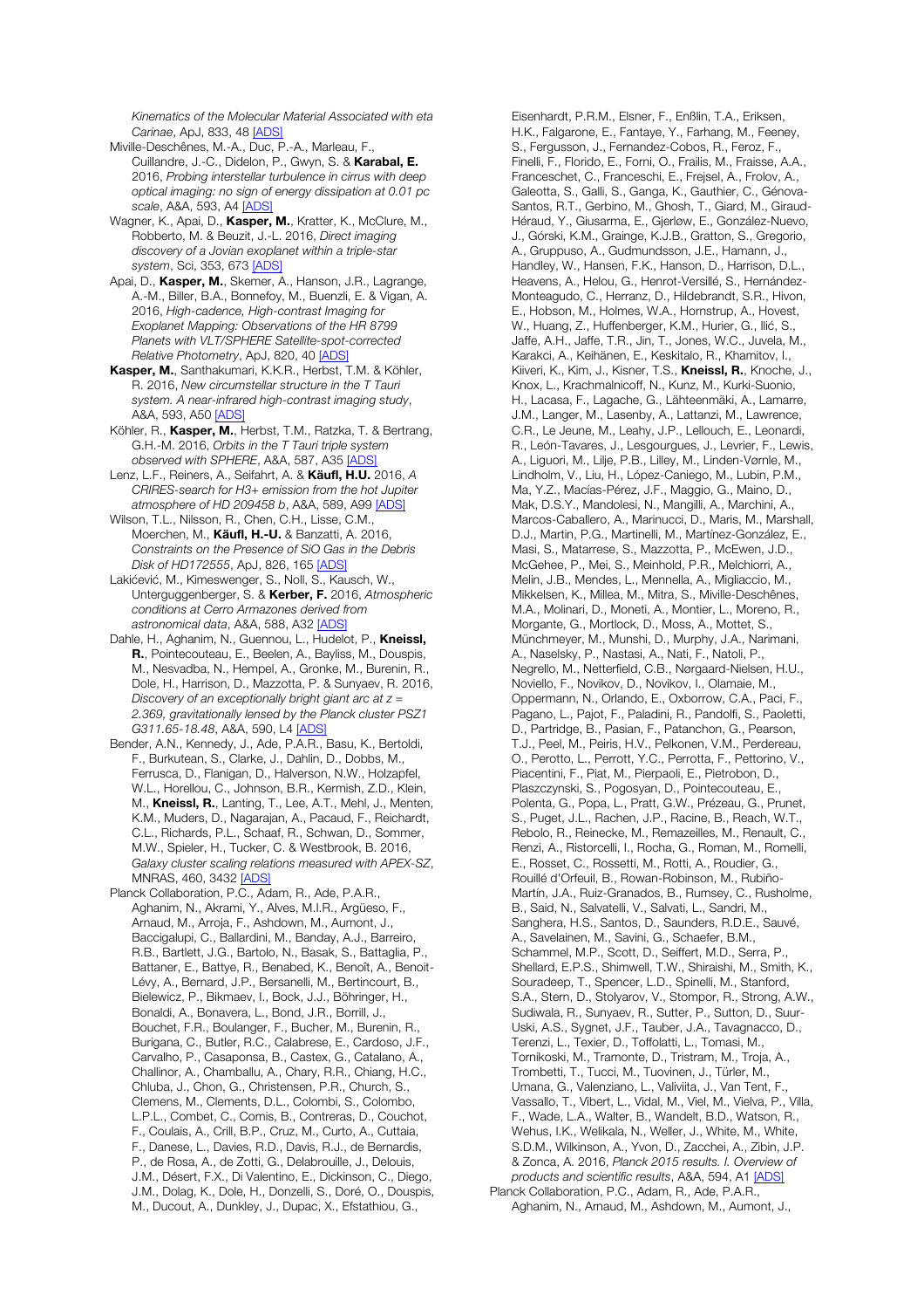*Kinematics of the Molecular Material Associated with eta Carinae*, Ap. 1, 833, 48 [ADS]

Miville-Deschênes, M.-A., Duc, P.-A., Marleau, F., Cuillandre, J.-C., Didelon, P., Gwyn, S. & Karabal, E. 2016, *Probing interstellar turbulence in cirrus with deep optical imaging: no sign of energy dissipation at 0.01 pc scale*, A&A, 593, A4 [ADS]

Wagner, K., Apai, D., Kasper, M., Kratter, K., McClure, M., Robberto, M. & Beuzit, J.-L. 2016, *Direct imaging discovery of a Jovian exoplanet within a triple-star system*, Sci, 353, 673 [ADS]

Apai, D., Kasper, M., Skemer, A., Hanson, J.R., Lagrange, A.-M., Biller, B.A., Bonnefoy, M., Buenzli, E. & Vigan, A. 2016, *High-cadence, High-contrast Imaging for Exoplanet Mapping: Observations of the HR 8799 Planets with VLT/SPHERE Satellite-spot-corrected Relative Photometry*, ApJ, 820, 40 [ADS]

Kasper, M., Santhakumari, K.K.R., Herbst, T.M. & Köhler, R. 2016, *New circumstellar structure in the T Tauri system. A near-infrared high-contrast imaging study*, A&A, 593, A50 [ADS]

Köhler, R., Kasper, M., Herbst, T.M., Ratzka, T. & Bertrang, G.H.-M. 2016, *Orbits in the T Tauri triple system observed with SPHERE*, A&A, 587, A35 [ADS]

Lenz, L.F., Reiners, A., Seifahrt, A. & Käufl, H.U. 2016, *A CRIRES-search for H3+ emission from the hot Jupiter atmosphere of HD 209458 b*, A&A, 589, A99 [ADS]

Wilson, T.L., Nilsson, R., Chen, C.H., Lisse, C.M., Moerchen, M., Käufl, H.-U. & Banzatti, A. 2016, *Constraints on the Presence of SiO Gas in the Debris Disk of HD172555*, ApJ, 826, 165 [ADS]

Lakićević, M., Kimeswenger, S., Noll, S., Kausch, W., Unterguggenberger, S. & Kerber, F. 2016, *Atmospheric conditions at Cerro Armazones derived from astronomical data*, A&A, 588, A32 [ADS]

Dahle, H., Aghanim, N., Guennou, L., Hudelot, P., Kneissl, R., Pointecouteau, E., Beelen, A., Bayliss, M., Douspis, M., Nesvadba, N., Hempel, A., Gronke, M., Burenin, R., Dole, H., Harrison, D., Mazzotta, P. & Sunyaev, R. 2016, *Discovery of an exceptionally bright giant arc at z = 2.369, gravitationally lensed by the Planck cluster PSZ1 G311.65-18.48*, A&A, 590, L4 [ADS]

Bender, A.N., Kennedy, J., Ade, P.A.R., Basu, K., Bertoldi, F., Burkutean, S., Clarke, J., Dahlin, D., Dobbs, M., Ferrusca, D., Flanigan, D., Halverson, N.W., Holzapfel, W.L., Horellou, C., Johnson, B.R., Kermish, Z.D., Klein, M., Kneissl, R., Lanting, T., Lee, A.T., Mehl, J., Menten, K.M., Muders, D., Nagarajan, A., Pacaud, F., Reichardt, C.L., Richards, P.L., Schaaf, R., Schwan, D., Sommer, M.W., Spieler, H., Tucker, C. & Westbrook, B. 2016, *Galaxy cluster scaling relations measured with APEX-SZ*, MNRAS, 460, 3432 [ADS]

Planck Collaboration, P.C., Adam, R., Ade, P.A.R., Aghanim, N., Akrami, Y., Alves, M.I.R., Argüeso, F., Arnaud, M., Arroja, F., Ashdown, M., Aumont, J., Baccigalupi, C., Ballardini, M., Banday, A.J., Barreiro, R.B., Bartlett, J.G., Bartolo, N., Basak, S., Battaglia, P., Battaner, E., Battye, R., Benabed, K., Benoît, A., Benoit-Lévy, A., Bernard, J.P., Bersanelli, M., Bertincourt, B., Bielewicz, P., Bikmaev, I., Bock, J.J., Böhringer, H., Bonaldi, A., Bonavera, L., Bond, J.R., Borrill, J., Bouchet, F.R., Boulanger, F., Bucher, M., Burenin, R., Burigana, C., Butler, R.C., Calabrese, E., Cardoso, J.F., Carvalho, P., Casaponsa, B., Castex, G., Catalano, A., Challinor, A., Chamballu, A., Chary, R.R., Chiang, H.C., Chluba, J., Chon, G., Christensen, P.R., Church, S., Clemens, M., Clements, D.L., Colombi, S., Colombo, L.P.L., Combet, C., Comis, B., Contreras, D., Couchot, F., Coulais, A., Crill, B.P., Cruz, M., Curto, A., Cuttaia, F., Danese, L., Davies, R.D., Davis, R.J., de Bernardis, P., de Rosa, A., de Zotti, G., Delabrouille, J., Delouis, J.M., Désert, F.X., Di Valentino, E., Dickinson, C., Diego, J.M., Dolag, K., Dole, H., Donzelli, S., Doré, O., Douspis, M., Ducout, A., Dunkley, J., Dupac, X., Efstathiou, G.,

Eisenhardt, P.R.M., Elsner, F., Enßlin, T.A., Eriksen, H.K., Falgarone, E., Fantaye, Y., Farhang, M., Feeney, S., Fergusson, J., Fernandez-Cobos, R., Feroz, F., Finelli, F., Florido, E., Forni, O., Frailis, M., Fraisse, A.A., Franceschet, C., Franceschi, E., Frejsel, A., Frolov, A., Galeotta, S., Galli, S., Ganga, K., Gauthier, C., Génova-Santos, R.T., Gerbino, M., Ghosh, T., Giard, M., Giraud-Héraud, Y., Giusarma, E., Gjerløw, E., González-Nuevo, J., Górski, K.M., Grainge, K.J.B., Gratton, S., Gregorio, A., Gruppuso, A., Gudmundsson, J.E., Hamann, J., Handley, W., Hansen, F.K., Hanson, D., Harrison, D.L., Heavens, A., Helou, G., Henrot-Versillé, S., Hernández-Monteagudo, C., Herranz, D., Hildebrandt, S.R., Hivon, E., Hobson, M., Holmes, W.A., Hornstrup, A., Hovest, W., Huang, Z., Huffenberger, K.M., Hurier, G., Ilić, S., Jaffe, A.H., Jaffe, T.R., Jin, T., Jones, W.C., Juvela, M., Karakci, A., Keihänen, E., Keskitalo, R., Khamitov, I., Kiiveri, K., Kim, J., Kisner, T.S., Kneissl, R., Knoche, J., Knox, L., Krachmalnicoff, N., Kunz, M., Kurki-Suonio, H., Lacasa, F., Lagache, G., Lähteenmäki, A., Lamarre, J.M., Langer, M., Lasenby, A., Lattanzi, M., Lawrence, C.R., Le Jeune, M., Leahy, J.P., Lellouch, E., Leonardi, R., León-Tavares, J., Lesgourgues, J., Levrier, F., Lewis, A., Liguori, M., Lilje, P.B., Lilley, M., Linden-Vørnle, M., Lindholm, V., Liu, H., López-Caniego, M., Lubin, P.M., Ma, Y.Z., Macías-Pérez, J.F., Maggio, G., Maino, D., Mak, D.S.Y., Mandolesi, N., Mangilli, A., Marchini, A., Marcos-Caballero, A., Marinucci, D., Maris, M., Marshall, D.J., Martin, P.G., Martinelli, M., Martínez-González, E., Masi, S., Matarrese, S., Mazzotta, P., McEwen, J.D., McGehee, P., Mei, S., Meinhold, P.R., Melchiorri, A., Melin, J.B., Mendes, L., Mennella, A., Migliaccio, M., Mikkelsen, K., Millea, M., Mitra, S., Miville-Deschênes, M.A., Molinari, D., Moneti, A., Montier, L., Moreno, R., Morgante, G., Mortlock, D., Moss, A., Mottet, S., Münchmeyer, M., Munshi, D., Murphy, J.A., Narimani, A., Naselsky, P., Nastasi, A., Nati, F., Natoli, P., Negrello, M., Netterfield, C.B., Nørgaard-Nielsen, H.U., Noviello, F., Novikov, D., Novikov, I., Olamaie, M., Oppermann, N., Orlando, E., Oxborrow, C.A., Paci, F., Pagano, L., Pajot, F., Paladini, R., Pandolfi, S., Paoletti, D., Partridge, B., Pasian, F., Patanchon, G., Pearson, T.J., Peel, M., Peiris, H.V., Pelkonen, V.M., Perdereau, O., Perotto, L., Perrott, Y.C., Perrotta, F., Pettorino, V., Piacentini, F., Piat, M., Pierpaoli, E., Pietrobon, D., Plaszczynski, S., Pogosyan, D., Pointecouteau, E., Polenta, G., Popa, L., Pratt, G.W., Prézeau, G., Prunet, S., Puget, J.L., Rachen, J.P., Racine, B., Reach, W.T., Rebolo, R., Reinecke, M., Remazeilles, M., Renault, C., Renzi, A., Ristorcelli, I., Rocha, G., Roman, M., Romelli, E., Rosset, C., Rossetti, M., Rotti, A., Roudier, G., Rouillé d'Orfeuil, B., Rowan-Robinson, M., Rubiño-Martín, J.A., Ruiz-Granados, B., Rumsey, C., Rusholme, B., Said, N., Salvatelli, V., Salvati, L., Sandri, M., Sanghera, H.S., Santos, D., Saunders, R.D.E., Sauvé, A., Savelainen, M., Savini, G., Schaefer, B.M., Schammel, M.P., Scott, D., Seiffert, M.D., Serra, P., Shellard, E.P.S., Shimwell, T.W., Shiraishi, M., Smith, K., Souradeep, T., Spencer, L.D., Spinelli, M., Stanford, S.A., Stern, D., Stolyarov, V., Stompor, R., Strong, A.W., Sudiwala, R., Sunyaev, R., Sutter, P., Sutton, D., Suur-Uski, A.S., Sygnet, J.F., Tauber, J.A., Tavagnacco, D., Terenzi, L., Texier, D., Toffolatti, L., Tomasi, M., Tornikoski, M., Tramonte, D., Tristram, M., Troja, A., Trombetti, T., Tucci, M., Tuovinen, J., Türler, M., Umana, G., Valenziano, L., Valiviita, J., Van Tent, F., Vassallo, T., Vibert, L., Vidal, M., Viel, M., Vielva, P., Villa, F., Wade, L.A., Walter, B., Wandelt, B.D., Watson, R., Wehus, I.K., Welikala, N., Weller, J., White, M., White, S.D.M., Wilkinson, A., Yvon, D., Zacchei, A., Zibin, J.P. & Zonca, A. 2016, *Planck 2015 results. I. Overview of products and scientific results*, A&A, 594, A1 [ADS] Planck Collaboration, P.C., Adam, R., Ade, P.A.R.,

Aghanim, N., Arnaud, M., Ashdown, M., Aumont, J.,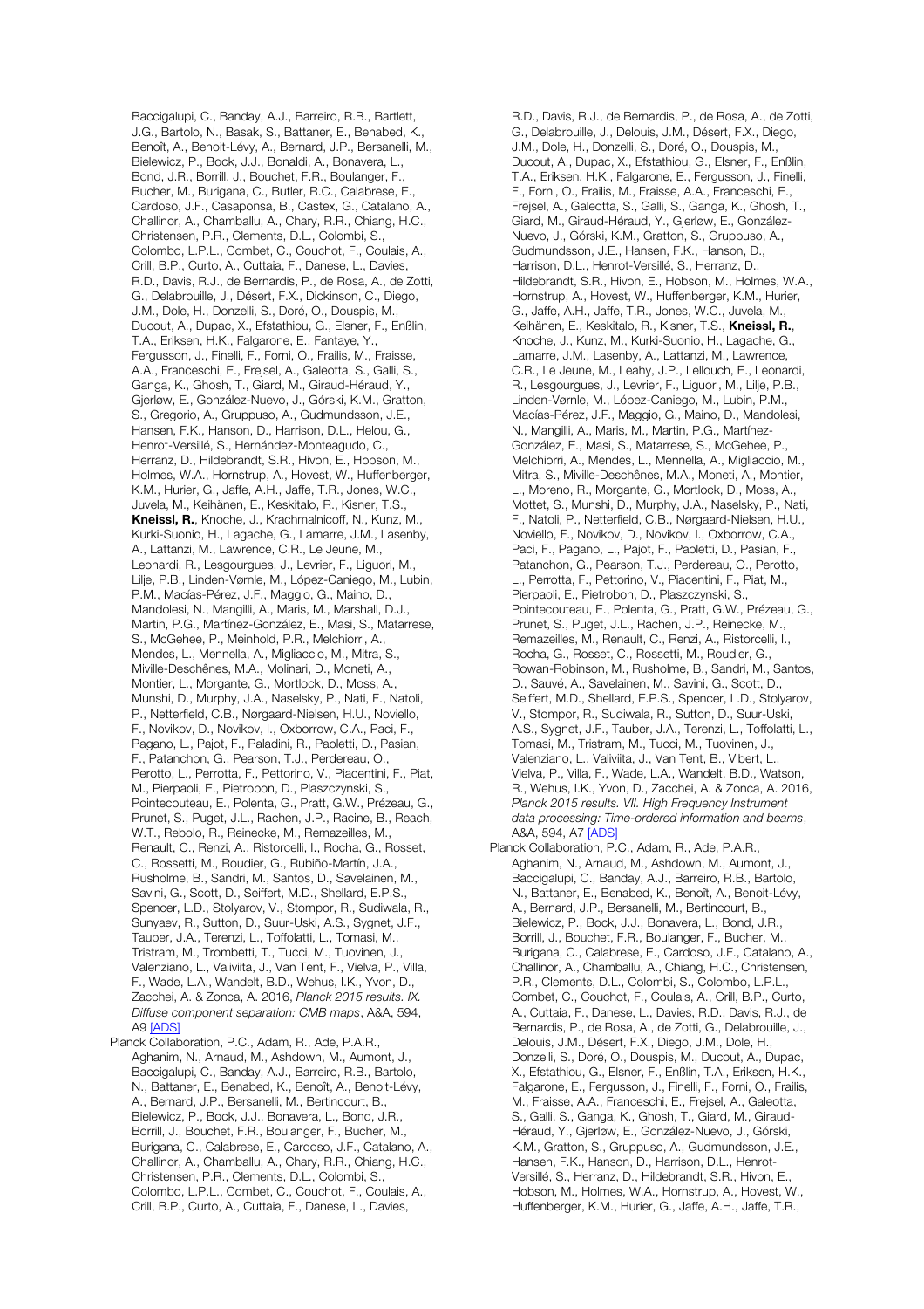Baccigalupi, C., Banday, A.J., Barreiro, R.B., Bartlett, J.G., Bartolo, N., Basak, S., Battaner, E., Benabed, K., Benoît, A., Benoit-Lévy, A., Bernard, J.P., Bersanelli, M., Bielewicz, P., Bock, J.J., Bonaldi, A., Bonavera, L., Bond, J.R., Borrill, J., Bouchet, F.R., Boulanger, F., Bucher, M., Burigana, C., Butler, R.C., Calabrese, E., Cardoso, J.F., Casaponsa, B., Castex, G., Catalano, A., Challinor, A., Chamballu, A., Chary, R.R., Chiang, H.C., Christensen, P.R., Clements, D.L., Colombi, S., Colombo, L.P.L., Combet, C., Couchot, F., Coulais, A., Crill, B.P., Curto, A., Cuttaia, F., Danese, L., Davies, R.D., Davis, R.J., de Bernardis, P., de Rosa, A., de Zotti, G., Delabrouille, J., Désert, F.X., Dickinson, C., Diego, J.M., Dole, H., Donzelli, S., Doré, O., Douspis, M., Ducout, A., Dupac, X., Efstathiou, G., Elsner, F., Enßlin, T.A., Eriksen, H.K., Falgarone, E., Fantaye, Y., Fergusson, J., Finelli, F., Forni, O., Frailis, M., Fraisse, A.A., Franceschi, E., Frejsel, A., Galeotta, S., Galli, S., Ganga, K., Ghosh, T., Giard, M., Giraud-Héraud, Y., Gjerløw, E., González-Nuevo, J., Górski, K.M., Gratton, S., Gregorio, A., Gruppuso, A., Gudmundsson, J.E., Hansen, F.K., Hanson, D., Harrison, D.L., Helou, G., Henrot-Versillé, S., Hernández-Monteagudo, C., Herranz, D., Hildebrandt, S.R., Hivon, E., Hobson, M., Holmes, W.A., Hornstrup, A., Hovest, W., Huffenberger, K.M., Hurier, G., Jaffe, A.H., Jaffe, T.R., Jones, W.C., Juvela, M., Keihänen, E., Keskitalo, R., Kisner, T.S., Kneissl, R., Knoche, J., Krachmalnicoff, N., Kunz, M., Kurki-Suonio, H., Lagache, G., Lamarre, J.M., Lasenby, A., Lattanzi, M., Lawrence, C.R., Le Jeune, M., Leonardi, R., Lesgourgues, J., Levrier, F., Liguori, M., Lilje, P.B., Linden-Vørnle, M., López-Caniego, M., Lubin, P.M., Macías-Pérez, J.F., Maggio, G., Maino, D., Mandolesi, N., Mangilli, A., Maris, M., Marshall, D.J., Martin, P.G., Martínez-González, E., Masi, S., Matarrese, S., McGehee, P., Meinhold, P.R., Melchiorri, A., Mendes, L., Mennella, A., Migliaccio, M., Mitra, S., Miville-Deschênes, M.A., Molinari, D., Moneti, A., Montier, L., Morgante, G., Mortlock, D., Moss, A., Munshi, D., Murphy, J.A., Naselsky, P., Nati, F., Natoli, P., Netterfield, C.B., Nørgaard-Nielsen, H.U., Noviello, F., Novikov, D., Novikov, I., Oxborrow, C.A., Paci, F., Pagano, L., Pajot, F., Paladini, R., Paoletti, D., Pasian, F., Patanchon, G., Pearson, T.J., Perdereau, O., Perotto, L., Perrotta, F., Pettorino, V., Piacentini, F., Piat, M., Pierpaoli, E., Pietrobon, D., Plaszczynski, S., Pointecouteau, E., Polenta, G., Pratt, G.W., Prézeau, G., Prunet, S., Puget, J.L., Rachen, J.P., Racine, B., Reach, W.T., Rebolo, R., Reinecke, M., Remazeilles, M., Renault, C., Renzi, A., Ristorcelli, I., Rocha, G., Rosset, C., Rossetti, M., Roudier, G., Rubiño-Martín, J.A., Rusholme, B., Sandri, M., Santos, D., Savelainen, M., Savini, G., Scott, D., Seiffert, M.D., Shellard, E.P.S., Spencer, L.D., Stolyarov, V., Stompor, R., Sudiwala, R., Sunyaev, R., Sutton, D., Suur-Uski, A.S., Sygnet, J.F., Tauber, J.A., Terenzi, L., Toffolatti, L., Tomasi, M., Tristram, M., Trombetti, T., Tucci, M., Tuovinen, J., Valenziano, L., Valiviita, J., Van Tent, F., Vielva, P., Villa, F., Wade, L.A., Wandelt, B.D., Wehus, I.K., Yvon, D., Zacchei, A. & Zonca, A. 2016, *Planck 2015 results. IX. Diffuse component separation: CMB maps*, A&A, 594, A9 [ADS]

Planck Collaboration, P.C., Adam, R., Ade, P.A.R., Aghanim, N., Arnaud, M., Ashdown, M., Aumont, J., Baccigalupi, C., Banday, A.J., Barreiro, R.B., Bartolo, N., Battaner, E., Benabed, K., Benoît, A., Benoit-Lévy, A., Bernard, J.P., Bersanelli, M., Bertincourt, B., Bielewicz, P., Bock, J.J., Bonavera, L., Bond, J.R., Borrill, J., Bouchet, F.R., Boulanger, F., Bucher, M., Burigana, C., Calabrese, E., Cardoso, J.F., Catalano, A., Challinor, A., Chamballu, A., Chary, R.R., Chiang, H.C., Christensen, P.R., Clements, D.L., Colombi, S., Colombo, L.P.L., Combet, C., Couchot, F., Coulais, A., Crill, B.P., Curto, A., Cuttaia, F., Danese, L., Davies,

R.D., Davis, R.J., de Bernardis, P., de Rosa, A., de Zotti, G., Delabrouille, J., Delouis, J.M., Désert, F.X., Diego, J.M., Dole, H., Donzelli, S., Doré, O., Douspis, M., Ducout, A., Dupac, X., Efstathiou, G., Elsner, F., Enßlin, T.A., Eriksen, H.K., Falgarone, E., Fergusson, J., Finelli, F., Forni, O., Frailis, M., Fraisse, A.A., Franceschi, E., Frejsel, A., Galeotta, S., Galli, S., Ganga, K., Ghosh, T., Giard, M., Giraud-Héraud, Y., Gjerløw, E., González-Nuevo, J., Górski, K.M., Gratton, S., Gruppuso, A., Gudmundsson, J.E., Hansen, F.K., Hanson, D., Harrison, D.L., Henrot-Versillé, S., Herranz, D., Hildebrandt, S.R., Hivon, E., Hobson, M., Holmes, W.A., Hornstrup, A., Hovest, W., Huffenberger, K.M., Hurier, G., Jaffe, A.H., Jaffe, T.R., Jones, W.C., Juvela, M., Keihänen, E., Keskitalo, R., Kisner, T.S., Kneissl, R., Knoche, J., Kunz, M., Kurki-Suonio, H., Lagache, G., Lamarre, J.M., Lasenby, A., Lattanzi, M., Lawrence, C.R., Le Jeune, M., Leahy, J.P., Lellouch, E., Leonardi, R., Lesgourgues, J., Levrier, F., Liguori, M., Lilje, P.B., Linden-Vørnle, M., López-Caniego, M., Lubin, P.M., Macías-Pérez, J.F., Maggio, G., Maino, D., Mandolesi, N., Mangilli, A., Maris, M., Martin, P.G., Martínez-González, E., Masi, S., Matarrese, S., McGehee, P., Melchiorri, A., Mendes, L., Mennella, A., Migliaccio, M., Mitra, S., Miville-Deschênes, M.A., Moneti, A., Montier, L., Moreno, R., Morgante, G., Mortlock, D., Moss, A., Mottet, S., Munshi, D., Murphy, J.A., Naselsky, P., Nati, F., Natoli, P., Netterfield, C.B., Nørgaard-Nielsen, H.U., Noviello, F., Novikov, D., Novikov, I., Oxborrow, C.A., Paci, F., Pagano, L., Pajot, F., Paoletti, D., Pasian, F., Patanchon, G., Pearson, T.J., Perdereau, O., Perotto, L., Perrotta, F., Pettorino, V., Piacentini, F., Piat, M., Pierpaoli, E., Pietrobon, D., Plaszczynski, S., Pointecouteau, E., Polenta, G., Pratt, G.W., Prézeau, G., Prunet, S., Puget, J.L., Rachen, J.P., Reinecke, M., Remazeilles, M., Renault, C., Renzi, A., Ristorcelli, I., Rocha, G., Rosset, C., Rossetti, M., Roudier, G., Rowan-Robinson, M., Rusholme, B., Sandri, M., Santos, D., Sauvé, A., Savelainen, M., Savini, G., Scott, D., Seiffert, M.D., Shellard, E.P.S., Spencer, L.D., Stolyarov, V., Stompor, R., Sudiwala, R., Sutton, D., Suur-Uski, A.S., Sygnet, J.F., Tauber, J.A., Terenzi, L., Toffolatti, L., Tomasi, M., Tristram, M., Tucci, M., Tuovinen, J., Valenziano, L., Valiviita, J., Van Tent, B., Vibert, L., Vielva, P., Villa, F., Wade, L.A., Wandelt, B.D., Watson, R., Wehus, I.K., Yvon, D., Zacchei, A. & Zonca, A. 2016, *Planck 2015 results. VII. High Frequency Instrument data processing: Time-ordered information and beams*, A&A, 594, A7 [ADS]

Planck Collaboration, P.C., Adam, R., Ade, P.A.R., Aghanim, N., Arnaud, M., Ashdown, M., Aumont, J., Baccigalupi, C., Banday, A.J., Barreiro, R.B., Bartolo, N., Battaner, E., Benabed, K., Benoît, A., Benoit-Lévy, A., Bernard, J.P., Bersanelli, M., Bertincourt, B., Bielewicz, P., Bock, J.J., Bonavera, L., Bond, J.R., Borrill, J., Bouchet, F.R., Boulanger, F., Bucher, M., Burigana, C., Calabrese, E., Cardoso, J.F., Catalano, A., Challinor, A., Chamballu, A., Chiang, H.C., Christensen, P.R., Clements, D.L., Colombi, S., Colombo, L.P.L., Combet, C., Couchot, F., Coulais, A., Crill, B.P., Curto, A., Cuttaia, F., Danese, L., Davies, R.D., Davis, R.J., de Bernardis, P., de Rosa, A., de Zotti, G., Delabrouille, J., Delouis, J.M., Désert, F.X., Diego, J.M., Dole, H., Donzelli, S., Doré, O., Douspis, M., Ducout, A., Dupac, X., Efstathiou, G., Elsner, F., Enßlin, T.A., Eriksen, H.K., Falgarone, E., Fergusson, J., Finelli, F., Forni, O., Frailis, M., Fraisse, A.A., Franceschi, E., Frejsel, A., Galeotta, S., Galli, S., Ganga, K., Ghosh, T., Giard, M., Giraud-Héraud, Y., Gjerløw, E., González-Nuevo, J., Górski, K.M., Gratton, S., Gruppuso, A., Gudmundsson, J.E., Hansen, F.K., Hanson, D., Harrison, D.L., Henrot-Versillé, S., Herranz, D., Hildebrandt, S.R., Hivon, E., Hobson, M., Holmes, W.A., Hornstrup, A., Hovest, W., Huffenberger, K.M., Hurier, G., Jaffe, A.H., Jaffe, T.R.,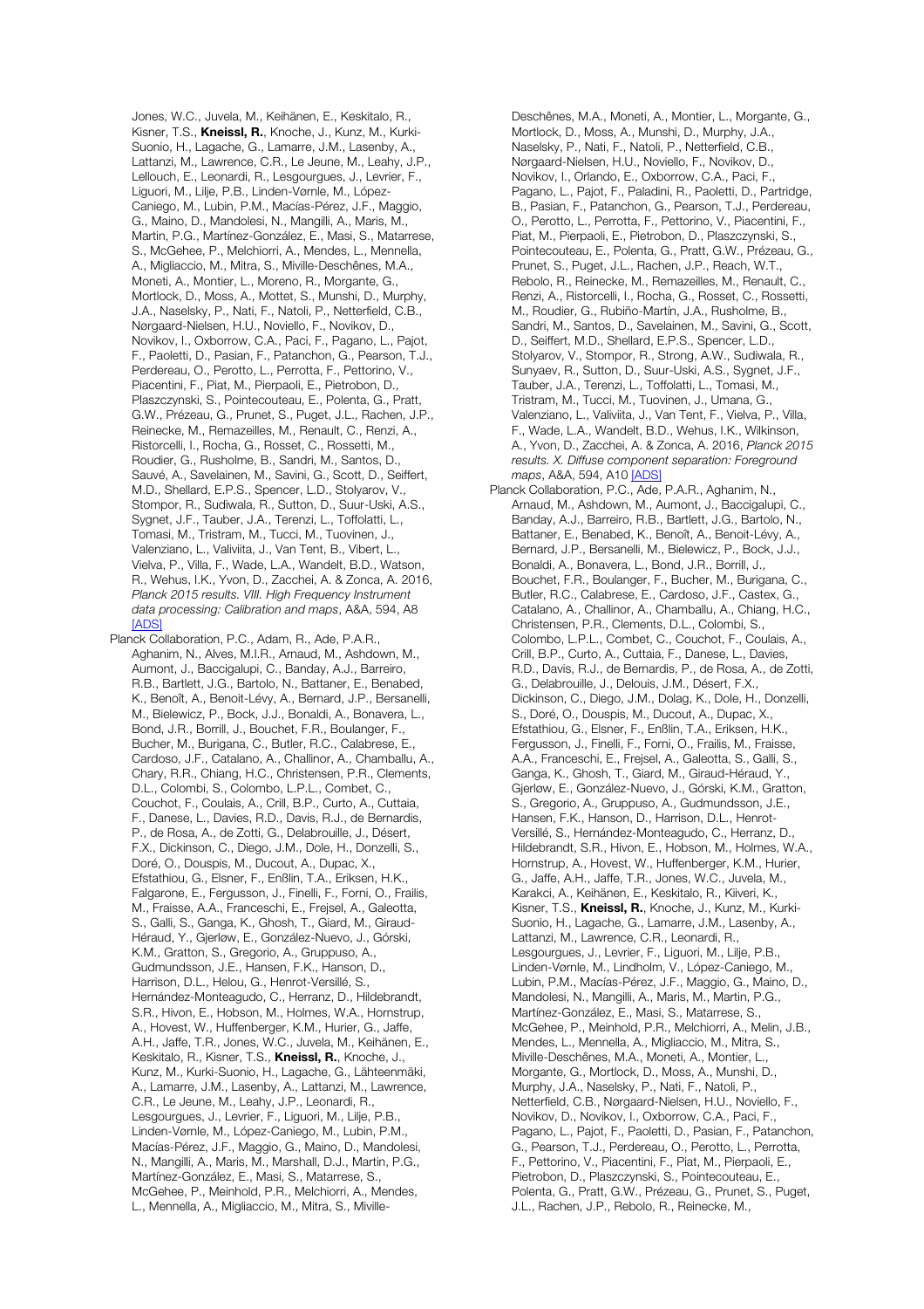Jones, W.C., Juvela, M., Keihänen, E., Keskitalo, R., Kisner, T.S., Kneissl, R., Knoche, J., Kunz, M., Kurki-Suonio, H., Lagache, G., Lamarre, J.M., Lasenby, A., Lattanzi, M., Lawrence, C.R., Le Jeune, M., Leahy, J.P., Lellouch, E., Leonardi, R., Lesgourgues, J., Levrier, F., Liguori, M., Lilje, P.B., Linden-Vørnle, M., López-Caniego, M., Lubin, P.M., Macías-Pérez, J.F., Maggio, G., Maino, D., Mandolesi, N., Mangilli, A., Maris, M., Martin, P.G., Martínez-González, E., Masi, S., Matarrese, S., McGehee, P., Melchiorri, A., Mendes, L., Mennella, A., Migliaccio, M., Mitra, S., Miville-Deschênes, M.A., Moneti, A., Montier, L., Moreno, R., Morgante, G., Mortlock, D., Moss, A., Mottet, S., Munshi, D., Murphy, J.A., Naselsky, P., Nati, F., Natoli, P., Netterfield, C.B., Nørgaard-Nielsen, H.U., Noviello, F., Novikov, D., Novikov, I., Oxborrow, C.A., Paci, F., Pagano, L., Pajot, F., Paoletti, D., Pasian, F., Patanchon, G., Pearson, T.J., Perdereau, O., Perotto, L., Perrotta, F., Pettorino, V., Piacentini, F., Piat, M., Pierpaoli, E., Pietrobon, D., Plaszczynski, S., Pointecouteau, E., Polenta, G., Pratt, G.W., Prézeau, G., Prunet, S., Puget, J.L., Rachen, J.P., Reinecke, M., Remazeilles, M., Renault, C., Renzi, A., Ristorcelli, I., Rocha, G., Rosset, C., Rossetti, M., Roudier, G., Rusholme, B., Sandri, M., Santos, D., Sauvé, A., Savelainen, M., Savini, G., Scott, D., Seiffert, M.D., Shellard, E.P.S., Spencer, L.D., Stolyarov, V., Stompor, R., Sudiwala, R., Sutton, D., Suur-Uski, A.S., Sygnet, J.F., Tauber, J.A., Terenzi, L., Toffolatti, L., Tomasi, M., Tristram, M., Tucci, M., Tuovinen, J., Valenziano, L., Valiviita, J., Van Tent, B., Vibert, L., Vielva, P., Villa, F., Wade, L.A., Wandelt, B.D., Watson, R., Wehus, I.K., Yvon, D., Zacchei, A. & Zonca, A. 2016, *Planck 2015 results. VIII. High Frequency Instrument data processing: Calibration and maps*, A&A, 594, A8 [ADS]

Planck Collaboration, P.C., Adam, R., Ade, P.A.R., Aghanim, N., Alves, M.I.R., Arnaud, M., Ashdown, M., Aumont, J., Baccigalupi, C., Banday, A.J., Barreiro, R.B., Bartlett, J.G., Bartolo, N., Battaner, E., Benabed, K., Benoît, A., Benoit-Lévy, A., Bernard, J.P., Bersanelli, M., Bielewicz, P., Bock, J.J., Bonaldi, A., Bonavera, L., Bond, J.R., Borrill, J., Bouchet, F.R., Boulanger, F., Bucher, M., Burigana, C., Butler, R.C., Calabrese, E., Cardoso, J.F., Catalano, A., Challinor, A., Chamballu, A., Chary, R.R., Chiang, H.C., Christensen, P.R., Clements, D.L., Colombi, S., Colombo, L.P.L., Combet, C., Couchot, F., Coulais, A., Crill, B.P., Curto, A., Cuttaia, F., Danese, L., Davies, R.D., Davis, R.J., de Bernardis, P., de Rosa, A., de Zotti, G., Delabrouille, J., Désert, F.X., Dickinson, C., Diego, J.M., Dole, H., Donzelli, S., Doré, O., Douspis, M., Ducout, A., Dupac, X., Efstathiou, G., Elsner, F., Enßlin, T.A., Eriksen, H.K., Falgarone, E., Fergusson, J., Finelli, F., Forni, O., Frailis, M., Fraisse, A.A., Franceschi, E., Frejsel, A., Galeotta, S., Galli, S., Ganga, K., Ghosh, T., Giard, M., Giraud-Héraud, Y., Gjerløw, E., González-Nuevo, J., Górski, K.M., Gratton, S., Gregorio, A., Gruppuso, A., Gudmundsson, J.E., Hansen, F.K., Hanson, D., Harrison, D.L., Helou, G., Henrot-Versillé, S., Hernández-Monteagudo, C., Herranz, D., Hildebrandt, S.R., Hivon, E., Hobson, M., Holmes, W.A., Hornstrup, A., Hovest, W., Huffenberger, K.M., Hurier, G., Jaffe, A.H., Jaffe, T.R., Jones, W.C., Juvela, M., Keihänen, E., Keskitalo, R., Kisner, T.S., Kneissl, R., Knoche, J., Kunz, M., Kurki-Suonio, H., Lagache, G., Lähteenmäki, A., Lamarre, J.M., Lasenby, A., Lattanzi, M., Lawrence, C.R., Le Jeune, M., Leahy, J.P., Leonardi, R., Lesgourgues, J., Levrier, F., Liguori, M., Lilje, P.B., Linden-Vørnle, M., López-Caniego, M., Lubin, P.M., Macías-Pérez, J.F., Maggio, G., Maino, D., Mandolesi, N., Mangilli, A., Maris, M., Marshall, D.J., Martin, P.G., Martínez-González, E., Masi, S., Matarrese, S., McGehee, P., Meinhold, P.R., Melchiorri, A., Mendes, L., Mennella, A., Migliaccio, M., Mitra, S., MivilleDeschênes, M.A., Moneti, A., Montier, L., Morgante, G., Mortlock, D., Moss, A., Munshi, D., Murphy, J.A., Naselsky, P., Nati, F., Natoli, P., Netterfield, C.B., Nørgaard-Nielsen, H.U., Noviello, F., Novikov, D., Novikov, I., Orlando, E., Oxborrow, C.A., Paci, F., Pagano, L., Pajot, F., Paladini, R., Paoletti, D., Partridge, B., Pasian, F., Patanchon, G., Pearson, T.J., Perdereau, O., Perotto, L., Perrotta, F., Pettorino, V., Piacentini, F., Piat, M., Pierpaoli, E., Pietrobon, D., Plaszczynski, S., Pointecouteau, E., Polenta, G., Pratt, G.W., Prézeau, G., Prunet, S., Puget, J.L., Rachen, J.P., Reach, W.T., Rebolo, R., Reinecke, M., Remazeilles, M., Renault, C., Renzi, A., Ristorcelli, I., Rocha, G., Rosset, C., Rossetti, M., Roudier, G., Rubiño-Martín, J.A., Rusholme, B., Sandri, M., Santos, D., Savelainen, M., Savini, G., Scott, D., Seiffert, M.D., Shellard, E.P.S., Spencer, L.D., Stolyarov, V., Stompor, R., Strong, A.W., Sudiwala, R., Sunyaev, R., Sutton, D., Suur-Uski, A.S., Sygnet, J.F., Tauber, J.A., Terenzi, L., Toffolatti, L., Tomasi, M., Tristram, M., Tucci, M., Tuovinen, J., Umana, G., Valenziano, L., Valiviita, J., Van Tent, F., Vielva, P., Villa, F., Wade, L.A., Wandelt, B.D., Wehus, I.K., Wilkinson, A., Yvon, D., Zacchei, A. & Zonca, A. 2016, *Planck 2015 results. X. Diffuse component separation: Foreground maps*, A&A, 594, A10 [ADS]

Planck Collaboration, P.C., Ade, P.A.R., Aghanim, N., Arnaud, M., Ashdown, M., Aumont, J., Baccigalupi, C., Banday, A.J., Barreiro, R.B., Bartlett, J.G., Bartolo, N., Battaner, E., Benabed, K., Benoît, A., Benoit-Lévy, A., Bernard, J.P., Bersanelli, M., Bielewicz, P., Bock, J.J., Bonaldi, A., Bonavera, L., Bond, J.R., Borrill, J., Bouchet, F.R., Boulanger, F., Bucher, M., Burigana, C., Butler, R.C., Calabrese, E., Cardoso, J.F., Castex, G., Catalano, A., Challinor, A., Chamballu, A., Chiang, H.C., Christensen, P.R., Clements, D.L., Colombi, S., Colombo, L.P.L., Combet, C., Couchot, F., Coulais, A., Crill, B.P., Curto, A., Cuttaia, F., Danese, L., Davies, R.D., Davis, R.J., de Bernardis, P., de Rosa, A., de Zotti, G., Delabrouille, J., Delouis, J.M., Désert, F.X., Dickinson, C., Diego, J.M., Dolag, K., Dole, H., Donzelli, S., Doré, O., Douspis, M., Ducout, A., Dupac, X., Efstathiou, G., Elsner, F., Enßlin, T.A., Eriksen, H.K., Fergusson, J., Finelli, F., Forni, O., Frailis, M., Fraisse, A.A., Franceschi, E., Frejsel, A., Galeotta, S., Galli, S., Ganga, K., Ghosh, T., Giard, M., Giraud-Héraud, Y., Gjerløw, E., González-Nuevo, J., Górski, K.M., Gratton, S., Gregorio, A., Gruppuso, A., Gudmundsson, J.E., Hansen, F.K., Hanson, D., Harrison, D.L., Henrot-Versillé, S., Hernández-Monteagudo, C., Herranz, D., Hildebrandt, S.R., Hivon, E., Hobson, M., Holmes, W.A., Hornstrup, A., Hovest, W., Huffenberger, K.M., Hurier, G., Jaffe, A.H., Jaffe, T.R., Jones, W.C., Juvela, M., Karakci, A., Keihänen, E., Keskitalo, R., Kiiveri, K., Kisner, T.S., Kneissl, R., Knoche, J., Kunz, M., Kurki-Suonio, H., Lagache, G., Lamarre, J.M., Lasenby, A., Lattanzi, M., Lawrence, C.R., Leonardi, R., Lesgourgues, J., Levrier, F., Liguori, M., Lilje, P.B., Linden-Vørnle, M., Lindholm, V., López-Caniego, M., Lubin, P.M., Macías-Pérez, J.F., Maggio, G., Maino, D., Mandolesi, N., Mangilli, A., Maris, M., Martin, P.G., Martínez-González, E., Masi, S., Matarrese, S., McGehee, P., Meinhold, P.R., Melchiorri, A., Melin, J.B., Mendes, L., Mennella, A., Migliaccio, M., Mitra, S., Miville-Deschênes, M.A., Moneti, A., Montier, L., Morgante, G., Mortlock, D., Moss, A., Munshi, D., Murphy, J.A., Naselsky, P., Nati, F., Natoli, P., Netterfield, C.B., Nørgaard-Nielsen, H.U., Noviello, F., Novikov, D., Novikov, I., Oxborrow, C.A., Paci, F., Pagano, L., Pajot, F., Paoletti, D., Pasian, F., Patanchon, G., Pearson, T.J., Perdereau, O., Perotto, L., Perrotta, F., Pettorino, V., Piacentini, F., Piat, M., Pierpaoli, E., Pietrobon, D., Plaszczynski, S., Pointecouteau, E., Polenta, G., Pratt, G.W., Prézeau, G., Prunet, S., Puget, J.L., Rachen, J.P., Rebolo, R., Reinecke, M.,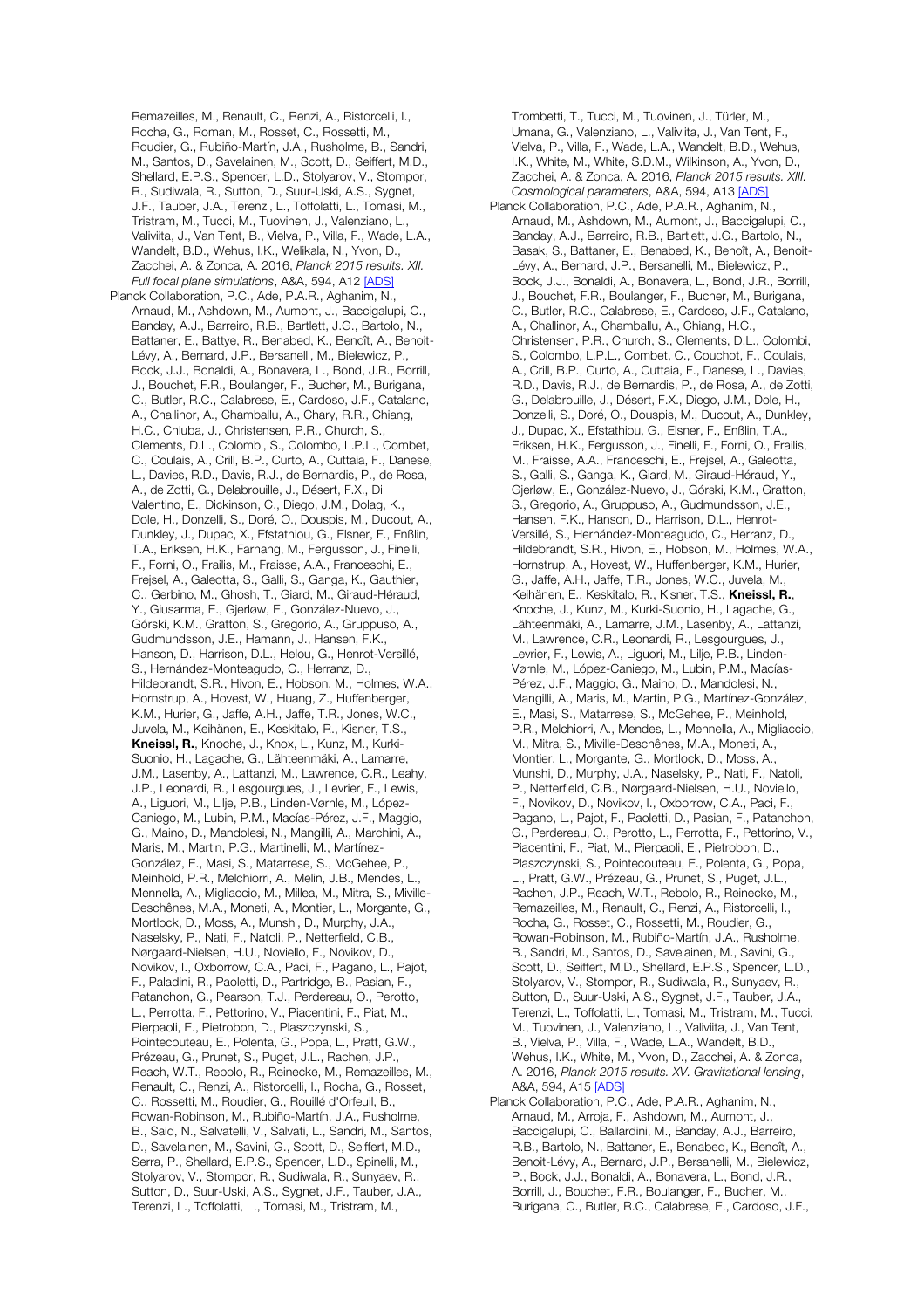Remazeilles, M., Renault, C., Renzi, A., Ristorcelli, I., Rocha, G., Roman, M., Rosset, C., Rossetti, M., Roudier, G., Rubiño-Martín, J.A., Rusholme, B., Sandri, M., Santos, D., Savelainen, M., Scott, D., Seiffert, M.D., Shellard, E.P.S., Spencer, L.D., Stolyarov, V., Stompor, R., Sudiwala, R., Sutton, D., Suur-Uski, A.S., Sygnet, J.F., Tauber, J.A., Terenzi, L., Toffolatti, L., Tomasi, M., Tristram, M., Tucci, M., Tuovinen, J., Valenziano, L., Valiviita, J., Van Tent, B., Vielva, P., Villa, F., Wade, L.A., Wandelt, B.D., Wehus, I.K., Welikala, N., Yvon, D., Zacchei, A. & Zonca, A. 2016, *Planck 2015 results. XII. Full focal plane simulations*, A&A, 594, A12 [ADS] Planck Collaboration, P.C., Ade, P.A.R., Aghanim, N., Arnaud, M., Ashdown, M., Aumont, J., Baccigalupi, C., Banday, A.J., Barreiro, R.B., Bartlett, J.G., Bartolo, N., Battaner, E., Battye, R., Benabed, K., Benoît, A., Benoit-Lévy, A., Bernard, J.P., Bersanelli, M., Bielewicz, P., Bock, J.J., Bonaldi, A., Bonavera, L., Bond, J.R., Borrill, J., Bouchet, F.R., Boulanger, F., Bucher, M., Burigana, C., Butler, R.C., Calabrese, E., Cardoso, J.F., Catalano, A., Challinor, A., Chamballu, A., Chary, R.R., Chiang, H.C., Chluba, J., Christensen, P.R., Church, S., Clements, D.L., Colombi, S., Colombo, L.P.L., Combet, C., Coulais, A., Crill, B.P., Curto, A., Cuttaia, F., Danese, L., Davies, R.D., Davis, R.J., de Bernardis, P., de Rosa, A., de Zotti, G., Delabrouille, J., Désert, F.X., Di Valentino, E., Dickinson, C., Diego, J.M., Dolag, K., Dole, H., Donzelli, S., Doré, O., Douspis, M., Ducout, A., Dunkley, J., Dupac, X., Efstathiou, G., Elsner, F., Enßlin, T.A., Eriksen, H.K., Farhang, M., Fergusson, J., Finelli, F., Forni, O., Frailis, M., Fraisse, A.A., Franceschi, E., Frejsel, A., Galeotta, S., Galli, S., Ganga, K., Gauthier, C., Gerbino, M., Ghosh, T., Giard, M., Giraud-Héraud, Y., Giusarma, E., Gjerløw, E., González-Nuevo, J., Górski, K.M., Gratton, S., Gregorio, A., Gruppuso, A., Gudmundsson, J.E., Hamann, J., Hansen, F.K., Hanson, D., Harrison, D.L., Helou, G., Henrot-Versillé, S., Hernández-Monteagudo, C., Herranz, D., Hildebrandt, S.R., Hivon, E., Hobson, M., Holmes, W.A., Hornstrup, A., Hovest, W., Huang, Z., Huffenberger, K.M., Hurier, G., Jaffe, A.H., Jaffe, T.R., Jones, W.C., Juvela, M., Keihänen, E., Keskitalo, R., Kisner, T.S., Kneissl, R., Knoche, J., Knox, L., Kunz, M., Kurki-Suonio, H., Lagache, G., Lähteenmäki, A., Lamarre, J.M., Lasenby, A., Lattanzi, M., Lawrence, C.R., Leahy, J.P., Leonardi, R., Lesgourgues, J., Levrier, F., Lewis, A., Liguori, M., Lilje, P.B., Linden-Vørnle, M., López-Caniego, M., Lubin, P.M., Macías-Pérez, J.F., Maggio, G., Maino, D., Mandolesi, N., Mangilli, A., Marchini, A., Maris, M., Martin, P.G., Martinelli, M., Martínez-González, E., Masi, S., Matarrese, S., McGehee, P., Meinhold, P.R., Melchiorri, A., Melin, J.B., Mendes, L., Mennella, A., Migliaccio, M., Millea, M., Mitra, S., Miville-Deschênes, M.A., Moneti, A., Montier, L., Morgante, G., Mortlock, D., Moss, A., Munshi, D., Murphy, J.A., Naselsky, P., Nati, F., Natoli, P., Netterfield, C.B., Nørgaard-Nielsen, H.U., Noviello, F., Novikov, D., Novikov, I., Oxborrow, C.A., Paci, F., Pagano, L., Pajot, F., Paladini, R., Paoletti, D., Partridge, B., Pasian, F., Patanchon, G., Pearson, T.J., Perdereau, O., Perotto, L., Perrotta, F., Pettorino, V., Piacentini, F., Piat, M., Pierpaoli, E., Pietrobon, D., Plaszczynski, S., Pointecouteau, E., Polenta, G., Popa, L., Pratt, G.W., Prézeau, G., Prunet, S., Puget, J.L., Rachen, J.P., Reach, W.T., Rebolo, R., Reinecke, M., Remazeilles, M., Renault, C., Renzi, A., Ristorcelli, I., Rocha, G., Rosset, C., Rossetti, M., Roudier, G., Rouillé d'Orfeuil, B., Rowan-Robinson, M., Rubiño-Martín, J.A., Rusholme, B., Said, N., Salvatelli, V., Salvati, L., Sandri, M., Santos, D., Savelainen, M., Savini, G., Scott, D., Seiffert, M.D., Serra, P., Shellard, E.P.S., Spencer, L.D., Spinelli, M., Stolyarov, V., Stompor, R., Sudiwala, R., Sunyaev, R., Sutton, D., Suur-Uski, A.S., Sygnet, J.F., Tauber, J.A., Terenzi, L., Toffolatti, L., Tomasi, M., Tristram, M.,

Trombetti, T., Tucci, M., Tuovinen, J., Türler, M., Umana, G., Valenziano, L., Valiviita, J., Van Tent, F., Vielva, P., Villa, F., Wade, L.A., Wandelt, B.D., Wehus, I.K., White, M., White, S.D.M., Wilkinson, A., Yvon, D., Zacchei, A. & Zonca, A. 2016, *Planck 2015 results. XIII. Cosmological parameters*, A&A, 594, A13 [ADS] Planck Collaboration, P.C., Ade, P.A.R., Aghanim, N., Arnaud, M., Ashdown, M., Aumont, J., Baccigalupi, C., Banday, A.J., Barreiro, R.B., Bartlett, J.G., Bartolo, N., Basak, S., Battaner, E., Benabed, K., Benoît, A., Benoit-Lévy, A., Bernard, J.P., Bersanelli, M., Bielewicz, P., Bock, J.J., Bonaldi, A., Bonavera, L., Bond, J.R., Borrill, J., Bouchet, F.R., Boulanger, F., Bucher, M., Burigana, C., Butler, R.C., Calabrese, E., Cardoso, J.F., Catalano, A., Challinor, A., Chamballu, A., Chiang, H.C., Christensen, P.R., Church, S., Clements, D.L., Colombi, S., Colombo, L.P.L., Combet, C., Couchot, F., Coulais, A., Crill, B.P., Curto, A., Cuttaia, F., Danese, L., Davies, R.D., Davis, R.J., de Bernardis, P., de Rosa, A., de Zotti, G., Delabrouille, J., Désert, F.X., Diego, J.M., Dole, H., Donzelli, S., Doré, O., Douspis, M., Ducout, A., Dunkley, J., Dupac, X., Efstathiou, G., Elsner, F., Enßlin, T.A., Eriksen, H.K., Fergusson, J., Finelli, F., Forni, O., Frailis, M., Fraisse, A.A., Franceschi, E., Frejsel, A., Galeotta, S., Galli, S., Ganga, K., Giard, M., Giraud-Héraud, Y., Gjerløw, E., González-Nuevo, J., Górski, K.M., Gratton, S., Gregorio, A., Gruppuso, A., Gudmundsson, J.E., Hansen, F.K., Hanson, D., Harrison, D.L., Henrot-Versillé, S., Hernández-Monteagudo, C., Herranz, D., Hildebrandt, S.R., Hivon, E., Hobson, M., Holmes, W.A., Hornstrup, A., Hovest, W., Huffenberger, K.M., Hurier, G., Jaffe, A.H., Jaffe, T.R., Jones, W.C., Juvela, M., Keihänen, E., Keskitalo, R., Kisner, T.S., Kneissl, R., Knoche, J., Kunz, M., Kurki-Suonio, H., Lagache, G., Lähteenmäki, A., Lamarre, J.M., Lasenby, A., Lattanzi, M., Lawrence, C.R., Leonardi, R., Lesgourgues, J., Levrier, F., Lewis, A., Liguori, M., Lilje, P.B., Linden-Vørnle, M., López-Caniego, M., Lubin, P.M., Macías-Pérez, J.F., Maggio, G., Maino, D., Mandolesi, N., Mangilli, A., Maris, M., Martin, P.G., Martínez-González, E., Masi, S., Matarrese, S., McGehee, P., Meinhold, P.R., Melchiorri, A., Mendes, L., Mennella, A., Migliaccio, M., Mitra, S., Miville-Deschênes, M.A., Moneti, A., Montier, L., Morgante, G., Mortlock, D., Moss, A., Munshi, D., Murphy, J.A., Naselsky, P., Nati, F., Natoli, P., Netterfield, C.B., Nørgaard-Nielsen, H.U., Noviello, F., Novikov, D., Novikov, I., Oxborrow, C.A., Paci, F., Pagano, L., Pajot, F., Paoletti, D., Pasian, F., Patanchon, G., Perdereau, O., Perotto, L., Perrotta, F., Pettorino, V., Piacentini, F., Piat, M., Pierpaoli, E., Pietrobon, D., Plaszczynski, S., Pointecouteau, E., Polenta, G., Popa, L., Pratt, G.W., Prézeau, G., Prunet, S., Puget, J.L., Rachen, J.P., Reach, W.T., Rebolo, R., Reinecke, M., Remazeilles, M., Renault, C., Renzi, A., Ristorcelli, I., Rocha, G., Rosset, C., Rossetti, M., Roudier, G., Rowan-Robinson, M., Rubiño-Martín, J.A., Rusholme, B., Sandri, M., Santos, D., Savelainen, M., Savini, G., Scott, D., Seiffert, M.D., Shellard, E.P.S., Spencer, L.D., Stolyarov, V., Stompor, R., Sudiwala, R., Sunyaev, R., Sutton, D., Suur-Uski, A.S., Sygnet, J.F., Tauber, J.A., Terenzi, L., Toffolatti, L., Tomasi, M., Tristram, M., Tucci, M., Tuovinen, J., Valenziano, L., Valiviita, J., Van Tent, B., Vielva, P., Villa, F., Wade, L.A., Wandelt, B.D., Wehus, I.K., White, M., Yvon, D., Zacchei, A. & Zonca, A. 2016, *Planck 2015 results. XV. Gravitational lensing*, A&A, 594, A15 [ADS] Planck Collaboration, P.C., Ade, P.A.R., Aghanim, N.,

Arnaud, M., Arroja, F., Ashdown, M., Aumont, J., Baccigalupi, C., Ballardini, M., Banday, A.J., Barreiro, R.B., Bartolo, N., Battaner, E., Benabed, K., Benoît, A., Benoit-Lévy, A., Bernard, J.P., Bersanelli, M., Bielewicz, P., Bock, J.J., Bonaldi, A., Bonavera, L., Bond, J.R., Borrill, J., Bouchet, F.R., Boulanger, F., Bucher, M., Burigana, C., Butler, R.C., Calabrese, E., Cardoso, J.F.,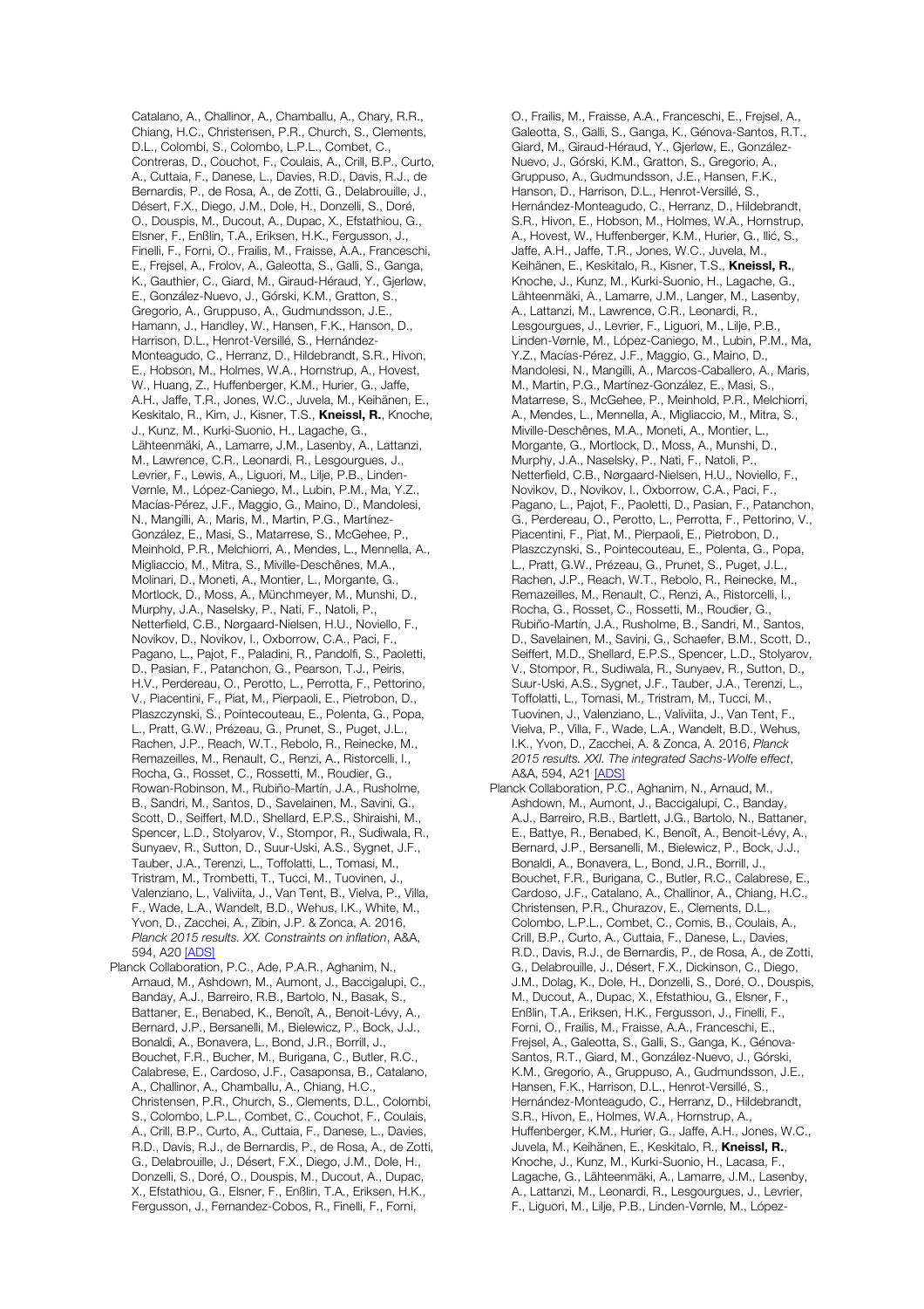Catalano, A., Challinor, A., Chamballu, A., Chary, R.R., Chiang, H.C., Christensen, P.R., Church, S., Clements, D.L., Colombi, S., Colombo, L.P.L., Combet, C. Contreras, D., Couchot, F., Coulais, A., Crill, B.P., Curto, A., Cuttaia, F., Danese, L., Davies, R.D., Davis, R.J., de Bernardis, P., de Rosa, A., de Zotti, G., Delabrouille, J., Désert, F.X., Diego, J.M., Dole, H., Donzelli, S., Doré, O., Douspis, M., Ducout, A., Dupac, X., Efstathiou, G., Elsner, F., Enßlin, T.A., Eriksen, H.K., Fergusson, J., Finelli, F., Forni, O., Frailis, M., Fraisse, A.A., Franceschi, E., Frejsel, A., Frolov, A., Galeotta, S., Galli, S., Ganga, K., Gauthier, C., Giard, M., Giraud-Héraud, Y., Gjerløw, E., González-Nuevo, J., Górski, K.M., Gratton, S., Gregorio, A., Gruppuso, A., Gudmundsson, J.E., Hamann, J., Handley, W., Hansen, F.K., Hanson, D., Harrison, D.L., Henrot-Versillé, S., Hernández-Monteagudo, C., Herranz, D., Hildebrandt, S.R., Hivon, E., Hobson, M., Holmes, W.A., Hornstrup, A., Hovest, W., Huang, Z., Huffenberger, K.M., Hurier, G., Jaffe, A.H., Jaffe, T.R., Jones, W.C., Juvela, M., Keihänen, E., Keskitalo, R., Kim, J., Kisner, T.S., Kneissl, R., Knoche, J., Kunz, M., Kurki-Suonio, H., Lagache, G., Lähteenmäki, A., Lamarre, J.M., Lasenby, A., Lattanzi, M., Lawrence, C.R., Leonardi, R., Lesgourgues, J., Levrier, F., Lewis, A., Liguori, M., Lilje, P.B., Linden-Vørnle, M., López-Caniego, M., Lubin, P.M., Ma, Y.Z., Macías-Pérez, J.F., Maggio, G., Maino, D., Mandolesi, N., Mangilli, A., Maris, M., Martin, P.G., Martínez-González, E., Masi, S., Matarrese, S., McGehee, P., Meinhold, P.R., Melchiorri, A., Mendes, L., Mennella, A., Migliaccio, M., Mitra, S., Miville-Deschênes, M.A., Molinari, D., Moneti, A., Montier, L., Morgante, G., Mortlock, D., Moss, A., Münchmeyer, M., Munshi, D., Murphy, J.A., Naselsky, P., Nati, F., Natoli, P., Netterfield, C.B., Nørgaard-Nielsen, H.U., Noviello, F., Novikov, D., Novikov, I., Oxborrow, C.A., Paci, F., Pagano, L., Pajot, F., Paladini, R., Pandolfi, S., Paoletti, D., Pasian, F., Patanchon, G., Pearson, T.J., Peiris, H.V., Perdereau, O., Perotto, L., Perrotta, F., Pettorino, V., Piacentini, F., Piat, M., Pierpaoli, E., Pietrobon, D., Plaszczynski, S., Pointecouteau, E., Polenta, G., Popa, L., Pratt, G.W., Prézeau, G., Prunet, S., Puget, J.L., Rachen, J.P., Reach, W.T., Rebolo, R., Reinecke, M., Remazeilles, M., Renault, C., Renzi, A., Ristorcelli, I., Rocha, G., Rosset, C., Rossetti, M., Roudier, G., Rowan-Robinson, M., Rubiño-Martín, J.A., Rusholme, B., Sandri, M., Santos, D., Savelainen, M., Savini, G., Scott, D., Seiffert, M.D., Shellard, E.P.S., Shiraishi, M., Spencer, L.D., Stolyarov, V., Stompor, R., Sudiwala, R., Sunyaev, R., Sutton, D., Suur-Uski, A.S., Sygnet, J.F., Tauber, J.A., Terenzi, L., Toffolatti, L., Tomasi, M., Tristram, M., Trombetti, T., Tucci, M., Tuovinen, J., Valenziano, L., Valiviita, J., Van Tent, B., Vielva, P., Villa, F., Wade, L.A., Wandelt, B.D., Wehus, I.K., White, M., Yvon, D., Zacchei, A., Zibin, J.P. & Zonca, A. 2016, *Planck 2015 results. XX. Constraints on inflation*, A&A, 594 A20 [ADS]

Planck Collaboration, P.C., Ade, P.A.R., Aghanim, N., Arnaud, M., Ashdown, M., Aumont, J., Baccigalupi, C., Banday, A.J., Barreiro, R.B., Bartolo, N., Basak, S., Battaner, E., Benabed, K., Benoît, A., Benoit-Lévy, A., Bernard, J.P., Bersanelli, M., Bielewicz, P., Bock, J.J., Bonaldi, A., Bonavera, L., Bond, J.R., Borrill, J., Bouchet, F.R., Bucher, M., Burigana, C., Butler, R.C., Calabrese, E., Cardoso, J.F., Casaponsa, B., Catalano, A., Challinor, A., Chamballu, A., Chiang, H.C., Christensen, P.R., Church, S., Clements, D.L., Colombi, S., Colombo, L.P.L., Combet, C., Couchot, F., Coulais, A., Crill, B.P., Curto, A., Cuttaia, F., Danese, L., Davies, R.D., Davis, R.J., de Bernardis, P., de Rosa, A., de Zotti, G., Delabrouille, J., Désert, F.X., Diego, J.M., Dole, H., Donzelli, S., Doré, O., Douspis, M., Ducout, A., Dupac, X., Efstathiou, G., Elsner, F., Enßlin, T.A., Eriksen, H.K., Fergusson, J., Fernandez-Cobos, R., Finelli, F., Forni,

O., Frailis, M., Fraisse, A.A., Franceschi, E., Frejsel, A., Galeotta, S., Galli, S., Ganga, K., Génova-Santos, R.T., Giard, M., Giraud-Héraud, Y., Gjerløw, E., González-Nuevo, J., Górski, K.M., Gratton, S., Gregorio, A., Gruppuso, A., Gudmundsson, J.E., Hansen, F.K., Hanson, D., Harrison, D.L., Henrot-Versillé, S., Hernández-Monteagudo, C., Herranz, D., Hildebrandt, S.R., Hivon, E., Hobson, M., Holmes, W.A., Hornstrup, A., Hovest, W., Huffenberger, K.M., Hurier, G., Ilić, S., Jaffe, A.H., Jaffe, T.R., Jones, W.C., Juvela, M., Keihänen, E., Keskitalo, R., Kisner, T.S., Kneissl, R., Knoche, J., Kunz, M., Kurki-Suonio, H., Lagache, G., Lähteenmäki, A., Lamarre, J.M., Langer, M., Lasenby, A., Lattanzi, M., Lawrence, C.R., Leonardi, R., Lesgourgues, J., Levrier, F., Liguori, M., Lilje, P.B., Linden-Vørnle, M., López-Caniego, M., Lubin, P.M., Ma, Y.Z., Macías-Pérez, J.F., Maggio, G., Maino, D., Mandolesi, N., Mangilli, A., Marcos-Caballero, A., Maris, M., Martin, P.G., Martínez-González, E., Masi, S., Matarrese, S., McGehee, P., Meinhold, P.R., Melchiorri, A., Mendes, L., Mennella, A., Migliaccio, M., Mitra, S., Miville-Deschênes, M.A., Moneti, A., Montier, L., Morgante, G., Mortlock, D., Moss, A., Munshi, D., Murphy, J.A., Naselsky, P., Nati, F., Natoli, P., Netterfield, C.B., Nørgaard-Nielsen, H.U., Noviello, F., Novikov, D., Novikov, I., Oxborrow, C.A., Paci, F., Pagano, L., Pajot, F., Paoletti, D., Pasian, F., Patanchon, G., Perdereau, O., Perotto, L., Perrotta, F., Pettorino, V., Piacentini, F., Piat, M., Pierpaoli, E., Pietrobon, D., Plaszczynski, S., Pointecouteau, E., Polenta, G., Popa, L., Pratt, G.W., Prézeau, G., Prunet, S., Puget, J.L., Rachen, J.P., Reach, W.T., Rebolo, R., Reinecke, M., Remazeilles, M., Renault, C., Renzi, A., Ristorcelli, I., Rocha, G., Rosset, C., Rossetti, M., Roudier, G., Rubiño-Martín, J.A., Rusholme, B., Sandri, M., Santos, D., Savelainen, M., Savini, G., Schaefer, B.M., Scott, D., Seiffert, M.D., Shellard, E.P.S., Spencer, L.D., Stolyarov, V., Stompor, R., Sudiwala, R., Sunyaev, R., Sutton, D., Suur-Uski, A.S., Sygnet, J.F., Tauber, J.A., Terenzi, L., Toffolatti, L., Tomasi, M., Tristram, M., Tucci, M., Tuovinen, J., Valenziano, L., Valiviita, J., Van Tent, F., Vielva, P., Villa, F., Wade, L.A., Wandelt, B.D., Wehus, I.K., Yvon, D., Zacchei, A. & Zonca, A. 2016, *Planck 2015 results. XXI. The integrated Sachs-Wolfe effect*, A&A, 594, A21 [ADS]

Planck Collaboration, P.C., Aghanim, N., Arnaud, M., Ashdown, M., Aumont, J., Baccigalupi, C., Banday, A.J., Barreiro, R.B., Bartlett, J.G., Bartolo, N., Battaner, E., Battye, R., Benabed, K., Benoît, A., Benoit-Lévy, A., Bernard, J.P., Bersanelli, M., Bielewicz, P., Bock, J.J., Bonaldi, A., Bonavera, L., Bond, J.R., Borrill, J., Bouchet, F.R., Burigana, C., Butler, R.C., Calabrese, E., Cardoso, J.F., Catalano, A., Challinor, A., Chiang, H.C., Christensen, P.R., Churazov, E., Clements, D.L., Colombo, L.P.L., Combet, C., Comis, B., Coulais, A., Crill, B.P., Curto, A., Cuttaia, F., Danese, L., Davies, R.D., Davis, R.J., de Bernardis, P., de Rosa, A., de Zotti, G., Delabrouille, J., Désert, F.X., Dickinson, C., Diego, J.M., Dolag, K., Dole, H., Donzelli, S., Doré, O., Douspis, M., Ducout, A., Dupac, X., Efstathiou, G., Elsner, F., Enßlin, T.A., Eriksen, H.K., Fergusson, J., Finelli, F., Forni, O., Frailis, M., Fraisse, A.A., Franceschi, E., Frejsel, A., Galeotta, S., Galli, S., Ganga, K., Génova-Santos, R.T., Giard, M., González-Nuevo, J., Górski, K.M., Gregorio, A., Gruppuso, A., Gudmundsson, J.E., Hansen, F.K., Harrison, D.L., Henrot-Versillé, S., Hernández-Monteagudo, C., Herranz, D., Hildebrandt, S.R., Hivon, E., Holmes, W.A., Hornstrup, A., Huffenberger, K.M., Hurier, G., Jaffe, A.H., Jones, W.C., Juvela, M., Keihänen, E., Keskitalo, R., Kneissl, R., Knoche, J., Kunz, M., Kurki-Suonio, H., Lacasa, F., Lagache, G., Lähteenmäki, A., Lamarre, J.M., Lasenby, A., Lattanzi, M., Leonardi, R., Lesgourgues, J., Levrier, F., Liguori, M., Lilje, P.B., Linden-Vørnle, M., López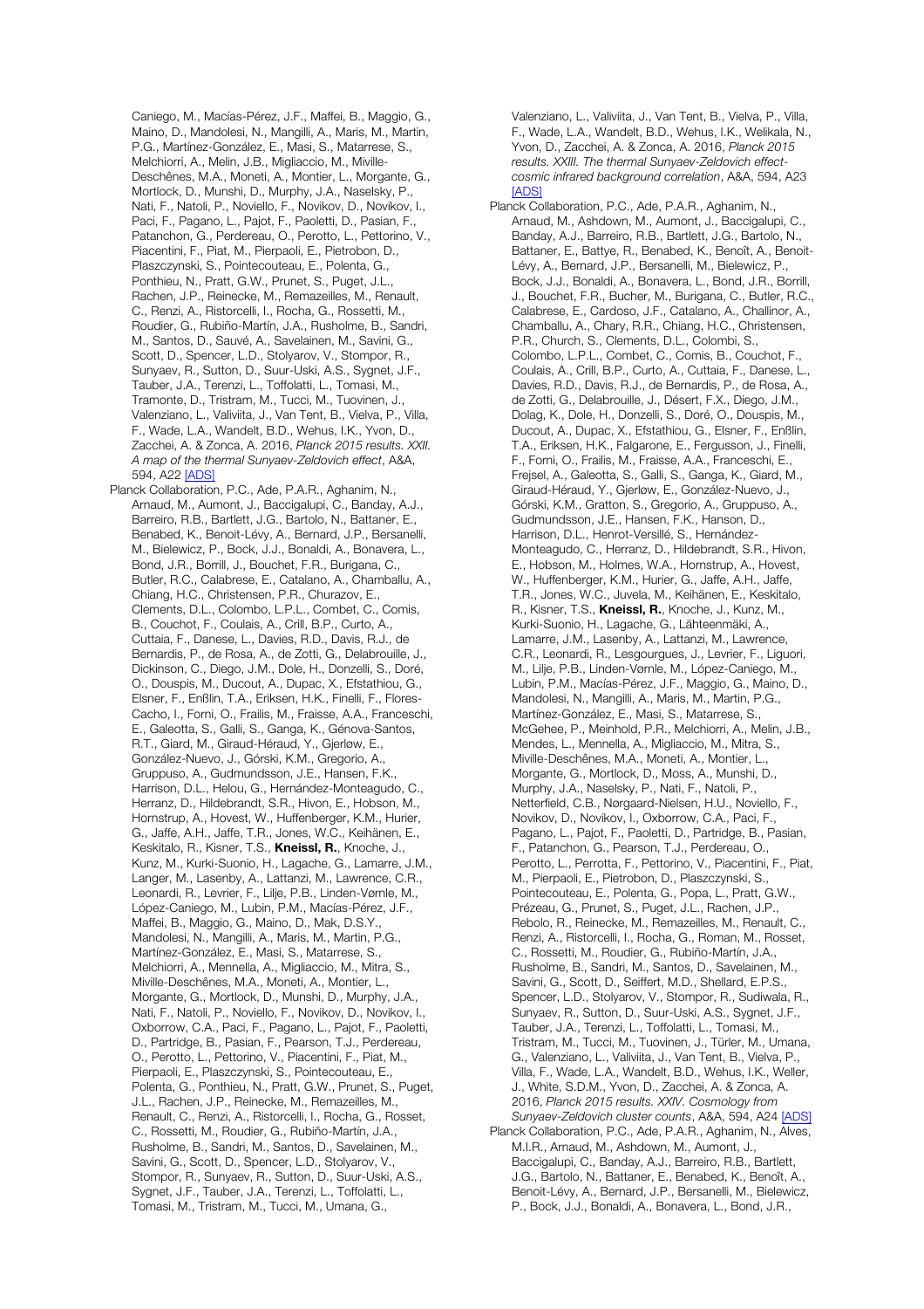Caniego, M., Macías-Pérez, J.F., Maffei, B., Maggio, G., Maino, D., Mandolesi, N., Mangilli, A., Maris, M., Martin, P.G., Martínez-González, E., Masi, S., Matarrese, S., Melchiorri, A., Melin, J.B., Migliaccio, M., Miville-Deschênes, M.A., Moneti, A., Montier, L., Morgante, G., Mortlock, D., Munshi, D., Murphy, J.A., Naselsky, P., Nati, F., Natoli, P., Noviello, F., Novikov, D., Novikov, I., Paci, F., Pagano, L., Pajot, F., Paoletti, D., Pasian, F., Patanchon, G., Perdereau, O., Perotto, L., Pettorino, V., Piacentini, F., Piat, M., Pierpaoli, E., Pietrobon, D., Plaszczynski, S., Pointecouteau, E., Polenta, G., Ponthieu, N., Pratt, G.W., Prunet, S., Puget, J.L., Rachen, J.P., Reinecke, M., Remazeilles, M., Renault, C., Renzi, A., Ristorcelli, I., Rocha, G., Rossetti, M., Roudier, G., Rubiño-Martín, J.A., Rusholme, B., Sandri, M., Santos, D., Sauvé, A., Savelainen, M., Savini, G., Scott, D., Spencer, L.D., Stolyarov, V., Stompor, R., Sunyaev, R., Sutton, D., Suur-Uski, A.S., Sygnet, J.F., Tauber, J.A., Terenzi, L., Toffolatti, L., Tomasi, M., Tramonte, D., Tristram, M., Tucci, M., Tuovinen, J., Valenziano, L., Valiviita, J., Van Tent, B., Vielva, P., Villa, F., Wade, L.A., Wandelt, B.D., Wehus, I.K., Yvon, D., Zacchei, A. & Zonca, A. 2016, *Planck 2015 results. XXII. A map of the thermal Sunyaev-Zeldovich effect*, A&A, 594, A22 [ADS]

Planck Collaboration, P.C., Ade, P.A.R., Aghanim, N., Arnaud, M., Aumont, J., Baccigalupi, C., Banday, A.J., Barreiro, R.B., Bartlett, J.G., Bartolo, N., Battaner, E., Benabed, K., Benoit-Lévy, A., Bernard, J.P., Bersanelli, M., Bielewicz, P., Bock, J.J., Bonaldi, A., Bonavera, L., Bond, J.R., Borrill, J., Bouchet, F.R., Burigana, C., Butler, R.C., Calabrese, E., Catalano, A., Chamballu, A., Chiang, H.C., Christensen, P.R., Churazov, E., Clements, D.L., Colombo, L.P.L., Combet, C., Comis, B., Couchot, F., Coulais, A., Crill, B.P., Curto, A., Cuttaia, F., Danese, L., Davies, R.D., Davis, R.J., de Bernardis, P., de Rosa, A., de Zotti, G., Delabrouille, J., Dickinson, C., Diego, J.M., Dole, H., Donzelli, S., Doré, O., Douspis, M., Ducout, A., Dupac, X., Efstathiou, G., Elsner, F., Enßlin, T.A., Eriksen, H.K., Finelli, F., Flores-Cacho, I., Forni, O., Frailis, M., Fraisse, A.A., Franceschi, E., Galeotta, S., Galli, S., Ganga, K., Génova-Santos, R.T., Giard, M., Giraud-Héraud, Y., Gjerløw, E., González-Nuevo, J., Górski, K.M., Gregorio, A., Gruppuso, A., Gudmundsson, J.E., Hansen, F.K., Harrison, D.L., Helou, G., Hernández-Monteagudo, C., Herranz, D., Hildebrandt, S.R., Hivon, E., Hobson, M., Hornstrup, A., Hovest, W., Huffenberger, K.M., Hurier, G., Jaffe, A.H., Jaffe, T.R., Jones, W.C., Keihänen, E., Keskitalo, R., Kisner, T.S., Kneissl, R., Knoche, J., Kunz, M., Kurki-Suonio, H., Lagache, G., Lamarre, J.M., Langer, M., Lasenby, A., Lattanzi, M., Lawrence, C.R., Leonardi, R., Levrier, F., Lilje, P.B., Linden-Vørnle, M., López-Caniego, M., Lubin, P.M., Macías-Pérez, J.F., Maffei, B., Maggio, G., Maino, D., Mak, D.S.Y., Mandolesi, N., Mangilli, A., Maris, M., Martin, P.G., Martínez-González, E., Masi, S., Matarrese, S., Melchiorri, A., Mennella, A., Migliaccio, M., Mitra, S., Miville-Deschênes, M.A., Moneti, A., Montier, L., Morgante, G., Mortlock, D., Munshi, D., Murphy, J.A., Nati, F., Natoli, P., Noviello, F., Novikov, D., Novikov, I., Oxborrow, C.A., Paci, F., Pagano, L., Pajot, F., Paoletti, D., Partridge, B., Pasian, F., Pearson, T.J., Perdereau, O., Perotto, L., Pettorino, V., Piacentini, F., Piat, M., Pierpaoli, E., Plaszczynski, S., Pointecouteau, E., Polenta, G., Ponthieu, N., Pratt, G.W., Prunet, S., Puget, J.L., Rachen, J.P., Reinecke, M., Remazeilles, M., Renault, C., Renzi, A., Ristorcelli, I., Rocha, G., Rosset, C., Rossetti, M., Roudier, G., Rubiño-Martín, J.A., Rusholme, B., Sandri, M., Santos, D., Savelainen, M., Savini, G., Scott, D., Spencer, L.D., Stolyarov, V., Stompor, R., Sunyaev, R., Sutton, D., Suur-Uski, A.S., Sygnet, J.F., Tauber, J.A., Terenzi, L., Toffolatti, L., Tomasi, M., Tristram, M., Tucci, M., Umana, G.,

Valenziano, L., Valiviita, J., Van Tent, B., Vielva, P., Villa, F., Wade, L.A., Wandelt, B.D., Wehus, I.K., Welikala, N., Yvon, D., Zacchei, A. & Zonca, A. 2016, *Planck 2015 results. XXIII. The thermal Sunyaev-Zeldovich effectcosmic infrared background correlation*, A&A, 594, A23 [ADS]

Planck Collaboration, P.C., Ade, P.A.R., Aghanim, N., Arnaud, M., Ashdown, M., Aumont, J., Baccigalupi, C., Banday, A.J., Barreiro, R.B., Bartlett, J.G., Bartolo, N., Battaner, E., Battye, R., Benabed, K., Benoît, A., Benoit-Lévy, A., Bernard, J.P., Bersanelli, M., Bielewicz, P., Bock, J.J., Bonaldi, A., Bonavera, L., Bond, J.R., Borrill, J., Bouchet, F.R., Bucher, M., Burigana, C., Butler, R.C., Calabrese, E., Cardoso, J.F., Catalano, A., Challinor, A., Chamballu, A., Chary, R.R., Chiang, H.C., Christensen, P.R., Church, S., Clements, D.L., Colombi, S., Colombo, L.P.L., Combet, C., Comis, B., Couchot, F., Coulais, A., Crill, B.P., Curto, A., Cuttaia, F., Danese, L., Davies, R.D., Davis, R.J., de Bernardis, P., de Rosa, A., de Zotti, G., Delabrouille, J., Désert, F.X., Diego, J.M., Dolag, K., Dole, H., Donzelli, S., Doré, O., Douspis, M., Ducout, A., Dupac, X., Efstathiou, G., Elsner, F., Enßlin, T.A., Eriksen, H.K., Falgarone, E., Fergusson, J., Finelli, F., Forni, O., Frailis, M., Fraisse, A.A., Franceschi, E., Frejsel, A., Galeotta, S., Galli, S., Ganga, K., Giard, M., Giraud-Héraud, Y., Gjerløw, E., González-Nuevo, J., Górski, K.M., Gratton, S., Gregorio, A., Gruppuso, A., Gudmundsson, J.E., Hansen, F.K., Hanson, D., Harrison, D.L., Henrot-Versillé, S., Hernández-Monteagudo, C., Herranz, D., Hildebrandt, S.R., Hivon, E., Hobson, M., Holmes, W.A., Hornstrup, A., Hovest, W., Huffenberger, K.M., Hurier, G., Jaffe, A.H., Jaffe, T.R., Jones, W.C., Juvela, M., Keihänen, E., Keskitalo, R., Kisner, T.S., Kneissl, R., Knoche, J., Kunz, M., Kurki-Suonio, H., Lagache, G., Lähteenmäki, A., Lamarre, J.M., Lasenby, A., Lattanzi, M., Lawrence, C.R., Leonardi, R., Lesgourgues, J., Levrier, F., Liguori, M., Lilje, P.B., Linden-Vørnle, M., López-Caniego, M., Lubin, P.M., Macías-Pérez, J.F., Maggio, G., Maino, D., Mandolesi, N., Mangilli, A., Maris, M., Martin, P.G., Martínez-González, E., Masi, S., Matarrese, S., McGehee, P., Meinhold, P.R., Melchiorri, A., Melin, J.B., Mendes, L., Mennella, A., Migliaccio, M., Mitra, S., Miville-Deschênes, M.A., Moneti, A., Montier, L., Morgante, G., Mortlock, D., Moss, A., Munshi, D., Murphy, J.A., Naselsky, P., Nati, F., Natoli, P., Netterfield, C.B., Nørgaard-Nielsen, H.U., Noviello, F., Novikov, D., Novikov, I., Oxborrow, C.A., Paci, F., Pagano, L., Pajot, F., Paoletti, D., Partridge, B., Pasian, F., Patanchon, G., Pearson, T.J., Perdereau, O., Perotto, L., Perrotta, F., Pettorino, V., Piacentini, F., Piat, M., Pierpaoli, E., Pietrobon, D., Plaszczynski, S., Pointecouteau, E., Polenta, G., Popa, L., Pratt, G.W., Prézeau, G., Prunet, S., Puget, J.L., Rachen, J.P., Rebolo, R., Reinecke, M., Remazeilles, M., Renault, C., Renzi, A., Ristorcelli, I., Rocha, G., Roman, M., Rosset, C., Rossetti, M., Roudier, G., Rubiño-Martín, J.A., Rusholme, B., Sandri, M., Santos, D., Savelainen, M., Savini, G., Scott, D., Seiffert, M.D., Shellard, E.P.S., Spencer, L.D., Stolyarov, V., Stompor, R., Sudiwala, R., Sunyaev, R., Sutton, D., Suur-Uski, A.S., Sygnet, J.F., Tauber, J.A., Terenzi, L., Toffolatti, L., Tomasi, M., Tristram, M., Tucci, M., Tuovinen, J., Türler, M., Umana, G., Valenziano, L., Valiviita, J., Van Tent, B., Vielva, P., Villa, F., Wade, L.A., Wandelt, B.D., Wehus, I.K., Weller, J., White, S.D.M., Yvon, D., Zacchei, A. & Zonca, A. 2016, *Planck 2015 results. XXIV. Cosmology from Sunyaev-Zeldovich cluster counts*, A&A, 594, A24 [ADS]

Planck Collaboration, P.C., Ade, P.A.R., Aghanim, N., Alves, M.I.R., Arnaud, M., Ashdown, M., Aumont, J., Baccigalupi, C., Banday, A.J., Barreiro, R.B., Bartlett, J.G., Bartolo, N., Battaner, E., Benabed, K., Benoît, A., Benoit-Lévy, A., Bernard, J.P., Bersanelli, M., Bielewicz, P., Bock, J.J., Bonaldi, A., Bonavera, L., Bond, J.R.,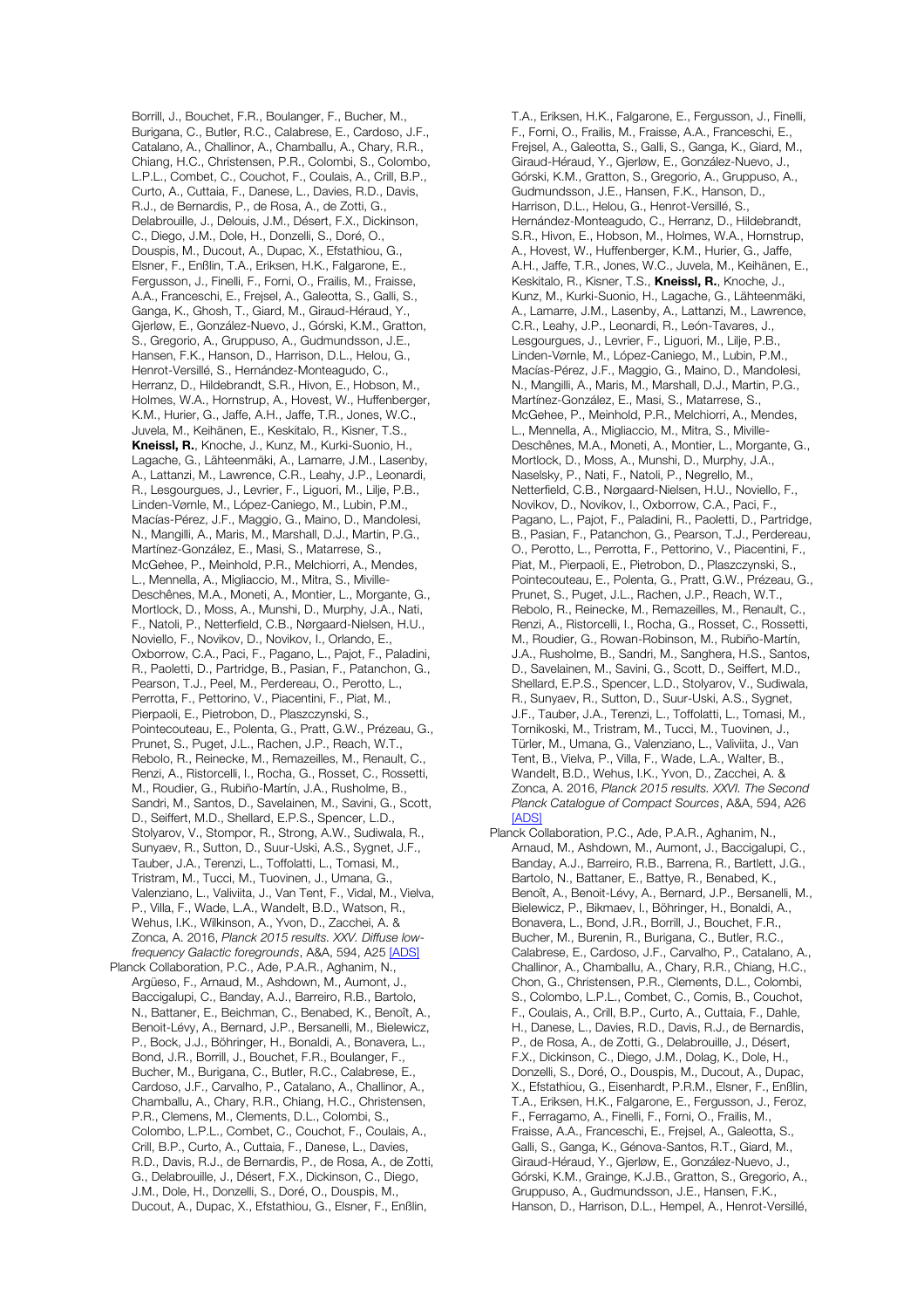Borrill, J., Bouchet, F.R., Boulanger, F., Bucher, M., Burigana, C., Butler, R.C., Calabrese, E., Cardoso, J.F., Catalano, A., Challinor, A., Chamballu, A., Chary, R.R., Chiang, H.C., Christensen, P.R., Colombi, S., Colombo, L.P.L., Combet, C., Couchot, F., Coulais, A., Crill, B.P., Curto, A., Cuttaia, F., Danese, L., Davies, R.D., Davis, R.J., de Bernardis, P., de Rosa, A., de Zotti, G., Delabrouille, J., Delouis, J.M., Désert, F.X., Dickinson, C., Diego, J.M., Dole, H., Donzelli, S., Doré, O., Douspis, M., Ducout, A., Dupac, X., Efstathiou, G., Elsner, F., Enßlin, T.A., Eriksen, H.K., Falgarone, E., Fergusson, J., Finelli, F., Forni, O., Frailis, M., Fraisse, A.A., Franceschi, E., Frejsel, A., Galeotta, S., Galli, S., Ganga, K., Ghosh, T., Giard, M., Giraud-Héraud, Y., Gjerløw, E., González-Nuevo, J., Górski, K.M., Gratton, S., Gregorio, A., Gruppuso, A., Gudmundsson, J.E., Hansen, F.K., Hanson, D., Harrison, D.L., Helou, G., Henrot-Versillé, S., Hernández-Monteagudo, C., Herranz, D., Hildebrandt, S.R., Hivon, E., Hobson, M., Holmes, W.A., Hornstrup, A., Hovest, W., Huffenberger, K.M., Hurier, G., Jaffe, A.H., Jaffe, T.R., Jones, W.C., Juvela, M., Keihänen, E., Keskitalo, R., Kisner, T.S., Kneissl, R., Knoche, J., Kunz, M., Kurki-Suonio, H., Lagache, G., Lähteenmäki, A., Lamarre, J.M., Lasenby, A., Lattanzi, M., Lawrence, C.R., Leahy, J.P., Leonardi, R., Lesgourgues, J., Levrier, F., Liguori, M., Lilje, P.B., Linden-Vørnle, M., López-Caniego, M., Lubin, P.M., Macías-Pérez, J.F., Maggio, G., Maino, D., Mandolesi, N., Mangilli, A., Maris, M., Marshall, D.J., Martin, P.G., Martínez-González, E., Masi, S., Matarrese, S., McGehee, P., Meinhold, P.R., Melchiorri, A., Mendes, L., Mennella, A., Migliaccio, M., Mitra, S., Miville-Deschênes, M.A., Moneti, A., Montier, L., Morgante, G., Mortlock, D., Moss, A., Munshi, D., Murphy, J.A., Nati, F., Natoli, P., Netterfield, C.B., Nørgaard-Nielsen, H.U., Noviello, F., Novikov, D., Novikov, I., Orlando, E., Oxborrow, C.A., Paci, F., Pagano, L., Pajot, F., Paladini, R., Paoletti, D., Partridge, B., Pasian, F., Patanchon, G., Pearson, T.J., Peel, M., Perdereau, O., Perotto, L., Perrotta, F., Pettorino, V., Piacentini, F., Piat, M., Pierpaoli, E., Pietrobon, D., Plaszczynski, S., Pointecouteau, E., Polenta, G., Pratt, G.W., Prézeau, G., Prunet, S., Puget, J.L., Rachen, J.P., Reach, W.T., Rebolo, R., Reinecke, M., Remazeilles, M., Renault, C., Renzi, A., Ristorcelli, I., Rocha, G., Rosset, C., Rossetti, M., Roudier, G., Rubiño-Martín, J.A., Rusholme, B., Sandri, M., Santos, D., Savelainen, M., Savini, G., Scott, D., Seiffert, M.D., Shellard, E.P.S., Spencer, L.D., Stolyarov, V., Stompor, R., Strong, A.W., Sudiwala, R., Sunyaev, R., Sutton, D., Suur-Uski, A.S., Sygnet, J.F., Tauber, J.A., Terenzi, L., Toffolatti, L., Tomasi, M., Tristram, M., Tucci, M., Tuovinen, J., Umana, G., Valenziano, L., Valiviita, J., Van Tent, F., Vidal, M., Vielva, P., Villa, F., Wade, L.A., Wandelt, B.D., Watson, R., Wehus, I.K., Wilkinson, A., Yvon, D., Zacchei, A. & Zonca, A. 2016, *Planck 2015 results. XXV. Diffuse lowfrequency Galactic foregrounds*, A&A, 594, A25 [ADS] Planck Collaboration, P.C., Ade, P.A.R., Aghanim, N., Argüeso, F., Arnaud, M., Ashdown, M., Aumont, J., Baccigalupi, C., Banday, A.J., Barreiro, R.B., Bartolo, N., Battaner, E., Beichman, C., Benabed, K., Benoît, A., Benoit-Lévy, A., Bernard, J.P., Bersanelli, M., Bielewicz, P., Bock, J.J., Böhringer, H., Bonaldi, A., Bonavera, L., Bond, J.R., Borrill, J., Bouchet, F.R., Boulanger, F., Bucher, M., Burigana, C., Butler, R.C., Calabrese, E., Cardoso, J.F., Carvalho, P., Catalano, A., Challinor, A., Chamballu, A., Chary, R.R., Chiang, H.C., Christensen, P.R., Clemens, M., Clements, D.L., Colombi, S., Colombo, L.P.L., Combet, C., Couchot, F., Coulais, A., Crill, B.P., Curto, A., Cuttaia, F., Danese, L., Davies, R.D., Davis, R.J., de Bernardis, P., de Rosa, A., de Zotti, G., Delabrouille, J., Désert, F.X., Dickinson, C., Diego, J.M., Dole, H., Donzelli, S., Doré, O., Douspis, M., Ducout, A., Dupac, X., Efstathiou, G., Elsner, F., Enßlin,

T.A., Eriksen, H.K., Falgarone, E., Fergusson, J., Finelli, F., Forni, O., Frailis, M., Fraisse, A.A., Franceschi, E., Frejsel, A., Galeotta, S., Galli, S., Ganga, K., Giard, M., Giraud-Héraud, Y., Gjerløw, E., González-Nuevo, J., Górski, K.M., Gratton, S., Gregorio, A., Gruppuso, A., Gudmundsson, J.E., Hansen, F.K., Hanson, D., Harrison, D.L., Helou, G., Henrot-Versillé, S., Hernández-Monteagudo, C., Herranz, D., Hildebrandt, S.R., Hivon, E., Hobson, M., Holmes, W.A., Hornstrup, A., Hovest, W., Huffenberger, K.M., Hurier, G., Jaffe, A.H., Jaffe, T.R., Jones, W.C., Juvela, M., Keihänen, E., Keskitalo, R., Kisner, T.S., Kneissl, R., Knoche, J., Kunz, M., Kurki-Suonio, H., Lagache, G., Lähteenmäki, A., Lamarre, J.M., Lasenby, A., Lattanzi, M., Lawrence, C.R., Leahy, J.P., Leonardi, R., León-Tavares, J., Lesgourgues, J., Levrier, F., Liguori, M., Lilje, P.B., Linden-Vørnle, M., López-Caniego, M., Lubin, P.M., Macías-Pérez, J.F., Maggio, G., Maino, D., Mandolesi, N., Mangilli, A., Maris, M., Marshall, D.J., Martin, P.G., Martínez-González, E., Masi, S., Matarrese, S., McGehee, P., Meinhold, P.R., Melchiorri, A., Mendes, L., Mennella, A., Migliaccio, M., Mitra, S., Miville-Deschênes, M.A., Moneti, A., Montier, L., Morgante, G., Mortlock, D., Moss, A., Munshi, D., Murphy, J.A., Naselsky, P., Nati, F., Natoli, P., Negrello, M., Netterfield, C.B., Nørgaard-Nielsen, H.U., Noviello, F., Novikov, D., Novikov, I., Oxborrow, C.A., Paci, F., Pagano, L., Pajot, F., Paladini, R., Paoletti, D., Partridge, B., Pasian, F., Patanchon, G., Pearson, T.J., Perdereau, O., Perotto, L., Perrotta, F., Pettorino, V., Piacentini, F., Piat, M., Pierpaoli, E., Pietrobon, D., Plaszczynski, S., Pointecouteau, E., Polenta, G., Pratt, G.W., Prézeau, G., Prunet, S., Puget, J.L., Rachen, J.P., Reach, W.T., Rebolo, R., Reinecke, M., Remazeilles, M., Renault, C., Renzi, A., Ristorcelli, I., Rocha, G., Rosset, C., Rossetti, M., Roudier, G., Rowan-Robinson, M., Rubiño-Martín, J.A., Rusholme, B., Sandri, M., Sanghera, H.S., Santos, D., Savelainen, M., Savini, G., Scott, D., Seiffert, M.D., Shellard, E.P.S., Spencer, L.D., Stolyarov, V., Sudiwala, R., Sunyaev, R., Sutton, D., Suur-Uski, A.S., Sygnet, J.F., Tauber, J.A., Terenzi, L., Toffolatti, L., Tomasi, M., Tornikoski, M., Tristram, M., Tucci, M., Tuovinen, J., Türler, M., Umana, G., Valenziano, L., Valiviita, J., Van Tent, B., Vielva, P., Villa, F., Wade, L.A., Walter, B., Wandelt, B.D., Wehus, I.K., Yvon, D., Zacchei, A. & Zonca, A. 2016, *Planck 2015 results. XXVI. The Second Planck Catalogue of Compact Sources*, A&A, 594, A26 [ADS]

Planck Collaboration, P.C., Ade, P.A.R., Aghanim, N., Arnaud, M., Ashdown, M., Aumont, J., Baccigalupi, C., Banday, A.J., Barreiro, R.B., Barrena, R., Bartlett, J.G., Bartolo, N., Battaner, E., Battye, R., Benabed, K., Benoît, A., Benoit-Lévy, A., Bernard, J.P., Bersanelli, M., Bielewicz, P., Bikmaev, I., Böhringer, H., Bonaldi, A., Bonavera, L., Bond, J.R., Borrill, J., Bouchet, F.R., Bucher, M., Burenin, R., Burigana, C., Butler, R.C., Calabrese, E., Cardoso, J.F., Carvalho, P., Catalano, A., Challinor, A., Chamballu, A., Chary, R.R., Chiang, H.C., Chon, G., Christensen, P.R., Clements, D.L., Colombi, S., Colombo, L.P.L., Combet, C., Comis, B., Couchot, F., Coulais, A., Crill, B.P., Curto, A., Cuttaia, F., Dahle, H., Danese, L., Davies, R.D., Davis, R.J., de Bernardis, P., de Rosa, A., de Zotti, G., Delabrouille, J., Désert, F.X., Dickinson, C., Diego, J.M., Dolag, K., Dole, H., Donzelli, S., Doré, O., Douspis, M., Ducout, A., Dupac, X., Efstathiou, G., Eisenhardt, P.R.M., Elsner, F., Enßlin, T.A., Eriksen, H.K., Falgarone, E., Fergusson, J., Feroz, F., Ferragamo, A., Finelli, F., Forni, O., Frailis, M., Fraisse, A.A., Franceschi, E., Frejsel, A., Galeotta, S., Galli, S., Ganga, K., Génova-Santos, R.T., Giard, M., Giraud-Héraud, Y., Gjerløw, E., González-Nuevo, J., Górski, K.M., Grainge, K.J.B., Gratton, S., Gregorio, A., Gruppuso, A., Gudmundsson, J.E., Hansen, F.K., Hanson, D., Harrison, D.L., Hempel, A., Henrot-Versillé,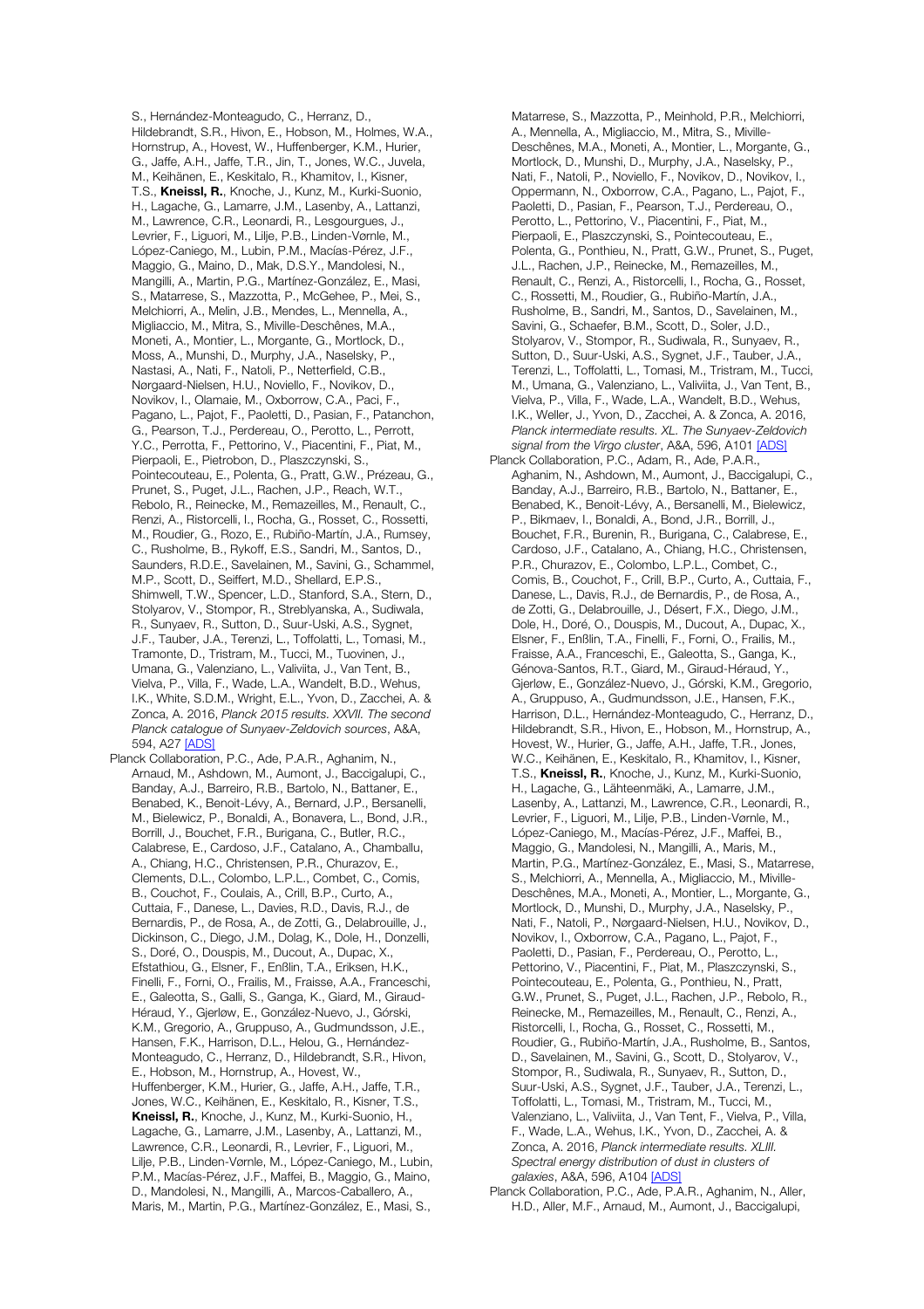S., Hernández-Monteagudo, C., Herranz, D., Hildebrandt, S.R., Hivon, E., Hobson, M., Holmes, W.A., Hornstrup, A., Hovest, W., Huffenberger, K.M., Hurier, G., Jaffe, A.H., Jaffe, T.R., Jin, T., Jones, W.C., Juvela, M., Keihänen, E., Keskitalo, R., Khamitov, I., Kisner, T.S., Kneissl, R., Knoche, J., Kunz, M., Kurki-Suonio, H., Lagache, G., Lamarre, J.M., Lasenby, A., Lattanzi, M., Lawrence, C.R., Leonardi, R., Lesgourgues, J., Levrier, F., Liguori, M., Lilje, P.B., Linden-Vørnle, M., López-Caniego, M., Lubin, P.M., Macías-Pérez, J.F., Maggio, G., Maino, D., Mak, D.S.Y., Mandolesi, N., Mangilli, A., Martin, P.G., Martínez-González, E., Masi, S., Matarrese, S., Mazzotta, P., McGehee, P., Mei, S., Melchiorri, A., Melin, J.B., Mendes, L., Mennella, A., Migliaccio, M., Mitra, S., Miville-Deschênes, M.A., Moneti, A., Montier, L., Morgante, G., Mortlock, D., Moss, A., Munshi, D., Murphy, J.A., Naselsky, P., Nastasi, A., Nati, F., Natoli, P., Netterfield, C.B., Nørgaard-Nielsen, H.U., Noviello, F., Novikov, D., Novikov, I., Olamaie, M., Oxborrow, C.A., Paci, F., Pagano, L., Pajot, F., Paoletti, D., Pasian, F., Patanchon, G., Pearson, T.J., Perdereau, O., Perotto, L., Perrott, Y.C., Perrotta, F., Pettorino, V., Piacentini, F., Piat, M., Pierpaoli, E., Pietrobon, D., Plaszczynski, S., Pointecouteau, E., Polenta, G., Pratt, G.W., Prézeau, G., Prunet, S., Puget, J.L., Rachen, J.P., Reach, W.T., Rebolo, R., Reinecke, M., Remazeilles, M., Renault, C., Renzi, A., Ristorcelli, I., Rocha, G., Rosset, C., Rossetti, M., Roudier, G., Rozo, E., Rubiño-Martín, J.A., Rumsey, C., Rusholme, B., Rykoff, E.S., Sandri, M., Santos, D., Saunders, R.D.E., Savelainen, M., Savini, G., Schammel, M.P., Scott, D., Seiffert, M.D., Shellard, E.P.S., Shimwell, T.W., Spencer, L.D., Stanford, S.A., Stern, D., Stolyarov, V., Stompor, R., Streblyanska, A., Sudiwala, R., Sunyaev, R., Sutton, D., Suur-Uski, A.S., Sygnet, J.F., Tauber, J.A., Terenzi, L., Toffolatti, L., Tomasi, M., Tramonte, D., Tristram, M., Tucci, M., Tuovinen, J., Umana, G., Valenziano, L., Valiviita, J., Van Tent, B., Vielva, P., Villa, F., Wade, L.A., Wandelt, B.D., Wehus, I.K., White, S.D.M., Wright, E.L., Yvon, D., Zacchei, A. & Zonca, A. 2016, *Planck 2015 results. XXVII. The second Planck catalogue of Sunyaev-Zeldovich sources*, A&A, 594, A27 [ADS]

Planck Collaboration, P.C., Ade, P.A.R., Aghanim, N., Arnaud, M., Ashdown, M., Aumont, J., Baccigalupi, C., Banday, A.J., Barreiro, R.B., Bartolo, N., Battaner, E., Benabed, K., Benoit-Lévy, A., Bernard, J.P., Bersanelli, M., Bielewicz, P., Bonaldi, A., Bonavera, L., Bond, J.R., Borrill, J., Bouchet, F.R., Burigana, C., Butler, R.C., Calabrese, E., Cardoso, J.F., Catalano, A., Chamballu, A., Chiang, H.C., Christensen, P.R., Churazov, E., Clements, D.L., Colombo, L.P.L., Combet, C., Comis, B., Couchot, F., Coulais, A., Crill, B.P., Curto, A., Cuttaia, F., Danese, L., Davies, R.D., Davis, R.J., de Bernardis, P., de Rosa, A., de Zotti, G., Delabrouille, J., Dickinson, C., Diego, J.M., Dolag, K., Dole, H., Donzelli, S., Doré, O., Douspis, M., Ducout, A., Dupac, X., Efstathiou, G., Elsner, F., Enßlin, T.A., Eriksen, H.K., Finelli, F., Forni, O., Frailis, M., Fraisse, A.A., Franceschi, E., Galeotta, S., Galli, S., Ganga, K., Giard, M., Giraud-Héraud, Y., Gjerløw, E., González-Nuevo, J., Górski, K.M., Gregorio, A., Gruppuso, A., Gudmundsson, J.E., Hansen, F.K., Harrison, D.L., Helou, G., Hernández-Monteagudo, C., Herranz, D., Hildebrandt, S.R., Hivon, E., Hobson, M., Hornstrup, A., Hovest, W., Huffenberger, K.M., Hurier, G., Jaffe, A.H., Jaffe, T.R., Jones, W.C., Keihänen, E., Keskitalo, R., Kisner, T.S., Kneissl, R., Knoche, J., Kunz, M., Kurki-Suonio, H., Lagache, G., Lamarre, J.M., Lasenby, A., Lattanzi, M., Lawrence, C.R., Leonardi, R., Levrier, F., Liguori, M., Lilje, P.B., Linden-Vørnle, M., López-Caniego, M., Lubin, P.M., Macías-Pérez, J.F., Maffei, B., Maggio, G., Maino, D., Mandolesi, N., Mangilli, A., Marcos-Caballero, A., Maris, M., Martin, P.G., Martínez-González, E., Masi, S.,

Matarrese, S., Mazzotta, P., Meinhold, P.R., Melchiorri, A., Mennella, A., Migliaccio, M., Mitra, S., Miville-Deschênes, M.A., Moneti, A., Montier, L., Morgante, G., Mortlock, D., Munshi, D., Murphy, J.A., Naselsky, P., Nati, F., Natoli, P., Noviello, F., Novikov, D., Novikov, I., Oppermann, N., Oxborrow, C.A., Pagano, L., Pajot, F., Paoletti, D., Pasian, F., Pearson, T.J., Perdereau, O., Perotto, L., Pettorino, V., Piacentini, F., Piat, M., Pierpaoli, E., Plaszczynski, S., Pointecouteau, E., Polenta, G., Ponthieu, N., Pratt, G.W., Prunet, S., Puget, J.L., Rachen, J.P., Reinecke, M., Remazeilles, M., Renault, C., Renzi, A., Ristorcelli, I., Rocha, G., Rosset, C., Rossetti, M., Roudier, G., Rubiño-Martín, J.A., Rusholme, B., Sandri, M., Santos, D., Savelainen, M., Savini, G., Schaefer, B.M., Scott, D., Soler, J.D., Stolyarov, V., Stompor, R., Sudiwala, R., Sunyaev, R., Sutton, D., Suur-Uski, A.S., Sygnet, J.F., Tauber, J.A., Terenzi, L., Toffolatti, L., Tomasi, M., Tristram, M., Tucci, M., Umana, G., Valenziano, L., Valiviita, J., Van Tent, B., Vielva, P., Villa, F., Wade, L.A., Wandelt, B.D., Wehus, I.K., Weller, J., Yvon, D., Zacchei, A. & Zonca, A. 2016, *Planck intermediate results. XL. The Sunyaev-Zeldovich signal from the Virgo cluster*, A&A, 596, A101 [ADS]

Planck Collaboration, P.C., Adam, R., Ade, P.A.R., Aghanim, N., Ashdown, M., Aumont, J., Baccigalupi, C., Banday, A.J., Barreiro, R.B., Bartolo, N., Battaner, E., Benabed, K., Benoit-Lévy, A., Bersanelli, M., Bielewicz, P., Bikmaev, I., Bonaldi, A., Bond, J.R., Borrill, J., Bouchet, F.R., Burenin, R., Burigana, C., Calabrese, E., Cardoso, J.F., Catalano, A., Chiang, H.C., Christensen, P.R., Churazov, E., Colombo, L.P.L., Combet, C., Comis, B., Couchot, F., Crill, B.P., Curto, A., Cuttaia, F., Danese, L., Davis, R.J., de Bernardis, P., de Rosa, A., de Zotti, G., Delabrouille, J., Désert, F.X., Diego, J.M., Dole, H., Doré, O., Douspis, M., Ducout, A., Dupac, X., Elsner, F., Enßlin, T.A., Finelli, F., Forni, O., Frailis, M., Fraisse, A.A., Franceschi, E., Galeotta, S., Ganga, K., Génova-Santos, R.T., Giard, M., Giraud-Héraud, Y., Gjerløw, E., González-Nuevo, J., Górski, K.M., Gregorio, A., Gruppuso, A., Gudmundsson, J.E., Hansen, F.K., Harrison, D.L., Hernández-Monteagudo, C., Herranz, D., Hildebrandt, S.R., Hivon, E., Hobson, M., Hornstrup, A., Hovest, W., Hurier, G., Jaffe, A.H., Jaffe, T.R., Jones, W.C., Keihänen, E., Keskitalo, R., Khamitov, I., Kisner, T.S., Kneissl, R., Knoche, J., Kunz, M., Kurki-Suonio, H., Lagache, G., Lähteenmäki, A., Lamarre, J.M., Lasenby, A., Lattanzi, M., Lawrence, C.R., Leonardi, R., Levrier, F., Liguori, M., Lilje, P.B., Linden-Vørnle, M., López-Caniego, M., Macías-Pérez, J.F., Maffei, B., Maggio, G., Mandolesi, N., Mangilli, A., Maris, M., Martin, P.G., Martínez-González, E., Masi, S., Matarrese, S., Melchiorri, A., Mennella, A., Migliaccio, M., Miville-Deschênes, M.A., Moneti, A., Montier, L., Morgante, G., Mortlock, D., Munshi, D., Murphy, J.A., Naselsky, P., Nati, F., Natoli, P., Nørgaard-Nielsen, H.U., Novikov, D., Novikov, I., Oxborrow, C.A., Pagano, L., Pajot, F., Paoletti, D., Pasian, F., Perdereau, O., Perotto, L., Pettorino, V., Piacentini, F., Piat, M., Plaszczynski, S., Pointecouteau, E., Polenta, G., Ponthieu, N., Pratt, G.W., Prunet, S., Puget, J.L., Rachen, J.P., Rebolo, R., Reinecke, M., Remazeilles, M., Renault, C., Renzi, A., Ristorcelli, I., Rocha, G., Rosset, C., Rossetti, M., Roudier, G., Rubiño-Martín, J.A., Rusholme, B., Santos, D., Savelainen, M., Savini, G., Scott, D., Stolyarov, V., Stompor, R., Sudiwala, R., Sunyaev, R., Sutton, D., Suur-Uski, A.S., Sygnet, J.F., Tauber, J.A., Terenzi, L., Toffolatti, L., Tomasi, M., Tristram, M., Tucci, M., Valenziano, L., Valiviita, J., Van Tent, F., Vielva, P., Villa, F., Wade, L.A., Wehus, I.K., Yvon, D., Zacchei, A. & Zonca, A. 2016, *Planck intermediate results. XLIII. Spectral energy distribution of dust in clusters of galaxies*, A&A, 596, A104 [ADS]

Planck Collaboration, P.C., Ade, P.A.R., Aghanim, N., Aller, H.D., Aller, M.F., Arnaud, M., Aumont, J., Baccigalupi,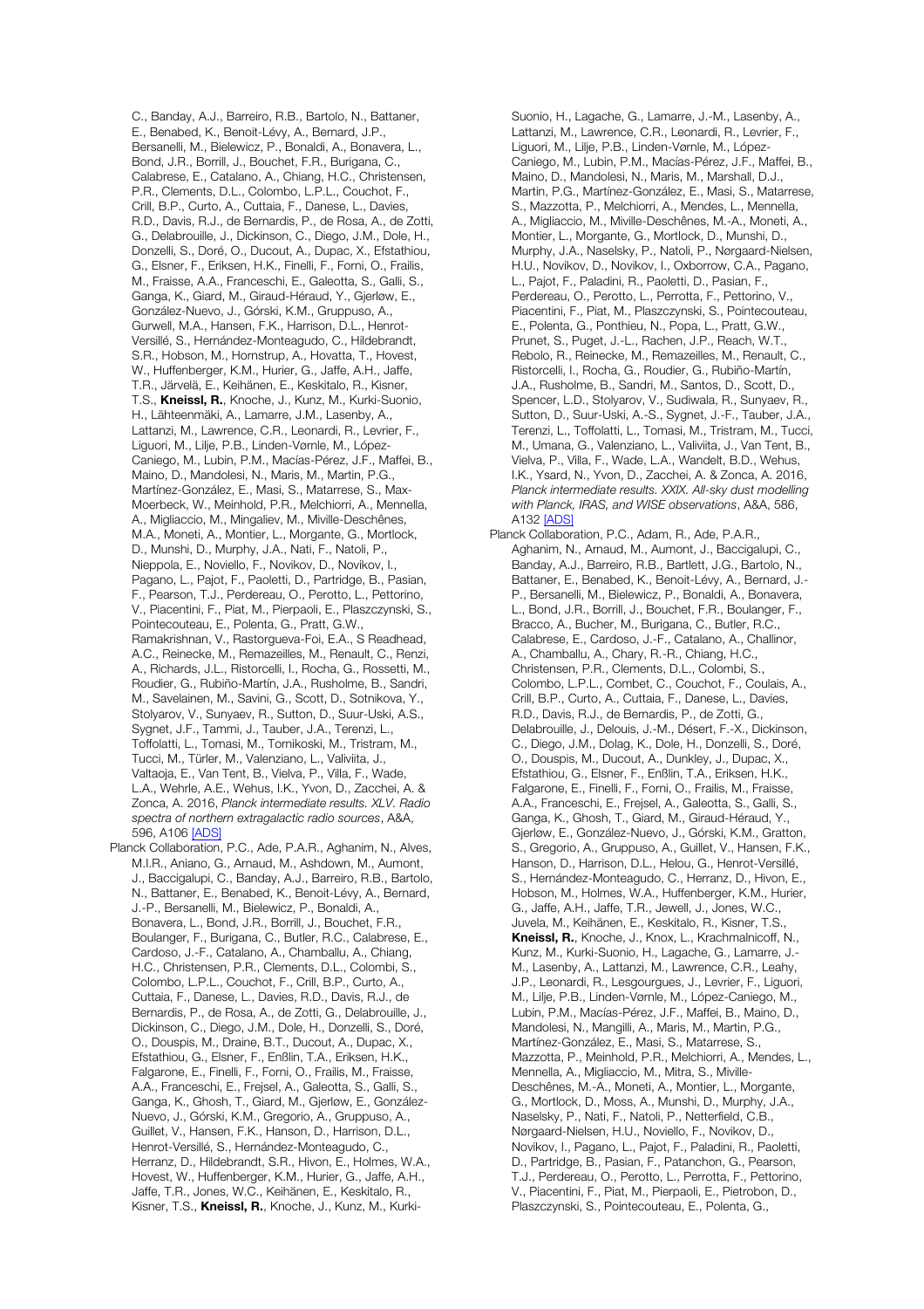C., Banday, A.J., Barreiro, R.B., Bartolo, N., Battaner, E., Benabed, K., Benoit-Lévy, A., Bernard, J.P., Bersanelli, M., Bielewicz, P., Bonaldi, A., Bonavera, L., Bond, J.R., Borrill, J., Bouchet, F.R., Burigana, C., Calabrese, E., Catalano, A., Chiang, H.C., Christensen, P.R., Clements, D.L., Colombo, L.P.L., Couchot, F., Crill, B.P., Curto, A., Cuttaia, F., Danese, L., Davies, R.D., Davis, R.J., de Bernardis, P., de Rosa, A., de Zotti, G., Delabrouille, J., Dickinson, C., Diego, J.M., Dole, H., Donzelli, S., Doré, O., Ducout, A., Dupac, X., Efstathiou, G., Elsner, F., Eriksen, H.K., Finelli, F., Forni, O., Frailis, M., Fraisse, A.A., Franceschi, E., Galeotta, S., Galli, S., Ganga, K., Giard, M., Giraud-Héraud, Y., Gjerløw, E., González-Nuevo, J., Górski, K.M., Gruppuso, A., Gurwell, M.A., Hansen, F.K., Harrison, D.L., Henrot-Versillé, S., Hernández-Monteagudo, C., Hildebrandt, S.R., Hobson, M., Hornstrup, A., Hovatta, T., Hovest, W., Huffenberger, K.M., Hurier, G., Jaffe, A.H., Jaffe, T.R., Järvelä, E., Keihänen, E., Keskitalo, R., Kisner, T.S., Kneissl, R., Knoche, J., Kunz, M., Kurki-Suonio, H., Lähteenmäki, A., Lamarre, J.M., Lasenby, A., Lattanzi, M., Lawrence, C.R., Leonardi, R., Levrier, F., Liguori, M., Lilje, P.B., Linden-Vørnle, M., López-Caniego, M., Lubin, P.M., Macías-Pérez, J.F., Maffei, B., Maino, D., Mandolesi, N., Maris, M., Martin, P.G., Martínez-González, E., Masi, S., Matarrese, S., Max-Moerbeck, W., Meinhold, P.R., Melchiorri, A., Mennella, A., Migliaccio, M., Mingaliev, M., Miville-Deschênes, M.A., Moneti, A., Montier, L., Morgante, G., Mortlock, D., Munshi, D., Murphy, J.A., Nati, F., Natoli, P., Nieppola, E., Noviello, F., Novikov, D., Novikov, I., Pagano, L., Pajot, F., Paoletti, D., Partridge, B., Pasian, F., Pearson, T.J., Perdereau, O., Perotto, L., Pettorino, V., Piacentini, F., Piat, M., Pierpaoli, E., Plaszczynski, S., Pointecouteau, E., Polenta, G., Pratt, G.W., Ramakrishnan, V., Rastorgueva-Foi, E.A., S Readhead, A.C., Reinecke, M., Remazeilles, M., Renault, C., Renzi, A., Richards, J.L., Ristorcelli, I., Rocha, G., Rossetti, M., Roudier, G., Rubiño-Martín, J.A., Rusholme, B., Sandri, M., Savelainen, M., Savini, G., Scott, D., Sotnikova, Y., Stolyarov, V., Sunyaev, R., Sutton, D., Suur-Uski, A.S., Sygnet, J.F., Tammi, J., Tauber, J.A., Terenzi, L., Toffolatti, L., Tomasi, M., Tornikoski, M., Tristram, M., Tucci, M., Türler, M., Valenziano, L., Valiviita, J., Valtaoja, E., Van Tent, B., Vielva, P., Villa, F., Wade, L.A., Wehrle, A.E., Wehus, I.K., Yvon, D., Zacchei, A. & Zonca, A. 2016, *Planck intermediate results. XLV. Radio spectra of northern extragalactic radio sources*, A&A, 596, A106 [ADS]

Planck Collaboration, P.C., Ade, P.A.R., Aghanim, N., Alves, M.I.R., Aniano, G., Arnaud, M., Ashdown, M., Aumont, J., Baccigalupi, C., Banday, A.J., Barreiro, R.B., Bartolo, N., Battaner, E., Benabed, K., Benoit-Lévy, A., Bernard, J.-P., Bersanelli, M., Bielewicz, P., Bonaldi, A., Bonavera, L., Bond, J.R., Borrill, J., Bouchet, F.R., Boulanger, F., Burigana, C., Butler, R.C., Calabrese, E., Cardoso, J.-F., Catalano, A., Chamballu, A., Chiang, H.C., Christensen, P.R., Clements, D.L., Colombi, S., Colombo, L.P.L., Couchot, F., Crill, B.P., Curto, A., Cuttaia, F., Danese, L., Davies, R.D., Davis, R.J., de Bernardis, P., de Rosa, A., de Zotti, G., Delabrouille, J., Dickinson, C., Diego, J.M., Dole, H., Donzelli, S., Doré, O., Douspis, M., Draine, B.T., Ducout, A., Dupac, X., Efstathiou, G., Elsner, F., Enßlin, T.A., Eriksen, H.K., Falgarone, E., Finelli, F., Forni, O., Frailis, M., Fraisse, A.A., Franceschi, E., Frejsel, A., Galeotta, S., Galli, S., Ganga, K., Ghosh, T., Giard, M., Gjerløw, E., González-Nuevo, J., Górski, K.M., Gregorio, A., Gruppuso, A., Guillet, V., Hansen, F.K., Hanson, D., Harrison, D.L., Henrot-Versillé, S., Hernández-Monteagudo, C., Herranz, D., Hildebrandt, S.R., Hivon, E., Holmes, W.A., Hovest, W., Huffenberger, K.M., Hurier, G., Jaffe, A.H., Jaffe, T.R., Jones, W.C., Keihänen, E., Keskitalo, R., Kisner, T.S., Kneissl, R., Knoche, J., Kunz, M., KurkiSuonio, H., Lagache, G., Lamarre, J.-M., Lasenby, A., Lattanzi, M., Lawrence, C.R., Leonardi, R., Levrier, F., Liguori, M., Lilje, P.B., Linden-Vørnle, M., López-Caniego, M., Lubin, P.M., Macías-Pérez, J.F., Maffei, B., Maino, D., Mandolesi, N., Maris, M., Marshall, D.J., Martin, P.G., Martínez-González, E., Masi, S., Matarrese, S., Mazzotta, P., Melchiorri, A., Mendes, L., Mennella, A., Migliaccio, M., Miville-Deschênes, M.-A., Moneti, A., Montier, L., Morgante, G., Mortlock, D., Munshi, D., Murphy, J.A., Naselsky, P., Natoli, P., Nørgaard-Nielsen, H.U., Novikov, D., Novikov, I., Oxborrow, C.A., Pagano, L., Pajot, F., Paladini, R., Paoletti, D., Pasian, F., Perdereau, O., Perotto, L., Perrotta, F., Pettorino, V., Piacentini, F., Piat, M., Plaszczynski, S., Pointecouteau, E., Polenta, G., Ponthieu, N., Popa, L., Pratt, G.W., Prunet, S., Puget, J.-L., Rachen, J.P., Reach, W.T., Rebolo, R., Reinecke, M., Remazeilles, M., Renault, C., Ristorcelli, I., Rocha, G., Roudier, G., Rubiño-Martín, J.A., Rusholme, B., Sandri, M., Santos, D., Scott, D., Spencer, L.D., Stolyarov, V., Sudiwala, R., Sunyaev, R., Sutton, D., Suur-Uski, A.-S., Sygnet, J.-F., Tauber, J.A., Terenzi, L., Toffolatti, L., Tomasi, M., Tristram, M., Tucci, M., Umana, G., Valenziano, L., Valiviita, J., Van Tent, B., Vielva, P., Villa, F., Wade, L.A., Wandelt, B.D., Wehus, I.K., Ysard, N., Yvon, D., Zacchei, A. & Zonca, A. 2016, *Planck intermediate results. XXIX. All-sky dust modelling with Planck, IRAS, and WISE observations*, A&A, 586, A132 [ADS]

Planck Collaboration, P.C., Adam, R., Ade, P.A.R., Aghanim, N., Arnaud, M., Aumont, J., Baccigalupi, C., Banday, A.J., Barreiro, R.B., Bartlett, J.G., Bartolo, N., Battaner, E., Benabed, K., Benoit-Lévy, A., Bernard, J.- P., Bersanelli, M., Bielewicz, P., Bonaldi, A., Bonavera, L., Bond, J.R., Borrill, J., Bouchet, F.R., Boulanger, F., Bracco, A., Bucher, M., Burigana, C., Butler, R.C., Calabrese, E., Cardoso, J.-F., Catalano, A., Challinor, A., Chamballu, A., Chary, R.-R., Chiang, H.C., Christensen, P.R., Clements, D.L., Colombi, S., Colombo, L.P.L., Combet, C., Couchot, F., Coulais, A., Crill, B.P., Curto, A., Cuttaia, F., Danese, L., Davies, R.D., Davis, R.J., de Bernardis, P., de Zotti, G., Delabrouille, J., Delouis, J.-M., Désert, F.-X., Dickinson, C., Diego, J.M., Dolag, K., Dole, H., Donzelli, S., Doré, O., Douspis, M., Ducout, A., Dunkley, J., Dupac, X., Efstathiou, G., Elsner, F., Enßlin, T.A., Eriksen, H.K., Falgarone, E., Finelli, F., Forni, O., Frailis, M., Fraisse, A.A., Franceschi, E., Frejsel, A., Galeotta, S., Galli, S., Ganga, K., Ghosh, T., Giard, M., Giraud-Héraud, Y., Gjerløw, E., González-Nuevo, J., Górski, K.M., Gratton, S., Gregorio, A., Gruppuso, A., Guillet, V., Hansen, F.K., Hanson, D., Harrison, D.L., Helou, G., Henrot-Versillé, S., Hernández-Monteagudo, C., Herranz, D., Hivon, E., Hobson, M., Holmes, W.A., Huffenberger, K.M., Hurier, G., Jaffe, A.H., Jaffe, T.R., Jewell, J., Jones, W.C., Juvela, M., Keihänen, E., Keskitalo, R., Kisner, T.S., Kneissl, R., Knoche, J., Knox, L., Krachmalnicoff, N., Kunz, M., Kurki-Suonio, H., Lagache, G., Lamarre, J.- M., Lasenby, A., Lattanzi, M., Lawrence, C.R., Leahy, J.P., Leonardi, R., Lesgourgues, J., Levrier, F., Liguori, M., Lilje, P.B., Linden-Vørnle, M., López-Caniego, M., Lubin, P.M., Macías-Pérez, J.F., Maffei, B., Maino, D., Mandolesi, N., Mangilli, A., Maris, M., Martin, P.G., Martínez-González, E., Masi, S., Matarrese, S., Mazzotta, P., Meinhold, P.R., Melchiorri, A., Mendes, L., Mennella, A., Migliaccio, M., Mitra, S., Miville-Deschênes, M.-A., Moneti, A., Montier, L., Morgante, G., Mortlock, D., Moss, A., Munshi, D., Murphy, J.A., Naselsky, P., Nati, F., Natoli, P., Netterfield, C.B., Nørgaard-Nielsen, H.U., Noviello, F., Novikov, D., Novikov, I., Pagano, L., Pajot, F., Paladini, R., Paoletti, D., Partridge, B., Pasian, F., Patanchon, G., Pearson, T.J., Perdereau, O., Perotto, L., Perrotta, F., Pettorino, V., Piacentini, F., Piat, M., Pierpaoli, E., Pietrobon, D., Plaszczynski, S., Pointecouteau, E., Polenta, G.,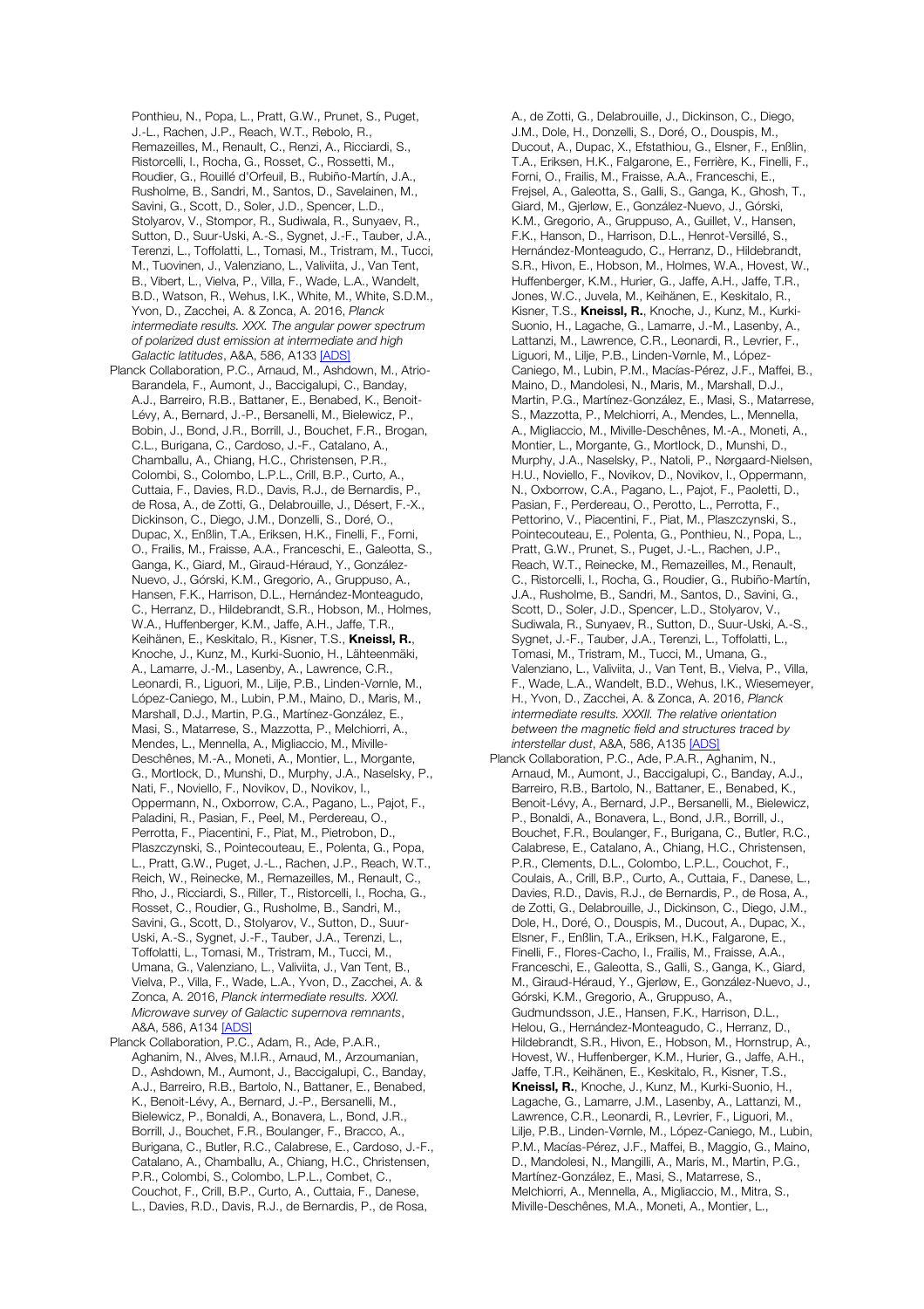Ponthieu, N., Popa, L., Pratt, G.W., Prunet, S., Puget, J.-L., Rachen, J.P., Reach, W.T., Rebolo, R., Remazeilles, M., Renault, C., Renzi, A., Ricciardi, S., Ristorcelli, I., Rocha, G., Rosset, C., Rossetti, M., Roudier, G., Rouillé d'Orfeuil, B., Rubiño-Martín, J.A., Rusholme, B., Sandri, M., Santos, D., Savelainen, M., Savini, G., Scott, D., Soler, J.D., Spencer, L.D., Stolyarov, V., Stompor, R., Sudiwala, R., Sunyaev, R., Sutton, D., Suur-Uski, A.-S., Sygnet, J.-F., Tauber, J.A., Terenzi, L., Toffolatti, L., Tomasi, M., Tristram, M., Tucci, M., Tuovinen, J., Valenziano, L., Valiviita, J., Van Tent, B., Vibert, L., Vielva, P., Villa, F., Wade, L.A., Wandelt, B.D., Watson, R., Wehus, I.K., White, M., White, S.D.M., Yvon, D., Zacchei, A. & Zonca, A. 2016, *Planck intermediate results. XXX. The angular power spectrum of polarized dust emission at intermediate and high Galactic latitudes*, A&A, 586, A133 [ADS]

Planck Collaboration, P.C., Arnaud, M., Ashdown, M., Atrio-Barandela, F., Aumont, J., Baccigalupi, C., Banday, A.J., Barreiro, R.B., Battaner, E., Benabed, K., Benoit-Lévy, A., Bernard, J.-P., Bersanelli, M., Bielewicz, P., Bobin, J., Bond, J.R., Borrill, J., Bouchet, F.R., Brogan, C.L., Burigana, C., Cardoso, J.-F., Catalano, A., Chamballu, A., Chiang, H.C., Christensen, P.R., Colombi, S., Colombo, L.P.L., Crill, B.P., Curto, A., Cuttaia, F., Davies, R.D., Davis, R.J., de Bernardis, P., de Rosa, A., de Zotti, G., Delabrouille, J., Désert, F.-X., Dickinson, C., Diego, J.M., Donzelli, S., Doré, O., Dupac, X., Enßlin, T.A., Eriksen, H.K., Finelli, F., Forni, O., Frailis, M., Fraisse, A.A., Franceschi, E., Galeotta, S., Ganga, K., Giard, M., Giraud-Héraud, Y., González-Nuevo, J., Górski, K.M., Gregorio, A., Gruppuso, A., Hansen, F.K., Harrison, D.L., Hernández-Monteagudo, C., Herranz, D., Hildebrandt, S.R., Hobson, M., Holmes, W.A., Huffenberger, K.M., Jaffe, A.H., Jaffe, T.R., Keihänen, E., Keskitalo, R., Kisner, T.S., Kneissl, R., Knoche, J., Kunz, M., Kurki-Suonio, H., Lähteenmäki, A., Lamarre, J.-M., Lasenby, A., Lawrence, C.R., Leonardi, R., Liguori, M., Lilje, P.B., Linden-Vørnle, M., López-Caniego, M., Lubin, P.M., Maino, D., Maris, M., Marshall, D.J., Martin, P.G., Martínez-González, E., Masi, S., Matarrese, S., Mazzotta, P., Melchiorri, A., Mendes, L., Mennella, A., Migliaccio, M., Miville-Deschênes, M.-A., Moneti, A., Montier, L., Morgante, G., Mortlock, D., Munshi, D., Murphy, J.A., Naselsky, P., Nati, F., Noviello, F., Novikov, D., Novikov, I., Oppermann, N., Oxborrow, C.A., Pagano, L., Pajot, F., Paladini, R., Pasian, F., Peel, M., Perdereau, O., Perrotta, F., Piacentini, F., Piat, M., Pietrobon, D., Plaszczynski, S., Pointecouteau, E., Polenta, G., Popa, L., Pratt, G.W., Puget, J.-L., Rachen, J.P., Reach, W.T., Reich, W., Reinecke, M., Remazeilles, M., Renault, C., Rho, J., Ricciardi, S., Riller, T., Ristorcelli, I., Rocha, G., Rosset, C., Roudier, G., Rusholme, B., Sandri, M., Savini, G., Scott, D., Stolyarov, V., Sutton, D., Suur-Uski, A.-S., Sygnet, J.-F., Tauber, J.A., Terenzi, L., Toffolatti, L., Tomasi, M., Tristram, M., Tucci, M., Umana, G., Valenziano, L., Valiviita, J., Van Tent, B., Vielva, P., Villa, F., Wade, L.A., Yvon, D., Zacchei, A. & Zonca, A. 2016, *Planck intermediate results. XXXI. Microwave survey of Galactic supernova remnants*, A&A, 586, A134 [ADS]

Planck Collaboration, P.C., Adam, R., Ade, P.A.R., Aghanim, N., Alves, M.I.R., Arnaud, M., Arzoumanian, D., Ashdown, M., Aumont, J., Baccigalupi, C., Banday, A.J., Barreiro, R.B., Bartolo, N., Battaner, E., Benabed, K., Benoit-Lévy, A., Bernard, J.-P., Bersanelli, M., Bielewicz, P., Bonaldi, A., Bonavera, L., Bond, J.R., Borrill, J., Bouchet, F.R., Boulanger, F., Bracco, A., Burigana, C., Butler, R.C., Calabrese, E., Cardoso, J.-F., Catalano, A., Chamballu, A., Chiang, H.C., Christensen, P.R., Colombi, S., Colombo, L.P.L., Combet, C., Couchot, F., Crill, B.P., Curto, A., Cuttaia, F., Danese, L., Davies, R.D., Davis, R.J., de Bernardis, P., de Rosa,

A., de Zotti, G., Delabrouille, J., Dickinson, C., Diego, J.M., Dole, H., Donzelli, S., Doré, O., Douspis, M., Ducout, A., Dupac, X., Efstathiou, G., Elsner, F., Enßlin, T.A., Eriksen, H.K., Falgarone, E., Ferrière, K., Finelli, F., Forni, O., Frailis, M., Fraisse, A.A., Franceschi, E., Frejsel, A., Galeotta, S., Galli, S., Ganga, K., Ghosh, T., Giard, M., Gjerløw, E., González-Nuevo, J., Górski, K.M., Gregorio, A., Gruppuso, A., Guillet, V., Hansen, F.K., Hanson, D., Harrison, D.L., Henrot-Versillé, S., Hernández-Monteagudo, C., Herranz, D., Hildebrandt, S.R., Hivon, E., Hobson, M., Holmes, W.A., Hovest, W., Huffenberger, K.M., Hurier, G., Jaffe, A.H., Jaffe, T.R., Jones, W.C., Juvela, M., Keihänen, E., Keskitalo, R., Kisner, T.S., Kneissl, R., Knoche, J., Kunz, M., Kurki-Suonio, H., Lagache, G., Lamarre, J.-M., Lasenby, A., Lattanzi, M., Lawrence, C.R., Leonardi, R., Levrier, F., Liguori, M., Lilje, P.B., Linden-Vørnle, M., López-Caniego, M., Lubin, P.M., Macías-Pérez, J.F., Maffei, B., Maino, D., Mandolesi, N., Maris, M., Marshall, D.J., Martin, P.G., Martínez-González, E., Masi, S., Matarrese, S., Mazzotta, P., Melchiorri, A., Mendes, L., Mennella, A., Migliaccio, M., Miville-Deschênes, M.-A., Moneti, A., Montier, L., Morgante, G., Mortlock, D., Munshi, D., Murphy, J.A., Naselsky, P., Natoli, P., Nørgaard-Nielsen, H.U., Noviello, F., Novikov, D., Novikov, I., Oppermann, N., Oxborrow, C.A., Pagano, L., Pajot, F., Paoletti, D., Pasian, F., Perdereau, O., Perotto, L., Perrotta, F., Pettorino, V., Piacentini, F., Piat, M., Plaszczynski, S., Pointecouteau, E., Polenta, G., Ponthieu, N., Popa, L., Pratt, G.W., Prunet, S., Puget, J.-L., Rachen, J.P., Reach, W.T., Reinecke, M., Remazeilles, M., Renault, C., Ristorcelli, I., Rocha, G., Roudier, G., Rubiño-Martín, J.A., Rusholme, B., Sandri, M., Santos, D., Savini, G., Scott, D., Soler, J.D., Spencer, L.D., Stolyarov, V., Sudiwala, R., Sunyaev, R., Sutton, D., Suur-Uski, A.-S., Sygnet, J.-F., Tauber, J.A., Terenzi, L., Toffolatti, L., Tomasi, M., Tristram, M., Tucci, M., Umana, G., Valenziano, L., Valiviita, J., Van Tent, B., Vielva, P., Villa, F., Wade, L.A., Wandelt, B.D., Wehus, I.K., Wiesemeyer, H., Yvon, D., Zacchei, A. & Zonca, A. 2016, *Planck intermediate results. XXXII. The relative orientation between the magnetic field and structures traced by interstellar dust*, A&A, 586, A135 [ADS]

Planck Collaboration, P.C., Ade, P.A.R., Aghanim, N., Arnaud, M., Aumont, J., Baccigalupi, C., Banday, A.J., Barreiro, R.B., Bartolo, N., Battaner, E., Benabed, K., Benoit-Lévy, A., Bernard, J.P., Bersanelli, M., Bielewicz, P., Bonaldi, A., Bonavera, L., Bond, J.R., Borrill, J., Bouchet, F.R., Boulanger, F., Burigana, C., Butler, R.C., Calabrese, E., Catalano, A., Chiang, H.C., Christensen, P.R., Clements, D.L., Colombo, L.P.L., Couchot, F., Coulais, A., Crill, B.P., Curto, A., Cuttaia, F., Danese, L., Davies, R.D., Davis, R.J., de Bernardis, P., de Rosa, A., de Zotti, G., Delabrouille, J., Dickinson, C., Diego, J.M., Dole, H., Doré, O., Douspis, M., Ducout, A., Dupac, X., Elsner, F., Enßlin, T.A., Eriksen, H.K., Falgarone, E., Finelli, F., Flores-Cacho, I., Frailis, M., Fraisse, A.A., Franceschi, E., Galeotta, S., Galli, S., Ganga, K., Giard, M., Giraud-Héraud, Y., Gjerløw, E., González-Nuevo, J., Górski, K.M., Gregorio, A., Gruppuso, A., Gudmundsson, J.E., Hansen, F.K., Harrison, D.L., Helou, G., Hernández-Monteagudo, C., Herranz, D., Hildebrandt, S.R., Hivon, E., Hobson, M., Hornstrup, A., Hovest, W., Huffenberger, K.M., Hurier, G., Jaffe, A.H., Jaffe, T.R., Keihänen, E., Keskitalo, R., Kisner, T.S., Kneissl, R., Knoche, J., Kunz, M., Kurki-Suonio, H., Lagache, G., Lamarre, J.M., Lasenby, A., Lattanzi, M., Lawrence, C.R., Leonardi, R., Levrier, F., Liguori, M., Lilje, P.B., Linden-Vørnle, M., López-Caniego, M., Lubin, P.M., Macías-Pérez, J.F., Maffei, B., Maggio, G., Maino, D., Mandolesi, N., Mangilli, A., Maris, M., Martin, P.G., Martínez-González, E., Masi, S., Matarrese, S., Melchiorri, A., Mennella, A., Migliaccio, M., Mitra, S., Miville-Deschênes, M.A., Moneti, A., Montier, L.,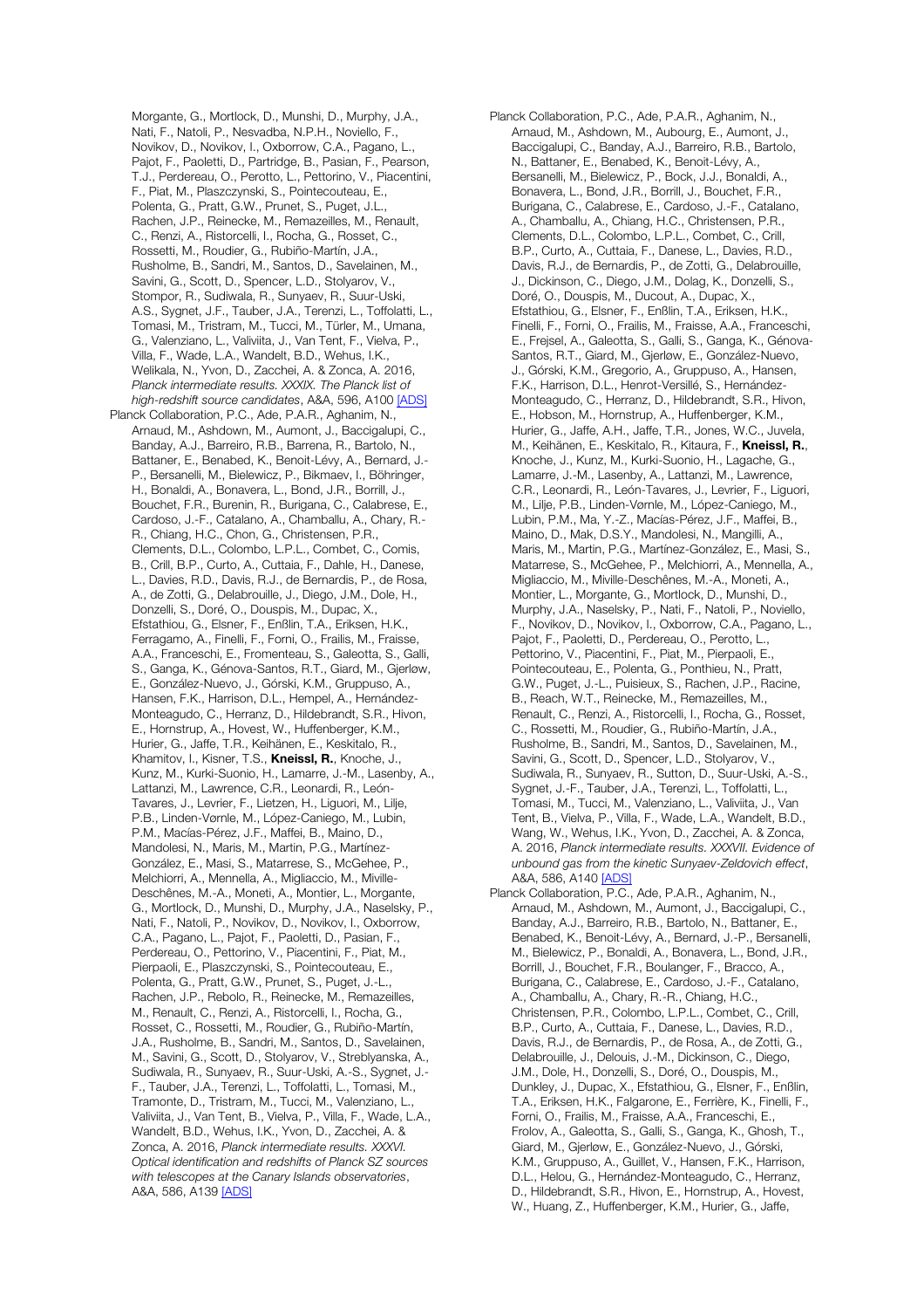Morgante, G., Mortlock, D., Munshi, D., Murphy, J.A., Nati, F., Natoli, P., Nesvadba, N.P.H., Noviello, F., Novikov, D., Novikov, I., Oxborrow, C.A., Pagano, L., Pajot, F., Paoletti, D., Partridge, B., Pasian, F., Pearson, T.J., Perdereau, O., Perotto, L., Pettorino, V., Piacentini, F., Piat, M., Plaszczynski, S., Pointecouteau, E., Polenta, G., Pratt, G.W., Prunet, S., Puget, J.L., Rachen, J.P., Reinecke, M., Remazeilles, M., Renault, C., Renzi, A., Ristorcelli, I., Rocha, G., Rosset, C., Rossetti, M., Roudier, G., Rubiño-Martín, J.A., Rusholme, B., Sandri, M., Santos, D., Savelainen, M., Savini, G., Scott, D., Spencer, L.D., Stolyarov, V., Stompor, R., Sudiwala, R., Sunyaev, R., Suur-Uski, A.S., Sygnet, J.F., Tauber, J.A., Terenzi, L., Toffolatti, L., Tomasi, M., Tristram, M., Tucci, M., Türler, M., Umana, G., Valenziano, L., Valiviita, J., Van Tent, F., Vielva, P., Villa, F., Wade, L.A., Wandelt, B.D., Wehus, I.K., Welikala, N., Yvon, D., Zacchei, A. & Zonca, A. 2016, *Planck intermediate results. XXXIX. The Planck list of high-redshift source candidates*, A&A, 596, A100 [ADS] Planck Collaboration, P.C., Ade, P.A.R., Aghanim, N.,

Arnaud, M., Ashdown, M., Aumont, J., Baccigalupi, C., Banday, A.J., Barreiro, R.B., Barrena, R., Bartolo, N., Battaner, E., Benabed, K., Benoit-Lévy, A., Bernard, J.- P., Bersanelli, M., Bielewicz, P., Bikmaev, I., Böhringer, H., Bonaldi, A., Bonavera, L., Bond, J.R., Borrill, J., Bouchet, F.R., Burenin, R., Burigana, C., Calabrese, E., Cardoso, J.-F., Catalano, A., Chamballu, A., Chary, R.- R., Chiang, H.C., Chon, G., Christensen, P.R., Clements, D.L., Colombo, L.P.L., Combet, C., Comis, B., Crill, B.P., Curto, A., Cuttaia, F., Dahle, H., Danese, L., Davies, R.D., Davis, R.J., de Bernardis, P., de Rosa, A., de Zotti, G., Delabrouille, J., Diego, J.M., Dole, H., Donzelli, S., Doré, O., Douspis, M., Dupac, X., Efstathiou, G., Elsner, F., Enßlin, T.A., Eriksen, H.K., Ferragamo, A., Finelli, F., Forni, O., Frailis, M., Fraisse, A.A., Franceschi, E., Fromenteau, S., Galeotta, S., Galli, S., Ganga, K., Génova-Santos, R.T., Giard, M., Gjerløw, E., González-Nuevo, J., Górski, K.M., Gruppuso, A., Hansen, F.K., Harrison, D.L., Hempel, A., Hernández-Monteagudo, C., Herranz, D., Hildebrandt, S.R., Hivon, E., Hornstrup, A., Hovest, W., Huffenberger, K.M., Hurier, G., Jaffe, T.R., Keihänen, E., Keskitalo, R., Khamitov, I., Kisner, T.S., Kneissl, R., Knoche, J., Kunz, M., Kurki-Suonio, H., Lamarre, J.-M., Lasenby, A., Lattanzi, M., Lawrence, C.R., Leonardi, R., León-Tavares, J., Levrier, F., Lietzen, H., Liguori, M., Lilje, P.B., Linden-Vørnle, M., López-Caniego, M., Lubin, P.M., Macías-Pérez, J.F., Maffei, B., Maino, D., Mandolesi, N., Maris, M., Martin, P.G., Martínez-González, E., Masi, S., Matarrese, S., McGehee, P., Melchiorri, A., Mennella, A., Migliaccio, M., Miville-Deschênes, M.-A., Moneti, A., Montier, L., Morgante, G., Mortlock, D., Munshi, D., Murphy, J.A., Naselsky, P., Nati, F., Natoli, P., Novikov, D., Novikov, I., Oxborrow, C.A., Pagano, L., Pajot, F., Paoletti, D., Pasian, F., Perdereau, O., Pettorino, V., Piacentini, F., Piat, M., Pierpaoli, E., Plaszczynski, S., Pointecouteau, E., Polenta, G., Pratt, G.W., Prunet, S., Puget, J.-L., Rachen, J.P., Rebolo, R., Reinecke, M., Remazeilles, M., Renault, C., Renzi, A., Ristorcelli, I., Rocha, G., Rosset, C., Rossetti, M., Roudier, G., Rubiño-Martín, J.A., Rusholme, B., Sandri, M., Santos, D., Savelainen, M., Savini, G., Scott, D., Stolyarov, V., Streblyanska, A., Sudiwala, R., Sunyaev, R., Suur-Uski, A.-S., Sygnet, J.- F., Tauber, J.A., Terenzi, L., Toffolatti, L., Tomasi, M., Tramonte, D., Tristram, M., Tucci, M., Valenziano, L., Valiviita, J., Van Tent, B., Vielva, P., Villa, F., Wade, L.A., Wandelt, B.D., Wehus, I.K., Yvon, D., Zacchei, A. & Zonca, A. 2016, *Planck intermediate results. XXXVI. Optical identification and redshifts of Planck SZ sources with telescopes at the Canary Islands observatories*, A&A, 586, A139 [ADS]

Planck Collaboration, P.C., Ade, P.A.R., Aghanim, N., Arnaud, M., Ashdown, M., Aubourg, E., Aumont, J., Baccigalupi, C., Banday, A.J., Barreiro, R.B., Bartolo, N., Battaner, E., Benabed, K., Benoit-Lévy, A., Bersanelli, M., Bielewicz, P., Bock, J.J., Bonaldi, A., Bonavera, L., Bond, J.R., Borrill, J., Bouchet, F.R., Burigana, C., Calabrese, E., Cardoso, J.-F., Catalano, A., Chamballu, A., Chiang, H.C., Christensen, P.R., Clements, D.L., Colombo, L.P.L., Combet, C., Crill, B.P., Curto, A., Cuttaia, F., Danese, L., Davies, R.D., Davis, R.J., de Bernardis, P., de Zotti, G., Delabrouille, J., Dickinson, C., Diego, J.M., Dolag, K., Donzelli, S., Doré, O., Douspis, M., Ducout, A., Dupac, X., Efstathiou, G., Elsner, F., Enßlin, T.A., Eriksen, H.K., Finelli, F., Forni, O., Frailis, M., Fraisse, A.A., Franceschi, E., Frejsel, A., Galeotta, S., Galli, S., Ganga, K., Génova-Santos, R.T., Giard, M., Gjerløw, E., González-Nuevo, J., Górski, K.M., Gregorio, A., Gruppuso, A., Hansen, F.K., Harrison, D.L., Henrot-Versillé, S., Hernández-Monteagudo, C., Herranz, D., Hildebrandt, S.R., Hivon, E., Hobson, M., Hornstrup, A., Huffenberger, K.M., Hurier, G., Jaffe, A.H., Jaffe, T.R., Jones, W.C., Juvela, M., Keihänen, E., Keskitalo, R., Kitaura, F., Kneissl, R., Knoche, J., Kunz, M., Kurki-Suonio, H., Lagache, G., Lamarre, J.-M., Lasenby, A., Lattanzi, M., Lawrence, C.R., Leonardi, R., León-Tavares, J., Levrier, F., Liguori, M., Lilje, P.B., Linden-Vørnle, M., López-Caniego, M., Lubin, P.M., Ma, Y.-Z., Macías-Pérez, J.F., Maffei, B., Maino, D., Mak, D.S.Y., Mandolesi, N., Mangilli, A., Maris, M., Martin, P.G., Martínez-González, E., Masi, S., Matarrese, S., McGehee, P., Melchiorri, A., Mennella, A., Migliaccio, M., Miville-Deschênes, M.-A., Moneti, A., Montier, L., Morgante, G., Mortlock, D., Munshi, D., Murphy, J.A., Naselsky, P., Nati, F., Natoli, P., Noviello, F., Novikov, D., Novikov, I., Oxborrow, C.A., Pagano, L., Pajot, F., Paoletti, D., Perdereau, O., Perotto, L., Pettorino, V., Piacentini, F., Piat, M., Pierpaoli, E., Pointecouteau, E., Polenta, G., Ponthieu, N., Pratt, G.W., Puget, J.-L., Puisieux, S., Rachen, J.P., Racine, B., Reach, W.T., Reinecke, M., Remazeilles, M., Renault, C., Renzi, A., Ristorcelli, I., Rocha, G., Rosset, C., Rossetti, M., Roudier, G., Rubiño-Martín, J.A., Rusholme, B., Sandri, M., Santos, D., Savelainen, M., Savini, G., Scott, D., Spencer, L.D., Stolyarov, V., Sudiwala, R., Sunyaev, R., Sutton, D., Suur-Uski, A.-S., Sygnet, J.-F., Tauber, J.A., Terenzi, L., Toffolatti, L., Tomasi, M., Tucci, M., Valenziano, L., Valiviita, J., Van Tent, B., Vielva, P., Villa, F., Wade, L.A., Wandelt, B.D., Wang, W., Wehus, I.K., Yvon, D., Zacchei, A. & Zonca, A. 2016, *Planck intermediate results. XXXVII. Evidence of unbound gas from the kinetic Sunyaev-Zeldovich effect*, A&A, 586, A140 [ADS]

Planck Collaboration, P.C., Ade, P.A.R., Aghanim, N., Arnaud, M., Ashdown, M., Aumont, J., Baccigalupi, C., Banday, A.J., Barreiro, R.B., Bartolo, N., Battaner, E., Benabed, K., Benoit-Lévy, A., Bernard, J.-P., Bersanelli, M., Bielewicz, P., Bonaldi, A., Bonavera, L., Bond, J.R., Borrill, J., Bouchet, F.R., Boulanger, F., Bracco, A., Burigana, C., Calabrese, E., Cardoso, J.-F., Catalano, A., Chamballu, A., Chary, R.-R., Chiang, H.C., Christensen, P.R., Colombo, L.P.L., Combet, C., Crill, B.P., Curto, A., Cuttaia, F., Danese, L., Davies, R.D., Davis, R.J., de Bernardis, P., de Rosa, A., de Zotti, G., Delabrouille, J., Delouis, J.-M., Dickinson, C., Diego, J.M., Dole, H., Donzelli, S., Doré, O., Douspis, M., Dunkley, J., Dupac, X., Efstathiou, G., Elsner, F., Enßlin, T.A., Eriksen, H.K., Falgarone, E., Ferrière, K., Finelli, F., Forni, O., Frailis, M., Fraisse, A.A., Franceschi, E., Frolov, A., Galeotta, S., Galli, S., Ganga, K., Ghosh, T., Giard, M., Gjerløw, E., González-Nuevo, J., Górski, K.M., Gruppuso, A., Guillet, V., Hansen, F.K., Harrison, D.L., Helou, G., Hernández-Monteagudo, C., Herranz, D., Hildebrandt, S.R., Hivon, E., Hornstrup, A., Hovest, W., Huang, Z., Huffenberger, K.M., Hurier, G., Jaffe,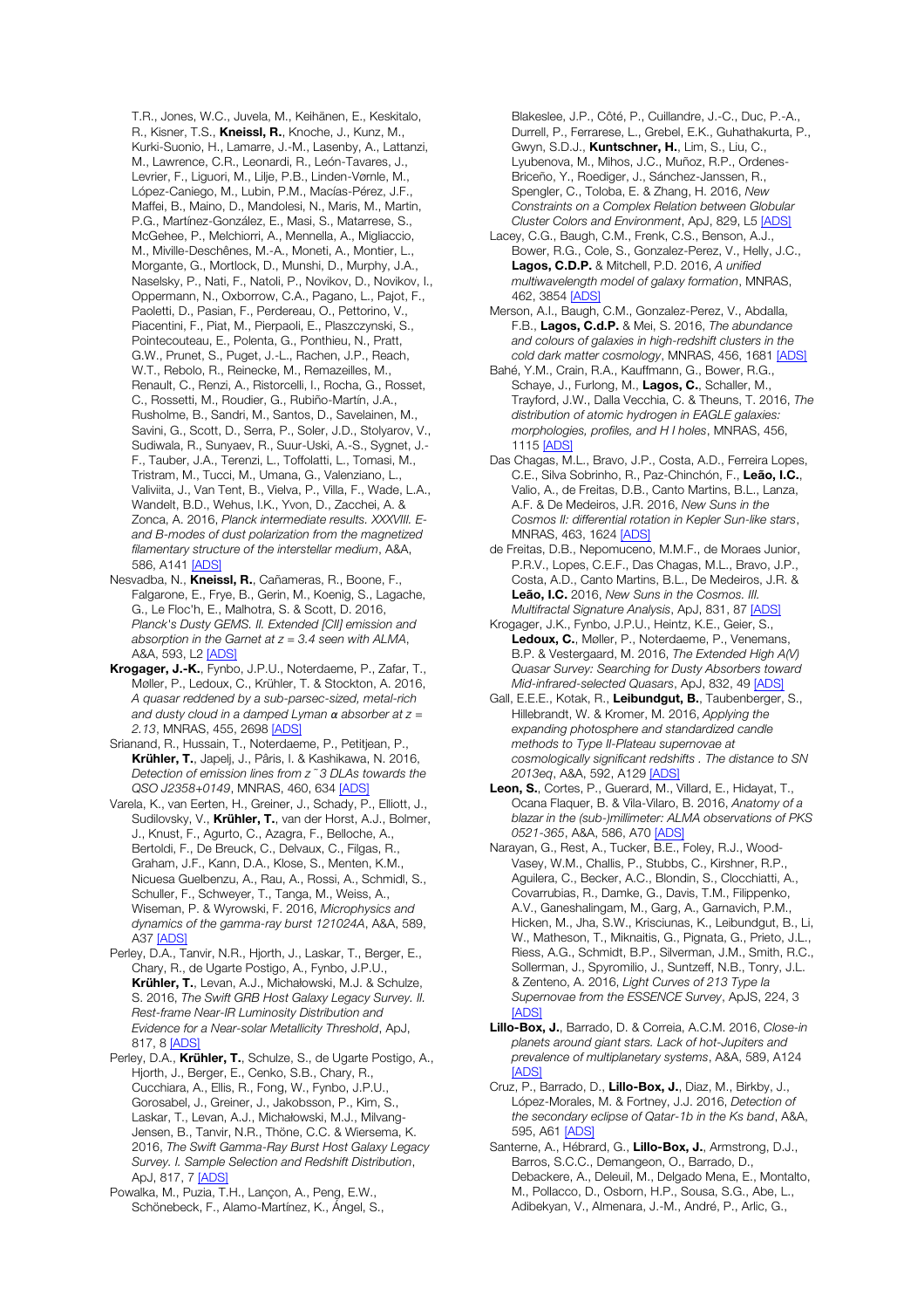T.R., Jones, W.C., Juvela, M., Keihänen, E., Keskitalo, R., Kisner, T.S., Kneissl, R., Knoche, J., Kunz, M., Kurki-Suonio, H., Lamarre, J.-M., Lasenby, A., Lattanzi, M., Lawrence, C.R., Leonardi, R., León-Tavares, J., Levrier, F., Liguori, M., Lilje, P.B., Linden-Vørnle, M., López-Caniego, M., Lubin, P.M., Macías-Pérez, J.F., Maffei, B., Maino, D., Mandolesi, N., Maris, M., Martin, P.G., Martínez-González, E., Masi, S., Matarrese, S., McGehee, P., Melchiorri, A., Mennella, A., Migliaccio, M., Miville-Deschênes, M.-A., Moneti, A., Montier, L., Morgante, G., Mortlock, D., Munshi, D., Murphy, J.A., Naselsky, P., Nati, F., Natoli, P., Novikov, D., Novikov, I., Oppermann, N., Oxborrow, C.A., Pagano, L., Pajot, F., Paoletti, D., Pasian, F., Perdereau, O., Pettorino, V., Piacentini, F., Piat, M., Pierpaoli, E., Plaszczynski, S., Pointecouteau, E., Polenta, G., Ponthieu, N., Pratt, G.W., Prunet, S., Puget, J.-L., Rachen, J.P., Reach, W.T., Rebolo, R., Reinecke, M., Remazeilles, M., Renault, C., Renzi, A., Ristorcelli, I., Rocha, G., Rosset, C., Rossetti, M., Roudier, G., Rubiño-Martín, J.A., Rusholme, B., Sandri, M., Santos, D., Savelainen, M., Savini, G., Scott, D., Serra, P., Soler, J.D., Stolyarov, V., Sudiwala, R., Sunyaev, R., Suur-Uski, A.-S., Sygnet, J.- F., Tauber, J.A., Terenzi, L., Toffolatti, L., Tomasi, M., Tristram, M., Tucci, M., Umana, G., Valenziano, L., Valiviita, J., Van Tent, B., Vielva, P., Villa, F., Wade, L.A., Wandelt, B.D., Wehus, I.K., Yvon, D., Zacchei, A. & Zonca, A. 2016, *Planck intermediate results. XXXVIII. Eand B-modes of dust polarization from the magnetized filamentary structure of the interstellar medium*, A&A, 586, A141 [ADS]

- Nesvadba, N., Kneissl, R., Cañameras, R., Boone, F., Falgarone, E., Frye, B., Gerin, M., Koenig, S., Lagache, G., Le Floc'h, E., Malhotra, S. & Scott, D. 2016, *Planck's Dusty GEMS. II. Extended [CII] emission and absorption in the Garnet at z = 3.4 seen with ALMA*, A&A, 593, L2 [ADS]
- Krogager, J.-K., Fynbo, J.P.U., Noterdaeme, P., Zafar, T., Møller, P., Ledoux, C., Krühler, T. & Stockton, A. 2016, *A quasar reddened by a sub-parsec-sized, metal-rich and dusty cloud in a damped Lyman α absorber at z = 2.13*, MNRAS, 455, 2698 [ADS]
- Srianand, R., Hussain, T., Noterdaeme, P., Petitjean, P., Krühler, T., Japelj, J., Pâris, I. & Kashikawa, N. 2016, *Detection of emission lines from z ˜ 3 DLAs towards the QSO J2358+0149*, MNRAS, 460, 634 [ADS]
- Varela, K., van Eerten, H., Greiner, J., Schady, P., Elliott, J., Sudilovsky, V., Krühler, T., van der Horst, A.J., Bolmer, J., Knust, F., Agurto, C., Azagra, F., Belloche, A., Bertoldi, F., De Breuck, C., Delvaux, C., Filgas, R., Graham, J.F., Kann, D.A., Klose, S., Menten, K.M., Nicuesa Guelbenzu, A., Rau, A., Rossi, A., Schmidl, S., Schuller, F., Schweyer, T., Tanga, M., Weiss, A., Wiseman, P. & Wyrowski, F. 2016, *Microphysics and dynamics of the gamma-ray burst 121024A*, A&A, 589, A37 [ADS]
- Perley, D.A., Tanvir, N.R., Hjorth, J., Laskar, T., Berger, E., Chary, R., de Ugarte Postigo, A., Fynbo, J.P.U., Krühler, T., Levan, A.J., Michałowski, M.J. & Schulze, S. 2016, *The Swift GRB Host Galaxy Legacy Survey. II. Rest-frame Near-IR Luminosity Distribution and Evidence for a Near-solar Metallicity Threshold*, ApJ, 817, 8 [ADS]
- Perley, D.A., *Krühler, T.*, Schulze, S., de Ugarte Postigo, A., Hjorth, J., Berger, E., Cenko, S.B., Chary, R., Cucchiara, A., Ellis, R., Fong, W., Fynbo, J.P.U., Gorosabel, J., Greiner, J., Jakobsson, P., Kim, S., Laskar, T., Levan, A.J., Michałowski, M.J., Milvang-Jensen, B., Tanvir, N.R., Thöne, C.C. & Wiersema, K. 2016, *The Swift Gamma-Ray Burst Host Galaxy Legacy Survey. I. Sample Selection and Redshift Distribution*, ApJ, 817, 7 [ADS]
- Powalka, M., Puzia, T.H., Lançon, A., Peng, E.W., Schönebeck, F., Alamo-Martínez, K., Ángel, S.,

Blakeslee, J.P., Côté, P., Cuillandre, J.-C., Duc, P.-A., Durrell, P., Ferrarese, L., Grebel, E.K., Guhathakurta, P., Gwyn, S.D.J., Kuntschner, H., Lim, S., Liu, C., Lyubenova, M., Mihos, J.C., Muñoz, R.P., Ordenes-Briceño, Y., Roediger, J., Sánchez-Janssen, R., Spengler, C., Toloba, E. & Zhang, H. 2016, *New Constraints on a Complex Relation between Globular Cluster Colors and Environment*, ApJ, 829, L5 [ADS]

- Lacey, C.G., Baugh, C.M., Frenk, C.S., Benson, A.J., Bower, R.G., Cole, S., Gonzalez-Perez, V., Helly, J.C., Lagos, C.D.P. & Mitchell, P.D. 2016, *A unified multiwavelength model of galaxy formation*, MNRAS, 462, 3854 [ADS]
- Merson, A.I., Baugh, C.M., Gonzalez-Perez, V., Abdalla, F.B., Lagos, C.d.P. & Mei, S. 2016, *The abundance and colours of galaxies in high-redshift clusters in the cold dark matter cosmology*, MNRAS, 456, 1681 [ADS]
- Bahé, Y.M., Crain, R.A., Kauffmann, G., Bower, R.G., Schaye, J., Furlong, M., Lagos, C., Schaller, M., Trayford, J.W., Dalla Vecchia, C. & Theuns, T. 2016, *The distribution of atomic hydrogen in EAGLE galaxies: morphologies, profiles, and H I holes*, MNRAS, 456, 1115 [ADS]
- Das Chagas, M.L., Bravo, J.P., Costa, A.D., Ferreira Lopes, C.E., Silva Sobrinho, R., Paz-Chinchón, F., Leão, I.C., Valio, A., de Freitas, D.B., Canto Martins, B.L., Lanza, A.F. & De Medeiros, J.R. 2016, *New Suns in the Cosmos II: differential rotation in Kepler Sun-like stars*, MNRAS, 463, 1624 [ADS]
- de Freitas, D.B., Nepomuceno, M.M.F., de Moraes Junior, P.R.V., Lopes, C.E.F., Das Chagas, M.L., Bravo, J.P., Costa, A.D., Canto Martins, B.L., De Medeiros, J.R. & Leão, I.C. 2016, *New Suns in the Cosmos. III. Multifractal Signature Analysis*, ApJ, 831, 87 [ADS]
- Krogager, J.K., Fynbo, J.P.U., Heintz, K.E., Geier, S., Ledoux, C., Møller, P., Noterdaeme, P., Venemans, B.P. & Vestergaard, M. 2016, *The Extended High A(V) Quasar Survey: Searching for Dusty Absorbers toward Mid-infrared-selected Quasars*, ApJ, 832, 49 [ADS]
- Gall, E.E.E., Kotak, R., Leibundgut, B., Taubenberger, S., Hillebrandt, W. & Kromer, M. 2016, *Applying the expanding photosphere and standardized candle methods to Type II-Plateau supernovae at cosmologically significant redshifts . The distance to SN 2013eq*, A&A, 592, A129 [ADS]
- Leon, S., Cortes, P., Guerard, M., Villard, E., Hidayat, T., Ocana Flaquer, B. & Vila-Vilaro, B. 2016, *Anatomy of a blazar in the (sub-)millimeter: ALMA observations of PKS 0521-365*, A&A, 586, A70 [ADS]
- Narayan, G., Rest, A., Tucker, B.E., Foley, R.J., Wood-Vasey, W.M., Challis, P., Stubbs, C., Kirshner, R.P., Aguilera, C., Becker, A.C., Blondin, S., Clocchiatti, A., Covarrubias, R., Damke, G., Davis, T.M., Filippenko, A.V., Ganeshalingam, M., Garg, A., Garnavich, P.M., Hicken, M., Jha, S.W., Krisciunas, K., Leibundgut, B., Li, W., Matheson, T., Miknaitis, G., Pignata, G., Prieto, J.L., Riess, A.G., Schmidt, B.P., Silverman, J.M., Smith, R.C., Sollerman, J., Spyromilio, J., Suntzeff, N.B., Tonry, J.L. & Zenteno, A. 2016, *Light Curves of 213 Type Ia Supernovae from the ESSENCE Survey*, ApJS, 224, 3 [ADS]
- Lillo-Box, J., Barrado, D. & Correia, A.C.M. 2016, *Close-in planets around giant stars. Lack of hot-Jupiters and prevalence of multiplanetary systems*, A&A, 589, A124 [ADS]
- Cruz, P., Barrado, D., Lillo-Box, J., Diaz, M., Birkby, J., López-Morales, M. & Fortney, J.J. 2016, *Detection of the secondary eclipse of Qatar-1b in the Ks band*, A&A, 595, A61 [ADS]
- Santerne, A., Hébrard, G., Lillo-Box, J., Armstrong, D.J., Barros, S.C.C., Demangeon, O., Barrado, D., Debackere, A., Deleuil, M., Delgado Mena, E., Montalto, M., Pollacco, D., Osborn, H.P., Sousa, S.G., Abe, L., Adibekyan, V., Almenara, J.-M., André, P., Arlic, G.,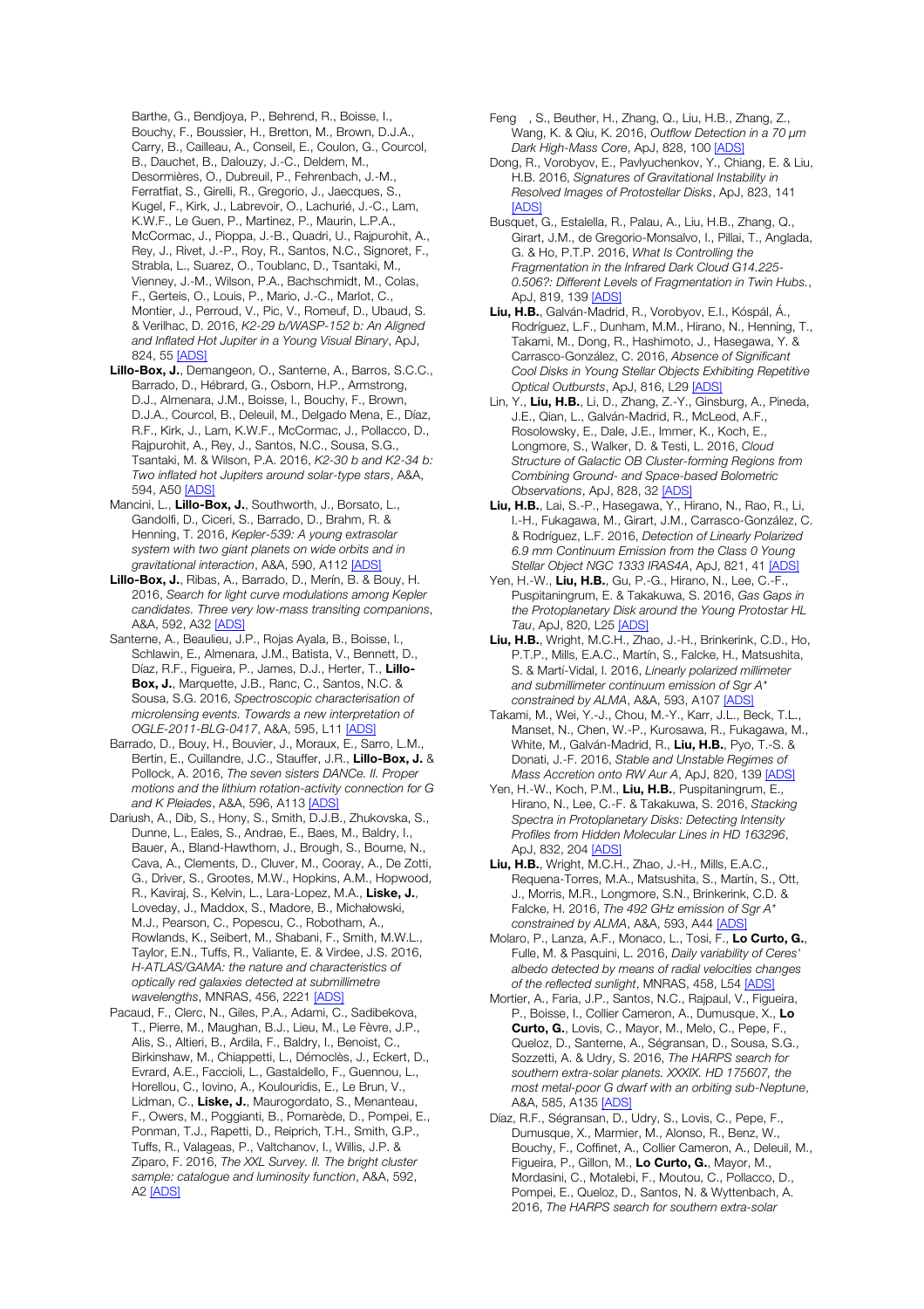Barthe, G., Bendjoya, P., Behrend, R., Boisse, I., Bouchy, F., Boussier, H., Bretton, M., Brown, D.J.A., Carry, B., Cailleau, A., Conseil, E., Coulon, G., Courcol, B., Dauchet, B., Dalouzy, J.-C., Deldem, M., Desormières, O., Dubreuil, P., Fehrenbach, J.-M., Ferratfiat, S., Girelli, R., Gregorio, J., Jaecques, S., Kugel, F., Kirk, J., Labrevoir, O., Lachurié, J.-C., Lam, K.W.F., Le Guen, P., Martinez, P., Maurin, L.P.A., McCormac, J., Pioppa, J.-B., Quadri, U., Rajpurohit, A., Rey, J., Rivet, J.-P., Roy, R., Santos, N.C., Signoret, F., Strabla, L., Suarez, O., Toublanc, D., Tsantaki, M., Vienney, J.-M., Wilson, P.A., Bachschmidt, M., Colas, F., Gerteis, O., Louis, P., Mario, J.-C., Marlot, C., Montier, J., Perroud, V., Pic, V., Romeuf, D., Ubaud, S. & Verilhac, D. 2016, *K2-29 b/WASP-152 b: An Aligned and Inflated Hot Jupiter in a Young Visual Binary*, ApJ, 824, 55 [ADS]

- Lillo-Box, J., Demangeon, O., Santerne, A., Barros, S.C.C., Barrado, D., Hébrard, G., Osborn, H.P., Armstrong, D.J., Almenara, J.M., Boisse, I., Bouchy, F., Brown, D.J.A., Courcol, B., Deleuil, M., Delgado Mena, E., Díaz, R.F., Kirk, J., Lam, K.W.F., McCormac, J., Pollacco, D., Rajpurohit, A., Rey, J., Santos, N.C., Sousa, S.G., Tsantaki, M. & Wilson, P.A. 2016, *K2-30 b and K2-34 b: Two inflated hot Jupiters around solar-type stars*, A&A, 594, A50 [ADS]
- Mancini, L., Lillo-Box, J., Southworth, J., Borsato, L., Gandolfi, D., Ciceri, S., Barrado, D., Brahm, R. & Henning, T. 2016, *Kepler-539: A young extrasolar system with two giant planets on wide orbits and in gravitational interaction*, A&A, 590, A112 [ADS]

Lillo-Box, J., Ribas, A., Barrado, D., Merín, B. & Bouy, H. 2016, *Search for light curve modulations among Kepler candidates. Three very low-mass transiting companions*, A&A, 592, A32 [ADS]

- Santerne, A., Beaulieu, J.P., Rojas Ayala, B., Boisse, I., Schlawin, E., Almenara, J.M., Batista, V., Bennett, D., Díaz, R.F., Figueira, P., James, D.J., Herter, T., Lillo-Box, J., Marquette, J.B., Ranc, C., Santos, N.C. & Sousa, S.G. 2016, *Spectroscopic characterisation of microlensing events. Towards a new interpretation of OGLE-2011-BLG-0417*, A&A, 595, L11 [ADS]
- Barrado, D., Bouy, H., Bouvier, J., Moraux, E., Sarro, L.M., Bertin, E., Cuillandre, J.C., Stauffer, J.R., Lillo-Box, J. & Pollock, A. 2016, *The seven sisters DANCe. II. Proper motions and the lithium rotation-activity connection for G and K Pleiades*, A&A, 596, A113 [ADS]
- Dariush, A., Dib, S., Hony, S., Smith, D.J.B., Zhukovska, S., Dunne, L., Eales, S., Andrae, E., Baes, M., Baldry, I., Bauer, A., Bland-Hawthorn, J., Brough, S., Bourne, N., Cava, A., Clements, D., Cluver, M., Cooray, A., De Zotti, G., Driver, S., Grootes, M.W., Hopkins, A.M., Hopwood, R., Kaviraj, S., Kelvin, L., Lara-Lopez, M.A., Liske, J., Loveday, J., Maddox, S., Madore, B., Michałowski, M.J., Pearson, C., Popescu, C., Robotham, A., Rowlands, K., Seibert, M., Shabani, F., Smith, M.W.L., Taylor, E.N., Tuffs, R., Valiante, E. & Virdee, J.S. 2016, *H-ATLAS/GAMA: the nature and characteristics of optically red galaxies detected at submillimetre wavelengths*, MNRAS, 456, 2221 [ADS]
- Pacaud, F., Clerc, N., Giles, P.A., Adami, C., Sadibekova, T., Pierre, M., Maughan, B.J., Lieu, M., Le Fèvre, J.P., Alis, S., Altieri, B., Ardila, F., Baldry, I., Benoist, C., Birkinshaw, M., Chiappetti, L., Démoclès, J., Eckert, D., Evrard, A.E., Faccioli, L., Gastaldello, F., Guennou, L., Horellou, C., Iovino, A., Koulouridis, E., Le Brun, V., Lidman, C., Liske, J., Maurogordato, S., Menanteau, F., Owers, M., Poggianti, B., Pomarède, D., Pompei, E., Ponman, T.J., Rapetti, D., Reiprich, T.H., Smith, G.P., Tuffs, R., Valageas, P., Valtchanov, I., Willis, J.P. & Ziparo, F. 2016, *The XXL Survey. II. The bright cluster sample: catalogue and luminosity function*, A&A, 592, A2 [ADS]
- Feng , S., Beuther, H., Zhang, Q., Liu, H.B., Zhang, Z., Wang, K. & Qiu, K. 2016, *Outflow Detection in a 70* μ*m Dark High-Mass Core*, ApJ, 828, 100 [ADS]
- Dong, R., Vorobyov, E., Pavlyuchenkov, Y., Chiang, E. & Liu, H.B. 2016, *Signatures of Gravitational Instability in Resolved Images of Protostellar Disks*, ApJ, 823, 141 [ADS]
- Busquet, G., Estalella, R., Palau, A., Liu, H.B., Zhang, Q., Girart, J.M., de Gregorio-Monsalvo, I., Pillai, T., Anglada, G. & Ho, P.T.P. 2016, *What Is Controlling the Fragmentation in the Infrared Dark Cloud G14.225- 0.506?: Different Levels of Fragmentation in Twin Hubs.*, ApJ, 819, 139 [ADS]
- Liu, H.B., Galván-Madrid, R., Vorobyov, E.I., Kóspál, Á., Rodríguez, L.F., Dunham, M.M., Hirano, N., Henning, T., Takami, M., Dong, R., Hashimoto, J., Hasegawa, Y. & Carrasco-González, C. 2016, *Absence of Significant Cool Disks in Young Stellar Objects Exhibiting Repetitive Optical Outbursts*, ApJ, 816, L29 [ADS]
- Lin, Y., Liu, H.B., Li, D., Zhang, Z.-Y., Ginsburg, A., Pineda, J.E., Qian, L., Galván-Madrid, R., McLeod, A.F., Rosolowsky, E., Dale, J.E., Immer, K., Koch, E., Longmore, S., Walker, D. & Testi, L. 2016, *Cloud Structure of Galactic OB Cluster-forming Regions from Combining Ground- and Space-based Bolometric Observations*, ApJ, 828, 32 [ADS]
- Liu, H.B., Lai, S.-P., Hasegawa, Y., Hirano, N., Rao, R., Li, I.-H., Fukagawa, M., Girart, J.M., Carrasco-González, C. & Rodríguez, L.F. 2016, *Detection of Linearly Polarized 6.9 mm Continuum Emission from the Class 0 Young Stellar Object NGC 1333 IRAS4A*, ApJ, 821, 41 [ADS]
- Yen, H.-W., Liu, H.B., Gu, P.-G., Hirano, N., Lee, C.-F., Puspitaningrum, E. & Takakuwa, S. 2016, *Gas Gaps in the Protoplanetary Disk around the Young Protostar HL Tau*, ApJ, 820, L25 [ADS]
- Liu, H.B., Wright, M.C.H., Zhao, J.-H., Brinkerink, C.D., Ho, P.T.P., Mills, E.A.C., Martín, S., Falcke, H., Matsushita, S. & Martí-Vidal, I. 2016, *Linearly polarized millimeter and submillimeter continuum emission of Sgr A\* constrained by ALMA*, A&A, 593, A107 [ADS]
- Takami, M., Wei, Y.-J., Chou, M.-Y., Karr, J.L., Beck, T.L., Manset, N., Chen, W.-P., Kurosawa, R., Fukagawa, M., White, M., Galván-Madrid, R., Liu, H.B., Pyo, T.-S. & Donati, J.-F. 2016, *Stable and Unstable Regimes of Mass Accretion onto RW Aur A*, ApJ, 820, 139 [ADS]
- Yen, H.-W., Koch, P.M., Liu, H.B., Puspitaningrum, E., Hirano, N., Lee, C.-F. & Takakuwa, S. 2016, *Stacking Spectra in Protoplanetary Disks: Detecting Intensity Profiles from Hidden Molecular Lines in HD 163296*, ApJ, 832, 204 [ADS]
- Liu, H.B., Wright, M.C.H., Zhao, J.-H., Mills, E.A.C., Requena-Torres, M.A., Matsushita, S., Martín, S., Ott, J., Morris, M.R., Longmore, S.N., Brinkerink, C.D. & Falcke, H. 2016, *The 492 GHz emission of Sgr A\* constrained by ALMA*, A&A, 593, A44 [ADS]
- Molaro, P., Lanza, A.F., Monaco, L., Tosi, F., Lo Curto, G., Fulle, M. & Pasquini, L. 2016, *Daily variability of Ceres' albedo detected by means of radial velocities changes of the reflected sunlight*, MNRAS, 458, L54 [ADS]
- Mortier, A., Faria, J.P., Santos, N.C., Rajpaul, V., Figueira, P., Boisse, I., Collier Cameron, A., Dumusque, X., Lo Curto, G., Lovis, C., Mayor, M., Melo, C., Pepe, F., Queloz, D., Santerne, A., Ségransan, D., Sousa, S.G., Sozzetti, A. & Udry, S. 2016, *The HARPS search for southern extra-solar planets. XXXIX. HD 175607, the most metal-poor G dwarf with an orbiting sub-Neptune*, A&A, 585, A135 [ADS]
- Díaz, R.F., Ségransan, D., Udry, S., Lovis, C., Pepe, F., Dumusque, X., Marmier, M., Alonso, R., Benz, W., Bouchy, F., Coffinet, A., Collier Cameron, A., Deleuil, M., Figueira, P., Gillon, M., Lo Curto, G., Mayor, M., Mordasini, C., Motalebi, F., Moutou, C., Pollacco, D., Pompei, E., Queloz, D., Santos, N. & Wyttenbach, A. 2016, *The HARPS search for southern extra-solar*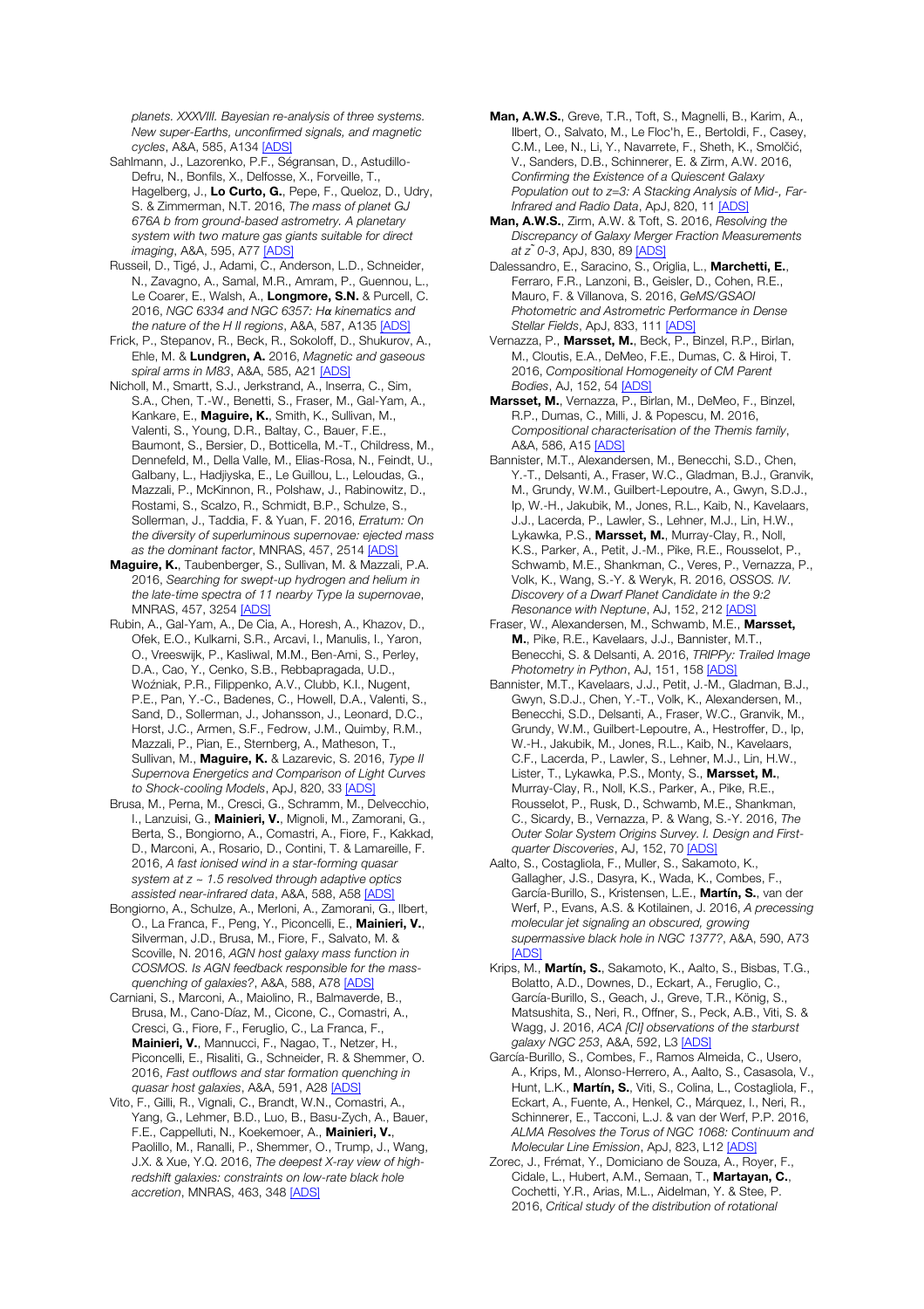*planets. XXXVIII. Bayesian re-analysis of three systems. New super-Earths, unconfirmed signals, and magnetic cycles*, A&A, 585, A134 [ADS]

- Sahlmann, J., Lazorenko, P.F., Ségransan, D., Astudillo-Defru, N., Bonfils, X., Delfosse, X., Forveille, T., Hagelberg, J., Lo Curto, G., Pepe, F., Queloz, D., Udry, S. & Zimmerman, N.T. 2016, *The mass of planet GJ 676A b from ground-based astrometry. A planetary system with two mature gas giants suitable for direct imaging*, A&A, 595, A77 [ADS]
- Russeil, D., Tigé, J., Adami, C., Anderson, L.D., Schneider, N., Zavagno, A., Samal, M.R., Amram, P., Guennou, L., Le Coarer, E., Walsh, A., Longmore, S.N. & Purcell, C. 2016, *NGC 6334 and NGC 6357: Hα kinematics and the nature of the H II regions*, A&A, 587, A135 [ADS]
- Frick, P., Stepanov, R., Beck, R., Sokoloff, D., Shukurov, A., Ehle, M. & Lundgren, A. 2016, *Magnetic and gaseous spiral arms in M83*, A&A, 585, A21 [ADS]
- Nicholl, M., Smartt, S.J., Jerkstrand, A., Inserra, C., Sim, S.A., Chen, T.-W., Benetti, S., Fraser, M., Gal-Yam, A., Kankare, E., Maguire, K., Smith, K., Sullivan, M., Valenti, S., Young, D.R., Baltay, C., Bauer, F.E., Baumont, S., Bersier, D., Botticella, M.-T., Childress, M., Dennefeld, M., Della Valle, M., Elias-Rosa, N., Feindt, U., Galbany, L., Hadjiyska, E., Le Guillou, L., Leloudas, G., Mazzali, P., McKinnon, R., Polshaw, J., Rabinowitz, D., Rostami, S., Scalzo, R., Schmidt, B.P., Schulze, S., Sollerman, J., Taddia, F. & Yuan, F. 2016, *Erratum: On the diversity of superluminous supernovae: ejected mass as the dominant factor*, MNRAS, 457, 2514 [ADS]
- Maguire, K., Taubenberger, S., Sullivan, M. & Mazzali, P.A. 2016, *Searching for swept-up hydrogen and helium in the late-time spectra of 11 nearby Type Ia supernovae*, MNRAS, 457, 3254 [ADS]
- Rubin, A., Gal-Yam, A., De Cia, A., Horesh, A., Khazov, D., Ofek, E.O., Kulkarni, S.R., Arcavi, I., Manulis, I., Yaron, O., Vreeswijk, P., Kasliwal, M.M., Ben-Ami, S., Perley, D.A., Cao, Y., Cenko, S.B., Rebbapragada, U.D., Woźniak, P.R., Filippenko, A.V., Clubb, K.I., Nugent, P.E., Pan, Y.-C., Badenes, C., Howell, D.A., Valenti, S., Sand, D., Sollerman, J., Johansson, J., Leonard, D.C., Horst, J.C., Armen, S.F., Fedrow, J.M., Quimby, R.M., Mazzali, P., Pian, E., Sternberg, A., Matheson, T., Sullivan, M., Maguire, K. & Lazarevic, S. 2016, *Type II Supernova Energetics and Comparison of Light Curves to Shock-cooling Models*, ApJ, 820, 33 [ADS]
- Brusa, M., Perna, M., Cresci, G., Schramm, M., Delvecchio, I., Lanzuisi, G., Mainieri, V., Mignoli, M., Zamorani, G., Berta, S., Bongiorno, A., Comastri, A., Fiore, F., Kakkad, D., Marconi, A., Rosario, D., Contini, T. & Lamareille, F. 2016, *A fast ionised wind in a star-forming quasar system at z ~ 1.5 resolved through adaptive optics assisted near-infrared data*, A&A, 588, A58 [ADS]
- Bongiorno, A., Schulze, A., Merloni, A., Zamorani, G., Ilbert, O., La Franca, F., Peng, Y., Piconcelli, E., Mainieri, V., Silverman, J.D., Brusa, M., Fiore, F., Salvato, M. & Scoville, N. 2016, *AGN host galaxy mass function in COSMOS. Is AGN feedback responsible for the massquenching of galaxies?*, A&A, 588, A78 [ADS]
- Carniani, S., Marconi, A., Maiolino, R., Balmaverde, B., Brusa, M., Cano-Díaz, M., Cicone, C., Comastri, A., Cresci, G., Fiore, F., Feruglio, C., La Franca, F., Mainieri, V., Mannucci, F., Nagao, T., Netzer, H., Piconcelli, E., Risaliti, G., Schneider, R. & Shemmer, O. 2016, *Fast outflows and star formation quenching in quasar host galaxies*, A&A, 591, A28 [ADS]
- Vito, F., Gilli, R., Vignali, C., Brandt, W.N., Comastri, A., Yang, G., Lehmer, B.D., Luo, B., Basu-Zych, A., Bauer, F.E., Cappelluti, N., Koekemoer, A., Mainieri, V., Paolillo, M., Ranalli, P., Shemmer, O., Trump, J., Wang, J.X. & Xue, Y.Q. 2016, *The deepest X-ray view of highredshift galaxies: constraints on low-rate black hole accretion*, MNRAS, 463, 348 [ADS]
- Man, A.W.S., Greve, T.R., Toft, S., Magnelli, B., Karim, A., Ilbert, O., Salvato, M., Le Floc'h, E., Bertoldi, F., Casey, C.M., Lee, N., Li, Y., Navarrete, F., Sheth, K., Smolčić, V., Sanders, D.B., Schinnerer, E. & Zirm, A.W. 2016, *Confirming the Existence of a Quiescent Galaxy Population out to z=3: A Stacking Analysis of Mid-, Far-Infrared and Radio Data*, ApJ, 820, 11 [ADS]
- Man, A.W.S., Zirm, A.W. & Toft, S. 2016, *Resolving the Discrepancy of Galaxy Merger Fraction Measurements at z ̃0-3*, ApJ, 830, 89 [ADS]
- Dalessandro, E., Saracino, S., Origlia, L., Marchetti, E., Ferraro, F.R., Lanzoni, B., Geisler, D., Cohen, R.E., Mauro, F. & Villanova, S. 2016, *GeMS/GSAOI Photometric and Astrometric Performance in Dense Stellar Fields*, ApJ, 833, 111 [ADS]
- Vernazza, P., Marsset, M., Beck, P., Binzel, R.P., Birlan, M., Cloutis, E.A., DeMeo, F.E., Dumas, C. & Hiroi, T. 2016, *Compositional Homogeneity of CM Parent Bodies*, AJ, 152, 54 [ADS]
- Marsset, M., Vernazza, P., Birlan, M., DeMeo, F., Binzel, R.P., Dumas, C., Milli, J. & Popescu, M. 2016, *Compositional characterisation of the Themis family*, A&A, 586, A15 [ADS]
- Bannister, M.T., Alexandersen, M., Benecchi, S.D., Chen, Y.-T., Delsanti, A., Fraser, W.C., Gladman, B.J., Granvik, M., Grundy, W.M., Guilbert-Lepoutre, A., Gwyn, S.D.J., Ip, W.-H., Jakubik, M., Jones, R.L., Kaib, N., Kavelaars, J.J., Lacerda, P., Lawler, S., Lehner, M.J., Lin, H.W., Lykawka, P.S., Marsset, M., Murray-Clay, R., Noll, K.S., Parker, A., Petit, J.-M., Pike, R.E., Rousselot, P., Schwamb, M.E., Shankman, C., Veres, P., Vernazza, P., Volk, K., Wang, S.-Y. & Weryk, R. 2016, *OSSOS. IV. Discovery of a Dwarf Planet Candidate in the 9:2 Resonance with Neptune*, AJ, 152, 212 [ADS]
- Fraser, W., Alexandersen, M., Schwamb, M.E., Marsset. M., Pike, R.E., Kavelaars, J.J., Bannister, M.T., Benecchi, S. & Delsanti, A. 2016, *TRIPPy: Trailed Image Photometry in Python*, AJ, 151, 158 [ADS]
- Bannister, M.T., Kavelaars, J.J., Petit, J.-M., Gladman, B.J., Gwyn, S.D.J., Chen, Y.-T., Volk, K., Alexandersen, M., Benecchi, S.D., Delsanti, A., Fraser, W.C., Granvik, M., Grundy, W.M., Guilbert-Lepoutre, A., Hestroffer, D., Ip, W.-H., Jakubik, M., Jones, R.L., Kaib, N., Kavelaars, C.F., Lacerda, P., Lawler, S., Lehner, M.J., Lin, H.W., Lister, T., Lykawka, P.S., Monty, S., Marsset, M., Murray-Clay, R., Noll, K.S., Parker, A., Pike, R.E., Rousselot, P., Rusk, D., Schwamb, M.E., Shankman, C., Sicardy, B., Vernazza, P. & Wang, S.-Y. 2016, *The Outer Solar System Origins Survey. I. Design and Firstquarter Discoveries*, AJ, 152, 70 [ADS]
- Aalto, S., Costagliola, F., Muller, S., Sakamoto, K., Gallagher, J.S., Dasyra, K., Wada, K., Combes, F., García-Burillo, S., Kristensen, L.E., Martín, S., van der Werf, P., Evans, A.S. & Kotilainen, J. 2016, *A precessing molecular jet signaling an obscured, growing supermassive black hole in NGC 1377?*, A&A, 590, A73 [ADS]
- Krips, M., Martín, S., Sakamoto, K., Aalto, S., Bisbas, T.G., Bolatto, A.D., Downes, D., Eckart, A., Feruglio, C., García-Burillo, S., Geach, J., Greve, T.R., König, S., Matsushita, S., Neri, R., Offner, S., Peck, A.B., Viti, S. & Wagg, J. 2016, *ACA [CI] observations of the starburst galaxy NGC 253*, A&A, 592, L3 [ADS]
- García-Burillo, S., Combes, F., Ramos Almeida, C., Usero, A., Krips, M., Alonso-Herrero, A., Aalto, S., Casasola, V., Hunt, L.K., Martín, S., Viti, S., Colina, L., Costagliola, F., Eckart, A., Fuente, A., Henkel, C., Márquez, I., Neri, R., Schinnerer, E., Tacconi, L.J. & van der Werf, P.P. 2016, *ALMA Resolves the Torus of NGC 1068: Continuum and Molecular Line Emission*, ApJ, 823, L12 [ADS]
- Zorec, J., Frémat, Y., Domiciano de Souza, A., Royer, F., Cidale, L., Hubert, A.M., Semaan, T., Martayan, C., Cochetti, Y.R., Arias, M.L., Aidelman, Y. & Stee, P. 2016, *Critical study of the distribution of rotational*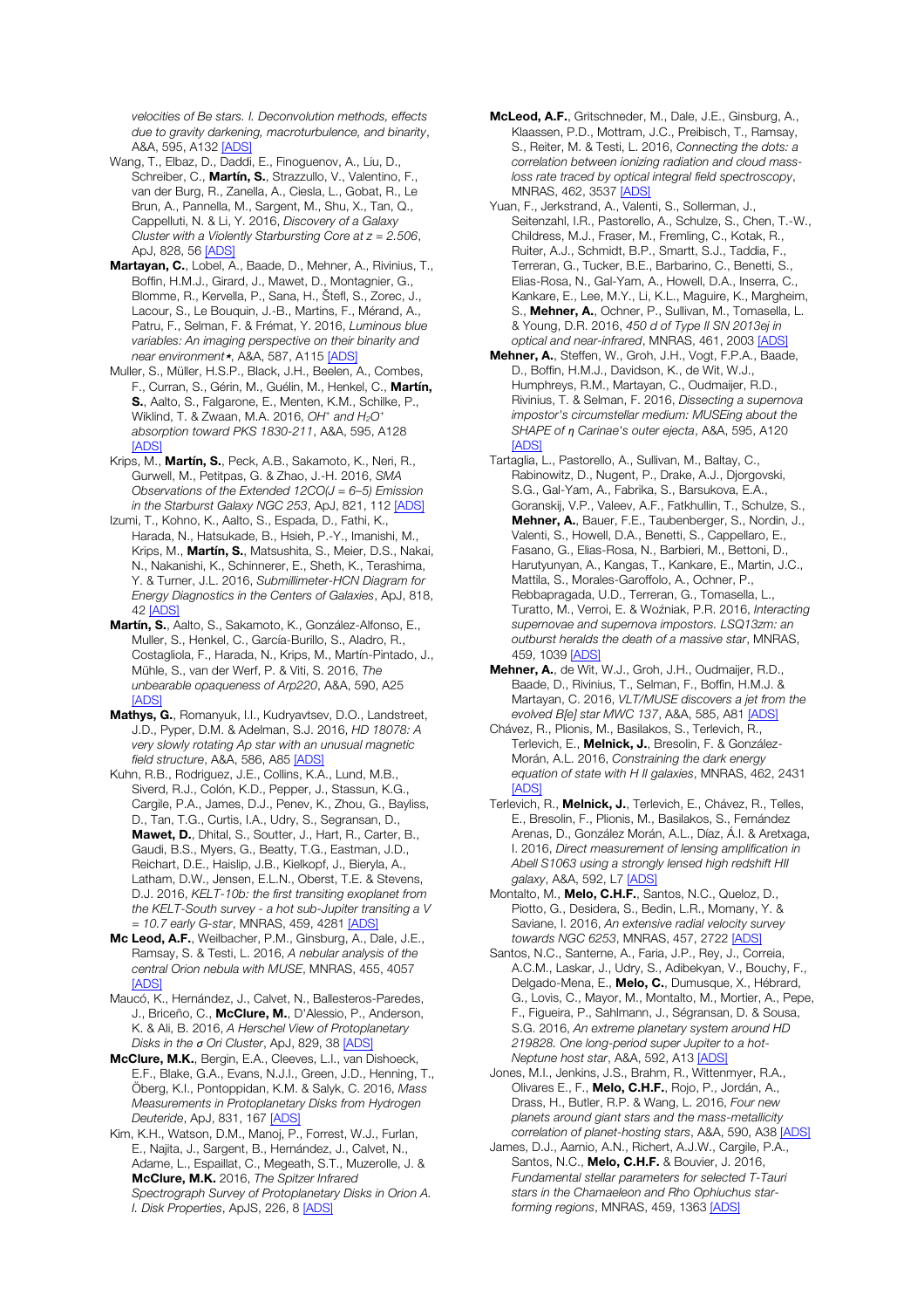*velocities of Be stars. I. Deconvolution methods, effects due to gravity darkening, macroturbulence, and binarity*, A&A, 595, A132 [ADS]

- Wang, T., Elbaz, D., Daddi, E., Finoguenov, A., Liu, D., Schreiber, C., Martín, S., Strazzullo, V., Valentino, F., van der Burg, R., Zanella, A., Ciesla, L., Gobat, R., Le Brun, A., Pannella, M., Sargent, M., Shu, X., Tan, Q., Cappelluti, N. & Li, Y. 2016, *Discovery of a Galaxy Cluster with a Violently Starbursting Core at z = 2.506*, ApJ, 828, 56 [ADS]
- Martayan, C., Lobel, A., Baade, D., Mehner, A., Rivinius, T., Boffin, H.M.J., Girard, J., Mawet, D., Montagnier, G., Blomme, R., Kervella, P., Sana, H., Štefl, S., Zorec, J., Lacour, S., Le Bouquin, J.-B., Martins, F., Mérand, A., Patru, F., Selman, F. & Frémat, Y. 2016, *Luminous blue variables: An imaging perspective on their binarity and*  near environment<sup>\*</sup>, A&A, 587, A115 [ADS]
- Muller, S., Müller, H.S.P., Black, J.H., Beelen, A., Combes, F., Curran, S., Gérin, M., Guélin, M., Henkel, C., Martín, S., Aalto, S., Falgarone, E., Menten, K.M., Schilke, P., Wiklind, T. & Zwaan, M.A. 2016, *OH<sup>+</sup> and H2O<sup>+</sup> absorption toward PKS 1830-211*, A&A, 595, A128 [ADS]
- Krips, M., Martín, S., Peck, A.B., Sakamoto, K., Neri, R., Gurwell, M., Petitpas, G. & Zhao, J.-H. 2016, *SMA Observations of the Extended 12CO(J = 6–5) Emission in the Starburst Galaxy NGC 253*, ApJ, 821, 112 [ADS]
- Izumi, T., Kohno, K., Aalto, S., Espada, D., Fathi, K., Harada, N., Hatsukade, B., Hsieh, P.-Y., Imanishi, M., Krips, M., Martín, S., Matsushita, S., Meier, D.S., Nakai, N., Nakanishi, K., Schinnerer, E., Sheth, K., Terashima, Y. & Turner, J.L. 2016, *Submillimeter-HCN Diagram for Energy Diagnostics in the Centers of Galaxies*, ApJ, 818, 42 [ADS]
- Martín, S., Aalto, S., Sakamoto, K., González-Alfonso, E., Muller, S., Henkel, C., García-Burillo, S., Aladro, R., Costagliola, F., Harada, N., Krips, M., Martín-Pintado, J., Mühle, S., van der Werf, P. & Viti, S. 2016, *The unbearable opaqueness of Arp220*, A&A, 590, A25 **[ADS]**
- Mathys, G., Romanyuk, I.I., Kudryavtsev, D.O., Landstreet, J.D., Pyper, D.M. & Adelman, S.J. 2016, *HD 18078: A very slowly rotating Ap star with an unusual magnetic field structure*, A&A, 586, A85 [ADS]
- Kuhn, R.B., Rodriguez, J.E., Collins, K.A., Lund, M.B., Siverd, R.J., Colón, K.D., Pepper, J., Stassun, K.G., Cargile, P.A., James, D.J., Penev, K., Zhou, G., Bayliss, D., Tan, T.G., Curtis, I.A., Udry, S., Segransan, D., Mawet, D., Dhital, S., Soutter, J., Hart, R., Carter, B., Gaudi, B.S., Myers, G., Beatty, T.G., Eastman, J.D., Reichart, D.E., Haislip, J.B., Kielkopf, J., Bieryla, A., Latham, D.W., Jensen, E.L.N., Oberst, T.E. & Stevens, D.J. 2016, *KELT-10b: the first transiting exoplanet from the KELT-South survey - a hot sub-Jupiter transiting a V = 10.7 early G-star*, MNRAS, 459, 4281 [ADS]
- Mc Leod, A.F., Weilbacher, P.M., Ginsburg, A., Dale, J.E., Ramsay, S. & Testi, L. 2016, *A nebular analysis of the central Orion nebula with MUSE*, MNRAS, 455, 4057 [ADS]
- Maucó, K., Hernández, J., Calvet, N., Ballesteros-Paredes, J., Briceño, C., McClure, M., D'Alessio, P., Anderson, K. & Ali, B. 2016, *A Herschel View of Protoplanetary Disks in the σ Ori Cluster*, ApJ, 829, 38 [ADS]
- McClure, M.K., Bergin, E.A., Cleeves, L.I., van Dishoeck, E.F., Blake, G.A., Evans, N.J.I., Green, J.D., Henning, T., Öberg, K.I., Pontoppidan, K.M. & Salyk, C. 2016, *Mass Measurements in Protoplanetary Disks from Hydrogen Deuteride*, ApJ, 831, 167 [ADS]
- Kim, K.H., Watson, D.M., Manoj, P., Forrest, W.J., Furlan, E., Najita, J., Sargent, B., Hernández, J., Calvet, N., Adame, L., Espaillat, C., Megeath, S.T., Muzerolle, J. & McClure, M.K. 2016, *The Spitzer Infrared Spectrograph Survey of Protoplanetary Disks in Orion A. I. Disk Properties*, ApJS, 226, 8 [ADS]
- McLeod, A.F., Gritschneder, M., Dale, J.E., Ginsburg, A., Klaassen, P.D., Mottram, J.C., Preibisch, T., Ramsay, S., Reiter, M. & Testi, L. 2016, *Connecting the dots: a correlation between ionizing radiation and cloud massloss rate traced by optical integral field spectroscopy*, MNRAS, 462, 3537 [ADS]
- Yuan, F., Jerkstrand, A., Valenti, S., Sollerman, J., Seitenzahl, I.R., Pastorello, A., Schulze, S., Chen, T.-W., Childress, M.J., Fraser, M., Fremling, C., Kotak, R., Ruiter, A.J., Schmidt, B.P., Smartt, S.J., Taddia, F., Terreran, G., Tucker, B.E., Barbarino, C., Benetti, S., Elias-Rosa, N., Gal-Yam, A., Howell, D.A., Inserra, C., Kankare, E., Lee, M.Y., Li, K.L., Maguire, K., Margheim, S., Mehner, A., Ochner, P., Sullivan, M., Tomasella, L. & Young, D.R. 2016, *450 d of Type II SN 2013ej in optical and near-infrared*, MNRAS, 461, 2003 [ADS]
- Mehner, A., Steffen, W., Groh, J.H., Vogt, F.P.A., Baade, D., Boffin, H.M.J., Davidson, K., de Wit, W.J., Humphreys, R.M., Martayan, C., Oudmaijer, R.D., Rivinius, T. & Selman, F. 2016, *Dissecting a supernova impostor's circumstellar medium: MUSEing about the SHAPE of η Carinae's outer ejecta*, A&A, 595, A120 [ADS]
- Tartaglia, L., Pastorello, A., Sullivan, M., Baltay, C., Rabinowitz, D., Nugent, P., Drake, A.J., Djorgovski, S.G., Gal-Yam, A., Fabrika, S., Barsukova, E.A., Goranskij, V.P., Valeev, A.F., Fatkhullin, T., Schulze, S., Mehner, A., Bauer, F.E., Taubenberger, S., Nordin, J., Valenti, S., Howell, D.A., Benetti, S., Cappellaro, E., Fasano, G., Elias-Rosa, N., Barbieri, M., Bettoni, D., Harutyunyan, A., Kangas, T., Kankare, E., Martin, J.C., Mattila, S., Morales-Garoffolo, A., Ochner, P., Rebbapragada, U.D., Terreran, G., Tomasella, L., Turatto, M., Verroi, E. & Woźniak, P.R. 2016, *Interacting supernovae and supernova impostors. LSQ13zm: an outburst heralds the death of a massive star*, MNRAS, 459, 1039 [ADS]
- Mehner, A., de Wit, W.J., Groh, J.H., Oudmaijer, R.D., Baade, D., Rivinius, T., Selman, F., Boffin, H.M.J. & Martayan, C. 2016, *VLT/MUSE discovers a jet from the evolved B[e] star MWC 137*, A&A, 585, A81 [ADS]
- Chávez, R., Plionis, M., Basilakos, S., Terlevich, R., Terlevich, E., Melnick, J., Bresolin, F. & González-Morán, A.L. 2016, *Constraining the dark energy equation of state with H II galaxies*, MNRAS, 462, 2431 **[ADS]**
- Terlevich, R., Melnick, J., Terlevich, E., Chávez, R., Telles, E., Bresolin, F., Plionis, M., Basilakos, S., Fernández Arenas, D., González Morán, A.L., Díaz, Á.I. & Aretxaga, I. 2016, *Direct measurement of lensing amplification in Abell S1063 using a strongly lensed high redshift HII galaxy*, A&A, 592, L7 [ADS]
- Montalto, M., Melo, C.H.F., Santos, N.C., Queloz, D., Piotto, G., Desidera, S., Bedin, L.R., Momany, Y. & Saviane, I. 2016, *An extensive radial velocity survey towards NGC 6253*, MNRAS, 457, 2722 [ADS]
- Santos, N.C., Santerne, A., Faria, J.P., Rey, J., Correia, A.C.M., Laskar, J., Udry, S., Adibekyan, V., Bouchy, F., Delgado-Mena, E., Melo, C., Dumusque, X., Hébrard, G., Lovis, C., Mayor, M., Montalto, M., Mortier, A., Pepe, F., Figueira, P., Sahlmann, J., Ségransan, D. & Sousa, S.G. 2016, *An extreme planetary system around HD 219828. One long-period super Jupiter to a hot-Neptune host star*, A&A, 592, A13 [ADS]
- Jones, M.I., Jenkins, J.S., Brahm, R., Wittenmyer, R.A., Olivares E., F., Melo, C.H.F., Rojo, P., Jordán, A., Drass, H., Butler, R.P. & Wang, L. 2016, *Four new planets around giant stars and the mass-metallicity correlation of planet-hosting stars*, A&A, 590, A38 [ADS]
- James, D.J., Aarnio, A.N., Richert, A.J.W., Cargile, P.A., Santos, N.C., Melo, C.H.F. & Bouvier, J. 2016, *Fundamental stellar parameters for selected T-Tauri stars in the Chamaeleon and Rho Ophiuchus starforming regions*, MNRAS, 459, 1363 [ADS]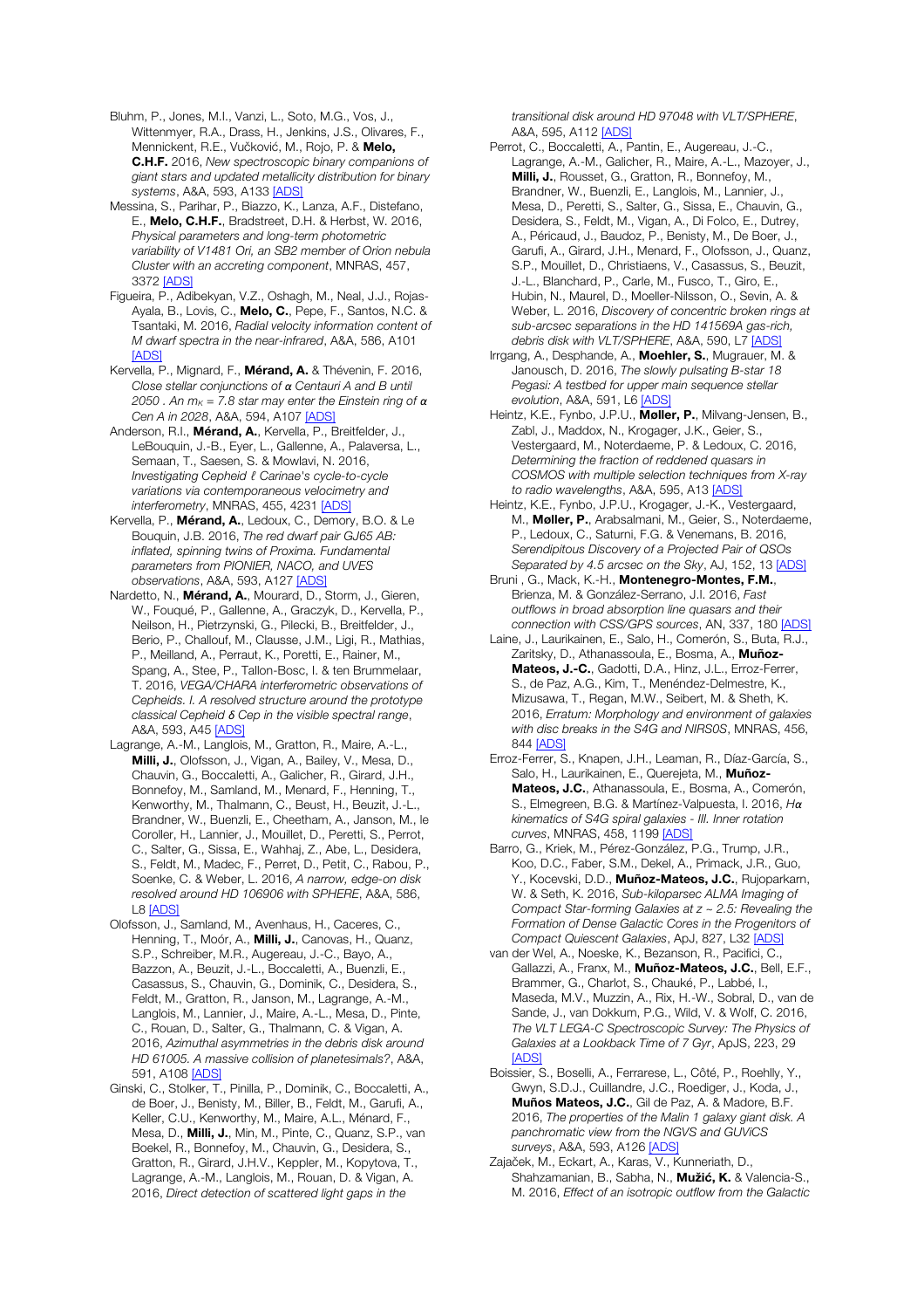Bluhm, P., Jones, M.I., Vanzi, L., Soto, M.G., Vos, J.,

- Wittenmyer, R.A., Drass, H., Jenkins, J.S., Olivares, F., Mennickent, R.E., Vučković, M., Rojo, P. & Melo, C.H.F. 2016, *New spectroscopic binary companions of giant stars and updated metallicity distribution for binary systems*, A&A, 593, A133 [ADS]
- Messina, S., Parihar, P., Biazzo, K., Lanza, A.F., Distefano, E., Melo, C.H.F., Bradstreet, D.H. & Herbst, W. 2016, *Physical parameters and long-term photometric variability of V1481 Ori, an SB2 member of Orion nebula Cluster with an accreting component*, MNRAS, 457, 3372 [ADS]
- Figueira, P., Adibekyan, V.Z., Oshagh, M., Neal, J.J., Rojas-Ayala, B., Lovis, C., Melo, C., Pepe, F., Santos, N.C. & Tsantaki, M. 2016, *Radial velocity information content of M dwarf spectra in the near-infrared*, A&A, 586, A101 [ADS]
- Kervella, P., Mignard, F., Mérand, A. & Thévenin, F. 2016, *Close stellar conjunctions of α Centauri A and B until*   $2050$ . An  $m<sub>K</sub> = 7.8$  star may enter the Einstein ring of  $α$ *Cen A in 2028*, A&A, 594, A107 [ADS]
- Anderson, R.I., Mérand, A., Kervella, P., Breitfelder, J., LeBouquin, J.-B., Eyer, L., Gallenne, A., Palaversa, L., Semaan, T., Saesen, S. & Mowlavi, N. 2016, *Investigating Cepheid* ℓ *Carinae's cycle-to-cycle variations via contemporaneous velocimetry and interferometry*, MNRAS, 455, 4231 [ADS]
- Kervella, P., Mérand, A., Ledoux, C., Demory, B.O. & Le Bouquin, J.B. 2016, *The red dwarf pair GJ65 AB: inflated, spinning twins of Proxima. Fundamental parameters from PIONIER, NACO, and UVES observations*, A&A, 593, A127 [ADS]
- Nardetto, N., Mérand, A., Mourard, D., Storm, J., Gieren, W., Fouqué, P., Gallenne, A., Graczyk, D., Kervella, P., Neilson, H., Pietrzynski, G., Pilecki, B., Breitfelder, J., Berio, P., Challouf, M., Clausse, J.M., Ligi, R., Mathias, P., Meilland, A., Perraut, K., Poretti, E., Rainer, M., Spang, A., Stee, P., Tallon-Bosc, I. & ten Brummelaar, T. 2016, *VEGA/CHARA interferometric observations of Cepheids. I. A resolved structure around the prototype classical Cepheid δ Cep in the visible spectral range*, A&A, 593, A45 [ADS]
- Lagrange, A.-M., Langlois, M., Gratton, R., Maire, A.-L., Milli, J., Olofsson, J., Vigan, A., Bailey, V., Mesa, D., Chauvin, G., Boccaletti, A., Galicher, R., Girard, J.H., Bonnefoy, M., Samland, M., Menard, F., Henning, T., Kenworthy, M., Thalmann, C., Beust, H., Beuzit, J.-L., Brandner, W., Buenzli, E., Cheetham, A., Janson, M., le Coroller, H., Lannier, J., Mouillet, D., Peretti, S., Perrot, C., Salter, G., Sissa, E., Wahhaj, Z., Abe, L., Desidera, S., Feldt, M., Madec, F., Perret, D., Petit, C., Rabou, P., Soenke, C. & Weber, L. 2016, *A narrow, edge-on disk resolved around HD 106906 with SPHERE*, A&A, 586, L8 [ADS]
- Olofsson, J., Samland, M., Avenhaus, H., Caceres, C., Henning, T., Moór, A., Milli, J., Canovas, H., Quanz, S.P., Schreiber, M.R., Augereau, J.-C., Bayo, A., Bazzon, A., Beuzit, J.-L., Boccaletti, A., Buenzli, E., Casassus, S., Chauvin, G., Dominik, C., Desidera, S., Feldt, M., Gratton, R., Janson, M., Lagrange, A.-M., Langlois, M., Lannier, J., Maire, A.-L., Mesa, D., Pinte, C., Rouan, D., Salter, G., Thalmann, C. & Vigan, A. 2016, *Azimuthal asymmetries in the debris disk around HD 61005. A massive collision of planetesimals?*, A&A, 591, A108 [ADS]
- Ginski, C., Stolker, T., Pinilla, P., Dominik, C., Boccaletti, A., de Boer, J., Benisty, M., Biller, B., Feldt, M., Garufi, A., Keller, C.U., Kenworthy, M., Maire, A.L., Ménard, F., Mesa, D., Milli, J., Min, M., Pinte, C., Quanz, S.P., van Boekel, R., Bonnefoy, M., Chauvin, G., Desidera, S., Gratton, R., Girard, J.H.V., Keppler, M., Kopytova, T., Lagrange, A.-M., Langlois, M., Rouan, D. & Vigan, A. 2016, *Direct detection of scattered light gaps in the*

*transitional disk around HD 97048 with VLT/SPHERE*, A&A, 595, A112 [ADS]

- Perrot, C., Boccaletti, A., Pantin, E., Augereau, J.-C., Lagrange, A.-M., Galicher, R., Maire, A.-L., Mazoyer, J., Milli, J., Rousset, G., Gratton, R., Bonnefoy, M., Brandner, W., Buenzli, E., Langlois, M., Lannier, J., Mesa, D., Peretti, S., Salter, G., Sissa, E., Chauvin, G., Desidera, S., Feldt, M., Vigan, A., Di Folco, E., Dutrey, A., Péricaud, J., Baudoz, P., Benisty, M., De Boer, J., Garufi, A., Girard, J.H., Menard, F., Olofsson, J., Quanz, S.P., Mouillet, D., Christiaens, V., Casassus, S., Beuzit, J.-L., Blanchard, P., Carle, M., Fusco, T., Giro, E., Hubin, N., Maurel, D., Moeller-Nilsson, O., Sevin, A. & Weber, L. 2016, *Discovery of concentric broken rings at sub-arcsec separations in the HD 141569A gas-rich, debris disk with VLT/SPHERE*, A&A, 590, L7 [ADS]
- Irrgang, A., Desphande, A., Moehler, S., Mugrauer, M. & Janousch, D. 2016, *The slowly pulsating B-star 18 Pegasi: A testbed for upper main sequence stellar evolution*, A&A, 591, L6 [ADS]
- Heintz, K.E., Fynbo, J.P.U., Møller, P., Milvang-Jensen, B., Zabl, J., Maddox, N., Krogager, J.K., Geier, S., Vestergaard, M., Noterdaeme, P. & Ledoux, C. 2016, *Determining the fraction of reddened quasars in COSMOS with multiple selection techniques from X-ray to radio wavelengths*, A&A, 595, A13 [ADS]
- Heintz, K.E., Fynbo, J.P.U., Krogager, J.-K., Vestergaard, M., Møller, P., Arabsalmani, M., Geier, S., Noterdaeme, P., Ledoux, C., Saturni, F.G. & Venemans, B. 2016, *Serendipitous Discovery of a Projected Pair of QSOs Separated by 4.5 arcsec on the Sky*, AJ, 152, 13 [ADS]
- Bruni, G., Mack, K.-H., Montenegro-Montes, F.M., Brienza, M. & González-Serrano, J.I. 2016, *Fast outflows in broad absorption line quasars and their connection with CSS/GPS sources*, AN, 337, 180 [ADS]
- Laine, J., Laurikainen, E., Salo, H., Comerón, S., Buta, R.J., Zaritsky, D., Athanassoula, E., Bosma, A., Muñoz-Mateos, J.-C., Gadotti, D.A., Hinz, J.L., Erroz-Ferrer, S., de Paz, A.G., Kim, T., Menéndez-Delmestre, K., Mizusawa, T., Regan, M.W., Seibert, M. & Sheth, K. 2016, *Erratum: Morphology and environment of galaxies with disc breaks in the S4G and NIRS0S*, MNRAS, 456, 844 [ADS]
- Erroz-Ferrer, S., Knapen, J.H., Leaman, R., Díaz-García, S., Salo, H., Laurikainen, E., Querejeta, M., Muñoz-Mateos, J.C., Athanassoula, E., Bosma, A., Comerón, S., Elmegreen, B.G. & Martínez-Valpuesta, I. 2016, *Hα kinematics of S4G spiral galaxies - III. Inner rotation curves*, MNRAS, 458, 1199 [ADS]
- Barro, G., Kriek, M., Pérez-González, P.G., Trump, J.R., Koo, D.C., Faber, S.M., Dekel, A., Primack, J.R., Guo, Y., Kocevski, D.D., Muñoz-Mateos, J.C., Rujoparkarn, W. & Seth, K. 2016, *Sub-kiloparsec ALMA Imaging of Compact Star-forming Galaxies at z ~ 2.5: Revealing the Formation of Dense Galactic Cores in the Progenitors of Compact Quiescent Galaxies*, ApJ, 827, L32 [ADS]
- van der Wel, A., Noeske, K., Bezanson, R., Pacifici, C., Gallazzi, A., Franx, M., Muñoz-Mateos, J.C., Bell, E.F., Brammer, G., Charlot, S., Chauké, P., Labbé, I., Maseda, M.V., Muzzin, A., Rix, H.-W., Sobral, D., van de Sande, J., van Dokkum, P.G., Wild, V. & Wolf, C. 2016, *The VLT LEGA-C Spectroscopic Survey: The Physics of Galaxies at a Lookback Time of 7 Gyr*, ApJS, 223, 29 [ADS]
- Boissier, S., Boselli, A., Ferrarese, L., Côté, P., Roehlly, Y., Gwyn, S.D.J., Cuillandre, J.C., Roediger, J., Koda, J., Muños Mateos, J.C., Gil de Paz, A. & Madore, B.F. 2016, *The properties of the Malin 1 galaxy giant disk. A panchromatic view from the NGVS and GUViCS surveys*, A&A, 593, A126 [ADS]
- Zajaček, M., Eckart, A., Karas, V., Kunneriath, D., Shahzamanian, B., Sabha, N., Mužić, K. & Valencia-S., M. 2016, *Effect of an isotropic outflow from the Galactic*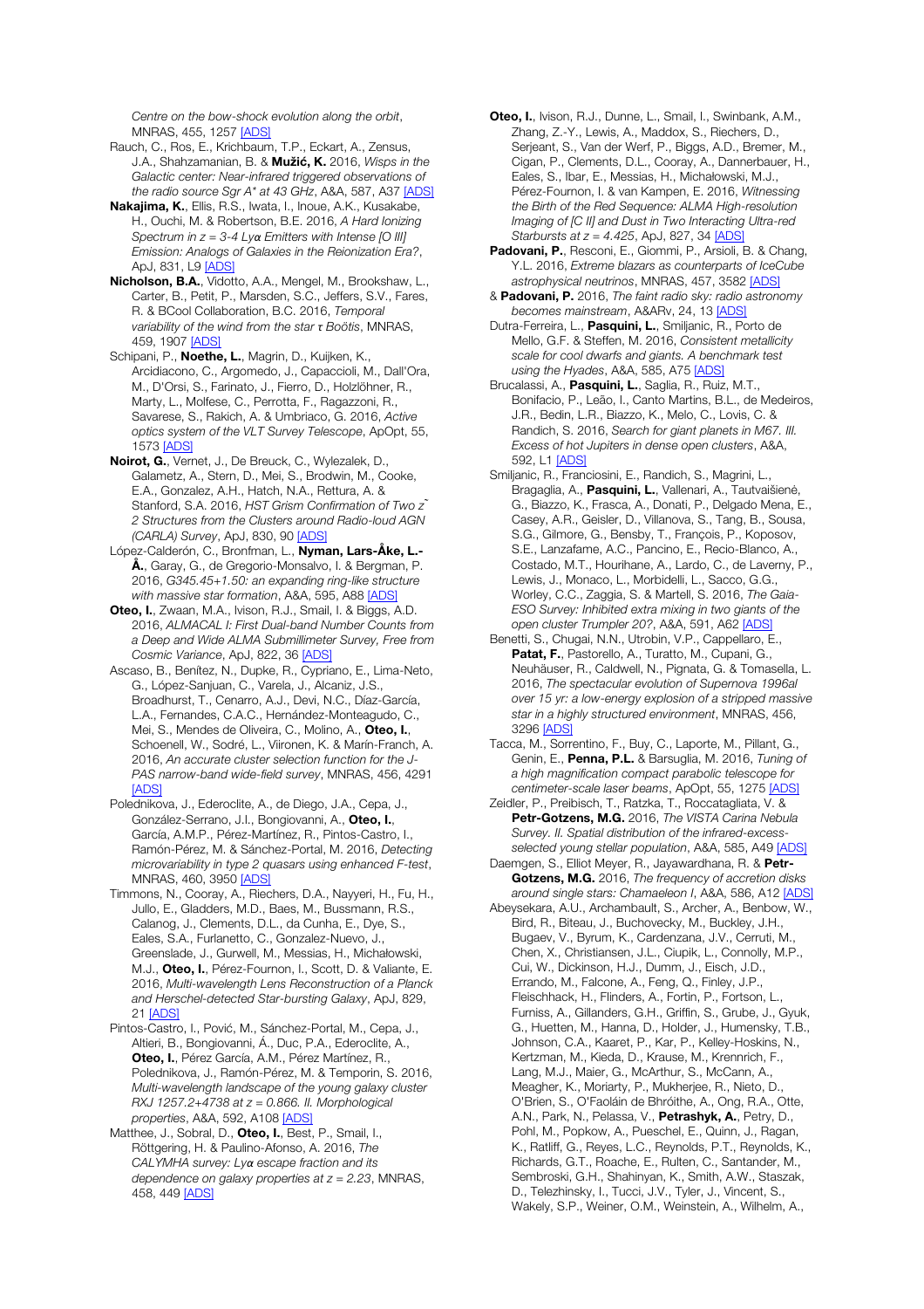*Centre on the bow-shock evolution along the orbit*, MNRAS, 455, 1257 [ADS]

Rauch, C., Ros, E., Krichbaum, T.P., Eckart, A., Zensus, J.A., Shahzamanian, B. & Mužić, K. 2016, *Wisps in the Galactic center: Near-infrared triggered observations of the radio source Sgr A\* at 43 GHz*, A&A, 587, A37 [ADS]

Nakajima, K., Ellis, R.S., Iwata, I., Inoue, A.K., Kusakabe, H., Ouchi, M. & Robertson, B.E. 2016, *A Hard Ionizing Spectrum in z = 3-4 Lyα Emitters with Intense [O III] Emission: Analogs of Galaxies in the Reionization Era?*, ApJ, 831, L9 [ADS]

Nicholson, B.A., Vidotto, A.A., Mengel, M., Brookshaw, L., Carter, B., Petit, P., Marsden, S.C., Jeffers, S.V., Fares, R. & BCool Collaboration, B.C. 2016, *Temporal variability of the wind from the star τ Boötis*, MNRAS, 459 1907 [ADS]

Schipani, P., Noethe, L., Magrin, D., Kuijken, K., Arcidiacono, C., Argomedo, J., Capaccioli, M., Dall'Ora, M., D'Orsi, S., Farinato, J., Fierro, D., Holzlöhner, R., Marty, L., Molfese, C., Perrotta, F., Ragazzoni, R., Savarese, S., Rakich, A. & Umbriaco, G. 2016, *Active optics system of the VLT Survey Telescope*, ApOpt, 55, 1573 [ADS]

Noirot, G., Vernet, J., De Breuck, C., Wylezalek, D., Galametz, A., Stern, D., Mei, S., Brodwin, M., Cooke, E.A., Gonzalez, A.H., Hatch, N.A., Rettura, A. & Stanford, S.A. 2016, *HST Grism Confirmation of Two z ̃ 2 Structures from the Clusters around Radio-loud AGN (CARLA) Survey*, ApJ, 830, 90 [ADS]

López-Calderón, C., Bronfman, L., Nyman, Lars-Åke, L.-Å., Garay, G., de Gregorio-Monsalvo, I. & Bergman, P. 2016, *G345.45+1.50: an expanding ring-like structure with massive star formation*, A&A, 595, A88 [ADS]

Oteo, I., Zwaan, M.A., Ivison, R.J., Smail, I. & Biggs, A.D. 2016, *ALMACAL I: First Dual-band Number Counts from a Deep and Wide ALMA Submillimeter Survey, Free from Cosmic Variance*, ApJ, 822, 36 [ADS]

Ascaso, B., Benítez, N., Dupke, R., Cypriano, E., Lima-Neto, G., López-Sanjuan, C., Varela, J., Alcaniz, J.S., Broadhurst, T., Cenarro, A.J., Devi, N.C., Díaz-García, L.A., Fernandes, C.A.C., Hernández-Monteagudo, C., Mei. S., Mendes de Oliveira, C., Molino, A., Oteo, I., Schoenell, W., Sodré, L., Viironen, K. & Marín-Franch, A. 2016, *An accurate cluster selection function for the J-PAS narrow-band wide-field survey*, MNRAS, 456, 4291 [ADS]

Polednikova, J., Ederoclite, A., de Diego, J.A., Cepa, J., González-Serrano, J.I., Bongiovanni, A., Oteo, I., García, A.M.P., Pérez-Martínez, R., Pintos-Castro, I., Ramón-Pérez, M. & Sánchez-Portal, M. 2016, *Detecting microvariability in type 2 quasars using enhanced F-test*, MNRAS, 460, 3950 [ADS]

Timmons, N., Cooray, A., Riechers, D.A., Nayyeri, H., Fu, H., Jullo, E., Gladders, M.D., Baes, M., Bussmann, R.S., Calanog, J., Clements, D.L., da Cunha, E., Dye, S., Eales, S.A., Furlanetto, C., Gonzalez-Nuevo, J., Greenslade, J., Gurwell, M., Messias, H., Michałowski, M.J., Oteo, I., Pérez-Fournon, I., Scott, D. & Valiante, E. 2016, *Multi-wavelength Lens Reconstruction of a Planck and Herschel-detected Star-bursting Galaxy*, ApJ, 829, 21 [ADS]

Pintos-Castro, I., Pović, M., Sánchez-Portal, M., Cepa, J., Altieri, B., Bongiovanni, Á., Duc, P.A., Ederoclite, A., Oteo, I., Pérez García, A.M., Pérez Martínez, R., Polednikova, J., Ramón-Pérez, M. & Temporin, S. 2016, *Multi-wavelength landscape of the young galaxy cluster RXJ 1257.2+4738 at z = 0.866. II. Morphological properties*, A&A, 592, A108 [ADS]

Matthee, J., Sobral, D., Oteo, I., Best, P., Smail, I., Röttgering, H. & Paulino-Afonso, A. 2016, *The CALYMHA survey: Lyα escape fraction and its dependence on galaxy properties at z = 2.23*, MNRAS, 458, 449 [ADS]

Oteo, I., Ivison, R.J., Dunne, L., Smail, I., Swinbank, A.M., Zhang, Z.-Y., Lewis, A., Maddox, S., Riechers, D., Serjeant, S., Van der Werf, P., Biggs, A.D., Bremer, M., Cigan, P., Clements, D.L., Cooray, A., Dannerbauer, H., Eales, S., Ibar, E., Messias, H., Michałowski, M.J., Pérez-Fournon, I. & van Kampen, E. 2016, *Witnessing the Birth of the Red Sequence: ALMA High-resolution Imaging of [C II] and Dust in Two Interacting Ultra-red Starbursts at z = 4.425*, ApJ, 827, 34 [ADS]

Padovani, P., Resconi, E., Giommi, P., Arsioli, B. & Chang, Y.L. 2016, *Extreme blazars as counterparts of IceCube astrophysical neutrinos*, MNRAS, 457, 3582 [ADS]

& Padovani, P. 2016, *The faint radio sky: radio astronomy becomes mainstream*, A&ARv, 24, 13 [ADS]

Dutra-Ferreira, L., Pasquini, L., Smiljanic, R., Porto de Mello, G.F. & Steffen, M. 2016, *Consistent metallicity scale for cool dwarfs and giants. A benchmark test using the Hyades*, A&A, 585, A75 [ADS]

Brucalassi, A., Pasquini, L., Saglia, R., Ruiz, M.T., Bonifacio, P., Leão, I., Canto Martins, B.L., de Medeiros, J.R., Bedin, L.R., Biazzo, K., Melo, C., Lovis, C. & Randich, S. 2016, *Search for giant planets in M67. III. Excess of hot Jupiters in dense open clusters*, A&A, 592, L1 [ADS]

Smiljanic, R., Franciosini, E., Randich, S., Magrini, L., Bragaglia, A., Pasquini, L., Vallenari, A., Tautvaišienė, G., Biazzo, K., Frasca, A., Donati, P., Delgado Mena, E., Casey, A.R., Geisler, D., Villanova, S., Tang, B., Sousa, S.G., Gilmore, G., Bensby, T., François, P., Koposov, S.E., Lanzafame, A.C., Pancino, E., Recio-Blanco, A., Costado, M.T., Hourihane, A., Lardo, C., de Laverny, P., Lewis, J., Monaco, L., Morbidelli, L., Sacco, G.G., Worley, C.C., Zaggia, S. & Martell, S. 2016, *The Gaia-ESO Survey: Inhibited extra mixing in two giants of the open cluster Trumpler 20?*, A&A, 591, A62 [ADS]

Benetti, S., Chugai, N.N., Utrobin, V.P., Cappellaro, E., Patat, F., Pastorello, A., Turatto, M., Cupani, G., Neuhäuser, R., Caldwell, N., Pignata, G. & Tomasella, L. 2016, *The spectacular evolution of Supernova 1996al over 15 yr: a low-energy explosion of a stripped massive star in a highly structured environment*, MNRAS, 456, 3296 [ADS]

Tacca, M., Sorrentino, F., Buy, C., Laporte, M., Pillant, G., Genin, E., Penna, P.L. & Barsuglia, M. 2016, *Tuning of a high magnification compact parabolic telescope for centimeter-scale laser beams*, ApOpt, 55, 1275 [ADS]

Zeidler, P., Preibisch, T., Ratzka, T., Roccatagliata, V. & Petr-Gotzens, M.G. 2016, *The VISTA Carina Nebula Survey. II. Spatial distribution of the infrared-excessselected young stellar population*, A&A, 585, A49 [ADS]

Daemgen, S., Elliot Meyer, R., Jayawardhana, R. & Petr-Gotzens, M.G. 2016, *The frequency of accretion disks around single stars: Chamaeleon I*, A&A, 586, A12 [ADS]

Abeysekara, A.U., Archambault, S., Archer, A., Benbow, W., Bird, R., Biteau, J., Buchovecky, M., Buckley, J.H., Bugaev, V., Byrum, K., Cardenzana, J.V., Cerruti, M., Chen, X., Christiansen, J.L., Ciupik, L., Connolly, M.P., Cui, W., Dickinson, H.J., Dumm, J., Eisch, J.D., Errando, M., Falcone, A., Feng, Q., Finley, J.P., Fleischhack, H., Flinders, A., Fortin, P., Fortson, L., Furniss, A., Gillanders, G.H., Griffin, S., Grube, J., Gyuk, G., Huetten, M., Hanna, D., Holder, J., Humensky, T.B., Johnson, C.A., Kaaret, P., Kar, P., Kelley-Hoskins, N., Kertzman, M., Kieda, D., Krause, M., Krennrich, F., Lang, M.J., Maier, G., McArthur, S., McCann, A., Meagher, K., Moriarty, P., Mukherjee, R., Nieto, D., O'Brien, S., O'Faoláin de Bhróithe, A., Ong, R.A., Otte, A.N., Park, N., Pelassa, V., Petrashyk, A., Petry, D., Pohl, M., Popkow, A., Pueschel, E., Quinn, J., Ragan, K., Ratliff, G., Reyes, L.C., Reynolds, P.T., Reynolds, K., Richards, G.T., Roache, E., Rulten, C., Santander, M., Sembroski, G.H., Shahinyan, K., Smith, A.W., Staszak, D., Telezhinsky, I., Tucci, J.V., Tyler, J., Vincent, S., Wakely, S.P., Weiner, O.M., Weinstein, A., Wilhelm, A.,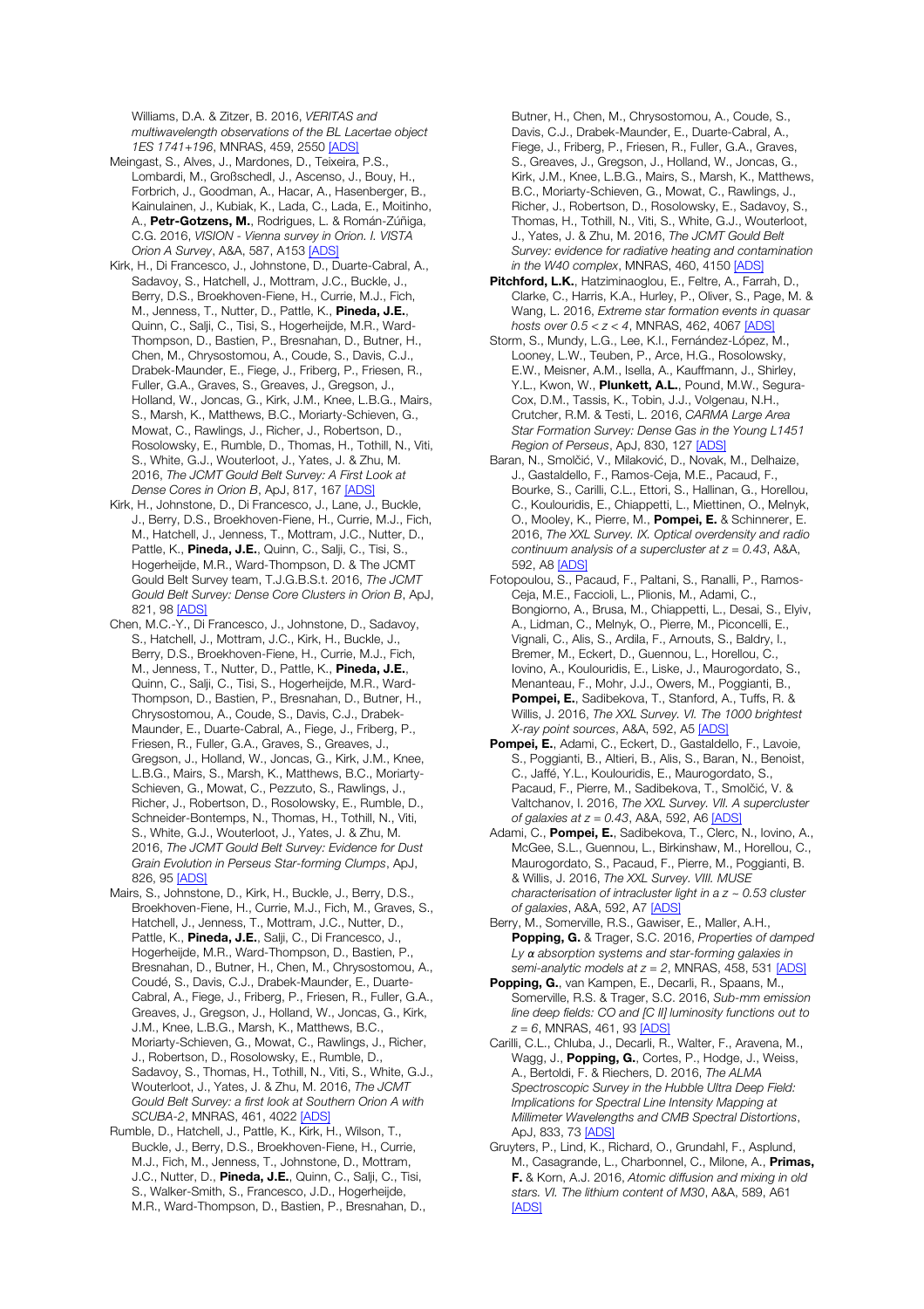Williams, D.A. & Zitzer, B. 2016, *VERITAS and multiwavelength observations of the BL Lacertae object 1ES 1741+196*, MNRAS, 459, 2550 [ADS]

- Meingast, S., Alves, J., Mardones, D., Teixeira, P.S., Lombardi, M., Großschedl, J., Ascenso, J., Bouy, H., Forbrich, J., Goodman, A., Hacar, A., Hasenberger, B., Kainulainen, J., Kubiak, K., Lada, C., Lada, E., Moitinho, A., Petr-Gotzens, M., Rodrigues, L. & Román-Zúñiga, C.G. 2016, *VISION - Vienna survey in Orion. I. VISTA Orion A Survey*, A&A, 587, A153 [ADS]
- Kirk, H., Di Francesco, J., Johnstone, D., Duarte-Cabral, A., Sadavoy, S., Hatchell, J., Mottram, J.C., Buckle, J., Berry, D.S., Broekhoven-Fiene, H., Currie, M.J., Fich, M., Jenness, T., Nutter, D., Pattle, K., Pineda, J.E., Quinn, C., Salji, C., Tisi, S., Hogerheijde, M.R., Ward-Thompson, D., Bastien, P., Bresnahan, D., Butner, H., Chen, M., Chrysostomou, A., Coude, S., Davis, C.J., Drabek-Maunder, E., Fiege, J., Friberg, P., Friesen, R., Fuller, G.A., Graves, S., Greaves, J., Gregson, J., Holland, W., Joncas, G., Kirk, J.M., Knee, L.B.G., Mairs, S., Marsh, K., Matthews, B.C., Moriarty-Schieven, G., Mowat, C., Rawlings, J., Richer, J., Robertson, D., Rosolowsky, E., Rumble, D., Thomas, H., Tothill, N., Viti, S., White, G.J., Wouterloot, J., Yates, J. & Zhu, M. 2016, *The JCMT Gould Belt Survey: A First Look at Dense Cores in Orion B*, ApJ, 817, 167 [ADS]
- Kirk, H., Johnstone, D., Di Francesco, J., Lane, J., Buckle, J., Berry, D.S., Broekhoven-Fiene, H., Currie, M.J., Fich, M., Hatchell, J., Jenness, T., Mottram, J.C., Nutter, D., Pattle, K., Pineda, J.E., Quinn, C., Salji, C., Tisi, S., Hogerheijde, M.R., Ward-Thompson, D. & The JCMT Gould Belt Survey team, T.J.G.B.S.t. 2016, *The JCMT Gould Belt Survey: Dense Core Clusters in Orion B*, ApJ, 821, 98 [ADS]
- Chen, M.C.-Y., Di Francesco, J., Johnstone, D., Sadavoy, S., Hatchell, J., Mottram, J.C., Kirk, H., Buckle, J., Berry, D.S., Broekhoven-Fiene, H., Currie, M.J., Fich, M., Jenness, T., Nutter, D., Pattle, K., Pineda, J.E., Quinn, C., Salji, C., Tisi, S., Hogerheijde, M.R., Ward-Thompson, D., Bastien, P., Bresnahan, D., Butner, H., Chrysostomou, A., Coude, S., Davis, C.J., Drabek-Maunder, E., Duarte-Cabral, A., Fiege, J., Friberg, P., Friesen, R., Fuller, G.A., Graves, S., Greaves, J., Gregson, J., Holland, W., Joncas, G., Kirk, J.M., Knee, L.B.G., Mairs, S., Marsh, K., Matthews, B.C., Moriarty-Schieven, G., Mowat, C., Pezzuto, S., Rawlings, J., Richer, J., Robertson, D., Rosolowsky, E., Rumble, D., Schneider-Bontemps, N., Thomas, H., Tothill, N., Viti, S., White, G.J., Wouterloot, J., Yates, J. & Zhu, M. 2016, *The JCMT Gould Belt Survey: Evidence for Dust Grain Evolution in Perseus Star-forming Clumps*, ApJ, 826, 95 [ADS]
- Mairs, S., Johnstone, D., Kirk, H., Buckle, J., Berry, D.S., Broekhoven-Fiene, H., Currie, M.J., Fich, M., Graves, S., Hatchell, J., Jenness, T., Mottram, J.C., Nutter, D., Pattle, K., Pineda, J.E., Salji, C., Di Francesco, J., Hogerheijde, M.R., Ward-Thompson, D., Bastien, P., Bresnahan, D., Butner, H., Chen, M., Chrysostomou, A., Coudé, S., Davis, C.J., Drabek-Maunder, E., Duarte-Cabral, A., Fiege, J., Friberg, P., Friesen, R., Fuller, G.A., Greaves, J., Gregson, J., Holland, W., Joncas, G., Kirk, J.M., Knee, L.B.G., Marsh, K., Matthews, B.C., Moriarty-Schieven, G., Mowat, C., Rawlings, J., Richer, J., Robertson, D., Rosolowsky, E., Rumble, D., Sadavoy, S., Thomas, H., Tothill, N., Viti, S., White, G.J., Wouterloot, J., Yates, J. & Zhu, M. 2016, *The JCMT Gould Belt Survey: a first look at Southern Orion A with SCUBA-2*, MNRAS, 461, 4022 [ADS]
- Rumble, D., Hatchell, J., Pattle, K., Kirk, H., Wilson, T., Buckle, J., Berry, D.S., Broekhoven-Fiene, H., Currie, M.J., Fich, M., Jenness, T., Johnstone, D., Mottram, J.C., Nutter, D., Pineda, J.E., Quinn, C., Salji, C., Tisi, S., Walker-Smith, S., Francesco, J.D., Hogerheijde, M.R., Ward-Thompson, D., Bastien, P., Bresnahan, D.,

Butner, H., Chen, M., Chrysostomou, A., Coude, S., Davis, C.J., Drabek-Maunder, E., Duarte-Cabral, A., Fiege, J., Friberg, P., Friesen, R., Fuller, G.A., Graves, S., Greaves, J., Gregson, J., Holland, W., Joncas, G., Kirk, J.M., Knee, L.B.G., Mairs, S., Marsh, K., Matthews, B.C., Moriarty-Schieven, G., Mowat, C., Rawlings, J., Richer, J., Robertson, D., Rosolowsky, E., Sadavoy, S., Thomas, H., Tothill, N., Viti, S., White, G.J., Wouterloot, J., Yates, J. & Zhu, M. 2016, *The JCMT Gould Belt Survey: evidence for radiative heating and contamination in the W40 complex*, MNRAS, 460, 4150 [ADS]

- Pitchford, L.K., Hatziminaoglou, E., Feltre, A., Farrah, D., Clarke, C., Harris, K.A., Hurley, P., Oliver, S., Page, M. & Wang, L. 2016, *Extreme star formation events in quasar hosts over 0.5 < z < 4*, MNRAS, 462, 4067 [ADS]
- Storm, S., Mundy, L.G., Lee, K.I., Fernández-López, M., Looney, L.W., Teuben, P., Arce, H.G., Rosolowsky, E.W., Meisner, A.M., Isella, A., Kauffmann, J., Shirley, Y.L., Kwon, W., Plunkett, A.L., Pound, M.W., Segura-Cox, D.M., Tassis, K., Tobin, J.J., Volgenau, N.H., Crutcher, R.M. & Testi, L. 2016, *CARMA Large Area Star Formation Survey: Dense Gas in the Young L1451 Region of Perseus*, ApJ, 830, 127 [ADS]
- Baran, N., Smolčić, V., Milaković, D., Novak, M., Delhaize, J., Gastaldello, F., Ramos-Ceja, M.E., Pacaud, F., Bourke, S., Carilli, C.L., Ettori, S., Hallinan, G., Horellou, C., Koulouridis, E., Chiappetti, L., Miettinen, O., Melnyk, O., Mooley, K., Pierre, M., Pompei, E. & Schinnerer, E. 2016, *The XXL Survey. IX. Optical overdensity and radio continuum analysis of a supercluster at z = 0.43*, A&A, 592, A8 [ADS]
- Fotopoulou, S., Pacaud, F., Paltani, S., Ranalli, P., Ramos-Ceja, M.E., Faccioli, L., Plionis, M., Adami, C., Bongiorno, A., Brusa, M., Chiappetti, L., Desai, S., Elyiv, A., Lidman, C., Melnyk, O., Pierre, M., Piconcelli, E., Vignali, C., Alis, S., Ardila, F., Arnouts, S., Baldry, I., Bremer, M., Eckert, D., Guennou, L., Horellou, C., Iovino, A., Koulouridis, E., Liske, J., Maurogordato, S., Menanteau, F., Mohr, J.J., Owers, M., Poggianti, B., Pompei, E., Sadibekova, T., Stanford, A., Tuffs, R. & Willis, J. 2016, *The XXL Survey. VI. The 1000 brightest X-ray point sources*, A&A, 592, A5 [ADS]
- Pompei, E., Adami, C., Eckert, D., Gastaldello, F., Lavoie, S., Poggianti, B., Altieri, B., Alis, S., Baran, N., Benoist, C., Jaffé, Y.L., Koulouridis, E., Maurogordato, S., Pacaud, F., Pierre, M., Sadibekova, T., Smolčić, V. & Valtchanov, I. 2016, *The XXL Survey. VII. A supercluster of galaxies at z = 0.43*, A&A, 592, A6 [ADS]
- Adami, C., Pompei, E., Sadibekova, T., Clerc, N., Iovino, A., McGee, S.L., Guennou, L., Birkinshaw, M., Horellou, C., Maurogordato, S., Pacaud, F., Pierre, M., Poggianti, B. & Willis, J. 2016, *The XXL Survey. VIII. MUSE characterisation of intracluster light in a z ~ 0.53 cluster of galaxies*, A&A, 592, A7 [ADS]
- Berry, M., Somerville, R.S., Gawiser, E., Maller, A.H., Popping, G. & Trager, S.C. 2016, *Properties of damped Ly α absorption systems and star-forming galaxies in semi-analytic models at z = 2*, MNRAS, 458, 531 [ADS]
- Popping, G., van Kampen, E., Decarli, R., Spaans, M., Somerville, R.S. & Trager, S.C. 2016, *Sub-mm emission line deep fields: CO and [C II] luminosity functions out to z = 6*, MNRAS, 461, 93 [ADS]
- Carilli, C.L., Chluba, J., Decarli, R., Walter, F., Aravena, M., Wagg, J., **Popping, G.**, Cortes, P., Hodge, J., Weiss, A., Bertoldi, F. & Riechers, D. 2016, *The ALMA Spectroscopic Survey in the Hubble Ultra Deep Field: Implications for Spectral Line Intensity Mapping at Millimeter Wavelengths and CMB Spectral Distortions*, ApJ, 833, 73 [ADS]
- Gruyters, P., Lind, K., Richard, O., Grundahl, F., Asplund, M., Casagrande, L., Charbonnel, C., Milone, A., Primas, F. & Korn, A.J. 2016, *Atomic diffusion and mixing in old stars. VI. The lithium content of M30*, A&A, 589, A61 [ADS]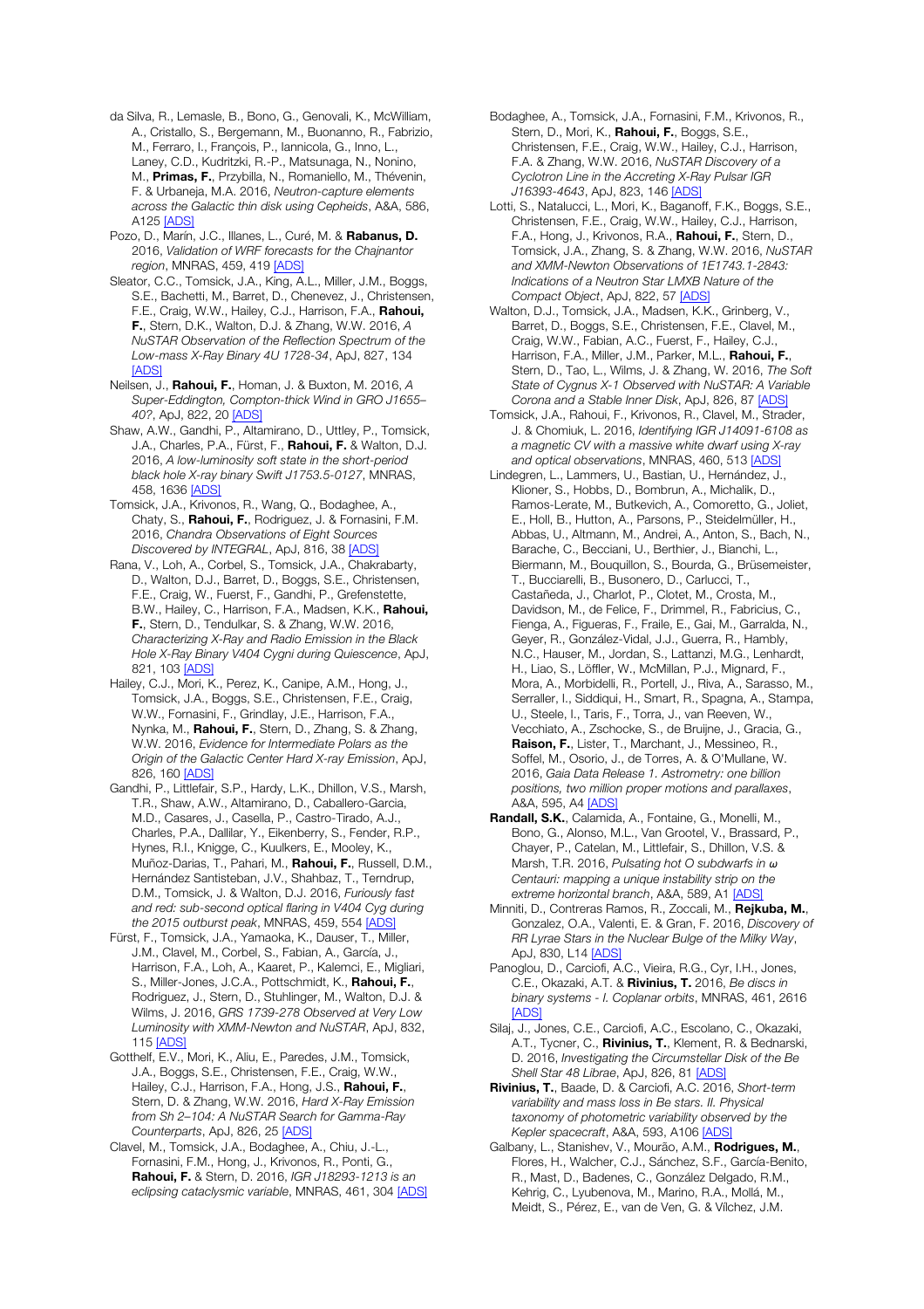da Silva, R., Lemasle, B., Bono, G., Genovali, K., McWilliam, A., Cristallo, S., Bergemann, M., Buonanno, R., Fabrizio, M., Ferraro, I., François, P., Iannicola, G., Inno, L., Laney, C.D., Kudritzki, R.-P., Matsunaga, N., Nonino, M., Primas, F., Przybilla, N., Romaniello, M., Thévenin, F. & Urbaneja, M.A. 2016, *Neutron-capture elements across the Galactic thin disk using Cepheids*, A&A, 586, A125 [ADS]

Pozo, D., Marín, J.C., Illanes, L., Curé, M. & Rabanus, D. 2016, *Validation of WRF forecasts for the Chajnantor region*, MNRAS, 459, 419 [ADS]

- Sleator, C.C., Tomsick, J.A., King, A.L., Miller, J.M., Boggs, S.E., Bachetti, M., Barret, D., Chenevez, J., Christensen, F.E., Craig, W.W., Hailey, C.J., Harrison, F.A., Rahoui, F., Stern, D.K., Walton, D.J. & Zhang, W.W. 2016, *A NuSTAR Observation of the Reflection Spectrum of the Low-mass X-Ray Binary 4U 1728-34*, ApJ, 827, 134 [ADS]
- Neilsen, J., Rahoui, F., Homan, J. & Buxton, M. 2016, *A Super-Eddington, Compton-thick Wind in GRO J1655– 40?*, ApJ, 822, 20 [ADS]
- Shaw, A.W., Gandhi, P., Altamirano, D., Uttley, P., Tomsick, J.A., Charles, P.A., Fürst, F., Rahoui, F. & Walton, D.J. 2016, *A low-luminosity soft state in the short-period black hole X-ray binary Swift J1753.5-0127*, MNRAS, 458, 1636 [ADS]
- Tomsick, J.A., Krivonos, R., Wang, Q., Bodaghee, A., Chaty, S., Rahoui, F., Rodriguez, J. & Fornasini, F.M. 2016, *Chandra Observations of Eight Sources Discovered by INTEGRAL*, ApJ, 816, 38 [ADS]
- Rana, V., Loh, A., Corbel, S., Tomsick, J.A., Chakrabarty, D., Walton, D.J., Barret, D., Boggs, S.E., Christensen, F.E., Craig, W., Fuerst, F., Gandhi, P., Grefenstette, B.W., Hailey, C., Harrison, F.A., Madsen, K.K., Rahoui, F., Stern, D., Tendulkar, S. & Zhang, W.W. 2016, *Characterizing X-Ray and Radio Emission in the Black Hole X-Ray Binary V404 Cygni during Quiescence*, ApJ, 821, 103 [ADS]
- Hailey, C.J., Mori, K., Perez, K., Canipe, A.M., Hong, J., Tomsick, J.A., Boggs, S.E., Christensen, F.E., Craig, W.W., Fornasini, F., Grindlay, J.E., Harrison, F.A., Nynka, M., Rahoui, F., Stern, D., Zhang, S. & Zhang, W.W. 2016, *Evidence for Intermediate Polars as the Origin of the Galactic Center Hard X-ray Emission*, ApJ, 826, 160 [ADS]
- Gandhi, P., Littlefair, S.P., Hardy, L.K., Dhillon, V.S., Marsh, T.R., Shaw, A.W., Altamirano, D., Caballero-Garcia, M.D., Casares, J., Casella, P., Castro-Tirado, A.J., Charles, P.A., Dallilar, Y., Eikenberry, S., Fender, R.P., Hynes, R.I., Knigge, C., Kuulkers, E., Mooley, K., Muñoz-Darias, T., Pahari, M., Rahoui, F., Russell, D.M., Hernández Santisteban, J.V., Shahbaz, T., Terndrup, D.M., Tomsick, J. & Walton, D.J. 2016, *Furiously fast and red: sub-second optical flaring in V404 Cyg during the 2015 outburst peak*, MNRAS, 459, 554 [ADS]
- Fürst, F., Tomsick, J.A., Yamaoka, K., Dauser, T., Miller, J.M., Clavel, M., Corbel, S., Fabian, A., García, J., Harrison, F.A., Loh, A., Kaaret, P., Kalemci, E., Migliari, S., Miller-Jones, J.C.A., Pottschmidt, K., Rahoui, F., Rodriguez, J., Stern, D., Stuhlinger, M., Walton, D.J. & Wilms, J. 2016, *GRS 1739-278 Observed at Very Low Luminosity with XMM-Newton and NuSTAR*, ApJ, 832, 115 [ADS]
- Gotthelf, E.V., Mori, K., Aliu, E., Paredes, J.M., Tomsick, J.A., Boggs, S.E., Christensen, F.E., Craig, W.W., Hailey, C.J., Harrison, F.A., Hong, J.S., Rahoui, F., Stern, D. & Zhang, W.W. 2016, *Hard X-Ray Emission from Sh 2–104: A NuSTAR Search for Gamma-Ray Counterparts*, ApJ, 826, 25 [ADS]
- Clavel, M., Tomsick, J.A., Bodaghee, A., Chiu, J.-L., Fornasini, F.M., Hong, J., Krivonos, R., Ponti, G., Rahoui, F. & Stern, D. 2016, *IGR J18293-1213 is an eclipsing cataclysmic variable*, MNRAS, 461, 304 [ADS]
- Bodaghee, A., Tomsick, J.A., Fornasini, F.M., Krivonos, R., Stern, D., Mori, K., Rahoui, F., Boggs, S.E., Christensen, F.E., Craig, W.W., Hailey, C.J., Harrison, F.A. & Zhang, W.W. 2016, *NuSTAR Discovery of a Cyclotron Line in the Accreting X-Ray Pulsar IGR J16393-4643*, ApJ, 823, 146 [ADS]
- Lotti, S., Natalucci, L., Mori, K., Baganoff, F.K., Boggs, S.E., Christensen, F.E., Craig, W.W., Hailey, C.J., Harrison, F.A., Hong, J., Krivonos, R.A., Rahoui, F., Stern, D., Tomsick, J.A., Zhang, S. & Zhang, W.W. 2016, *NuSTAR and XMM-Newton Observations of 1E1743.1-2843: Indications of a Neutron Star LMXB Nature of the Compact Object*, ApJ, 822, 57 [ADS]
- Walton, D.J., Tomsick, J.A., Madsen, K.K., Grinberg, V., Barret, D., Boggs, S.E., Christensen, F.E., Clavel, M., Craig, W.W., Fabian, A.C., Fuerst, F., Hailey, C.J., Harrison, F.A., Miller, J.M., Parker, M.L., Rahoui, F., Stern, D., Tao, L., Wilms, J. & Zhang, W. 2016, *The Soft State of Cygnus X-1 Observed with NuSTAR: A Variable Corona and a Stable Inner Disk*, ApJ, 826, 87 [ADS]
- Tomsick, J.A., Rahoui, F., Krivonos, R., Clavel, M., Strader, J. & Chomiuk, L. 2016, *Identifying IGR J14091-6108 as a magnetic CV with a massive white dwarf using X-ray and optical observations*, MNRAS, 460, 513 [ADS]
- Lindegren, L., Lammers, U., Bastian, U., Hernández, J., Klioner, S., Hobbs, D., Bombrun, A., Michalik, D., Ramos-Lerate, M., Butkevich, A., Comoretto, G., Joliet, E., Holl, B., Hutton, A., Parsons, P., Steidelmüller, H., Abbas, U., Altmann, M., Andrei, A., Anton, S., Bach, N., Barache, C., Becciani, U., Berthier, J., Bianchi, L., Biermann, M., Bouquillon, S., Bourda, G., Brüsemeister, T., Bucciarelli, B., Busonero, D., Carlucci, T., Castañeda, J., Charlot, P., Clotet, M., Crosta, M., Davidson, M., de Felice, F., Drimmel, R., Fabricius, C., Fienga, A., Figueras, F., Fraile, E., Gai, M., Garralda, N., Geyer, R., González-Vidal, J.J., Guerra, R., Hambly, N.C., Hauser, M., Jordan, S., Lattanzi, M.G., Lenhardt, H., Liao, S., Löffler, W., McMillan, P.J., Mignard, F., Mora, A., Morbidelli, R., Portell, J., Riva, A., Sarasso, M., Serraller, I., Siddiqui, H., Smart, R., Spagna, A., Stampa, U., Steele, I., Taris, F., Torra, J., van Reeven, W., Vecchiato, A., Zschocke, S., de Bruijne, J., Gracia, G., Raison, F., Lister, T., Marchant, J., Messineo, R., Soffel, M., Osorio, J., de Torres, A. & O'Mullane, W. 2016, *Gaia Data Release 1. Astrometry: one billion positions, two million proper motions and parallaxes*, A&A, 595, A4 [ADS]
- Randall, S.K., Calamida, A., Fontaine, G., Monelli, M., Bono, G., Alonso, M.L., Van Grootel, V., Brassard, P., Chayer, P., Catelan, M., Littlefair, S., Dhillon, V.S. & Marsh, T.R. 2016, *Pulsating hot O subdwarfs in ω Centauri: mapping a unique instability strip on the extreme horizontal branch*, A&A, 589, A1 [ADS]
- Minniti, D., Contreras Ramos, R., Zoccali, M., Rejkuba, M., Gonzalez, O.A., Valenti, E. & Gran, F. 2016, *Discovery of RR Lyrae Stars in the Nuclear Bulge of the Milky Way*, ApJ, 830, L14 [ADS]
- Panoglou, D., Carciofi, A.C., Vieira, R.G., Cyr, I.H., Jones, C.E., Okazaki, A.T. & Rivinius, T. 2016, *Be discs in binary systems - I. Coplanar orbits*, MNRAS, 461, 2616 [ADS]
- Silaj, J., Jones, C.E., Carciofi, A.C., Escolano, C., Okazaki, A.T., Tycner, C., **Rivinius, T.**, Klement, R. & Bednarski, D. 2016, *Investigating the Circumstellar Disk of the Be Shell Star 48 Librae*, ApJ, 826, 81 [ADS]
- Rivinius, T., Baade, D. & Carciofi, A.C. 2016, *Short-term variability and mass loss in Be stars. II. Physical taxonomy of photometric variability observed by the Kepler spacecraft*, A&A, 593, A106 [ADS]
- Galbany, L., Stanishev, V., Mourão, A.M., Rodrigues, M., Flores, H., Walcher, C.J., Sánchez, S.F., García-Benito, R., Mast, D., Badenes, C., González Delgado, R.M., Kehrig, C., Lyubenova, M., Marino, R.A., Mollá, M., Meidt, S., Pérez, E., van de Ven, G. & Vílchez, J.M.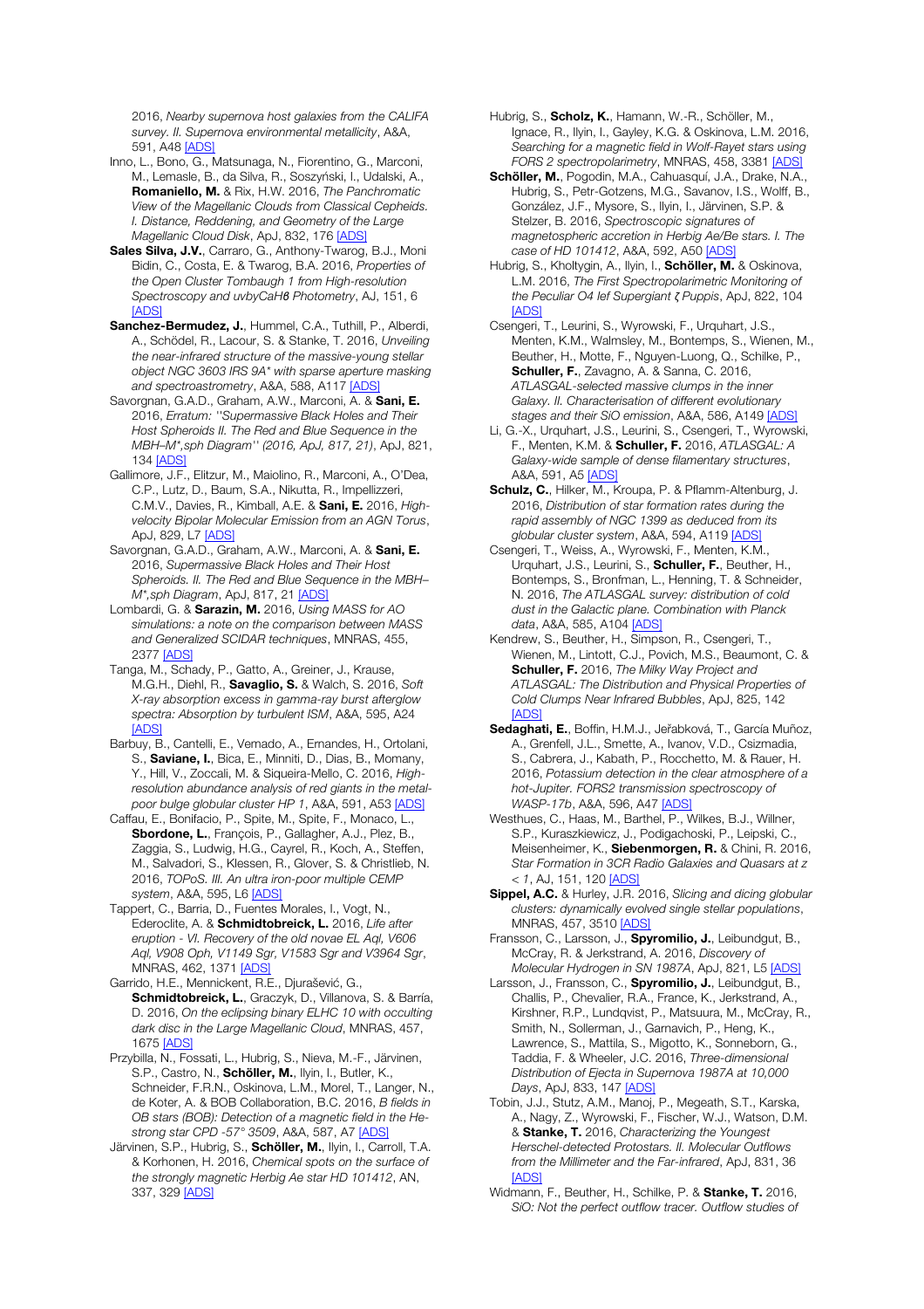2016, *Nearby supernova host galaxies from the CALIFA survey. II. Supernova environmental metallicity*, A&A, 591, A48 [ADS]

Inno, L., Bono, G., Matsunaga, N., Fiorentino, G., Marconi, M., Lemasle, B., da Silva, R., Soszyński, I., Udalski, A., Romaniello, M. & Rix, H.W. 2016, *The Panchromatic View of the Magellanic Clouds from Classical Cepheids. I. Distance, Reddening, and Geometry of the Large Magellanic Cloud Disk*, ApJ, 832, 176 [ADS]

Sales Silva, J.V., Carraro, G., Anthony-Twarog, B.J., Moni Bidin, C., Costa, E. & Twarog, B.A. 2016, *Properties of the Open Cluster Tombaugh 1 from High-resolution Spectroscopy and uvbyCaHβ Photometry*, AJ, 151, 6 [ADS]

Sanchez-Bermudez, J., Hummel, C.A., Tuthill, P., Alberdi, A., Schödel, R., Lacour, S. & Stanke, T. 2016, *Unveiling the near-infrared structure of the massive-young stellar object NGC 3603 IRS 9A\* with sparse aperture masking and spectroastrometry*, A&A, 588, A117 [ADS]

Savorgnan, G.A.D., Graham, A.W., Marconi, A. & Sani, E. 2016, *Erratum: ''Supermassive Black Holes and Their Host Spheroids II. The Red and Blue Sequence in the MBH–M\*,sph Diagram'' (2016, ApJ, 817, 21)*, ApJ, 821, 134 [ADS]

Gallimore, J.F., Elitzur, M., Maiolino, R., Marconi, A., O'Dea, C.P., Lutz, D., Baum, S.A., Nikutta, R., Impellizzeri, C.M.V., Davies, R., Kimball, A.E. & Sani, E. 2016, *Highvelocity Bipolar Molecular Emission from an AGN Torus*, ApJ, 829, L7 [ADS]

Savorgnan, G.A.D., Graham, A.W., Marconi, A. & Sani, E. 2016, *Supermassive Black Holes and Their Host Spheroids. II. The Red and Blue Sequence in the MBH– M\*,sph Diagram*, ApJ, 817, 21 [ADS]

Lombardi, G. & Sarazin, M. 2016, *Using MASS for AO simulations: a note on the comparison between MASS and Generalized SCIDAR techniques*, MNRAS, 455, 2377 [ADS]

Tanga, M., Schady, P., Gatto, A., Greiner, J., Krause, M.G.H., Diehl, R., Savaglio, S. & Walch, S. 2016, *Soft X-ray absorption excess in gamma-ray burst afterglow spectra: Absorption by turbulent ISM*, A&A, 595, A24 [ADS]

Barbuy, B., Cantelli, E., Vemado, A., Ernandes, H., Ortolani, S., **Saviane, I.**, Bica, E., Minniti, D., Dias, B., Momany, Y., Hill, V., Zoccali, M. & Siqueira-Mello, C. 2016, *Highresolution abundance analysis of red giants in the metalpoor bulge globular cluster HP 1*, A&A, 591, A53 [ADS]

Caffau, E., Bonifacio, P., Spite, M., Spite, F., Monaco, L., Sbordone, L., François, P., Gallagher, A.J., Plez, B., Zaggia, S., Ludwig, H.G., Cayrel, R., Koch, A., Steffen, M., Salvadori, S., Klessen, R., Glover, S. & Christlieb, N. 2016, *TOPoS. III. An ultra iron-poor multiple CEMP system*, A&A, 595, L6 [ADS]

Tappert, C., Barria, D., Fuentes Morales, I., Vogt, N., Ederoclite, A. & Schmidtobreick, L. 2016, *Life after eruption - VI. Recovery of the old novae EL Aql, V606 Aql, V908 Oph, V1149 Sgr, V1583 Sgr and V3964 Sgr*, MNRAS, 462, 1371 [AD

Garrido, H.E., Mennickent, R.E., Djurašević, G., Schmidtobreick, L., Graczyk, D., Villanova, S. & Barría, D. 2016, *On the eclipsing binary ELHC 10 with occulting dark disc in the Large Magellanic Cloud*, MNRAS, 457, 1675 [ADS]

Przybilla, N., Fossati, L., Hubrig, S., Nieva, M.-F., Järvinen, S.P., Castro, N., Schöller, M., Ilyin, I., Butler, K., Schneider, F.R.N., Oskinova, L.M., Morel, T., Langer, N., de Koter, A. & BOB Collaboration, B.C. 2016, *B fields in OB stars (BOB): Detection of a magnetic field in the Hestrong star CPD -57° 3509*, A&A, 587, A7 [ADS]

Järvinen, S.P., Hubrig, S., Schöller, M., Ilyin, I., Carroll, T.A. & Korhonen, H. 2016, *Chemical spots on the surface of the strongly magnetic Herbig Ae star HD 101412*, AN, 337, 329 [ADS]

Hubrig, S., Scholz, K., Hamann, W.-R., Schöller, M., Ignace, R., Ilyin, I., Gayley, K.G. & Oskinova, L.M. 2016, *Searching for a magnetic field in Wolf-Rayet stars using FORS 2 spectropolarimetry*, MNRAS, 458, 3381 [ADS]

Schöller, M., Pogodin, M.A., Cahuasquí, J.A., Drake, N.A., Hubrig, S., Petr-Gotzens, M.G., Savanov, I.S., Wolff, B., González, J.F., Mysore, S., Ilyin, I., Järvinen, S.P. & Stelzer, B. 2016, *Spectroscopic signatures of magnetospheric accretion in Herbig Ae/Be stars. I. The case of HD 101412*, A&A, 592, A50 [ADS]

Hubrig, S., Kholtygin, A., Ilyin, I., Schöller, M. & Oskinova, L.M. 2016, *The First Spectropolarimetric Monitoring of the Peculiar O4 Ief Supergiant ζ Puppis*, ApJ, 822, 104 [ADS]

Csengeri, T., Leurini, S., Wyrowski, F., Urquhart, J.S., Menten, K.M., Walmsley, M., Bontemps, S., Wienen, M., Beuther, H., Motte, F., Nguyen-Luong, Q., Schilke, P., Schuller, F., Zavagno, A. & Sanna, C. 2016, *ATLASGAL-selected massive clumps in the inner Galaxy. II. Characterisation of different evolutionary stages and their SiO emission*, A&A, 586, A149 [ADS]

Li, G.-X., Urquhart, J.S., Leurini, S., Csengeri, T., Wyrowski, F., Menten, K.M. & Schuller, F. 2016, *ATLASGAL: A Galaxy-wide sample of dense filamentary structures*, A&A, 591, A5 [ADS]

Schulz, C., Hilker, M., Kroupa, P. & Pflamm-Altenburg, J. 2016, *Distribution of star formation rates during the rapid assembly of NGC 1399 as deduced from its globular cluster system*, A&A, 594, A119 [ADS]

Csengeri, T., Weiss, A., Wyrowski, F., Menten, K.M., Urquhart, J.S., Leurini, S., Schuller, F., Beuther, H., Bontemps, S., Bronfman, L., Henning, T. & Schneider, N. 2016, *The ATLASGAL survey: distribution of cold dust in the Galactic plane. Combination with Planck data*, A&A, 585, A104 [ADS]

Kendrew, S., Beuther, H., Simpson, R., Csengeri, T., Wienen, M., Lintott, C.J., Povich, M.S., Beaumont, C. & Schuller, F. 2016, *The Milky Way Project and ATLASGAL: The Distribution and Physical Properties of Cold Clumps Near Infrared Bubbles*, ApJ, 825, 142 [ADS]

Sedaghati, E., Boffin, H.M.J., Jeřabková, T., García Muñoz, A., Grenfell, J.L., Smette, A., Ivanov, V.D., Csizmadia, S., Cabrera, J., Kabath, P., Rocchetto, M. & Rauer, H. 2016, *Potassium detection in the clear atmosphere of a hot-Jupiter. FORS2 transmission spectroscopy of WASP-17b*, A&A, 596, A47 [ADS]

Westhues, C., Haas, M., Barthel, P., Wilkes, B.J., Willner, S.P., Kuraszkiewicz, J., Podigachoski, P., Leipski, C., Meisenheimer, K., Siebenmorgen, R. & Chini, R. 2016, *Star Formation in 3CR Radio Galaxies and Quasars at z < 1*, AJ, 151, 120 [ADS]

Sippel, A.C. & Hurley, J.R. 2016, *Slicing and dicing globular clusters: dynamically evolved single stellar populations*, MNRAS, 457, 3510 [ADS]

Fransson, C., Larsson, J., Spyromilio, J., Leibundgut, B., McCray, R. & Jerkstrand, A. 2016, *Discovery of Molecular Hydrogen in SN 1987A*, ApJ, 821, L5 [ADS]

Larsson, J., Fransson, C., Spyromilio, J., Leibundgut, B., Challis, P., Chevalier, R.A., France, K., Jerkstrand, A., Kirshner, R.P., Lundqvist, P., Matsuura, M., McCray, R., Smith, N., Sollerman, J., Garnavich, P., Heng, K., Lawrence, S., Mattila, S., Migotto, K., Sonneborn, G., Taddia, F. & Wheeler, J.C. 2016, *Three-dimensional Distribution of Ejecta in Supernova 1987A at 10,000 Days*, ApJ, 833, 147 [ADS]

Tobin, J.J., Stutz, A.M., Manoj, P., Megeath, S.T., Karska, A., Nagy, Z., Wyrowski, F., Fischer, W.J., Watson, D.M. & Stanke, T. 2016, *Characterizing the Youngest Herschel-detected Protostars. II. Molecular Outflows from the Millimeter and the Far-infrared*, ApJ, 831, 36 [ADS]

Widmann, F., Beuther, H., Schilke, P. & Stanke, T. 2016, *SiO: Not the perfect outflow tracer. Outflow studies of*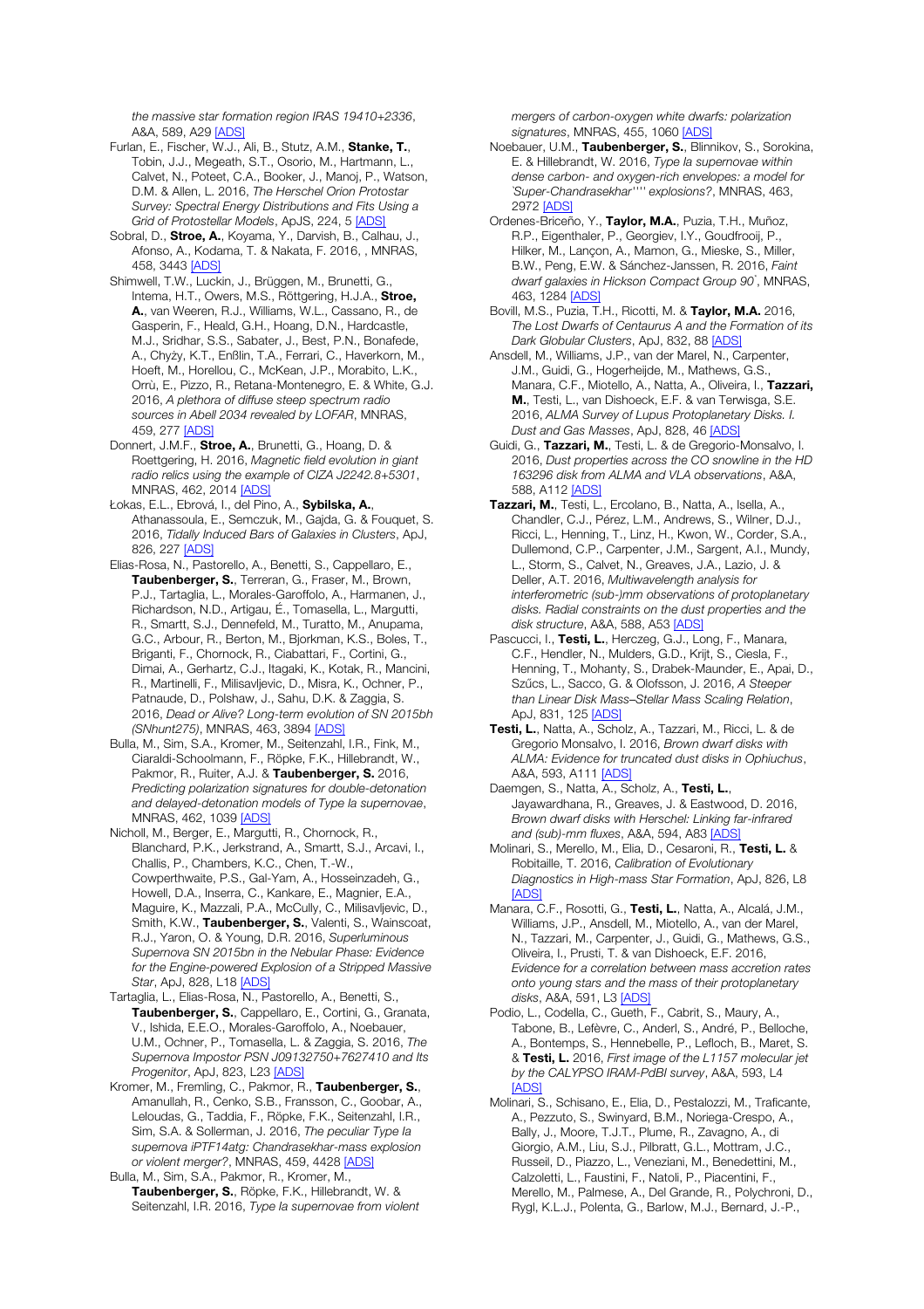*the massive star formation region IRAS 19410+2336*, A&A, 589, A29 [ADS]

- Furlan, E., Fischer, W.J., Ali, B., Stutz, A.M., Stanke, T., Tobin, J.J., Megeath, S.T., Osorio, M., Hartmann, L., Calvet, N., Poteet, C.A., Booker, J., Manoj, P., Watson, D.M. & Allen, L. 2016, *The Herschel Orion Protostar Survey: Spectral Energy Distributions and Fits Using a Grid of Protostellar Models*, ApJS, 224, 5 [ADS]
- Sobral, D., **Stroe, A.**, Koyama, Y., Darvish, B., Calhau, J., Afonso, A., Kodama, T. & Nakata, F. 2016, , MNRAS, 458, 3443 [ADS]
- Shimwell, T.W., Luckin, J., Brüggen, M., Brunetti, G., Intema, H.T., Owers, M.S., Röttgering, H.J.A., Stroe, A., van Weeren, R.J., Williams, W.L., Cassano, R., de Gasperin, F., Heald, G.H., Hoang, D.N., Hardcastle, M.J., Sridhar, S.S., Sabater, J., Best, P.N., Bonafede, A., Chyży, K.T., Enßlin, T.A., Ferrari, C., Haverkorn, M., Hoeft, M., Horellou, C., McKean, J.P., Morabito, L.K., Orrù, E., Pizzo, R., Retana-Montenegro, E. & White, G.J. 2016, *A plethora of diffuse steep spectrum radio sources in Abell 2034 revealed by LOFAR*, MNRAS, 459, 277 [ADS]
- Donnert, J.M.F., Stroe, A., Brunetti, G., Hoang, D. & Roettgering, H. 2016, *Magnetic field evolution in giant radio relics using the example of CIZA J2242.8+5301*, MNRAS, 462, 2014 [ADS]
- Łokas, E.L., Ebrová, I., del Pino, A., Sybilska, A., Athanassoula, E., Semczuk, M., Gajda, G. & Fouquet, S. 2016, *Tidally Induced Bars of Galaxies in Clusters*, ApJ, 826, 227 [ADS]
- Elias-Rosa, N., Pastorello, A., Benetti, S., Cappellaro, E., Taubenberger, S., Terreran, G., Fraser, M., Brown, P.J., Tartaglia, L., Morales-Garoffolo, A., Harmanen, J., Richardson, N.D., Artigau, É., Tomasella, L., Margutti, R., Smartt, S.J., Dennefeld, M., Turatto, M., Anupama, G.C., Arbour, R., Berton, M., Bjorkman, K.S., Boles, T., Briganti, F., Chornock, R., Ciabattari, F., Cortini, G., Dimai, A., Gerhartz, C.J., Itagaki, K., Kotak, R., Mancini, R., Martinelli, F., Milisavljevic, D., Misra, K., Ochner, P., Patnaude, D., Polshaw, J., Sahu, D.K. & Zaggia, S. 2016, *Dead or Alive? Long-term evolution of SN 2015bh (SNhunt275)*, MNRAS, 463, 3894 [ADS]
- Bulla, M., Sim, S.A., Kromer, M., Seitenzahl, I.R., Fink, M., Ciaraldi-Schoolmann, F., Röpke, F.K., Hillebrandt, W., Pakmor, R., Ruiter, A.J. & Taubenberger, S. 2016, *Predicting polarization signatures for double-detonation and delayed-detonation models of Type Ia supernovae*, MNRAS, 462, 1039 [ADS]
- Nicholl, M., Berger, E., Margutti, R., Chornock, R., Blanchard, P.K., Jerkstrand, A., Smartt, S.J., Arcavi, I., Challis, P., Chambers, K.C., Chen, T.-W., Cowperthwaite, P.S., Gal-Yam, A., Hosseinzadeh, G., Howell, D.A., Inserra, C., Kankare, E., Magnier, E.A., Maguire, K., Mazzali, P.A., McCully, C., Milisavljevic, D., Smith, K.W., Taubenberger, S., Valenti, S., Wainscoat, R.J., Yaron, O. & Young, D.R. 2016, *Superluminous Supernova SN 2015bn in the Nebular Phase: Evidence for the Engine-powered Explosion of a Stripped Massive Star*, ApJ, 828, L18 [ADS]
- Tartaglia, L., Elias-Rosa, N., Pastorello, A., Benetti, S., Taubenberger, S., Cappellaro, E., Cortini, G., Granata, V., Ishida, E.E.O., Morales-Garoffolo, A., Noebauer, U.M., Ochner, P., Tomasella, L. & Zaggia, S. 2016, *The Supernova Impostor PSN J09132750+7627410 and Its Progenitor*, ApJ, 823, L23 [ADS]
- Kromer, M., Fremling, C., Pakmor, R., Taubenberger, S., Amanullah, R., Cenko, S.B., Fransson, C., Goobar, A., Leloudas, G., Taddia, F., Röpke, F.K., Seitenzahl, I.R., Sim, S.A. & Sollerman, J. 2016, *The peculiar Type Ia supernova iPTF14atg: Chandrasekhar-mass explosion or violent merger?*, MNRAS, 459, 4428 [ADS]
- Bulla, M., Sim, S.A., Pakmor, R., Kromer, M., Taubenberger, S., Röpke, F.K., Hillebrandt, W. & Seitenzahl, I.R. 2016, *Type Ia supernovae from violent*

*mergers of carbon-oxygen white dwarfs: polarization signatures*, MNRAS, 455, 1060 [ADS]

- Noebauer, U.M., Taubenberger, S., Blinnikov, S., Sorokina, E. & Hillebrandt, W. 2016, *Type Ia supernovae within dense carbon- and oxygen-rich envelopes: a model for `Super-Chandrasekhar'''' explosions?*, MNRAS, 463, 2972 [ADS]
- Ordenes-Briceño, Y., Taylor, M.A., Puzia, T.H., Muñoz, R.P., Eigenthaler, P., Georgiev, I.Y., Goudfrooij, P., Hilker, M., Lançon, A., Mamon, G., Mieske, S., Miller, B.W., Peng, E.W. & Sánchez-Janssen, R. 2016, *Faint dwarf galaxies in Hickson Compact Group 90\** , MNRAS, 463, 1284 **ADS**
- Bovill, M.S., Puzia, T.H., Ricotti, M. & Taylor, M.A. 2016. *The Lost Dwarfs of Centaurus A and the Formation of its Dark Globular Clusters*, ApJ, 832, 88 [ADS]
- Ansdell, M., Williams, J.P., van der Marel, N., Carpenter, J.M., Guidi, G., Hogerheijde, M., Mathews, G.S., Manara, C.F., Miotello, A., Natta, A., Oliveira, I., Tazzari, M., Testi, L., van Dishoeck, E.F. & van Terwisga, S.E. 2016, *ALMA Survey of Lupus Protoplanetary Disks. I. Dust and Gas Masses*, ApJ, 828, 46 [ADS]
- Guidi, G., Tazzari, M., Testi, L. & de Gregorio-Monsalvo, I. 2016, *Dust properties across the CO snowline in the HD 163296 disk from ALMA and VLA observations*, A&A, 588, A112 [ADS]
- Tazzari, M., Testi, L., Ercolano, B., Natta, A., Isella, A., Chandler, C.J., Pérez, L.M., Andrews, S., Wilner, D.J., Ricci, L., Henning, T., Linz, H., Kwon, W., Corder, S.A., Dullemond, C.P., Carpenter, J.M., Sargent, A.I., Mundy, L., Storm, S., Calvet, N., Greaves, J.A., Lazio, J. & Deller, A.T. 2016, *Multiwavelength analysis for interferometric (sub-)mm observations of protoplanetary disks. Radial constraints on the dust properties and the disk structure*, A&A, 588, A53 [ADS]
- Pascucci, I., Testi, L., Herczeg, G.J., Long, F., Manara, C.F., Hendler, N., Mulders, G.D., Krijt, S., Ciesla, F., Henning, T., Mohanty, S., Drabek-Maunder, E., Apai, D., Szűcs, L., Sacco, G. & Olofsson, J. 2016, *A Steeper than Linear Disk Mass─Stellar Mass Scaling Relation*, ApJ, 831, 125 [ADS]
- Testi, L., Natta, A., Scholz, A., Tazzari, M., Ricci, L. & de Gregorio Monsalvo, I. 2016, *Brown dwarf disks with ALMA: Evidence for truncated dust disks in Ophiuchus*, A&A, 593, A111 [ADS]
- Daemgen, S., Natta, A., Scholz, A., Testi, L., Jayawardhana, R., Greaves, J. & Eastwood, D. 2016, *Brown dwarf disks with Herschel: Linking far-infrared and (sub)-mm fluxes*, A&A, 594, A83 [ADS]
- Molinari, S., Merello, M., Elia, D., Cesaroni, R., Testi, L. & Robitaille, T. 2016, *Calibration of Evolutionary Diagnostics in High-mass Star Formation*, ApJ, 826, L8 **[ADS]**
- Manara, C.F., Rosotti, G., Testi, L., Natta, A., Alcalá, J.M., Williams, J.P., Ansdell, M., Miotello, A., van der Marel, N., Tazzari, M., Carpenter, J., Guidi, G., Mathews, G.S., Oliveira, I., Prusti, T. & van Dishoeck, E.F. 2016, *Evidence for a correlation between mass accretion rates onto young stars and the mass of their protoplanetary disks*, A&A, 591, L3 [ADS]
- Podio, L., Codella, C., Gueth, F., Cabrit, S., Maury, A., Tabone, B., Lefèvre, C., Anderl, S., André, P., Belloche, A., Bontemps, S., Hennebelle, P., Lefloch, B., Maret, S. & Testi, L. 2016, *First image of the L1157 molecular jet by the CALYPSO IRAM-PdBI survey*, A&A, 593, L4 [ADS]
- Molinari, S., Schisano, E., Elia, D., Pestalozzi, M., Traficante, A., Pezzuto, S., Swinyard, B.M., Noriega-Crespo, A., Bally, J., Moore, T.J.T., Plume, R., Zavagno, A., di Giorgio, A.M., Liu, S.J., Pilbratt, G.L., Mottram, J.C., Russeil, D., Piazzo, L., Veneziani, M., Benedettini, M., Calzoletti, L., Faustini, F., Natoli, P., Piacentini, F., Merello, M., Palmese, A., Del Grande, R., Polychroni, D., Rygl, K.L.J., Polenta, G., Barlow, M.J., Bernard, J.-P.,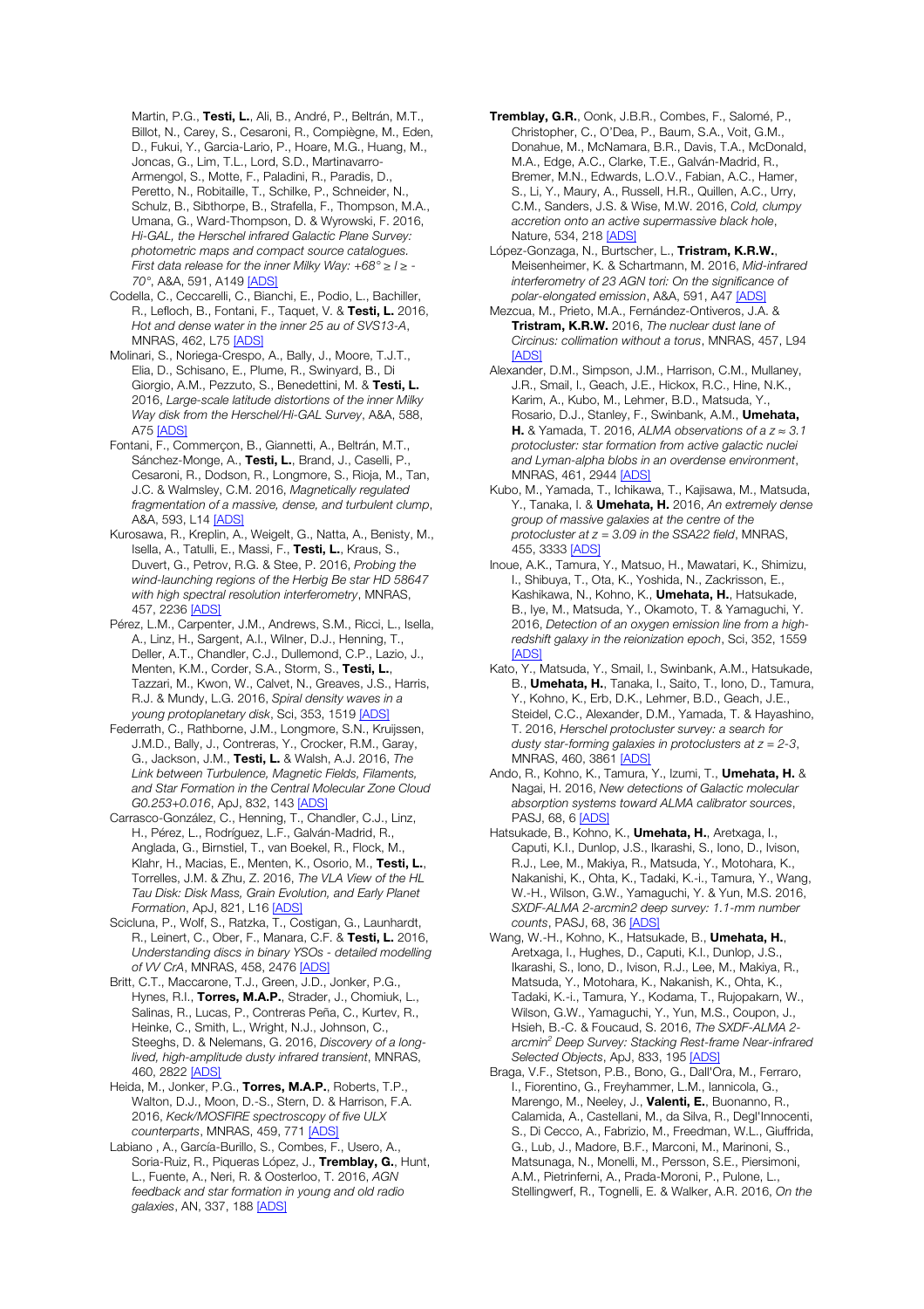Martin, P.G., Testi, L., Ali, B., André, P., Beltrán, M.T., Billot, N., Carey, S., Cesaroni, R., Compiègne, M., Eden, D., Fukui, Y., Garcia-Lario, P., Hoare, M.G., Huang, M., Joncas, G., Lim, T.L., Lord, S.D., Martinavarro-Armengol, S., Motte, F., Paladini, R., Paradis, D., Peretto, N., Robitaille, T., Schilke, P., Schneider, N., Schulz, B., Sibthorpe, B., Strafella, F., Thompson, M.A., Umana, G., Ward-Thompson, D. & Wyrowski, F. 2016, *Hi-GAL, the Herschel infrared Galactic Plane Survey: photometric maps and compact source catalogues. First data release for the inner Milky Way: +68°* ≥ *l* ≥ *- 70°*, A&A, 591, A149 [ADS]

- Codella, C., Ceccarelli, C., Bianchi, E., Podio, L., Bachiller, R., Lefloch, B., Fontani, F., Taquet, V. & Testi, L. 2016, *Hot and dense water in the inner 25 au of SVS13-A*, MNRAS, 462, L75 [ADS]
- Molinari, S., Noriega-Crespo, A., Bally, J., Moore, T.J.T., Elia, D., Schisano, E., Plume, R., Swinyard, B., Di Giorgio, A.M., Pezzuto, S., Benedettini, M. & Testi, L. 2016, *Large-scale latitude distortions of the inner Milky Way disk from the Herschel/Hi-GAL Survey*, A&A, 588, **A75** [ADS]
- Fontani, F., Commerçon, B., Giannetti, A., Beltrán, M.T., Sánchez-Monge, A., Testi, L., Brand, J., Caselli, P. Cesaroni, R., Dodson, R., Longmore, S., Rioja, M., Tan, J.C. & Walmsley, C.M. 2016, *Magnetically regulated fragmentation of a massive, dense, and turbulent clump*, A&A, 593, L14 [ADS]
- Kurosawa, R., Kreplin, A., Weigelt, G., Natta, A., Benisty, M., Isella, A., Tatulli, E., Massi, F., Testi, L., Kraus, S., Duvert, G., Petrov, R.G. & Stee, P. 2016, *Probing the wind-launching regions of the Herbig Be star HD 58647 with high spectral resolution interferometry*, MNRAS, 457, 2236 [ADS]
- Pérez, L.M., Carpenter, J.M., Andrews, S.M., Ricci, L., Isella, A., Linz, H., Sargent, A.I., Wilner, D.J., Henning, T., Deller, A.T., Chandler, C.J., Dullemond, C.P., Lazio, J., Menten, K.M., Corder, S.A., Storm, S., Testi, L., Tazzari, M., Kwon, W., Calvet, N., Greaves, J.S., Harris, R.J. & Mundy, L.G. 2016, *Spiral density waves in a young protoplanetary disk*, Sci, 353, 1519 [ADS]
- Federrath, C., Rathborne, J.M., Longmore, S.N., Kruijssen, J.M.D., Bally, J., Contreras, Y., Crocker, R.M., Garay, G., Jackson, J.M., Testi, L. & Walsh, A.J. 2016, *The Link between Turbulence, Magnetic Fields, Filaments, and Star Formation in the Central Molecular Zone Cloud G0.253+0.016*, ApJ, 832, 143 [ADS]
- Carrasco-González, C., Henning, T., Chandler, C.J., Linz, H., Pérez, L., Rodríguez, L.F., Galván-Madrid, R., Anglada, G., Birnstiel, T., van Boekel, R., Flock, M., Klahr, H., Macias, E., Menten, K., Osorio, M., Testi, L., Torrelles, J.M. & Zhu, Z. 2016, *The VLA View of the HL Tau Disk: Disk Mass, Grain Evolution, and Early Planet Formation*, ApJ, 821, L16 [ADS]
- Scicluna, P., Wolf, S., Ratzka, T., Costigan, G., Launhardt, R., Leinert, C., Ober, F., Manara, C.F. & Testi, L. 2016, *Understanding discs in binary YSOs - detailed modelling of VV CrA*, MNRAS, 458, 2476 [ADS]
- Britt, C.T., Maccarone, T.J., Green, J.D., Jonker, P.G., Hynes, R.I., Torres, M.A.P., Strader, J., Chomiuk, L., Salinas, R., Lucas, P., Contreras Peña, C., Kurtev, R., Heinke, C., Smith, L., Wright, N.J., Johnson, C., Steeghs, D. & Nelemans, G. 2016, *Discovery of a longlived, high-amplitude dusty infrared transient*, MNRAS, 460, 2822 [ADS]
- Heida, M., Jonker, P.G., Torres, M.A.P., Roberts, T.P., Walton, D.J., Moon, D.-S., Stern, D. & Harrison, F.A. 2016, *Keck/MOSFIRE spectroscopy of five ULX counterparts*, MNRAS, 459, 771 [ADS]
- Labiano , A., García-Burillo, S., Combes, F., Usero, A., Soria-Ruiz, R., Piqueras López, J., Tremblay, G., Hunt, L., Fuente, A., Neri, R. & Oosterloo, T. 2016, *AGN feedback and star formation in young and old radio galaxies*, AN, 337, 188 [ADS]
- Tremblay, G.R., Oonk, J.B.R., Combes, F., Salomé, P., Christopher, C., O'Dea, P., Baum, S.A., Voit, G.M., Donahue, M., McNamara, B.R., Davis, T.A., McDonald, M.A., Edge, A.C., Clarke, T.E., Galván-Madrid, R., Bremer, M.N., Edwards, L.O.V., Fabian, A.C., Hamer, S., Li, Y., Maury, A., Russell, H.R., Quillen, A.C., Urry, C.M., Sanders, J.S. & Wise, M.W. 2016, *Cold, clumpy accretion onto an active supermassive black hole*, Nature, 534, 218 [ADS]
- López-Gonzaga, N., Burtscher, L., Tristram, K.R.W., Meisenheimer, K. & Schartmann, M. 2016, *Mid-infrared interferometry of 23 AGN tori: On the significance of polar-elongated emission*, A&A, 591, A47 [ADS]
- Mezcua, M., Prieto, M.A., Fernández-Ontiveros, J.A. & Tristram, K.R.W. 2016, *The nuclear dust lane of Circinus: collimation without a torus*, MNRAS, 457, L94 [ADS]
- Alexander, D.M., Simpson, J.M., Harrison, C.M., Mullaney, J.R., Smail, I., Geach, J.E., Hickox, R.C., Hine, N.K., Karim, A., Kubo, M., Lehmer, B.D., Matsuda, Y., Rosario, D.J., Stanley, F., Swinbank, A.M., Umehata, H. & Yamada, T. 2016, *ALMA observations of a z* ≈ *3.1 protocluster: star formation from active galactic nuclei and Lyman-alpha blobs in an overdense environment*, MNRAS, 461, 2944 [ADS]
- Kubo, M., Yamada, T., Ichikawa, T., Kajisawa, M., Matsuda, Y., Tanaka, I. & Umehata, H. 2016, *An extremely dense group of massive galaxies at the centre of the protocluster at z = 3.09 in the SSA22 field*, MNRAS, 455, 3333 [ADS]
- Inoue, A.K., Tamura, Y., Matsuo, H., Mawatari, K., Shimizu, I., Shibuya, T., Ota, K., Yoshida, N., Zackrisson, E., Kashikawa, N., Kohno, K., Umehata, H., Hatsukade, B., Iye, M., Matsuda, Y., Okamoto, T. & Yamaguchi, Y. 2016, *Detection of an oxygen emission line from a highredshift galaxy in the reionization epoch*, Sci, 352, 1559 **[ADS]**
- Kato, Y., Matsuda, Y., Smail, I., Swinbank, A.M., Hatsukade, B., Umehata, H., Tanaka, I., Saito, T., Iono, D., Tamura, Y., Kohno, K., Erb, D.K., Lehmer, B.D., Geach, J.E., Steidel, C.C., Alexander, D.M., Yamada, T. & Hayashino, T. 2016, *Herschel protocluster survey: a search for dusty star-forming galaxies in protoclusters at z = 2-3*, MNRAS, 460, 3861 [ADS]
- Ando, R., Kohno, K., Tamura, Y., Izumi, T., Umehata, H. & Nagai, H. 2016, *New detections of Galactic molecular absorption systems toward ALMA calibrator sources*, PASJ, 68, 6 [ADS]
- Hatsukade, B., Kohno, K., Umehata, H., Aretxaga, I., Caputi, K.I., Dunlop, J.S., Ikarashi, S., Iono, D., Ivison, R.J., Lee, M., Makiya, R., Matsuda, Y., Motohara, K., Nakanishi, K., Ohta, K., Tadaki, K.-i., Tamura, Y., Wang, W.-H., Wilson, G.W., Yamaguchi, Y. & Yun, M.S. 2016, *SXDF-ALMA 2-arcmin2 deep survey: 1.1-mm number counts*, PASJ, 68, 36 [ADS]
- Wang, W.-H., Kohno, K., Hatsukade, B., Umehata, H., Aretxaga, I., Hughes, D., Caputi, K.I., Dunlop, J.S., Ikarashi, S., Iono, D., Ivison, R.J., Lee, M., Makiya, R., Matsuda, Y., Motohara, K., Nakanish, K., Ohta, K., Tadaki, K.-i., Tamura, Y., Kodama, T., Rujopakarn, W., Wilson, G.W., Yamaguchi, Y., Yun, M.S., Coupon, J., Hsieh, B.-C. & Foucaud, S. 2016, *The SXDF-ALMA 2 arcmin<sup>2</sup> Deep Survey: Stacking Rest-frame Near-infrared Selected Objects*, ApJ, 833, 195 [ADS]
- Braga, V.F., Stetson, P.B., Bono, G., Dall'Ora, M., Ferraro, I., Fiorentino, G., Freyhammer, L.M., Iannicola, G., Marengo, M., Neeley, J., Valenti, E., Buonanno, R., Calamida, A., Castellani, M., da Silva, R., Degl'Innocenti, S., Di Cecco, A., Fabrizio, M., Freedman, W.L., Giuffrida, G., Lub, J., Madore, B.F., Marconi, M., Marinoni, S., Matsunaga, N., Monelli, M., Persson, S.E., Piersimoni, A.M., Pietrinferni, A., Prada-Moroni, P., Pulone, L., Stellingwerf, R., Tognelli, E. & Walker, A.R. 2016, *On the*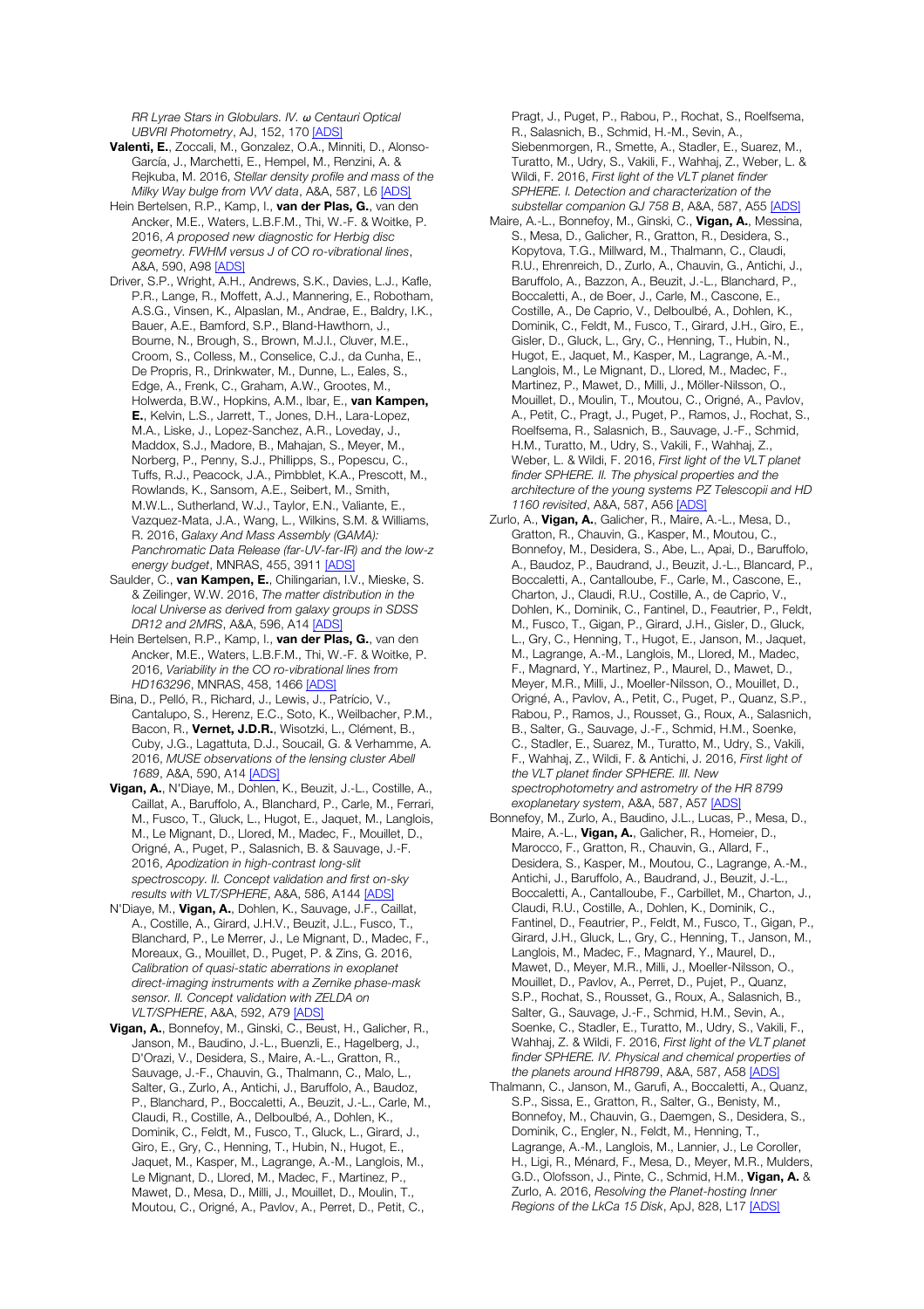*RR Lyrae Stars in Globulars. IV. ω Centauri Optical UBVRI Photometry*, AJ, 152, 170 [ADS]

- Valenti, E., Zoccali, M., Gonzalez, O.A., Minniti, D., Alonso-García, J., Marchetti, E., Hempel, M., Renzini, A. & Rejkuba, M. 2016, *Stellar density profile and mass of the Milky Way bulge from VVV data*, A&A, 587, L6 [ADS]
- Hein Bertelsen, R.P., Kamp, I., van der Plas, G., van den Ancker, M.E., Waters, L.B.F.M., Thi, W.-F. & Woitke, P. 2016, *A proposed new diagnostic for Herbig disc geometry. FWHM versus J of CO ro-vibrational lines*, A&A, 590, A98 [ADS]
- Driver, S.P., Wright, A.H., Andrews, S.K., Davies, L.J., Kafle, P.R., Lange, R., Moffett, A.J., Mannering, E., Robotham, A.S.G., Vinsen, K., Alpaslan, M., Andrae, E., Baldry, I.K., Bauer, A.E., Bamford, S.P., Bland-Hawthorn, J., Bourne, N., Brough, S., Brown, M.J.I., Cluver, M.E., Croom, S., Colless, M., Conselice, C.J., da Cunha, E., De Propris, R., Drinkwater, M., Dunne, L., Eales, S., Edge, A., Frenk, C., Graham, A.W., Grootes, M., Holwerda, B.W., Hopkins, A.M., Ibar, E., van Kampen, E., Kelvin, L.S., Jarrett, T., Jones, D.H., Lara-Lopez, M.A., Liske, J., Lopez-Sanchez, A.R., Loveday, J., Maddox, S.J., Madore, B., Mahajan, S., Meyer, M., Norberg, P., Penny, S.J., Phillipps, S., Popescu, C., Tuffs, R.J., Peacock, J.A., Pimbblet, K.A., Prescott, M., Rowlands, K., Sansom, A.E., Seibert, M., Smith, M.W.L., Sutherland, W.J., Taylor, E.N., Valiante, E., Vazquez-Mata, J.A., Wang, L., Wilkins, S.M. & Williams, R. 2016, *Galaxy And Mass Assembly (GAMA): Panchromatic Data Release (far-UV-far-IR) and the low-z energy budget*, MNRAS, 455, 3911 [ADS]
- Saulder, C., van Kampen, E., Chilingarian, I.V., Mieske, S. & Zeilinger, W.W. 2016, *The matter distribution in the local Universe as derived from galaxy groups in SDSS DR12 and 2MRS*, A&A, 596, A14 [ADS]
- Hein Bertelsen, R.P., Kamp, I., van der Plas, G., van den Ancker, M.E., Waters, L.B.F.M., Thi, W.-F. & Woitke, P. 2016, *Variability in the CO ro-vibrational lines from HD163296*, MNRAS, 458, 1466 [ADS]
- Bina, D., Pelló, R., Richard, J., Lewis, J., Patrício, V., Cantalupo, S., Herenz, E.C., Soto, K., Weilbacher, P.M., Bacon, R., Vernet, J.D.R., Wisotzki, L., Clément, B., Cuby, J.G., Lagattuta, D.J., Soucail, G. & Verhamme, A. 2016, *MUSE observations of the lensing cluster Abell 1689*, A&A, 590, A14 [ADS]
- Vigan, A., N'Diaye, M., Dohlen, K., Beuzit, J.-L., Costille, A., Caillat, A., Baruffolo, A., Blanchard, P., Carle, M., Ferrari, M., Fusco, T., Gluck, L., Hugot, E., Jaquet, M., Langlois, M., Le Mignant, D., Llored, M., Madec, F., Mouillet, D., Origné, A., Puget, P., Salasnich, B. & Sauvage, J.-F. 2016, *Apodization in high-contrast long-slit spectroscopy. II. Concept validation and first on-sky*  results with VLT/SPHERE, A&A, 586, A144 [ADS]
- N'Diaye, M., Vigan, A., Dohlen, K., Sauvage, J.F., Caillat, A., Costille, A., Girard, J.H.V., Beuzit, J.L., Fusco, T., Blanchard, P., Le Merrer, J., Le Mignant, D., Madec, F., Moreaux, G., Mouillet, D., Puget, P. & Zins, G. 2016, *Calibration of quasi-static aberrations in exoplanet direct-imaging instruments with a Zernike phase-mask sensor. II. Concept validation with ZELDA on VLT/SPHERE*, A&A, 592, A79 [ADS]
- Vigan, A., Bonnefoy, M., Ginski, C., Beust, H., Galicher, R., Janson, M., Baudino, J.-L., Buenzli, E., Hagelberg, J., D'Orazi, V., Desidera, S., Maire, A.-L., Gratton, R., Sauvage, J.-F., Chauvin, G., Thalmann, C., Malo, L., Salter, G., Zurlo, A., Antichi, J., Baruffolo, A., Baudoz, P., Blanchard, P., Boccaletti, A., Beuzit, J.-L., Carle, M., Claudi, R., Costille, A., Delboulbé, A., Dohlen, K., Dominik, C., Feldt, M., Fusco, T., Gluck, L., Girard, J., Giro, E., Gry, C., Henning, T., Hubin, N., Hugot, E., Jaquet, M., Kasper, M., Lagrange, A.-M., Langlois, M., Le Mignant, D., Llored, M., Madec, F., Martinez, P., Mawet, D., Mesa, D., Milli, J., Mouillet, D., Moulin, T., Moutou, C., Origné, A., Pavlov, A., Perret, D., Petit, C.,

Pragt, J., Puget, P., Rabou, P., Rochat, S., Roelfsema, R., Salasnich, B., Schmid, H.-M., Sevin, A., Siebenmorgen, R., Smette, A., Stadler, E., Suarez, M., Turatto, M., Udry, S., Vakili, F., Wahhaj, Z., Weber, L. & Wildi, F. 2016, *First light of the VLT planet finder SPHERE. I. Detection and characterization of the substellar companion GJ 758 B*, A&A, 587, A55 [ADS]

- Maire, A.-L., Bonnefoy, M., Ginski, C., Vigan, A., Messina, S., Mesa, D., Galicher, R., Gratton, R., Desidera, S., Kopytova, T.G., Millward, M., Thalmann, C., Claudi, R.U., Ehrenreich, D., Zurlo, A., Chauvin, G., Antichi, J., Baruffolo, A., Bazzon, A., Beuzit, J.-L., Blanchard, P., Boccaletti, A., de Boer, J., Carle, M., Cascone, E., Costille, A., De Caprio, V., Delboulbé, A., Dohlen, K., Dominik, C., Feldt, M., Fusco, T., Girard, J.H., Giro, E., Gisler, D., Gluck, L., Gry, C., Henning, T., Hubin, N., Hugot, E., Jaquet, M., Kasper, M., Lagrange, A.-M., Langlois, M., Le Mignant, D., Llored, M., Madec, F., Martinez, P., Mawet, D., Milli, J., Möller-Nilsson, O., Mouillet, D., Moulin, T., Moutou, C., Origné, A., Pavlov, A., Petit, C., Pragt, J., Puget, P., Ramos, J., Rochat, S., Roelfsema, R., Salasnich, B., Sauvage, J.-F., Schmid, H.M., Turatto, M., Udry, S., Vakili, F., Wahhaj, Z., Weber, L. & Wildi, F. 2016, *First light of the VLT planet finder SPHERE. II. The physical properties and the architecture of the young systems PZ Telescopii and HD 1160 revisited*, A&A, 587, A56 [ADS]
- Zurlo, A., Vigan, A., Galicher, R., Maire, A.-L., Mesa, D., Gratton, R., Chauvin, G., Kasper, M., Moutou, C., Bonnefoy, M., Desidera, S., Abe, L., Apai, D., Baruffolo, A., Baudoz, P., Baudrand, J., Beuzit, J.-L., Blancard, P., Boccaletti, A., Cantalloube, F., Carle, M., Cascone, E., Charton, J., Claudi, R.U., Costille, A., de Caprio, V., Dohlen, K., Dominik, C., Fantinel, D., Feautrier, P., Feldt, M., Fusco, T., Gigan, P., Girard, J.H., Gisler, D., Gluck, L., Gry, C., Henning, T., Hugot, E., Janson, M., Jaquet, M., Lagrange, A.-M., Langlois, M., Llored, M., Madec, F., Magnard, Y., Martinez, P., Maurel, D., Mawet, D., Meyer, M.R., Milli, J., Moeller-Nilsson, O., Mouillet, D., Origné, A., Pavlov, A., Petit, C., Puget, P., Quanz, S.P., Rabou, P., Ramos, J., Rousset, G., Roux, A., Salasnich, B., Salter, G., Sauvage, J.-F., Schmid, H.M., Soenke, C., Stadler, E., Suarez, M., Turatto, M., Udry, S., Vakili, F., Wahhaj, Z., Wildi, F. & Antichi, J. 2016, *First light of the VLT planet finder SPHERE. III. New spectrophotometry and astrometry of the HR 8799 exoplanetary system*, A&A, 587, A57 [ADS]
- Bonnefoy, M., Zurlo, A., Baudino, J.L., Lucas, P., Mesa, D., Maire, A.-L., **Vigan, A.**, Galicher, R., Homeier, D., Marocco, F., Gratton, R., Chauvin, G., Allard, F., Desidera, S., Kasper, M., Moutou, C., Lagrange, A.-M., Antichi, J., Baruffolo, A., Baudrand, J., Beuzit, J.-L., Boccaletti, A., Cantalloube, F., Carbillet, M., Charton, J., Claudi, R.U., Costille, A., Dohlen, K., Dominik, C., Fantinel, D., Feautrier, P., Feldt, M., Fusco, T., Gigan, P., Girard, J.H., Gluck, L., Gry, C., Henning, T., Janson, M., Langlois, M., Madec, F., Magnard, Y., Maurel, D., Mawet, D., Meyer, M.R., Milli, J., Moeller-Nilsson, O., Mouillet, D., Pavlov, A., Perret, D., Pujet, P., Quanz, S.P., Rochat, S., Rousset, G., Roux, A., Salasnich, B., Salter, G., Sauvage, J.-F., Schmid, H.M., Sevin, A., Soenke, C., Stadler, E., Turatto, M., Udry, S., Vakili, F., Wahhaj, Z. & Wildi, F. 2016, *First light of the VLT planet finder SPHERE. IV. Physical and chemical properties of the planets around HR8799*, A&A, 587, A58 [ADS]
- Thalmann, C., Janson, M., Garufi, A., Boccaletti, A., Quanz, S.P., Sissa, E., Gratton, R., Salter, G., Benisty, M., Bonnefoy, M., Chauvin, G., Daemgen, S., Desidera, S., Dominik, C., Engler, N., Feldt, M., Henning, T., Lagrange, A.-M., Langlois, M., Lannier, J., Le Coroller, H., Ligi, R., Ménard, F., Mesa, D., Meyer, M.R., Mulders, G.D., Olofsson, J., Pinte, C., Schmid, H.M., Vigan, A. & Zurlo, A. 2016, *Resolving the Planet-hosting Inner Regions of the LkCa 15 Disk*, ApJ, 828, L17 [ADS]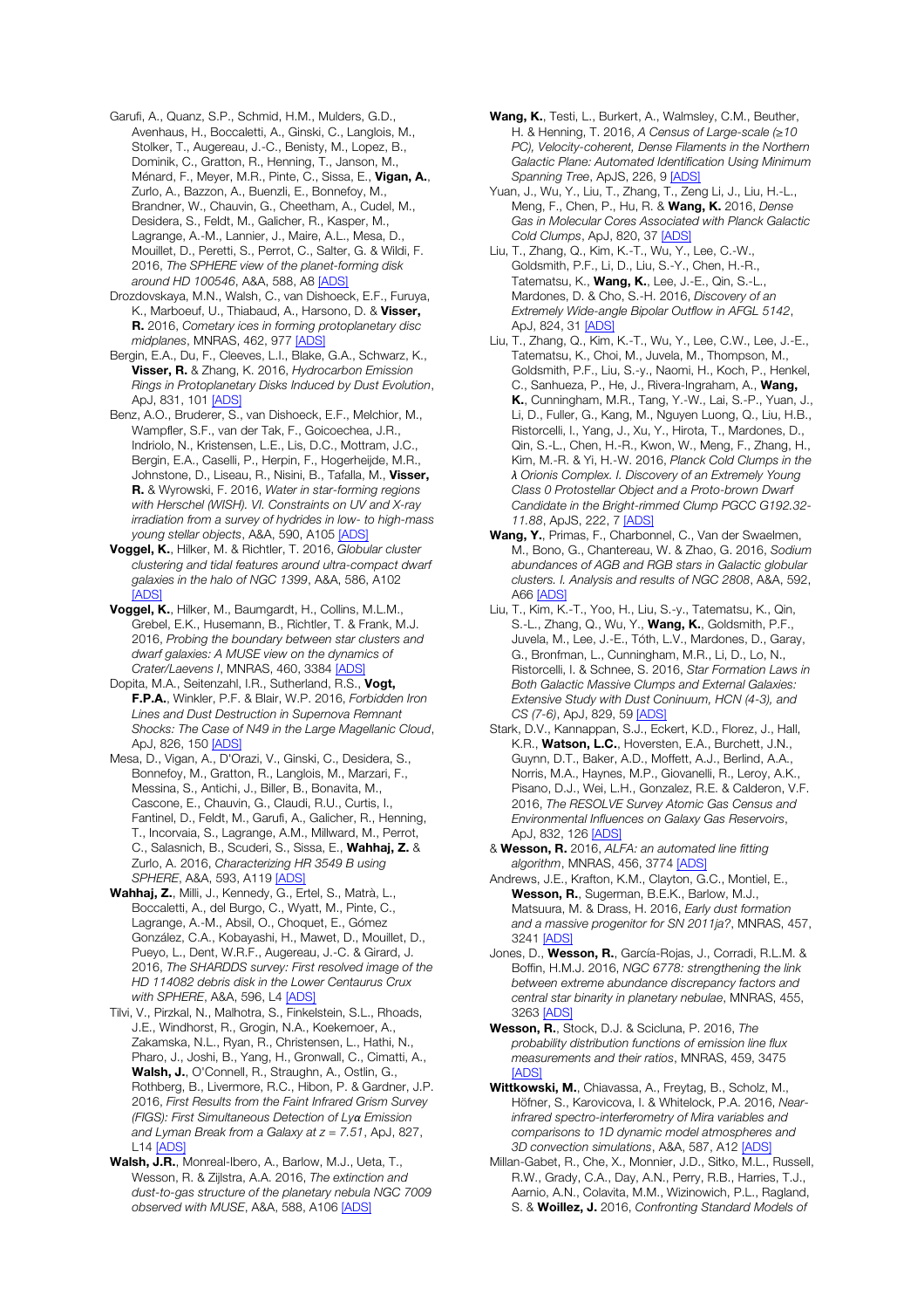Garufi, A., Quanz, S.P., Schmid, H.M., Mulders, G.D., Avenhaus, H., Boccaletti, A., Ginski, C., Langlois, M., Stolker, T., Augereau, J.-C., Benisty, M., Lopez, B., Dominik, C., Gratton, R., Henning, T., Janson, M., Ménard, F., Meyer, M.R., Pinte, C., Sissa, E., Vigan, A., Zurlo, A., Bazzon, A., Buenzli, E., Bonnefoy, M., Brandner, W., Chauvin, G., Cheetham, A., Cudel, M., Desidera, S., Feldt, M., Galicher, R., Kasper, M., Lagrange, A.-M., Lannier, J., Maire, A.L., Mesa, D., Mouillet, D., Peretti, S., Perrot, C., Salter, G. & Wildi, F. 2016, *The SPHERE view of the planet-forming disk around HD 100546*, A&A, 588, A8 [ADS]

Drozdovskaya, M.N., Walsh, C., van Dishoeck, E.F., Furuya, K., Marboeuf, U., Thiabaud, A., Harsono, D. & Visser. R. 2016, *Cometary ices in forming protoplanetary disc midplanes*, MNRAS, 462, 977 [ADS]

Bergin, E.A., Du, F., Cleeves, L.I., Blake, G.A., Schwarz, K., Visser, R. & Zhang, K. 2016, *Hydrocarbon Emission Rings in Protoplanetary Disks Induced by Dust Evolution*, ApJ, 831, 101 [ADS]

Benz, A.O., Bruderer, S., van Dishoeck, E.F., Melchior, M., Wampfler, S.F., van der Tak, F., Goicoechea, J.R., Indriolo, N., Kristensen, L.E., Lis, D.C., Mottram, J.C., Bergin, E.A., Caselli, P., Herpin, F., Hogerheijde, M.R., Johnstone, D., Liseau, R., Nisini, B., Tafalla, M., Visser, R. & Wyrowski, F. 2016, *Water in star-forming regions with Herschel (WISH). VI. Constraints on UV and X-ray irradiation from a survey of hydrides in low- to high-mass young stellar objects*, A&A, 590, A105 [ADS]

Voggel, K., Hilker, M. & Richtler, T. 2016, *Globular cluster clustering and tidal features around ultra-compact dwarf galaxies in the halo of NGC 1399*, A&A, 586, A102 [ADS]

Voggel, K., Hilker, M., Baumgardt, H., Collins, M.L.M., Grebel, E.K., Husemann, B., Richtler, T. & Frank, M.J. 2016, *Probing the boundary between star clusters and dwarf galaxies: A MUSE view on the dynamics of Crater/Laevens I*, MNRAS, 460, 3384 [ADS]

Dopita, M.A., Seitenzahl, I.R., Sutherland, R.S., Vogt, F.P.A., Winkler, P.F. & Blair, W.P. 2016, *Forbidden Iron Lines and Dust Destruction in Supernova Remnant Shocks: The Case of N49 in the Large Magellanic Cloud*, ApJ, 826, 150 [ADS]

Mesa, D., Vigan, A., D'Orazi, V., Ginski, C., Desidera, S., Bonnefoy, M., Gratton, R., Langlois, M., Marzari, F., Messina, S., Antichi, J., Biller, B., Bonavita, M., Cascone, E., Chauvin, G., Claudi, R.U., Curtis, I., Fantinel, D., Feldt, M., Garufi, A., Galicher, R., Henning, T., Incorvaia, S., Lagrange, A.M., Millward, M., Perrot, C., Salasnich, B., Scuderi, S., Sissa, E., Wahhaj, Z. & Zurlo, A. 2016, *Characterizing HR 3549 B using SPHERE*, A&A, 593, A119 [ADS]

Wahhaj, Z., Milli, J., Kennedy, G., Ertel, S., Matrà, L., Boccaletti, A., del Burgo, C., Wyatt, M., Pinte, C., Lagrange, A.-M., Absil, O., Choquet, E., Gómez González, C.A., Kobayashi, H., Mawet, D., Mouillet, D., Pueyo, L., Dent, W.R.F., Augereau, J.-C. & Girard, J. 2016, *The SHARDDS survey: First resolved image of the HD 114082 debris disk in the Lower Centaurus Crux with SPHERE*, A&A, 596, L4 [ADS]

Tilvi, V., Pirzkal, N., Malhotra, S., Finkelstein, S.L., Rhoads, J.E., Windhorst, R., Grogin, N.A., Koekemoer, A., Zakamska, N.L., Ryan, R., Christensen, L., Hathi, N., Pharo, J., Joshi, B., Yang, H., Gronwall, C., Cimatti, A., Walsh, J., O'Connell, R., Straughn, A., Ostlin, G., Rothberg, B., Livermore, R.C., Hibon, P. & Gardner, J.P. 2016, *First Results from the Faint Infrared Grism Survey (FIGS): First Simultaneous Detection of Lyα Emission and Lyman Break from a Galaxy at z = 7.51*, ApJ, 827, L14 [ADS]

Walsh, J.R., Monreal-Ibero, A., Barlow, M.J., Ueta, T., Wesson, R. & Zijlstra, A.A. 2016, *The extinction and dust-to-gas structure of the planetary nebula NGC 7009 observed with MUSE*, A&A, 588, A106 [ADS]

Wang, K., Testi, L., Burkert, A., Walmsley, C.M., Beuther, H. & Henning, T. 2016, *A Census of Large-scale (*≥*10 PC), Velocity-coherent, Dense Filaments in the Northern Galactic Plane: Automated Identification Using Minimum Spanning Tree*, ApJS, 226, 9 [ADS]

Yuan, J., Wu, Y., Liu, T., Zhang, T., Zeng Li, J., Liu, H.-L., Meng, F., Chen, P., Hu, R. & Wang, K. 2016, *Dense Gas in Molecular Cores Associated with Planck Galactic Cold Clumps*, ApJ, 820, 37 [ADS]

Liu, T., Zhang, Q., Kim, K.-T., Wu, Y., Lee, C.-W., Goldsmith, P.F., Li, D., Liu, S.-Y., Chen, H.-R., Tatematsu, K., Wang, K., Lee, J.-E., Qin, S.-L., Mardones, D. & Cho, S.-H. 2016, *Discovery of an Extremely Wide-angle Bipolar Outflow in AFGL 5142*, ApJ, 824, 31 [ADS]

Liu, T., Zhang, Q., Kim, K.-T., Wu, Y., Lee, C.W., Lee, J.-E., Tatematsu, K., Choi, M., Juvela, M., Thompson, M., Goldsmith, P.F., Liu, S.-y., Naomi, H., Koch, P., Henkel, C., Sanhueza, P., He, J., Rivera-Ingraham, A., Wang, K., Cunningham, M.R., Tang, Y.-W., Lai, S.-P., Yuan, J., Li, D., Fuller, G., Kang, M., Nguyen Luong, Q., Liu, H.B., Ristorcelli, I., Yang, J., Xu, Y., Hirota, T., Mardones, D., Qin, S.-L., Chen, H.-R., Kwon, W., Meng, F., Zhang, H., Kim, M.-R. & Yi, H.-W. 2016, *Planck Cold Clumps in the λ Orionis Complex. I. Discovery of an Extremely Young Class 0 Protostellar Object and a Proto-brown Dwarf Candidate in the Bright-rimmed Clump PGCC G192.32- 11.88*, ApJS, 222, 7 [ADS]

Wang, Y., Primas, F., Charbonnel, C., Van der Swaelmen, M., Bono, G., Chantereau, W. & Zhao, G. 2016, *Sodium abundances of AGB and RGB stars in Galactic globular clusters. I. Analysis and results of NGC 2808*, A&A, 592, A66 [ADS]

Liu, T., Kim, K.-T., Yoo, H., Liu, S.-y., Tatematsu, K., Qin, S.-L., Zhang, Q., Wu, Y., Wang, K., Goldsmith, P.F., Juvela, M., Lee, J.-E., Tóth, L.V., Mardones, D., Garay, G., Bronfman, L., Cunningham, M.R., Li, D., Lo, N., Ristorcelli, I. & Schnee, S. 2016, *Star Formation Laws in Both Galactic Massive Clumps and External Galaxies: Extensive Study with Dust Coninuum, HCN (4-3), and CS (7-6)*, ApJ, 829, 59 [ADS]

Stark, D.V., Kannappan, S.J., Eckert, K.D., Florez, J., Hall, K.R., Watson, L.C., Hoversten, E.A., Burchett, J.N., Guynn, D.T., Baker, A.D., Moffett, A.J., Berlind, A.A., Norris, M.A., Haynes, M.P., Giovanelli, R., Leroy, A.K., Pisano, D.J., Wei, L.H., Gonzalez, R.E. & Calderon, V.F. 2016, *The RESOLVE Survey Atomic Gas Census and Environmental Influences on Galaxy Gas Reservoirs*, ApJ, 832, 126 [ADS]

& Wesson, R. 2016, *ALFA: an automated line fitting algorithm*, MNRAS, 456, 3774 [ADS]

Andrews, J.E., Krafton, K.M., Clayton, G.C., Montiel, E., Wesson, R., Sugerman, B.E.K., Barlow, M.J., Matsuura, M. & Drass, H. 2016, *Early dust formation and a massive progenitor for SN 2011ja?*, MNRAS, 457, 3241 [ADS]

Jones, D., Wesson, R., García-Rojas, J., Corradi, R.L.M. & Boffin, H.M.J. 2016, *NGC 6778: strengthening the link between extreme abundance discrepancy factors and central star binarity in planetary nebulae*, MNRAS, 455, 3263 [ADS]

Wesson, R., Stock, D.J. & Scicluna, P. 2016, *The probability distribution functions of emission line flux measurements and their ratios*, MNRAS, 459, 3475 [ADS]

Wittkowski, M., Chiavassa, A., Freytag, B., Scholz, M., Höfner, S., Karovicova, I. & Whitelock, P.A. 2016, *Nearinfrared spectro-interferometry of Mira variables and comparisons to 1D dynamic model atmospheres and 3D convection simulations*, A&A, 587, A12 [ADS]

Millan-Gabet, R., Che, X., Monnier, J.D., Sitko, M.L., Russell, R.W., Grady, C.A., Day, A.N., Perry, R.B., Harries, T.J., Aarnio, A.N., Colavita, M.M., Wizinowich, P.L., Ragland, S. & Woillez, J. 2016, *Confronting Standard Models of*